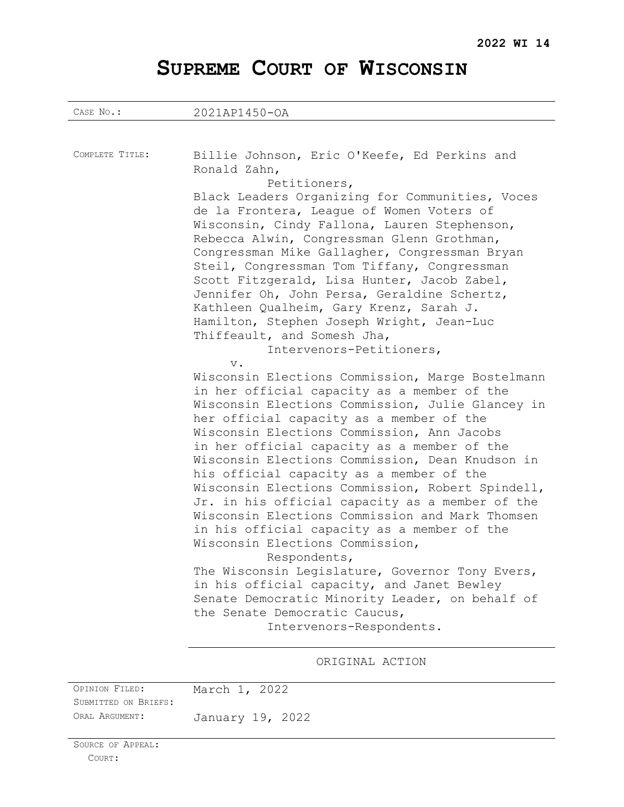# **SUPREME COURT OF WISCONSIN**

| CASE No.:                              | 2021AP1450-OA                                                                                                                                                                                                                                                                                                                                                                                                                                                                                                                                                                                                                                                            |
|----------------------------------------|--------------------------------------------------------------------------------------------------------------------------------------------------------------------------------------------------------------------------------------------------------------------------------------------------------------------------------------------------------------------------------------------------------------------------------------------------------------------------------------------------------------------------------------------------------------------------------------------------------------------------------------------------------------------------|
|                                        |                                                                                                                                                                                                                                                                                                                                                                                                                                                                                                                                                                                                                                                                          |
| COMPLETE TITLE:                        | Billie Johnson, Eric O'Keefe, Ed Perkins and<br>Ronald Zahn,                                                                                                                                                                                                                                                                                                                                                                                                                                                                                                                                                                                                             |
|                                        | Petitioners,<br>Black Leaders Organizing for Communities, Voces<br>de la Frontera, League of Women Voters of<br>Wisconsin, Cindy Fallona, Lauren Stephenson,<br>Rebecca Alwin, Congressman Glenn Grothman,<br>Congressman Mike Gallagher, Congressman Bryan<br>Steil, Congressman Tom Tiffany, Congressman<br>Scott Fitzgerald, Lisa Hunter, Jacob Zabel,<br>Jennifer Oh, John Persa, Geraldine Schertz,<br>Kathleen Qualheim, Gary Krenz, Sarah J.<br>Hamilton, Stephen Joseph Wright, Jean-Luc<br>Thiffeault, and Somesh Jha,<br>Intervenors-Petitioners,                                                                                                              |
|                                        | $\mathbf v$ .<br>Wisconsin Elections Commission, Marge Bostelmann<br>in her official capacity as a member of the<br>Wisconsin Elections Commission, Julie Glancey in<br>her official capacity as a member of the<br>Wisconsin Elections Commission, Ann Jacobs<br>in her official capacity as a member of the<br>Wisconsin Elections Commission, Dean Knudson in<br>his official capacity as a member of the<br>Wisconsin Elections Commission, Robert Spindell,<br>Jr. in his official capacity as a member of the<br>Wisconsin Elections Commission and Mark Thomsen<br>in his official capacity as a member of the<br>Wisconsin Elections Commission,<br>Respondents, |
|                                        | The Wisconsin Legislature, Governor Tony Evers,<br>in his official capacity, and Janet Bewley<br>Senate Democratic Minority Leader, on behalf of<br>the Senate Democratic Caucus,<br>Intervenors-Respondents.                                                                                                                                                                                                                                                                                                                                                                                                                                                            |
|                                        | ORIGINAL ACTION                                                                                                                                                                                                                                                                                                                                                                                                                                                                                                                                                                                                                                                          |
| OPINION FILED:<br>SUBMITTED ON BRIEFS: | March 1, 2022                                                                                                                                                                                                                                                                                                                                                                                                                                                                                                                                                                                                                                                            |
| ORAL ARGUMENT:                         | January 19, 2022                                                                                                                                                                                                                                                                                                                                                                                                                                                                                                                                                                                                                                                         |
| SOURCE OF APPEAL:                      |                                                                                                                                                                                                                                                                                                                                                                                                                                                                                                                                                                                                                                                                          |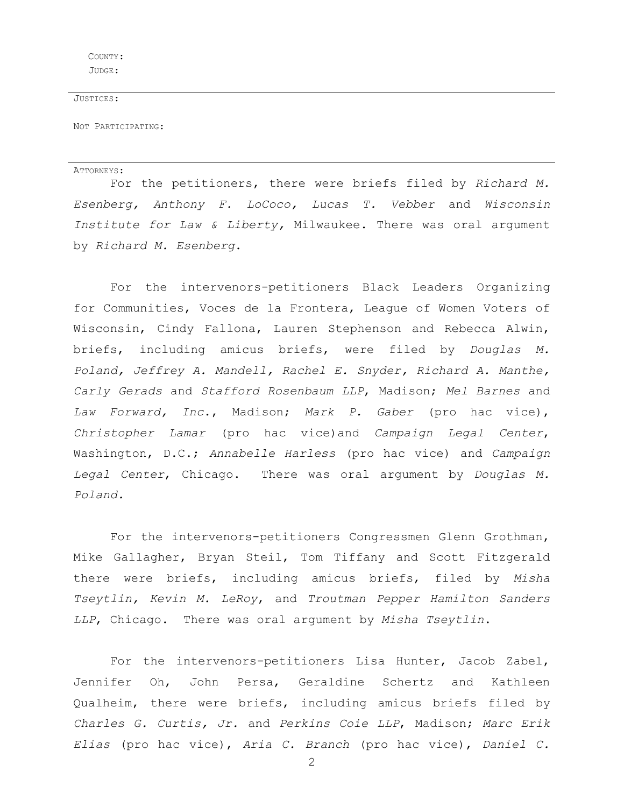COUNTY: JUDGE:

#### JUSTICES:

NOT PARTICIPATING:

#### ATTORNEYS:

For the petitioners, there were briefs filed by *Richard M. Esenberg, Anthony F. LoCoco, Lucas T. Vebber* and *Wisconsin Institute for Law & Liberty,* Milwaukee. There was oral argument by *Richard M. Esenberg*.

For the intervenors-petitioners Black Leaders Organizing for Communities, Voces de la Frontera, League of Women Voters of Wisconsin, Cindy Fallona, Lauren Stephenson and Rebecca Alwin, briefs, including amicus briefs, were filed by *Douglas M. Poland, Jeffrey A. Mandell, Rachel E. Snyder, Richard A. Manthe, Carly Gerads* and *Stafford Rosenbaum LLP*, Madison; *Mel Barnes* and *Law Forward, Inc*., Madison; *Mark P. Gaber* (pro hac vice), *Christopher Lamar* (pro hac vice)and *Campaign Legal Center*, Washington, D.C.; *Annabelle Harless* (pro hac vice) and *Campaign Legal Center*, Chicago. There was oral argument by *Douglas M. Poland.*

For the intervenors-petitioners Congressmen Glenn Grothman, Mike Gallagher, Bryan Steil, Tom Tiffany and Scott Fitzgerald there were briefs, including amicus briefs, filed by *Misha Tseytlin, Kevin M. LeRoy*, and *Troutman Pepper Hamilton Sanders LLP*, Chicago. There was oral argument by *Misha Tseytlin*.

For the intervenors-petitioners Lisa Hunter, Jacob Zabel, Jennifer Oh, John Persa, Geraldine Schertz and Kathleen Qualheim, there were briefs, including amicus briefs filed by *Charles G. Curtis, Jr.* and *Perkins Coie LLP*, Madison; *Marc Erik Elias* (pro hac vice), *Aria C. Branch* (pro hac vice), *Daniel C.*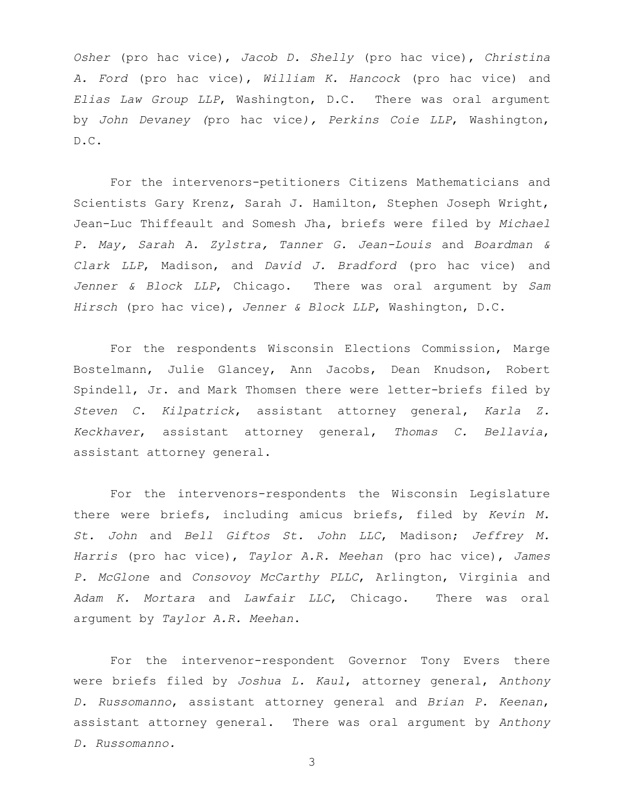*Osher* (pro hac vice), *Jacob D. Shelly* (pro hac vice), *Christina A. Ford* (pro hac vice), *William K. Hancock* (pro hac vice) and *Elias Law Group LLP*, Washington, D.C. There was oral argument by *John Devaney (*pro hac vice*), Perkins Coie LLP*, Washington, D.C.

For the intervenors-petitioners Citizens Mathematicians and Scientists Gary Krenz, Sarah J. Hamilton, Stephen Joseph Wright, Jean-Luc Thiffeault and Somesh Jha, briefs were filed by *Michael P. May, Sarah A. Zylstra, Tanner G. Jean-Louis* and *Boardman & Clark LLP*, Madison, and *David J. Bradford* (pro hac vice) and *Jenner & Block LLP*, Chicago. There was oral argument by *Sam Hirsch* (pro hac vice), *Jenner & Block LLP*, Washington, D.C.

For the respondents Wisconsin Elections Commission, Marge Bostelmann, Julie Glancey, Ann Jacobs, Dean Knudson, Robert Spindell, Jr. and Mark Thomsen there were letter-briefs filed by *Steven C. Kilpatrick*, assistant attorney general, *Karla Z. Keckhaver*, assistant attorney general, *Thomas C. Bellavia*, assistant attorney general.

For the intervenors-respondents the Wisconsin Legislature there were briefs, including amicus briefs, filed by *Kevin M. St. John* and *Bell Giftos St. John LLC*, Madison; *Jeffrey M. Harris* (pro hac vice), *Taylor A.R. Meehan* (pro hac vice), *James P. McGlone* and *Consovoy McCarthy PLLC*, Arlington, Virginia and *Adam K. Mortara* and *Lawfair LLC*, Chicago. There was oral argument by *Taylor A.R. Meehan*.

For the intervenor-respondent Governor Tony Evers there were briefs filed by *Joshua L. Kaul*, attorney general, *Anthony D. Russomanno*, assistant attorney general and *Brian P. Keenan*, assistant attorney general. There was oral argument by *Anthony D. Russomanno.*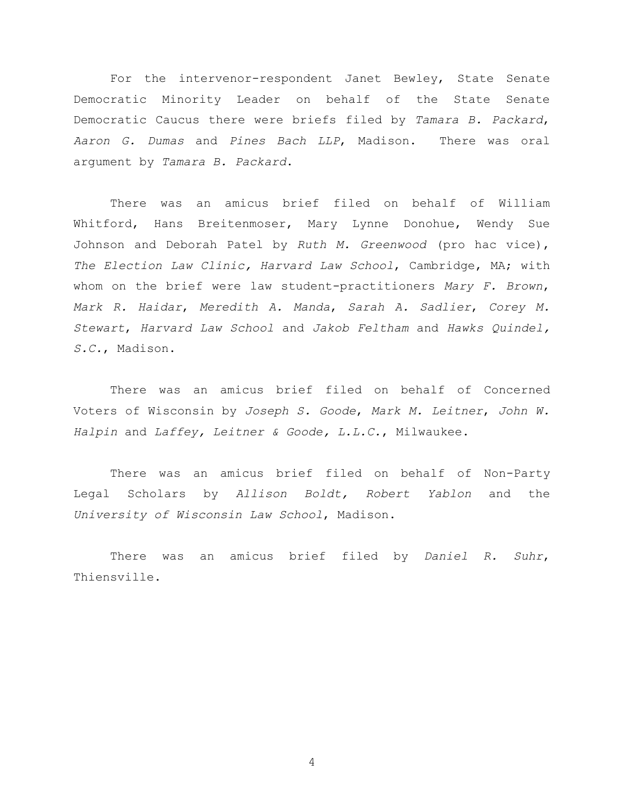For the intervenor-respondent Janet Bewley, State Senate Democratic Minority Leader on behalf of the State Senate Democratic Caucus there were briefs filed by *Tamara B. Packard*, *Aaron G. Dumas* and *Pines Bach LLP*, Madison. There was oral argument by *Tamara B. Packard*.

There was an amicus brief filed on behalf of William Whitford, Hans Breitenmoser, Mary Lynne Donohue, Wendy Sue Johnson and Deborah Patel by *Ruth M. Greenwood* (pro hac vice), *The Election Law Clinic, Harvard Law School*, Cambridge, MA; with whom on the brief were law student-practitioners *Mary F. Brown*, *Mark R. Haidar*, *Meredith A. Manda*, *Sarah A. Sadlier*, *Corey M. Stewart*, *Harvard Law School* and *Jakob Feltham* and *Hawks Quindel, S.C.*, Madison.

There was an amicus brief filed on behalf of Concerned Voters of Wisconsin by *Joseph S. Goode*, *Mark M. Leitner*, *John W. Halpin* and *Laffey, Leitner & Goode, L.L.C.*, Milwaukee.

There was an amicus brief filed on behalf of Non-Party Legal Scholars by *Allison Boldt, Robert Yablon* and the *University of Wisconsin Law School*, Madison.

There was an amicus brief filed by *Daniel R. Suhr*, Thiensville.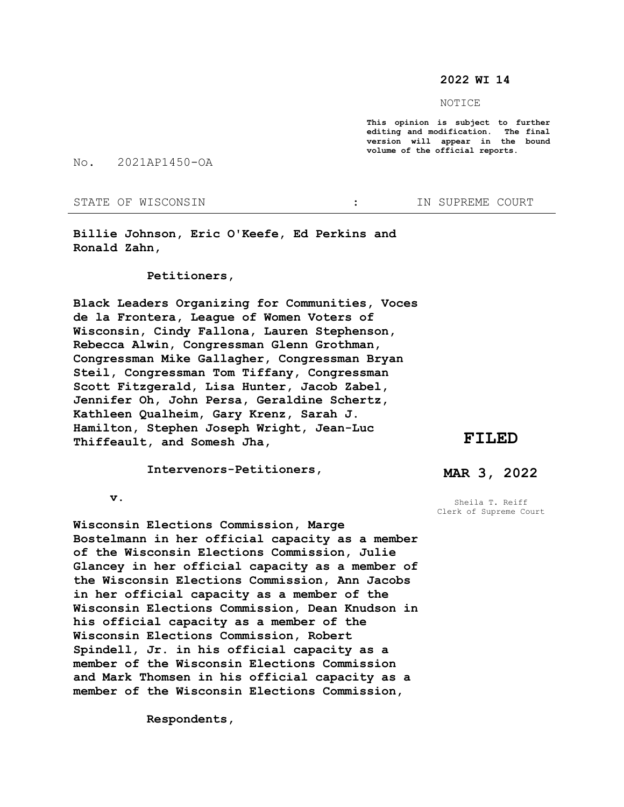## **2022 WI 14**

NOTICE

**This opinion is subject to further editing and modification. The final version will appear in the bound volume of the official reports.** 

No. 2021AP1450-OA

#### STATE OF WISCONSIN THE STATE OF STATE OF WISCONSIN

**Billie Johnson, Eric O'Keefe, Ed Perkins and Ronald Zahn,**

#### **Petitioners,**

**Black Leaders Organizing for Communities, Voces de la Frontera, League of Women Voters of Wisconsin, Cindy Fallona, Lauren Stephenson, Rebecca Alwin, Congressman Glenn Grothman, Congressman Mike Gallagher, Congressman Bryan Steil, Congressman Tom Tiffany, Congressman Scott Fitzgerald, Lisa Hunter, Jacob Zabel, Jennifer Oh, John Persa, Geraldine Schertz, Kathleen Qualheim, Gary Krenz, Sarah J. Hamilton, Stephen Joseph Wright, Jean-Luc Thiffeault, and Somesh Jha,** 

 **Intervenors-Petitioners,**

## **FILED**

#### **MAR 3, 2022**

Sheila T. Reiff Clerk of Supreme Court

 **v.**

**Wisconsin Elections Commission, Marge Bostelmann in her official capacity as a member of the Wisconsin Elections Commission, Julie Glancey in her official capacity as a member of the Wisconsin Elections Commission, Ann Jacobs in her official capacity as a member of the Wisconsin Elections Commission, Dean Knudson in his official capacity as a member of the Wisconsin Elections Commission, Robert Spindell, Jr. in his official capacity as a member of the Wisconsin Elections Commission and Mark Thomsen in his official capacity as a member of the Wisconsin Elections Commission,**

 **Respondents,**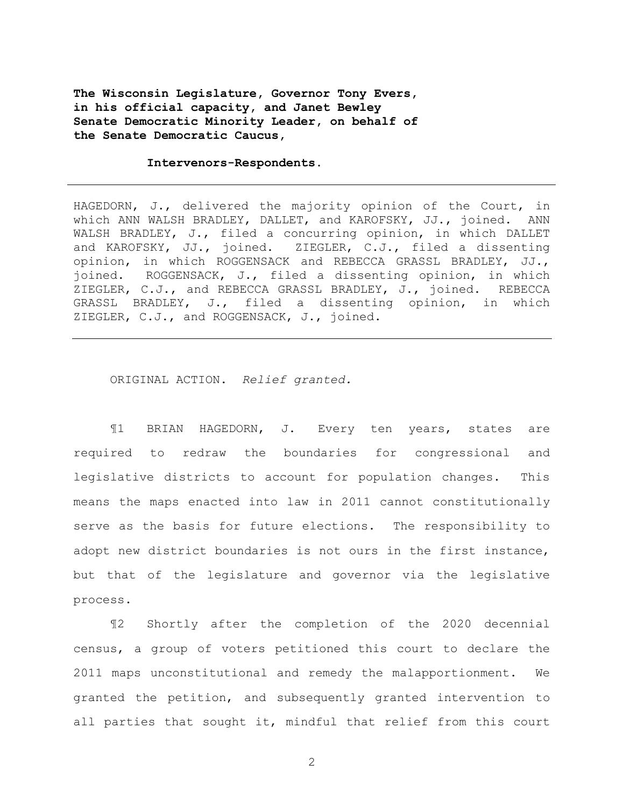**The Wisconsin Legislature, Governor Tony Evers, in his official capacity, and Janet Bewley Senate Democratic Minority Leader, on behalf of the Senate Democratic Caucus,**

#### **Intervenors-Respondents.**

HAGEDORN, J., delivered the majority opinion of the Court, in which ANN WALSH BRADLEY, DALLET, and KAROFSKY, JJ., joined. ANN WALSH BRADLEY, J., filed a concurring opinion, in which DALLET and KAROFSKY, JJ., joined. ZIEGLER, C.J., filed a dissenting opinion, in which ROGGENSACK and REBECCA GRASSL BRADLEY, JJ., joined. ROGGENSACK, J., filed a dissenting opinion, in which ZIEGLER, C.J., and REBECCA GRASSL BRADLEY, J., joined. REBECCA GRASSL BRADLEY, J., filed a dissenting opinion, in which ZIEGLER, C.J., and ROGGENSACK, J., joined.

ORIGINAL ACTION. *Relief granted.*

¶1 BRIAN HAGEDORN, J. Every ten years, states are required to redraw the boundaries for congressional and legislative districts to account for population changes. This means the maps enacted into law in 2011 cannot constitutionally serve as the basis for future elections. The responsibility to adopt new district boundaries is not ours in the first instance, but that of the legislature and governor via the legislative process.

¶2 Shortly after the completion of the 2020 decennial census, a group of voters petitioned this court to declare the 2011 maps unconstitutional and remedy the malapportionment. We granted the petition, and subsequently granted intervention to all parties that sought it, mindful that relief from this court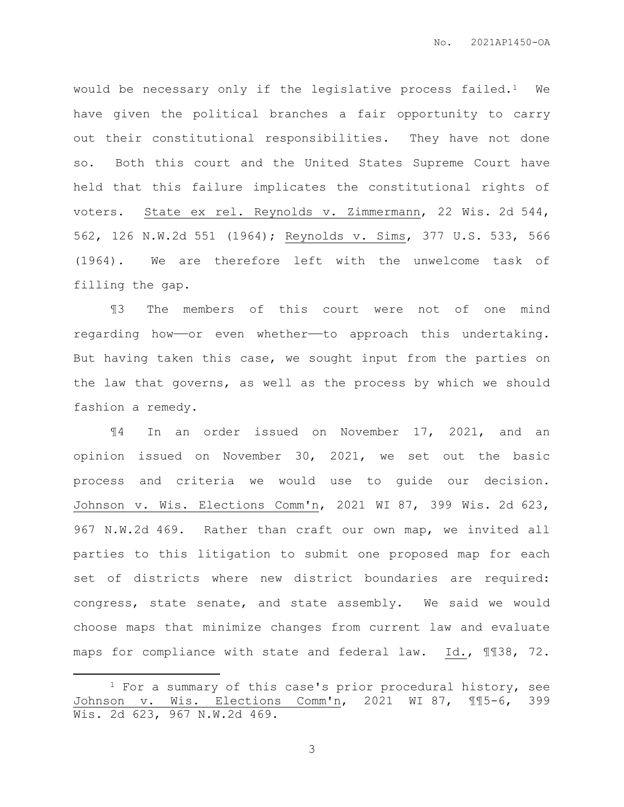would be necessary only if the legislative process failed.1 We have given the political branches a fair opportunity to carry out their constitutional responsibilities. They have not done so. Both this court and the United States Supreme Court have held that this failure implicates the constitutional rights of voters. State ex rel. Reynolds v. Zimmermann, 22 Wis. 2d 544, 562, 126 N.W.2d 551 (1964); Reynolds v. Sims, 377 U.S. 533, 566 (1964). We are therefore left with the unwelcome task of filling the gap.

¶3 The members of this court were not of one mind regarding how—or even whether—to approach this undertaking. But having taken this case, we sought input from the parties on the law that governs, as well as the process by which we should fashion a remedy.

¶4 In an order issued on November 17, 2021, and an opinion issued on November 30, 2021, we set out the basic process and criteria we would use to guide our decision. Johnson v. Wis. Elections Comm'n, 2021 WI 87, 399 Wis. 2d 623, 967 N.W.2d 469. Rather than craft our own map, we invited all parties to this litigation to submit one proposed map for each set of districts where new district boundaries are required: congress, state senate, and state assembly. We said we would choose maps that minimize changes from current law and evaluate maps for compliance with state and federal law. Id., ¶¶38, 72.

 $\overline{a}$ 

 $1$  For a summary of this case's prior procedural history, see Johnson v. Wis. Elections Comm'n, 2021 WI 87, ¶¶5-6, 399 Wis. 2d 623, 967 N.W.2d 469.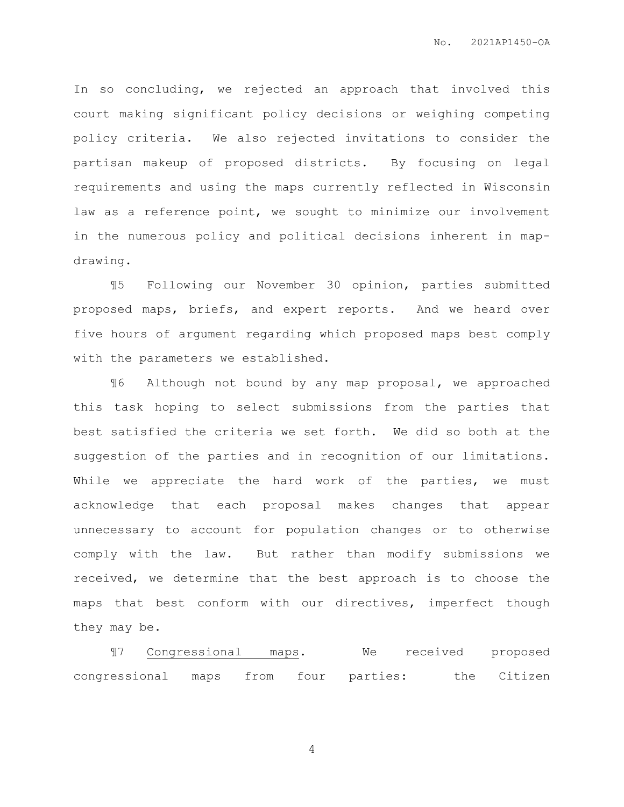In so concluding, we rejected an approach that involved this court making significant policy decisions or weighing competing policy criteria. We also rejected invitations to consider the partisan makeup of proposed districts. By focusing on legal requirements and using the maps currently reflected in Wisconsin law as a reference point, we sought to minimize our involvement in the numerous policy and political decisions inherent in mapdrawing.

¶5 Following our November 30 opinion, parties submitted proposed maps, briefs, and expert reports. And we heard over five hours of argument regarding which proposed maps best comply with the parameters we established.

¶6 Although not bound by any map proposal, we approached this task hoping to select submissions from the parties that best satisfied the criteria we set forth. We did so both at the suggestion of the parties and in recognition of our limitations. While we appreciate the hard work of the parties, we must acknowledge that each proposal makes changes that appear unnecessary to account for population changes or to otherwise comply with the law. But rather than modify submissions we received, we determine that the best approach is to choose the maps that best conform with our directives, imperfect though they may be.

¶7 Congressional maps. We received proposed congressional maps from four parties: the Citizen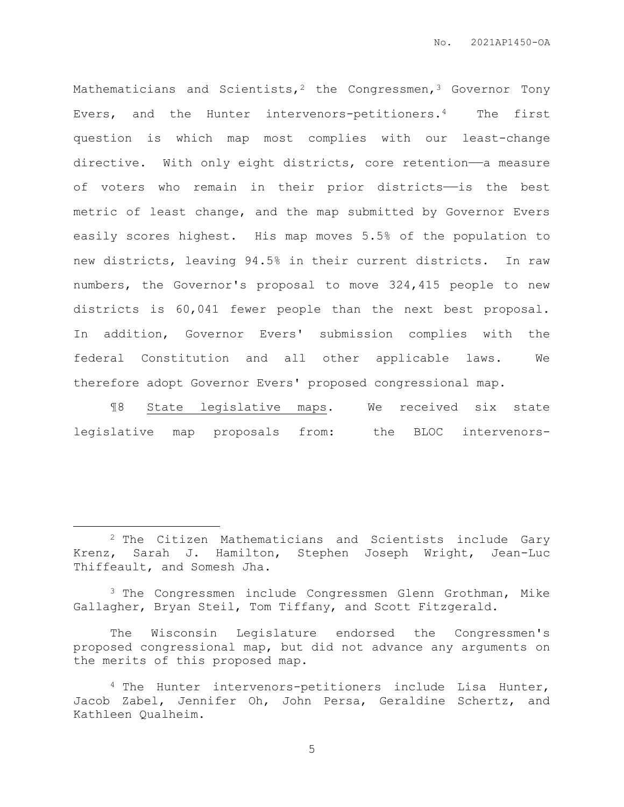Mathematicians and Scientists,<sup>2</sup> the Congressmen,<sup>3</sup> Governor Tony Evers, and the Hunter intervenors-petitioners.4 The first question is which map most complies with our least-change directive. With only eight districts, core retention——a measure of voters who remain in their prior districts——is the best metric of least change, and the map submitted by Governor Evers easily scores highest. His map moves 5.5% of the population to new districts, leaving 94.5% in their current districts. In raw numbers, the Governor's proposal to move 324,415 people to new districts is 60,041 fewer people than the next best proposal. In addition, Governor Evers' submission complies with the federal Constitution and all other applicable laws. We therefore adopt Governor Evers' proposed congressional map.

¶8 State legislative maps. We received six state legislative map proposals from: the BLOC intervenors-

 $\overline{a}$ 

<sup>2</sup> The Citizen Mathematicians and Scientists include Gary Krenz, Sarah J. Hamilton, Stephen Joseph Wright, Jean-Luc Thiffeault, and Somesh Jha.

<sup>3</sup> The Congressmen include Congressmen Glenn Grothman, Mike Gallagher, Bryan Steil, Tom Tiffany, and Scott Fitzgerald.

The Wisconsin Legislature endorsed the Congressmen's proposed congressional map, but did not advance any arguments on the merits of this proposed map.

<sup>4</sup> The Hunter intervenors-petitioners include Lisa Hunter, Jacob Zabel, Jennifer Oh, John Persa, Geraldine Schertz, and Kathleen Qualheim.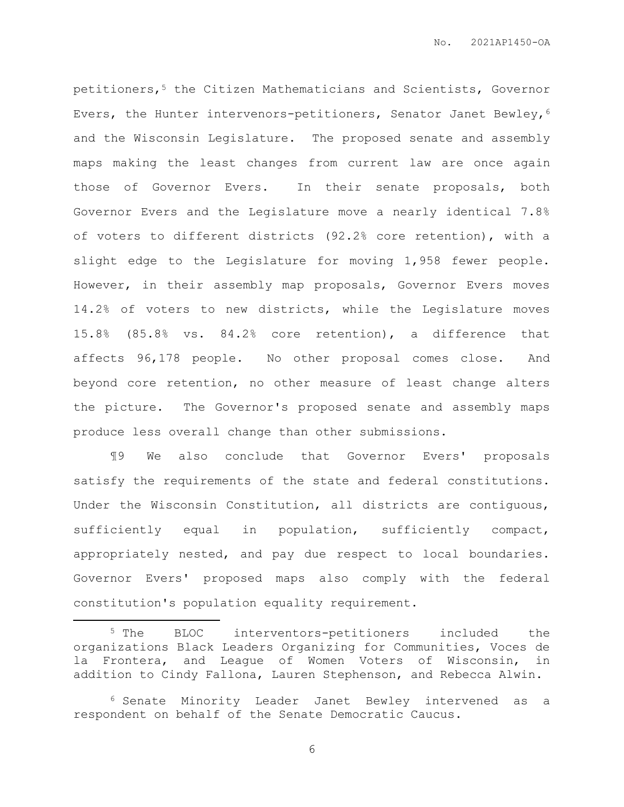petitioners,<sup>5</sup> the Citizen Mathematicians and Scientists, Governor Evers, the Hunter intervenors-petitioners, Senator Janet Bewley,<sup>6</sup> and the Wisconsin Legislature. The proposed senate and assembly maps making the least changes from current law are once again those of Governor Evers. In their senate proposals, both Governor Evers and the Legislature move a nearly identical 7.8% of voters to different districts (92.2% core retention), with a slight edge to the Legislature for moving 1,958 fewer people. However, in their assembly map proposals, Governor Evers moves 14.2% of voters to new districts, while the Legislature moves 15.8% (85.8% vs. 84.2% core retention), a difference that affects 96,178 people. No other proposal comes close. And beyond core retention, no other measure of least change alters the picture. The Governor's proposed senate and assembly maps produce less overall change than other submissions.

¶9 We also conclude that Governor Evers' proposals satisfy the requirements of the state and federal constitutions. Under the Wisconsin Constitution, all districts are contiguous, sufficiently equal in population, sufficiently compact, appropriately nested, and pay due respect to local boundaries. Governor Evers' proposed maps also comply with the federal constitution's population equality requirement.

 $\overline{a}$ 

<sup>5</sup> The BLOC interventors-petitioners included the organizations Black Leaders Organizing for Communities, Voces de la Frontera, and League of Women Voters of Wisconsin, in addition to Cindy Fallona, Lauren Stephenson, and Rebecca Alwin.

<sup>6</sup> Senate Minority Leader Janet Bewley intervened as a respondent on behalf of the Senate Democratic Caucus.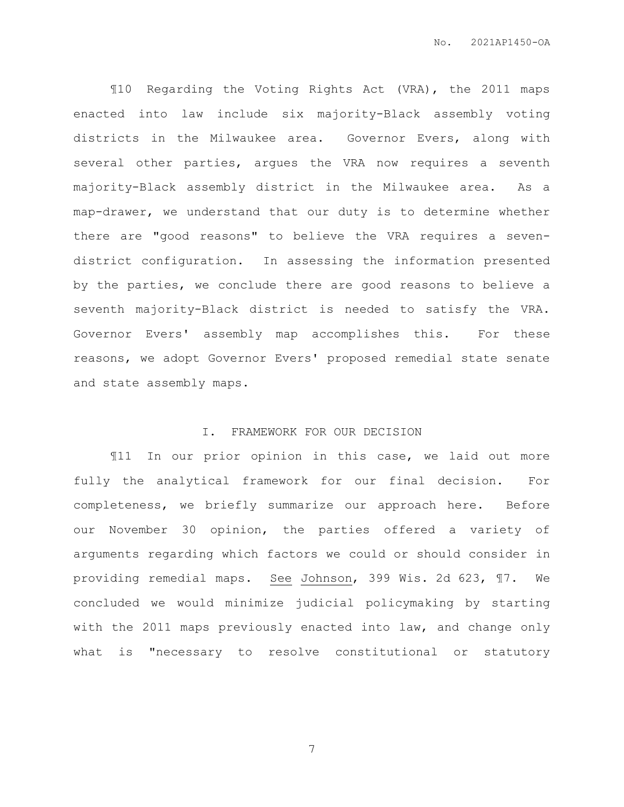¶10 Regarding the Voting Rights Act (VRA), the 2011 maps enacted into law include six majority-Black assembly voting districts in the Milwaukee area. Governor Evers, along with several other parties, argues the VRA now requires a seventh majority-Black assembly district in the Milwaukee area. As a map-drawer, we understand that our duty is to determine whether there are "good reasons" to believe the VRA requires a sevendistrict configuration. In assessing the information presented by the parties, we conclude there are good reasons to believe a seventh majority-Black district is needed to satisfy the VRA. Governor Evers' assembly map accomplishes this. For these reasons, we adopt Governor Evers' proposed remedial state senate and state assembly maps.

## I. FRAMEWORK FOR OUR DECISION

¶11 In our prior opinion in this case, we laid out more fully the analytical framework for our final decision. For completeness, we briefly summarize our approach here. Before our November 30 opinion, the parties offered a variety of arguments regarding which factors we could or should consider in providing remedial maps. See Johnson, 399 Wis. 2d 623, ¶7. We concluded we would minimize judicial policymaking by starting with the 2011 maps previously enacted into law, and change only what is "necessary to resolve constitutional or statutory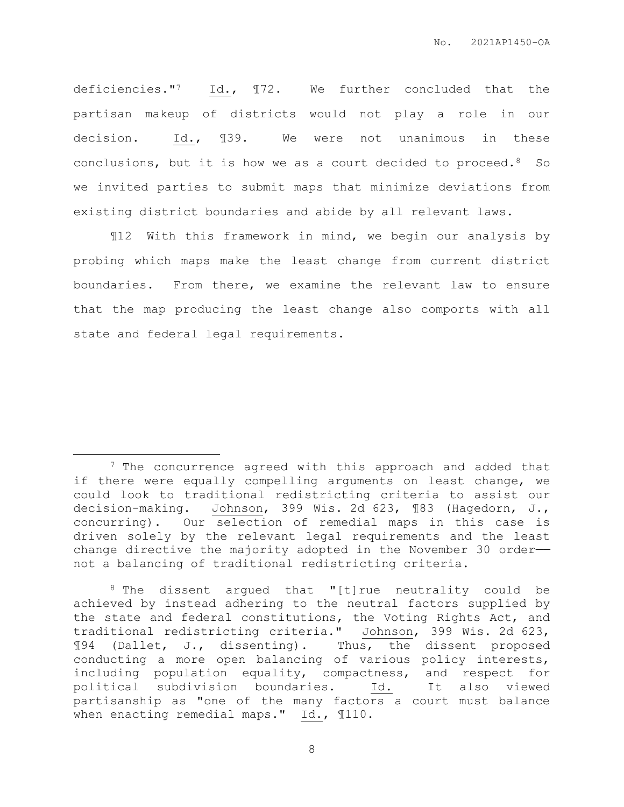deficiencies."7 Id., ¶72. We further concluded that the partisan makeup of districts would not play a role in our decision. Id., ¶39. We were not unanimous in these conclusions, but it is how we as a court decided to proceed.  $8$  So we invited parties to submit maps that minimize deviations from existing district boundaries and abide by all relevant laws.

¶12 With this framework in mind, we begin our analysis by probing which maps make the least change from current district boundaries. From there, we examine the relevant law to ensure that the map producing the least change also comports with all state and federal legal requirements.

 $\overline{a}$ 

<sup>&</sup>lt;sup>7</sup> The concurrence agreed with this approach and added that if there were equally compelling arguments on least change, we could look to traditional redistricting criteria to assist our decision-making. Johnson, 399 Wis. 2d 623, ¶83 (Hagedorn, J., concurring). Our selection of remedial maps in this case is driven solely by the relevant legal requirements and the least change directive the majority adopted in the November 30 order— not a balancing of traditional redistricting criteria.

<sup>8</sup> The dissent argued that "[t]rue neutrality could be achieved by instead adhering to the neutral factors supplied by the state and federal constitutions, the Voting Rights Act, and traditional redistricting criteria." Johnson, 399 Wis. 2d 623, ¶94 (Dallet, J., dissenting). Thus, the dissent proposed conducting a more open balancing of various policy interests, including population equality, compactness, and respect for political subdivision boundaries. Id. It also viewed partisanship as "one of the many factors a court must balance when enacting remedial maps." Id., ¶110.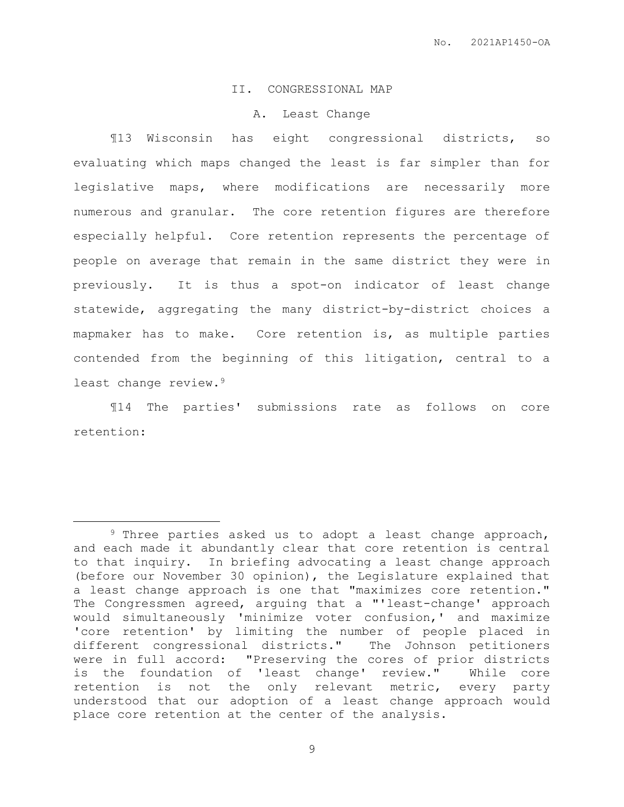## II. CONGRESSIONAL MAP

### A. Least Change

¶13 Wisconsin has eight congressional districts, so evaluating which maps changed the least is far simpler than for legislative maps, where modifications are necessarily more numerous and granular. The core retention figures are therefore especially helpful. Core retention represents the percentage of people on average that remain in the same district they were in previously. It is thus a spot-on indicator of least change statewide, aggregating the many district-by-district choices a mapmaker has to make. Core retention is, as multiple parties contended from the beginning of this litigation, central to a least change review.<sup>9</sup>

¶14 The parties' submissions rate as follows on core retention:

 $\overline{a}$ 

<sup>9</sup> Three parties asked us to adopt a least change approach, and each made it abundantly clear that core retention is central to that inquiry. In briefing advocating a least change approach (before our November 30 opinion), the Legislature explained that a least change approach is one that "maximizes core retention." The Congressmen agreed, arguing that a "'least-change' approach would simultaneously 'minimize voter confusion,' and maximize 'core retention' by limiting the number of people placed in different congressional districts." The Johnson petitioners were in full accord: "Preserving the cores of prior districts is the foundation of 'least change' review." While core retention is not the only relevant metric, every party understood that our adoption of a least change approach would place core retention at the center of the analysis.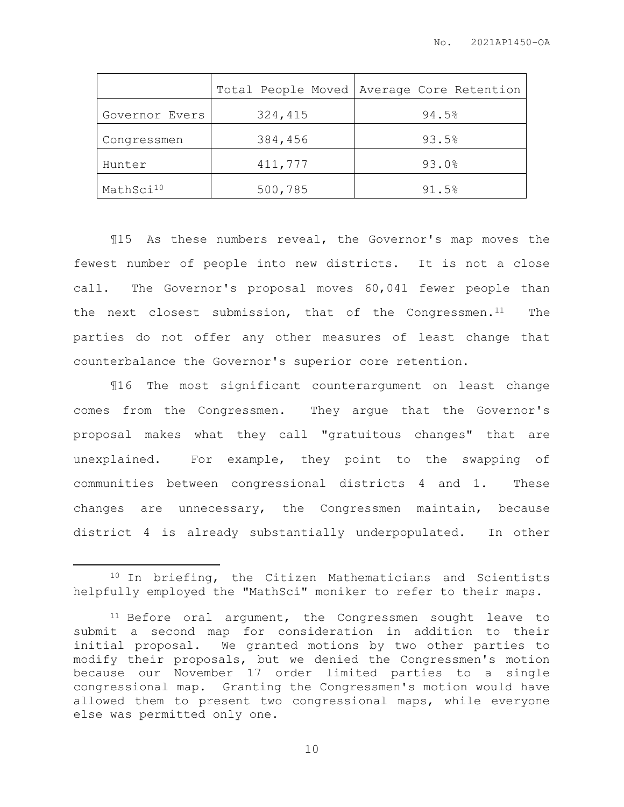|                       |         | Total People Moved   Average Core Retention |
|-----------------------|---------|---------------------------------------------|
| Governor Evers        | 324,415 | 94.5%                                       |
| Congressmen           | 384,456 | 93.5%                                       |
| Hunter                | 411,777 | 93.0%                                       |
| MathSci <sup>10</sup> | 500,785 | 91.5%                                       |

¶15 As these numbers reveal, the Governor's map moves the fewest number of people into new districts. It is not a close call. The Governor's proposal moves 60,041 fewer people than the next closest submission, that of the Congressmen.<sup>11</sup> The parties do not offer any other measures of least change that counterbalance the Governor's superior core retention.

¶16 The most significant counterargument on least change comes from the Congressmen. They argue that the Governor's proposal makes what they call "gratuitous changes" that are unexplained. For example, they point to the swapping of communities between congressional districts 4 and 1. These changes are unnecessary, the Congressmen maintain, because district 4 is already substantially underpopulated. In other

 $\overline{a}$ 

<sup>10</sup> In briefing, the Citizen Mathematicians and Scientists helpfully employed the "MathSci" moniker to refer to their maps.

<sup>&</sup>lt;sup>11</sup> Before oral argument, the Congressmen sought leave to submit a second map for consideration in addition to their initial proposal. We granted motions by two other parties to modify their proposals, but we denied the Congressmen's motion because our November 17 order limited parties to a single congressional map. Granting the Congressmen's motion would have allowed them to present two congressional maps, while everyone else was permitted only one.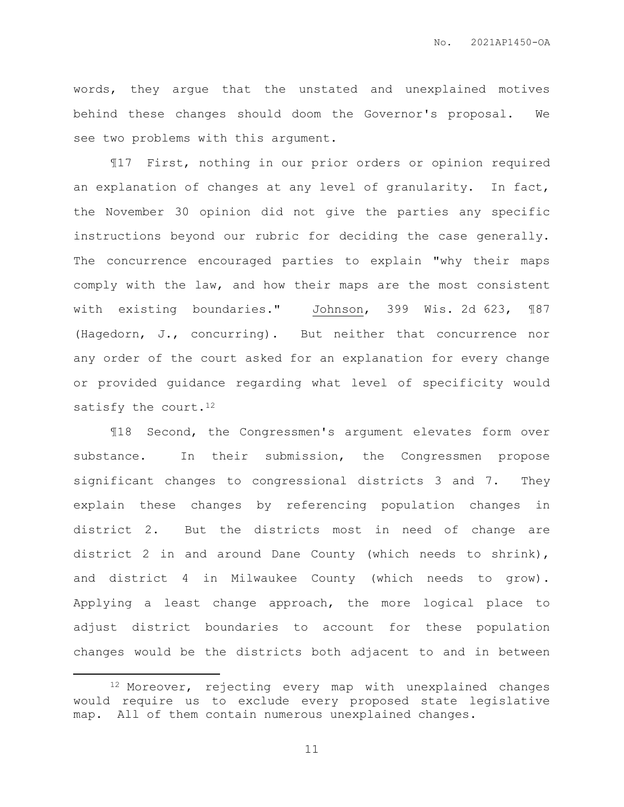words, they argue that the unstated and unexplained motives behind these changes should doom the Governor's proposal. We see two problems with this argument.

¶17 First, nothing in our prior orders or opinion required an explanation of changes at any level of granularity. In fact, the November 30 opinion did not give the parties any specific instructions beyond our rubric for deciding the case generally. The concurrence encouraged parties to explain "why their maps comply with the law, and how their maps are the most consistent with existing boundaries." Johnson, 399 Wis. 2d 623, ¶87 (Hagedorn, J., concurring). But neither that concurrence nor any order of the court asked for an explanation for every change or provided guidance regarding what level of specificity would satisfy the court.<sup>12</sup>

¶18 Second, the Congressmen's argument elevates form over substance. In their submission, the Congressmen propose significant changes to congressional districts 3 and 7. They explain these changes by referencing population changes in district 2. But the districts most in need of change are district 2 in and around Dane County (which needs to shrink), and district 4 in Milwaukee County (which needs to grow). Applying a least change approach, the more logical place to adjust district boundaries to account for these population changes would be the districts both adjacent to and in between

 $\overline{a}$ 

<sup>12</sup> Moreover, rejecting every map with unexplained changes would require us to exclude every proposed state legislative map. All of them contain numerous unexplained changes.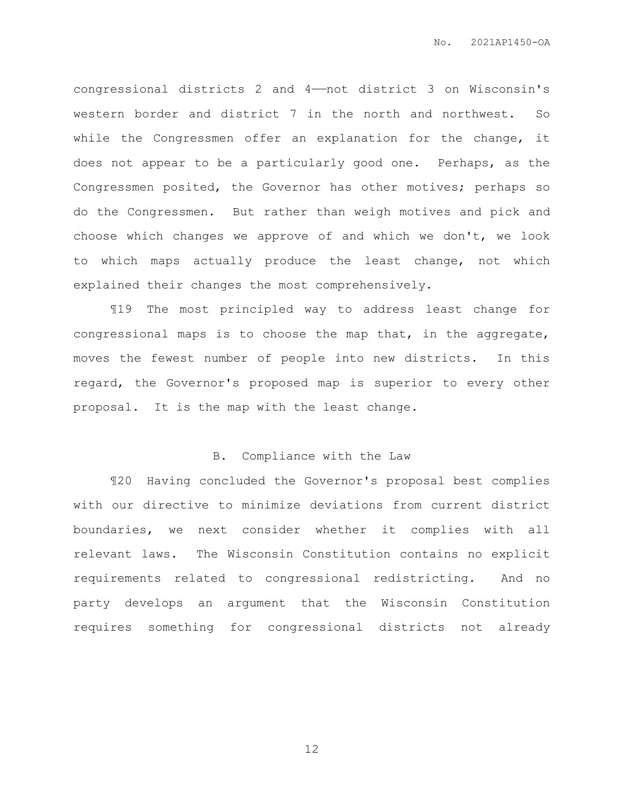congressional districts 2 and 4——not district 3 on Wisconsin's western border and district 7 in the north and northwest. So while the Congressmen offer an explanation for the change, it does not appear to be a particularly good one. Perhaps, as the Congressmen posited, the Governor has other motives; perhaps so do the Congressmen. But rather than weigh motives and pick and choose which changes we approve of and which we don't, we look to which maps actually produce the least change, not which explained their changes the most comprehensively.

¶19 The most principled way to address least change for congressional maps is to choose the map that, in the aggregate, moves the fewest number of people into new districts. In this regard, the Governor's proposed map is superior to every other proposal. It is the map with the least change.

## B. Compliance with the Law

¶20 Having concluded the Governor's proposal best complies with our directive to minimize deviations from current district boundaries, we next consider whether it complies with all relevant laws. The Wisconsin Constitution contains no explicit requirements related to congressional redistricting. And no party develops an argument that the Wisconsin Constitution requires something for congressional districts not already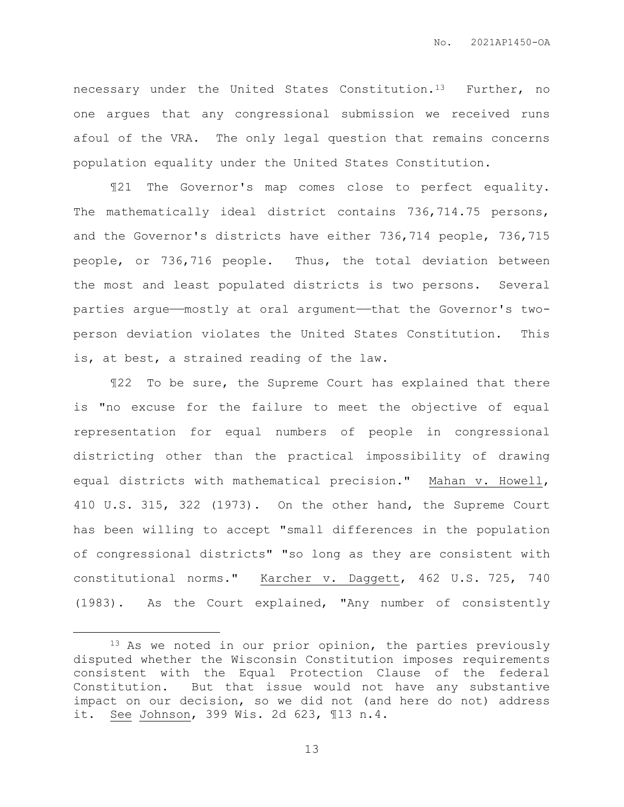necessary under the United States Constitution.<sup>13</sup> Further, no one argues that any congressional submission we received runs afoul of the VRA. The only legal question that remains concerns population equality under the United States Constitution.

¶21 The Governor's map comes close to perfect equality. The mathematically ideal district contains 736,714.75 persons, and the Governor's districts have either 736,714 people, 736,715 people, or 736,716 people. Thus, the total deviation between the most and least populated districts is two persons. Several parties argue——mostly at oral argument——that the Governor's twoperson deviation violates the United States Constitution. This is, at best, a strained reading of the law.

¶22 To be sure, the Supreme Court has explained that there is "no excuse for the failure to meet the objective of equal representation for equal numbers of people in congressional districting other than the practical impossibility of drawing equal districts with mathematical precision." Mahan v. Howell, 410 U.S. 315, 322 (1973). On the other hand, the Supreme Court has been willing to accept "small differences in the population of congressional districts" "so long as they are consistent with constitutional norms." Karcher v. Daggett, 462 U.S. 725, 740 (1983). As the Court explained, "Any number of consistently

 $\overline{a}$ 

<sup>&</sup>lt;sup>13</sup> As we noted in our prior opinion, the parties previously disputed whether the Wisconsin Constitution imposes requirements consistent with the Equal Protection Clause of the federal Constitution. But that issue would not have any substantive impact on our decision, so we did not (and here do not) address it. See Johnson, 399 Wis. 2d 623, ¶13 n.4.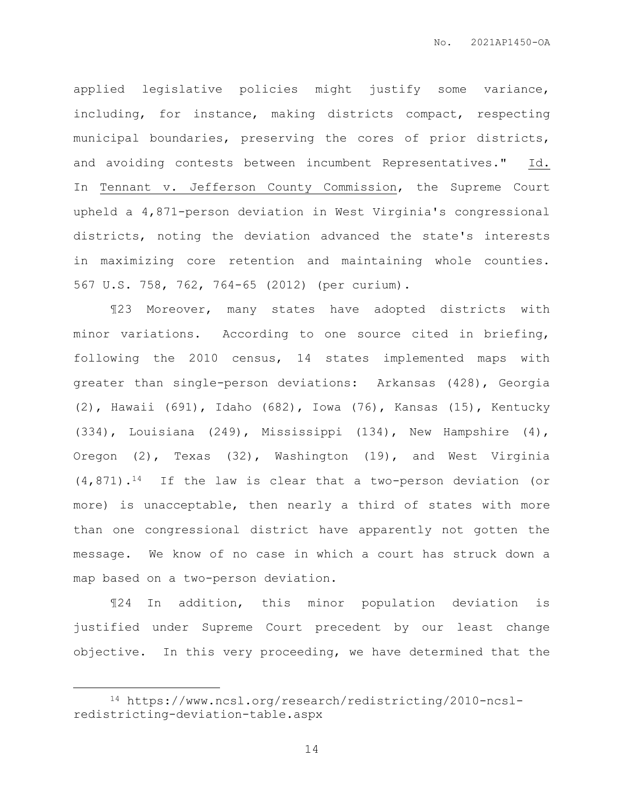applied legislative policies might justify some variance, including, for instance, making districts compact, respecting municipal boundaries, preserving the cores of prior districts, and avoiding contests between incumbent Representatives." Id. In Tennant v. Jefferson County Commission, the Supreme Court upheld a 4,871-person deviation in West Virginia's congressional districts, noting the deviation advanced the state's interests in maximizing core retention and maintaining whole counties. 567 U.S. 758, 762, 764-65 (2012) (per curium).

¶23 Moreover, many states have adopted districts with minor variations. According to one source cited in briefing, following the 2010 census, 14 states implemented maps with greater than single-person deviations: Arkansas (428), Georgia (2), Hawaii (691), Idaho (682), Iowa (76), Kansas (15), Kentucky (334), Louisiana (249), Mississippi (134), New Hampshire (4), Oregon (2), Texas (32), Washington (19), and West Virginia (4,871).14 If the law is clear that a two-person deviation (or more) is unacceptable, then nearly a third of states with more than one congressional district have apparently not gotten the message. We know of no case in which a court has struck down a map based on a two-person deviation.

¶24 In addition, this minor population deviation is justified under Supreme Court precedent by our least change objective. In this very proceeding, we have determined that the

 $\overline{a}$ 

<sup>14</sup> https://www.ncsl.org/research/redistricting/2010-ncslredistricting-deviation-table.aspx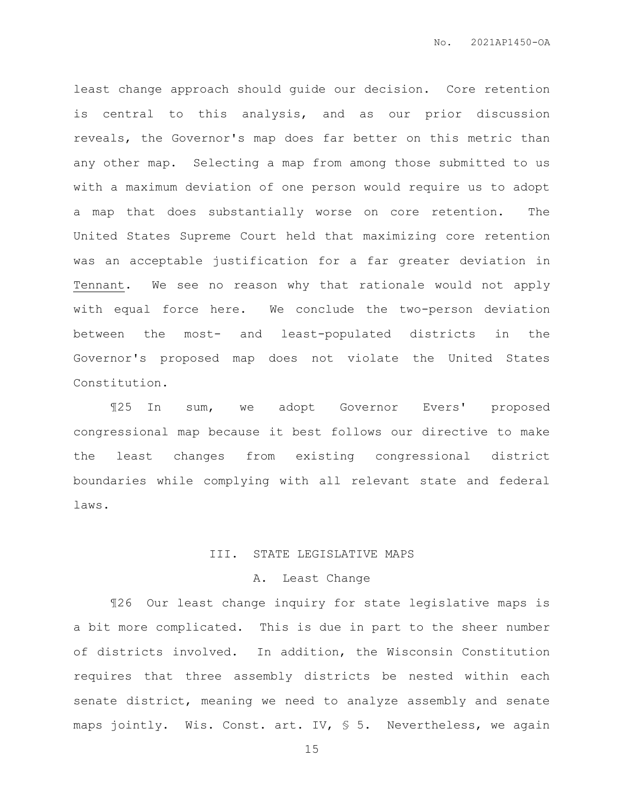least change approach should guide our decision. Core retention is central to this analysis, and as our prior discussion reveals, the Governor's map does far better on this metric than any other map. Selecting a map from among those submitted to us with a maximum deviation of one person would require us to adopt a map that does substantially worse on core retention. The United States Supreme Court held that maximizing core retention was an acceptable justification for a far greater deviation in Tennant. We see no reason why that rationale would not apply with equal force here. We conclude the two-person deviation between the most- and least-populated districts in the Governor's proposed map does not violate the United States Constitution.

¶25 In sum, we adopt Governor Evers' proposed congressional map because it best follows our directive to make the least changes from existing congressional district boundaries while complying with all relevant state and federal laws.

## III. STATE LEGISLATIVE MAPS

## A. Least Change

¶26 Our least change inquiry for state legislative maps is a bit more complicated. This is due in part to the sheer number of districts involved. In addition, the Wisconsin Constitution requires that three assembly districts be nested within each senate district, meaning we need to analyze assembly and senate maps jointly. Wis. Const. art. IV, § 5. Nevertheless, we again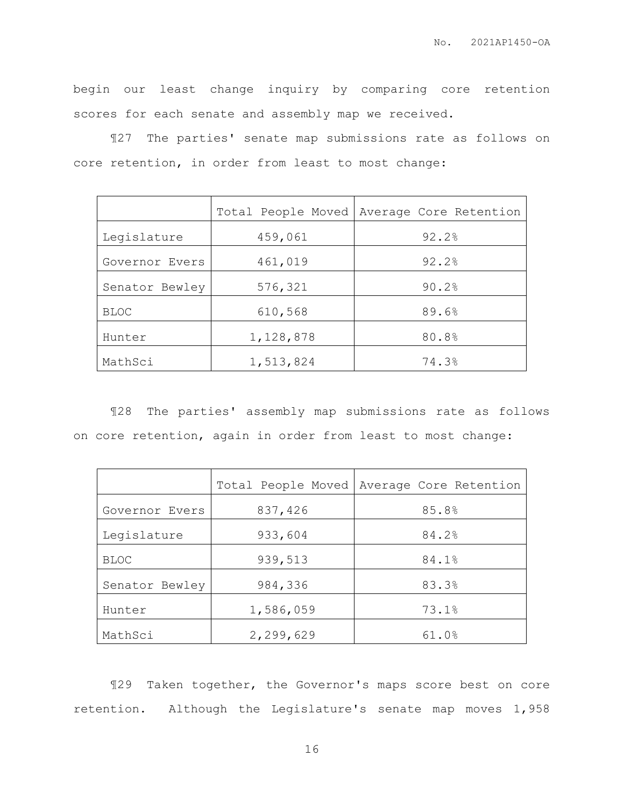begin our least change inquiry by comparing core retention scores for each senate and assembly map we received.

¶27 The parties' senate map submissions rate as follows on core retention, in order from least to most change:

|                | Total People Moved | Average Core Retention |
|----------------|--------------------|------------------------|
| Legislature    | 459,061            | 92.2%                  |
| Governor Evers | 461,019            | 92.2%                  |
| Senator Bewley | 576,321            | 90.2%                  |
| <b>BLOC</b>    | 610,568            | 89.6%                  |
| Hunter         | 1,128,878          | 80.8%                  |
| MathSci        | 1,513,824          | 74.3%                  |

¶28 The parties' assembly map submissions rate as follows on core retention, again in order from least to most change:

|                | Total People Moved | Average Core Retention |
|----------------|--------------------|------------------------|
| Governor Evers | 837,426            | 85.8%                  |
| Legislature    | 933,604            | 84.2%                  |
| <b>BLOC</b>    | 939,513            | 84.1%                  |
| Senator Bewley | 984,336            | 83.3%                  |
| Hunter         | 1,586,059          | 73.1%                  |
| MathSci        | 2,299,629          | 61.0%                  |

¶29 Taken together, the Governor's maps score best on core retention. Although the Legislature's senate map moves 1,958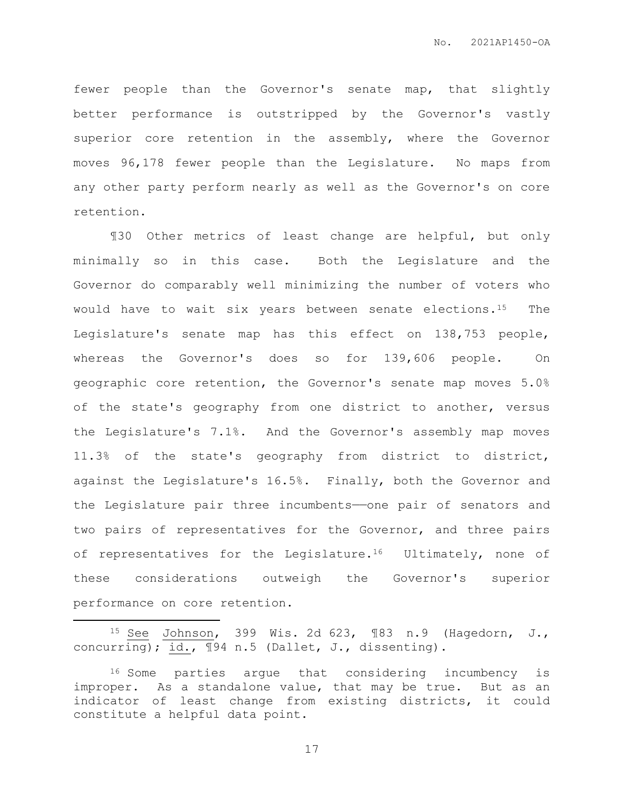fewer people than the Governor's senate map, that slightly better performance is outstripped by the Governor's vastly superior core retention in the assembly, where the Governor moves 96,178 fewer people than the Legislature. No maps from any other party perform nearly as well as the Governor's on core retention.

¶30 Other metrics of least change are helpful, but only minimally so in this case. Both the Legislature and the Governor do comparably well minimizing the number of voters who would have to wait six years between senate elections.15 The Legislature's senate map has this effect on 138,753 people, whereas the Governor's does so for 139,606 people. On geographic core retention, the Governor's senate map moves 5.0% of the state's geography from one district to another, versus the Legislature's 7.1%. And the Governor's assembly map moves 11.3% of the state's geography from district to district, against the Legislature's 16.5%. Finally, both the Governor and the Legislature pair three incumbents——one pair of senators and two pairs of representatives for the Governor, and three pairs of representatives for the Legislature.<sup>16</sup> Ultimately, none of these considerations outweigh the Governor's superior performance on core retention.

<sup>15</sup> See Johnson, 399 Wis. 2d 623, ¶83 n.9 (Hagedorn, J., concurring); id., ¶94 n.5 (Dallet, J., dissenting).

 $\overline{a}$ 

<sup>16</sup> Some parties argue that considering incumbency is improper. As a standalone value, that may be true. But as an indicator of least change from existing districts, it could constitute a helpful data point.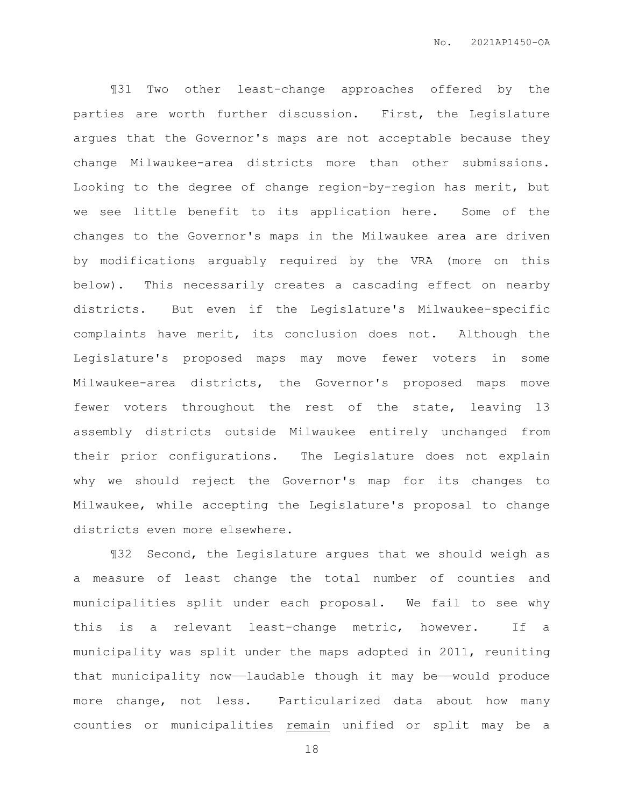¶31 Two other least-change approaches offered by the parties are worth further discussion. First, the Legislature argues that the Governor's maps are not acceptable because they change Milwaukee-area districts more than other submissions. Looking to the degree of change region-by-region has merit, but we see little benefit to its application here. Some of the changes to the Governor's maps in the Milwaukee area are driven by modifications arguably required by the VRA (more on this below). This necessarily creates a cascading effect on nearby districts. But even if the Legislature's Milwaukee-specific complaints have merit, its conclusion does not. Although the Legislature's proposed maps may move fewer voters in some Milwaukee-area districts, the Governor's proposed maps move fewer voters throughout the rest of the state, leaving 13 assembly districts outside Milwaukee entirely unchanged from their prior configurations. The Legislature does not explain why we should reject the Governor's map for its changes to Milwaukee, while accepting the Legislature's proposal to change districts even more elsewhere.

¶32 Second, the Legislature argues that we should weigh as a measure of least change the total number of counties and municipalities split under each proposal. We fail to see why this is a relevant least-change metric, however. If a municipality was split under the maps adopted in 2011, reuniting that municipality now—laudable though it may be—would produce more change, not less. Particularized data about how many counties or municipalities remain unified or split may be a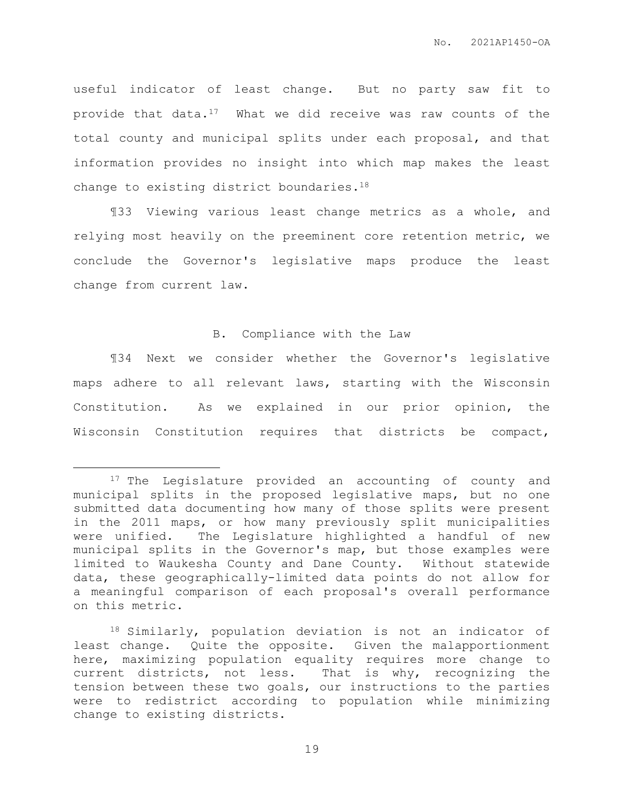useful indicator of least change. But no party saw fit to provide that data.17 What we did receive was raw counts of the total county and municipal splits under each proposal, and that information provides no insight into which map makes the least change to existing district boundaries.<sup>18</sup>

¶33 Viewing various least change metrics as a whole, and relying most heavily on the preeminent core retention metric, we conclude the Governor's legislative maps produce the least change from current law.

## B. Compliance with the Law

¶34 Next we consider whether the Governor's legislative maps adhere to all relevant laws, starting with the Wisconsin Constitution. As we explained in our prior opinion, the Wisconsin Constitution requires that districts be compact,

 $\overline{a}$ 

<sup>&</sup>lt;sup>17</sup> The Legislature provided an accounting of county and municipal splits in the proposed legislative maps, but no one submitted data documenting how many of those splits were present in the 2011 maps, or how many previously split municipalities were unified. The Legislature highlighted a handful of new municipal splits in the Governor's map, but those examples were limited to Waukesha County and Dane County. Without statewide data, these geographically-limited data points do not allow for a meaningful comparison of each proposal's overall performance on this metric.

<sup>18</sup> Similarly, population deviation is not an indicator of least change. Quite the opposite. Given the malapportionment here, maximizing population equality requires more change to current districts, not less. That is why, recognizing the tension between these two goals, our instructions to the parties were to redistrict according to population while minimizing change to existing districts.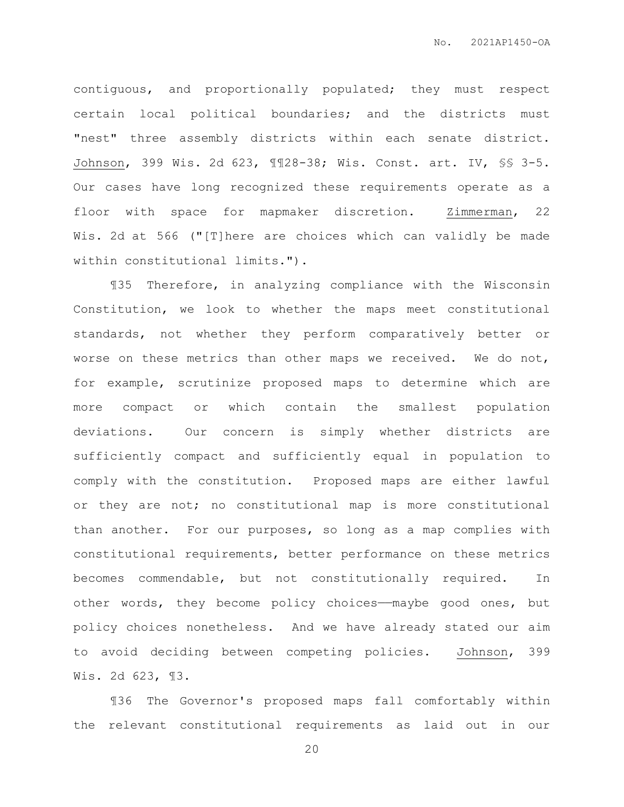contiguous, and proportionally populated; they must respect certain local political boundaries; and the districts must "nest" three assembly districts within each senate district. Johnson, 399 Wis. 2d 623, ¶¶28-38; Wis. Const. art. IV, §§ 3-5. Our cases have long recognized these requirements operate as a floor with space for mapmaker discretion. Zimmerman, 22 Wis. 2d at 566 ("[T]here are choices which can validly be made within constitutional limits.").

¶35 Therefore, in analyzing compliance with the Wisconsin Constitution, we look to whether the maps meet constitutional standards, not whether they perform comparatively better or worse on these metrics than other maps we received. We do not, for example, scrutinize proposed maps to determine which are more compact or which contain the smallest population deviations. Our concern is simply whether districts are sufficiently compact and sufficiently equal in population to comply with the constitution. Proposed maps are either lawful or they are not; no constitutional map is more constitutional than another. For our purposes, so long as a map complies with constitutional requirements, better performance on these metrics becomes commendable, but not constitutionally required. In other words, they become policy choices——maybe good ones, but policy choices nonetheless. And we have already stated our aim to avoid deciding between competing policies. Johnson, 399 Wis. 2d 623, ¶3.

¶36 The Governor's proposed maps fall comfortably within the relevant constitutional requirements as laid out in our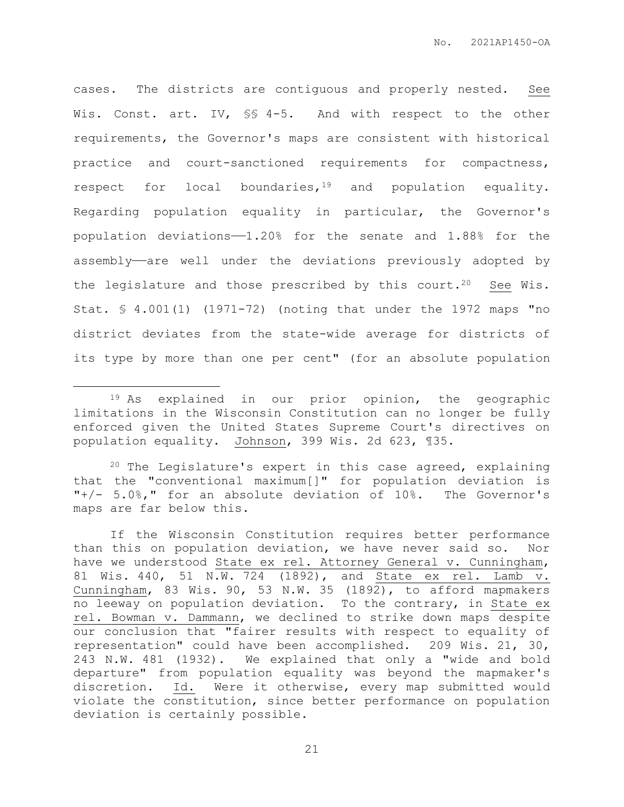cases. The districts are contiguous and properly nested. See Wis. Const. art. IV, SS 4-5. And with respect to the other requirements, the Governor's maps are consistent with historical practice and court-sanctioned requirements for compactness, respect for local boundaries,<sup>19</sup> and population equality. Regarding population equality in particular, the Governor's population deviations——1.20% for the senate and 1.88% for the assembly——are well under the deviations previously adopted by the legislature and those prescribed by this court.<sup>20</sup> See Wis. Stat. § 4.001(1) (1971-72) (noting that under the 1972 maps "no district deviates from the state-wide average for districts of its type by more than one per cent" (for an absolute population

 $\overline{a}$ 

<sup>20</sup> The Legislature's expert in this case agreed, explaining that the "conventional maximum[]" for population deviation is "+/- 5.0%," for an absolute deviation of 10%. The Governor's maps are far below this.

If the Wisconsin Constitution requires better performance than this on population deviation, we have never said so. Nor have we understood State ex rel. Attorney General v. Cunningham, 81 Wis. 440, 51 N.W. 724 (1892), and State ex rel. Lamb v. Cunningham, 83 Wis. 90, 53 N.W. 35 (1892), to afford mapmakers no leeway on population deviation. To the contrary, in State ex rel. Bowman v. Dammann, we declined to strike down maps despite our conclusion that "fairer results with respect to equality of representation" could have been accomplished. 209 Wis. 21, 30, 243 N.W. 481 (1932). We explained that only a "wide and bold departure" from population equality was beyond the mapmaker's discretion. Id. Were it otherwise, every map submitted would violate the constitution, since better performance on population deviation is certainly possible.

<sup>&</sup>lt;sup>19</sup> As explained in our prior opinion, the geographic limitations in the Wisconsin Constitution can no longer be fully enforced given the United States Supreme Court's directives on population equality. Johnson, 399 Wis. 2d 623, ¶35.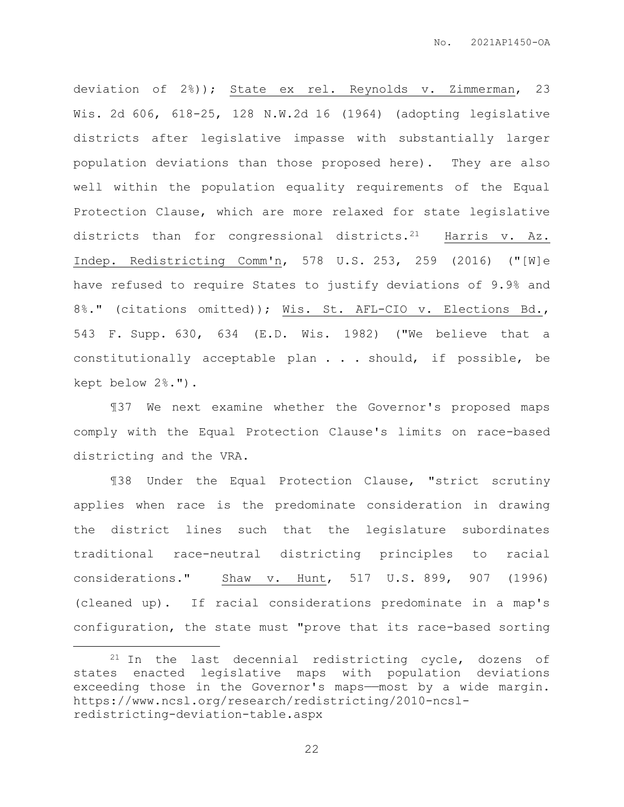deviation of 2%)); State ex rel. Reynolds v. Zimmerman, 23 Wis. 2d 606, 618-25, 128 N.W.2d 16 (1964) (adopting legislative districts after legislative impasse with substantially larger population deviations than those proposed here). They are also well within the population equality requirements of the Equal Protection Clause, which are more relaxed for state legislative districts than for congressional districts.<sup>21</sup> Harris v. Az. Indep. Redistricting Comm'n, 578 U.S. 253, 259 (2016) ("[W]e have refused to require States to justify deviations of 9.9% and 8%." (citations omitted)); Wis. St. AFL-CIO v. Elections Bd., 543 F. Supp. 630, 634 (E.D. Wis. 1982) ("We believe that a constitutionally acceptable plan . . . should, if possible, be kept below 2%.").

¶37 We next examine whether the Governor's proposed maps comply with the Equal Protection Clause's limits on race-based districting and the VRA.

¶38 Under the Equal Protection Clause, "strict scrutiny applies when race is the predominate consideration in drawing the district lines such that the legislature subordinates traditional race-neutral districting principles to racial considerations." Shaw v. Hunt, 517 U.S. 899, 907 (1996) (cleaned up). If racial considerations predominate in a map's configuration, the state must "prove that its race-based sorting

 $\overline{a}$ 

<sup>21</sup> In the last decennial redistricting cycle, dozens of states enacted legislative maps with population deviations exceeding those in the Governor's maps——most by a wide margin. https://www.ncsl.org/research/redistricting/2010-ncslredistricting-deviation-table.aspx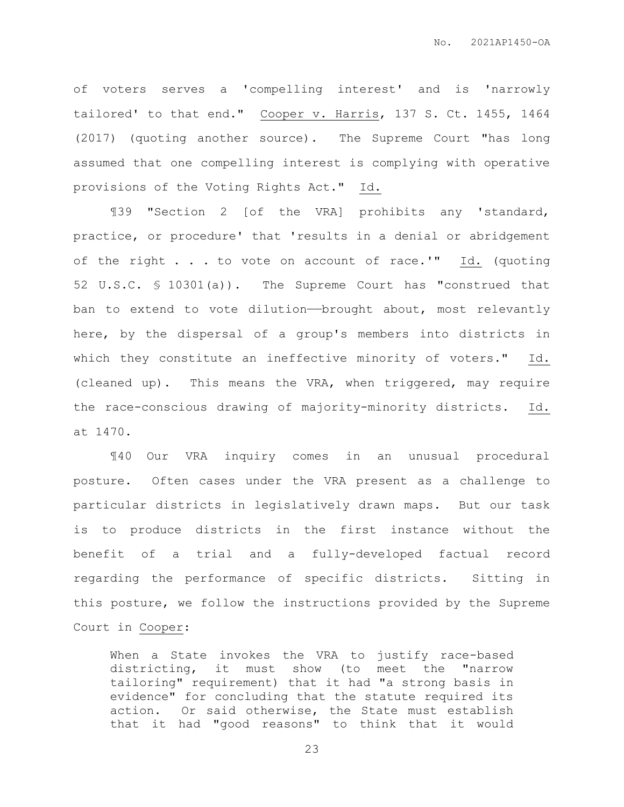of voters serves a 'compelling interest' and is 'narrowly tailored' to that end." Cooper v. Harris, 137 S. Ct. 1455, 1464 (2017) (quoting another source). The Supreme Court "has long assumed that one compelling interest is complying with operative provisions of the Voting Rights Act." Id.

¶39 "Section 2 [of the VRA] prohibits any 'standard, practice, or procedure' that 'results in a denial or abridgement of the right . . . to vote on account of race.'" Id. (quoting 52 U.S.C. § 10301(a)). The Supreme Court has "construed that ban to extend to vote dilution—brought about, most relevantly here, by the dispersal of a group's members into districts in which they constitute an ineffective minority of voters." Id. (cleaned up). This means the VRA, when triggered, may require the race-conscious drawing of majority-minority districts. Id. at 1470.

¶40 Our VRA inquiry comes in an unusual procedural posture. Often cases under the VRA present as a challenge to particular districts in legislatively drawn maps. But our task is to produce districts in the first instance without the benefit of a trial and a fully-developed factual record regarding the performance of specific districts. Sitting in this posture, we follow the instructions provided by the Supreme Court in Cooper:

When a State invokes the VRA to justify race-based districting, it must show (to meet the "narrow tailoring" requirement) that it had "a strong basis in evidence" for concluding that the statute required its action. Or said otherwise, the State must establish that it had "good reasons" to think that it would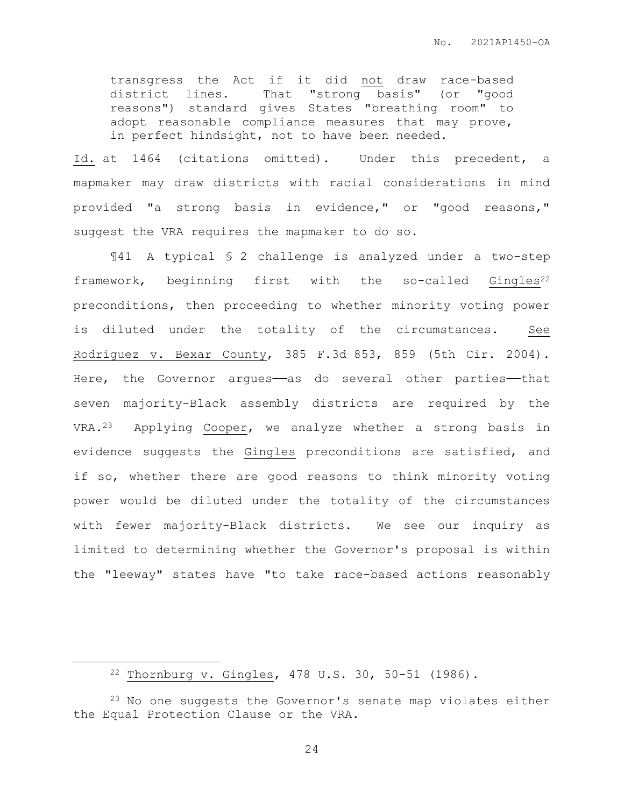transgress the Act if it did not draw race-based district lines. That "strong basis" (or "good reasons") standard gives States "breathing room" to adopt reasonable compliance measures that may prove, in perfect hindsight, not to have been needed.

Id. at 1464 (citations omitted). Under this precedent, a mapmaker may draw districts with racial considerations in mind provided "a strong basis in evidence," or "good reasons," suggest the VRA requires the mapmaker to do so.

¶41 A typical § 2 challenge is analyzed under a two-step framework, beginning first with the so-called Gingles<sup>22</sup> preconditions, then proceeding to whether minority voting power is diluted under the totality of the circumstances. See Rodriguez v. Bexar County, 385 F.3d 853, 859 (5th Cir. 2004). Here, the Governor argues—as do several other parties—that seven majority-Black assembly districts are required by the VRA.23 Applying Cooper, we analyze whether a strong basis in evidence suggests the Gingles preconditions are satisfied, and if so, whether there are good reasons to think minority voting power would be diluted under the totality of the circumstances with fewer majority-Black districts. We see our inquiry as limited to determining whether the Governor's proposal is within the "leeway" states have "to take race-based actions reasonably

 $\overline{a}$ 

<sup>22</sup> Thornburg v. Gingles, 478 U.S. 30, 50-51 (1986).

<sup>&</sup>lt;sup>23</sup> No one suggests the Governor's senate map violates either the Equal Protection Clause or the VRA.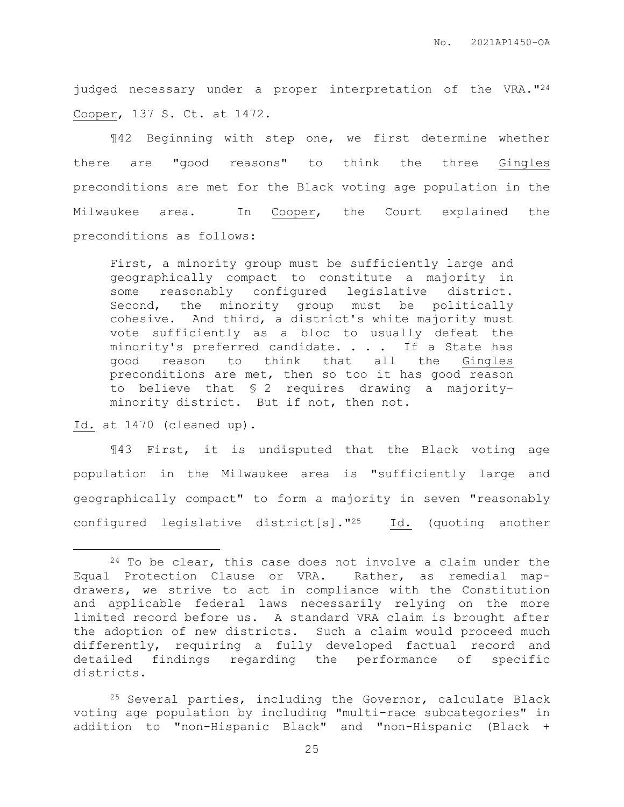judged necessary under a proper interpretation of the VRA."<sup>24</sup> Cooper, 137 S. Ct. at 1472.

¶42 Beginning with step one, we first determine whether there are "good reasons" to think the three Gingles preconditions are met for the Black voting age population in the Milwaukee area. In Cooper, the Court explained the preconditions as follows:

First, a minority group must be sufficiently large and geographically compact to constitute a majority in some reasonably configured legislative district. Second, the minority group must be politically cohesive. And third, a district's white majority must vote sufficiently as a bloc to usually defeat the minority's preferred candidate. . . . If a State has good reason to think that all the Gingles preconditions are met, then so too it has good reason to believe that § 2 requires drawing a majorityminority district. But if not, then not.

Id. at 1470 (cleaned up).

 $\overline{a}$ 

¶43 First, it is undisputed that the Black voting age population in the Milwaukee area is "sufficiently large and geographically compact" to form a majority in seven "reasonably configured legislative district[s]."25 Id. (quoting another

 $24$  To be clear, this case does not involve a claim under the Equal Protection Clause or VRA. Rather, as remedial mapdrawers, we strive to act in compliance with the Constitution and applicable federal laws necessarily relying on the more limited record before us. A standard VRA claim is brought after the adoption of new districts. Such a claim would proceed much differently, requiring a fully developed factual record and detailed findings regarding the performance of specific districts.

 $25$  Several parties, including the Governor, calculate Black voting age population by including "multi-race subcategories" in addition to "non-Hispanic Black" and "non-Hispanic (Black +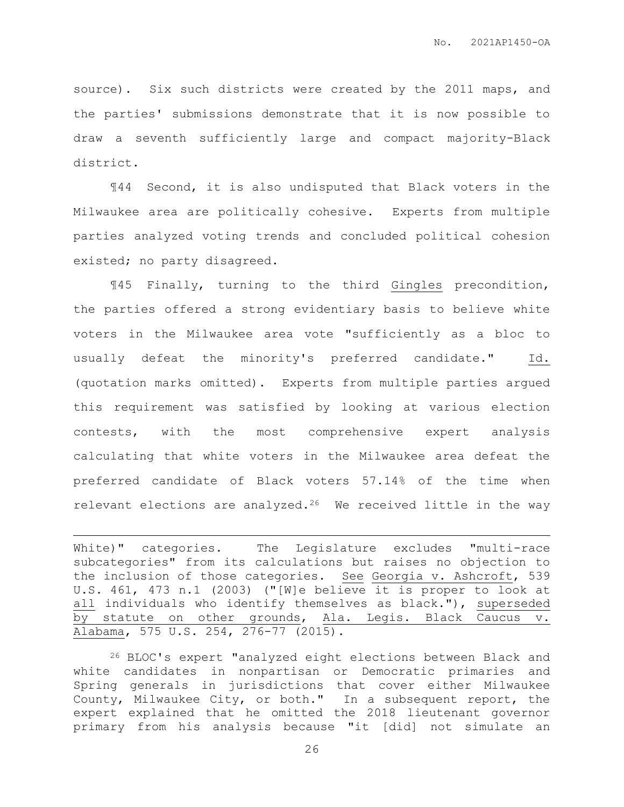source). Six such districts were created by the 2011 maps, and the parties' submissions demonstrate that it is now possible to draw a seventh sufficiently large and compact majority-Black district.

¶44 Second, it is also undisputed that Black voters in the Milwaukee area are politically cohesive. Experts from multiple parties analyzed voting trends and concluded political cohesion existed; no party disagreed.

¶45 Finally, turning to the third Gingles precondition, the parties offered a strong evidentiary basis to believe white voters in the Milwaukee area vote "sufficiently as a bloc to usually defeat the minority's preferred candidate." Id. (quotation marks omitted). Experts from multiple parties argued this requirement was satisfied by looking at various election contests, with the most comprehensive expert analysis calculating that white voters in the Milwaukee area defeat the preferred candidate of Black voters 57.14% of the time when relevant elections are analyzed.<sup>26</sup> We received little in the way

White)" categories. The Legislature excludes "multi-race subcategories" from its calculations but raises no objection to the inclusion of those categories. See Georgia v. Ashcroft, 539 U.S. 461, 473 n.1 (2003) ("[W]e believe it is proper to look at all individuals who identify themselves as black."), superseded by statute on other grounds, Ala. Legis. Black Caucus v. Alabama, 575 U.S. 254, 276-77 (2015).

 $\overline{a}$ 

<sup>26</sup> BLOC's expert "analyzed eight elections between Black and white candidates in nonpartisan or Democratic primaries and Spring generals in jurisdictions that cover either Milwaukee County, Milwaukee City, or both." In a subsequent report, the expert explained that he omitted the 2018 lieutenant governor primary from his analysis because "it [did] not simulate an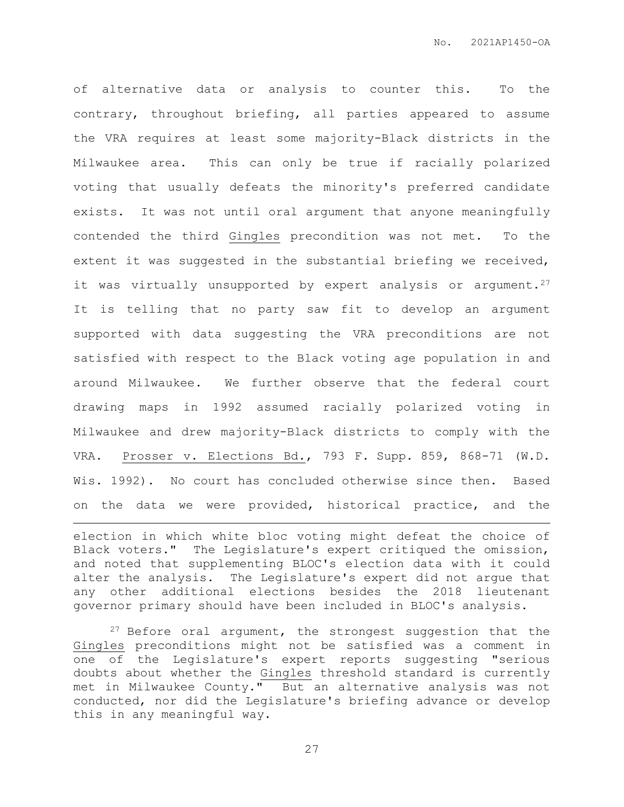of alternative data or analysis to counter this. To the contrary, throughout briefing, all parties appeared to assume the VRA requires at least some majority-Black districts in the Milwaukee area. This can only be true if racially polarized voting that usually defeats the minority's preferred candidate exists. It was not until oral argument that anyone meaningfully contended the third Gingles precondition was not met. To the extent it was suggested in the substantial briefing we received, it was virtually unsupported by expert analysis or argument.<sup>27</sup> It is telling that no party saw fit to develop an argument supported with data suggesting the VRA preconditions are not satisfied with respect to the Black voting age population in and around Milwaukee. We further observe that the federal court drawing maps in 1992 assumed racially polarized voting in Milwaukee and drew majority-Black districts to comply with the VRA. Prosser v. Elections Bd., 793 F. Supp. 859, 868-71 (W.D. Wis. 1992). No court has concluded otherwise since then. Based on the data we were provided, historical practice, and the

election in which white bloc voting might defeat the choice of Black voters." The Legislature's expert critiqued the omission, and noted that supplementing BLOC's election data with it could alter the analysis. The Legislature's expert did not argue that any other additional elections besides the 2018 lieutenant governor primary should have been included in BLOC's analysis.

 $\overline{a}$ 

 $27$  Before oral argument, the strongest suggestion that the Gingles preconditions might not be satisfied was a comment in one of the Legislature's expert reports suggesting "serious doubts about whether the Gingles threshold standard is currently met in Milwaukee County." But an alternative analysis was not conducted, nor did the Legislature's briefing advance or develop this in any meaningful way.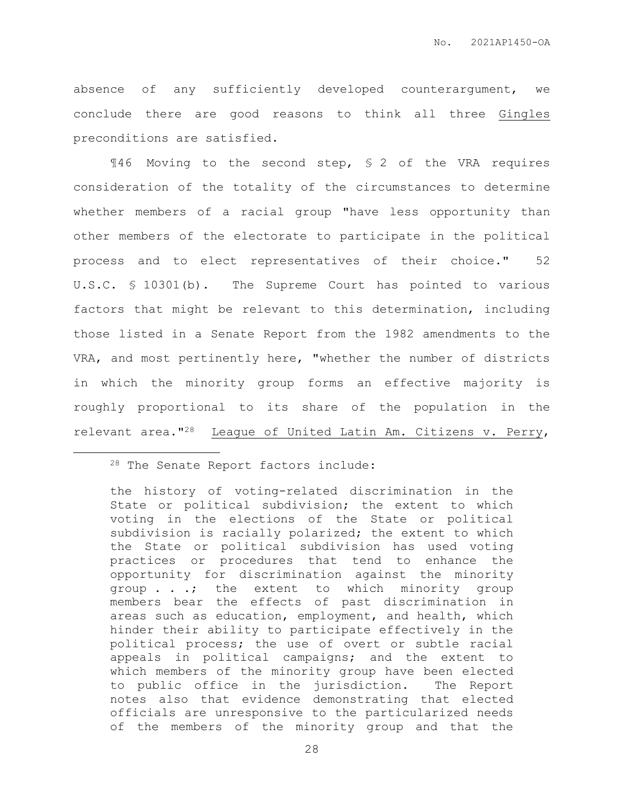absence of any sufficiently developed counterargument, we conclude there are good reasons to think all three Gingles preconditions are satisfied.

¶46 Moving to the second step, § 2 of the VRA requires consideration of the totality of the circumstances to determine whether members of a racial group "have less opportunity than other members of the electorate to participate in the political process and to elect representatives of their choice." 52 U.S.C. § 10301(b). The Supreme Court has pointed to various factors that might be relevant to this determination, including those listed in a Senate Report from the 1982 amendments to the VRA, and most pertinently here, "whether the number of districts in which the minority group forms an effective majority is roughly proportional to its share of the population in the relevant area."<sup>28</sup> League of United Latin Am. Citizens v. Perry,

 $\overline{a}$ 

<sup>28</sup> The Senate Report factors include:

the history of voting-related discrimination in the State or political subdivision; the extent to which voting in the elections of the State or political subdivision is racially polarized; the extent to which the State or political subdivision has used voting practices or procedures that tend to enhance the opportunity for discrimination against the minority group . . .; the extent to which minority group members bear the effects of past discrimination in areas such as education, employment, and health, which hinder their ability to participate effectively in the political process; the use of overt or subtle racial appeals in political campaigns; and the extent to which members of the minority group have been elected to public office in the jurisdiction. The Report notes also that evidence demonstrating that elected officials are unresponsive to the particularized needs of the members of the minority group and that the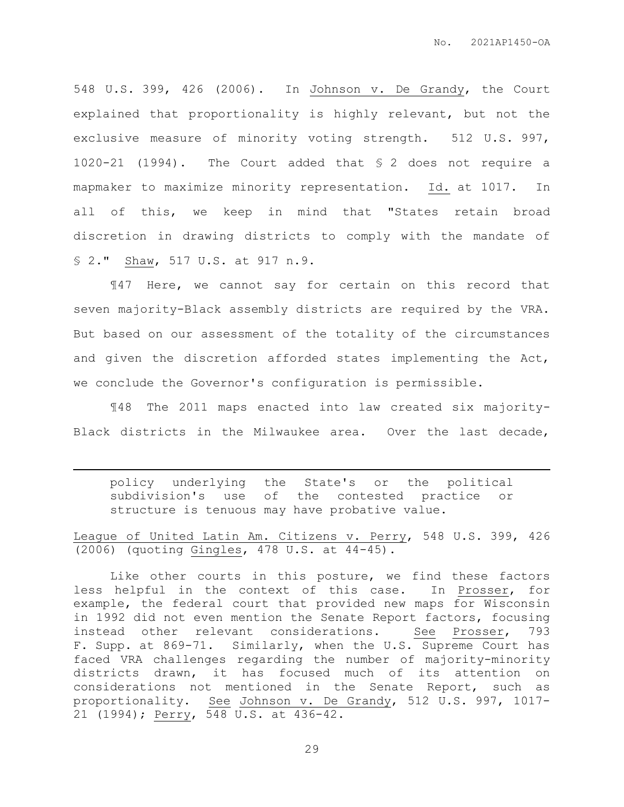548 U.S. 399, 426 (2006). In Johnson v. De Grandy, the Court explained that proportionality is highly relevant, but not the exclusive measure of minority voting strength. 512 U.S. 997, 1020-21 (1994). The Court added that § 2 does not require a mapmaker to maximize minority representation. Id. at 1017. In all of this, we keep in mind that "States retain broad discretion in drawing districts to comply with the mandate of § 2." Shaw, 517 U.S. at 917 n.9.

¶47 Here, we cannot say for certain on this record that seven majority-Black assembly districts are required by the VRA. But based on our assessment of the totality of the circumstances and given the discretion afforded states implementing the Act, we conclude the Governor's configuration is permissible.

¶48 The 2011 maps enacted into law created six majority-Black districts in the Milwaukee area. Over the last decade,

policy underlying the State's or the political subdivision's use of the contested practice or structure is tenuous may have probative value.

 $\overline{a}$ 

League of United Latin Am. Citizens v. Perry, 548 U.S. 399, 426 (2006) (quoting Gingles, 478 U.S. at 44-45).

Like other courts in this posture, we find these factors less helpful in the context of this case. In Prosser, for example, the federal court that provided new maps for Wisconsin in 1992 did not even mention the Senate Report factors, focusing instead other relevant considerations. See Prosser, 793 F. Supp. at 869-71. Similarly, when the U.S. Supreme Court has faced VRA challenges regarding the number of majority-minority districts drawn, it has focused much of its attention on considerations not mentioned in the Senate Report, such as proportionality. See Johnson v. De Grandy, 512 U.S. 997, 1017- 21 (1994); Perry, 548 U.S. at 436-42.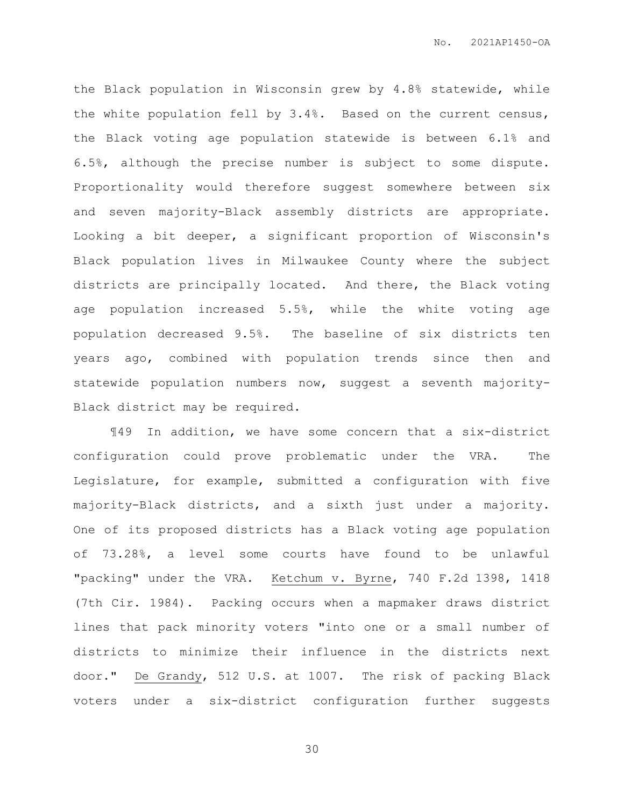the Black population in Wisconsin grew by 4.8% statewide, while the white population fell by 3.4%. Based on the current census, the Black voting age population statewide is between 6.1% and 6.5%, although the precise number is subject to some dispute. Proportionality would therefore suggest somewhere between six and seven majority-Black assembly districts are appropriate. Looking a bit deeper, a significant proportion of Wisconsin's Black population lives in Milwaukee County where the subject districts are principally located. And there, the Black voting age population increased 5.5%, while the white voting age population decreased 9.5%. The baseline of six districts ten years ago, combined with population trends since then and statewide population numbers now, suggest a seventh majority-Black district may be required.

¶49 In addition, we have some concern that a six-district configuration could prove problematic under the VRA. The Legislature, for example, submitted a configuration with five majority-Black districts, and a sixth just under a majority. One of its proposed districts has a Black voting age population of 73.28%, a level some courts have found to be unlawful "packing" under the VRA. Ketchum v. Byrne, 740 F.2d 1398, 1418 (7th Cir. 1984). Packing occurs when a mapmaker draws district lines that pack minority voters "into one or a small number of districts to minimize their influence in the districts next door." De Grandy, 512 U.S. at 1007. The risk of packing Black voters under a six-district configuration further suggests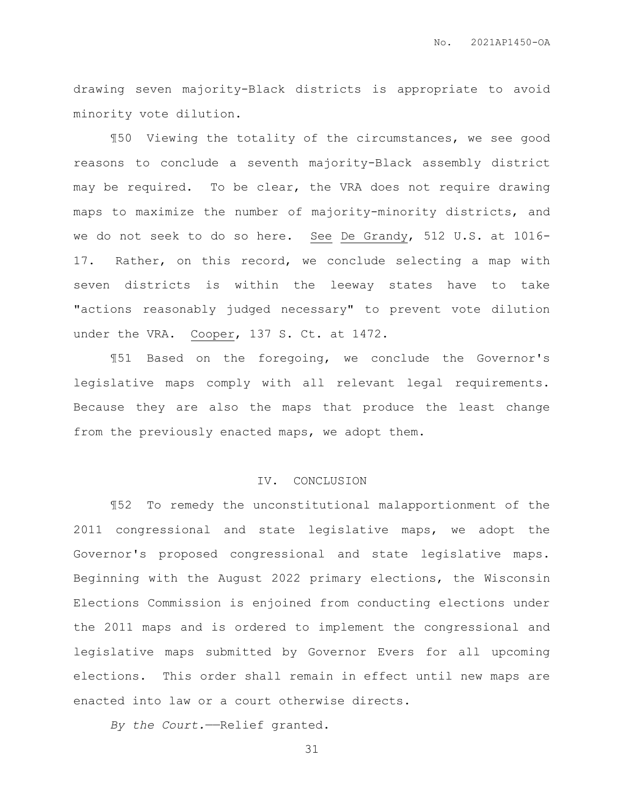drawing seven majority-Black districts is appropriate to avoid minority vote dilution.

¶50 Viewing the totality of the circumstances, we see good reasons to conclude a seventh majority-Black assembly district may be required. To be clear, the VRA does not require drawing maps to maximize the number of majority-minority districts, and we do not seek to do so here. See De Grandy, 512 U.S. at 1016- 17. Rather, on this record, we conclude selecting a map with seven districts is within the leeway states have to take "actions reasonably judged necessary" to prevent vote dilution under the VRA. Cooper, 137 S. Ct. at 1472.

¶51 Based on the foregoing, we conclude the Governor's legislative maps comply with all relevant legal requirements. Because they are also the maps that produce the least change from the previously enacted maps, we adopt them.

### IV. CONCLUSION

¶52 To remedy the unconstitutional malapportionment of the 2011 congressional and state legislative maps, we adopt the Governor's proposed congressional and state legislative maps. Beginning with the August 2022 primary elections, the Wisconsin Elections Commission is enjoined from conducting elections under the 2011 maps and is ordered to implement the congressional and legislative maps submitted by Governor Evers for all upcoming elections. This order shall remain in effect until new maps are enacted into law or a court otherwise directs.

*By the Court.*——Relief granted.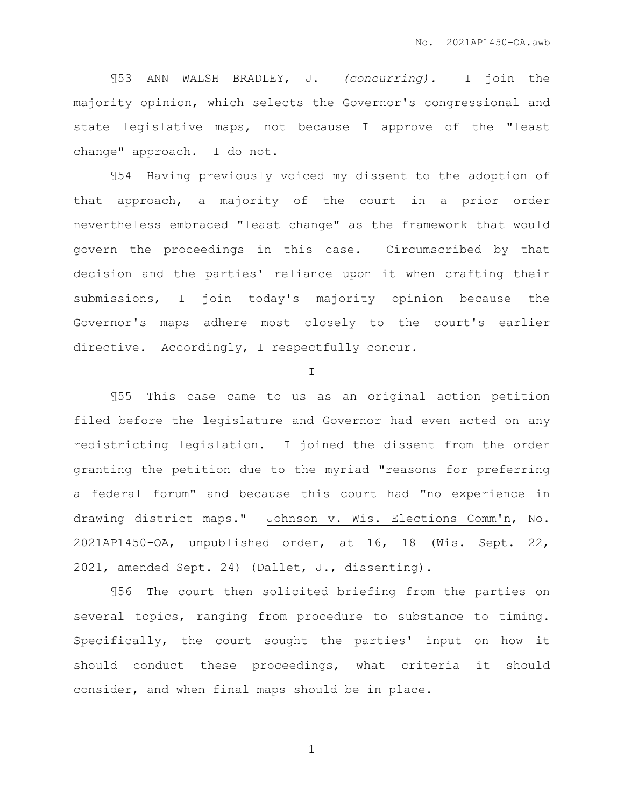¶53 ANN WALSH BRADLEY, J. *(concurring).* I join the majority opinion, which selects the Governor's congressional and state legislative maps, not because I approve of the "least change" approach. I do not.

¶54 Having previously voiced my dissent to the adoption of that approach, a majority of the court in a prior order nevertheless embraced "least change" as the framework that would govern the proceedings in this case. Circumscribed by that decision and the parties' reliance upon it when crafting their submissions, I join today's majority opinion because the Governor's maps adhere most closely to the court's earlier directive. Accordingly, I respectfully concur.

I

¶55 This case came to us as an original action petition filed before the legislature and Governor had even acted on any redistricting legislation. I joined the dissent from the order granting the petition due to the myriad "reasons for preferring a federal forum" and because this court had "no experience in drawing district maps." Johnson v. Wis. Elections Comm'n, No. 2021AP1450-OA, unpublished order, at 16, 18 (Wis. Sept. 22, 2021, amended Sept. 24) (Dallet, J., dissenting).

¶56 The court then solicited briefing from the parties on several topics, ranging from procedure to substance to timing. Specifically, the court sought the parties' input on how it should conduct these proceedings, what criteria it should consider, and when final maps should be in place.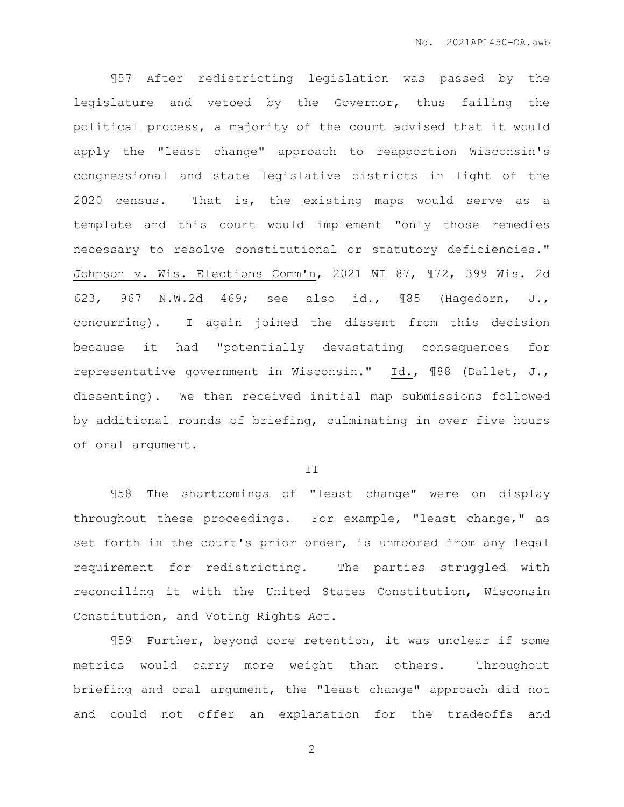¶57 After redistricting legislation was passed by the legislature and vetoed by the Governor, thus failing the political process, a majority of the court advised that it would apply the "least change" approach to reapportion Wisconsin's congressional and state legislative districts in light of the 2020 census. That is, the existing maps would serve as a template and this court would implement "only those remedies necessary to resolve constitutional or statutory deficiencies." Johnson v. Wis. Elections Comm'n, 2021 WI 87, ¶72, 399 Wis. 2d 623, 967 N.W.2d 469; see also id., ¶85 (Hagedorn, J., concurring). I again joined the dissent from this decision because it had "potentially devastating consequences for representative government in Wisconsin." Id., ¶88 (Dallet, J., dissenting). We then received initial map submissions followed by additional rounds of briefing, culminating in over five hours of oral argument.

#### II

¶58 The shortcomings of "least change" were on display throughout these proceedings. For example, "least change," as set forth in the court's prior order, is unmoored from any legal requirement for redistricting. The parties struggled with reconciling it with the United States Constitution, Wisconsin Constitution, and Voting Rights Act.

¶59 Further, beyond core retention, it was unclear if some metrics would carry more weight than others. Throughout briefing and oral argument, the "least change" approach did not and could not offer an explanation for the tradeoffs and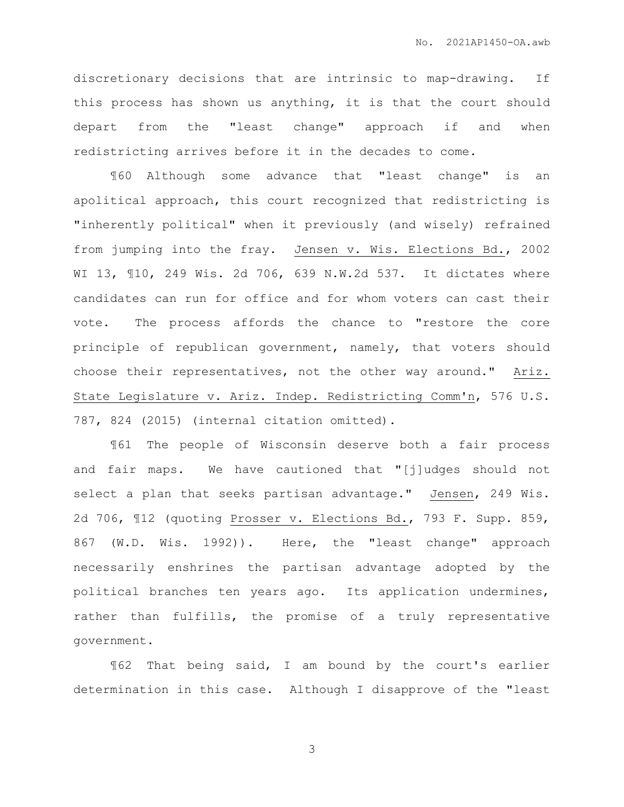discretionary decisions that are intrinsic to map-drawing. If this process has shown us anything, it is that the court should depart from the "least change" approach if and when redistricting arrives before it in the decades to come.

¶60 Although some advance that "least change" is an apolitical approach, this court recognized that redistricting is "inherently political" when it previously (and wisely) refrained from jumping into the fray. Jensen v. Wis. Elections Bd., 2002 WI 13, ¶10, 249 Wis. 2d 706, 639 N.W.2d 537. It dictates where candidates can run for office and for whom voters can cast their vote. The process affords the chance to "restore the core principle of republican government, namely, that voters should choose their representatives, not the other way around." Ariz. State Legislature v. Ariz. Indep. Redistricting Comm'n, 576 U.S. 787, 824 (2015) (internal citation omitted).

¶61 The people of Wisconsin deserve both a fair process and fair maps. We have cautioned that "[j]udges should not select a plan that seeks partisan advantage." Jensen, 249 Wis. 2d 706, ¶12 (quoting Prosser v. Elections Bd., 793 F. Supp. 859, 867 (W.D. Wis. 1992)). Here, the "least change" approach necessarily enshrines the partisan advantage adopted by the political branches ten years ago. Its application undermines, rather than fulfills, the promise of a truly representative government.

¶62 That being said, I am bound by the court's earlier determination in this case. Although I disapprove of the "least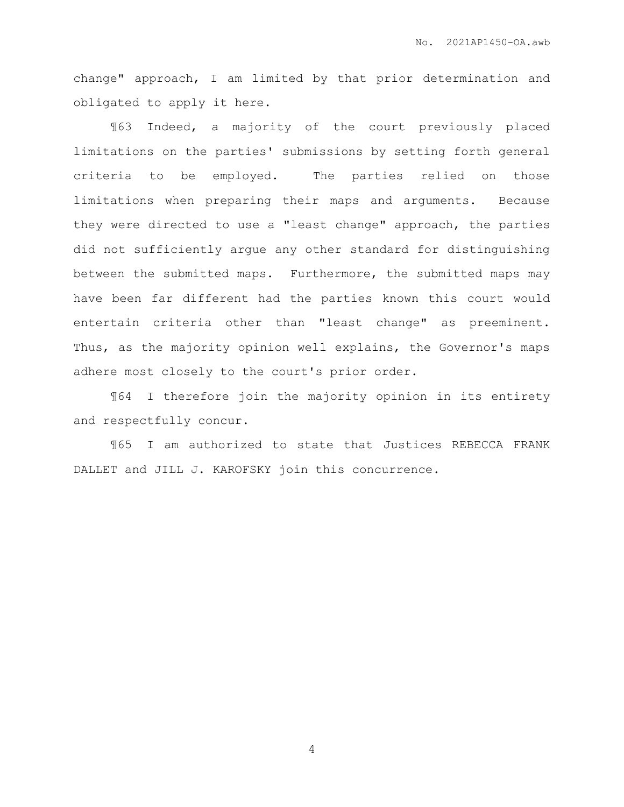change" approach, I am limited by that prior determination and obligated to apply it here.

¶63 Indeed, a majority of the court previously placed limitations on the parties' submissions by setting forth general criteria to be employed. The parties relied on those limitations when preparing their maps and arguments. Because they were directed to use a "least change" approach, the parties did not sufficiently argue any other standard for distinguishing between the submitted maps. Furthermore, the submitted maps may have been far different had the parties known this court would entertain criteria other than "least change" as preeminent. Thus, as the majority opinion well explains, the Governor's maps adhere most closely to the court's prior order.

¶64 I therefore join the majority opinion in its entirety and respectfully concur.

¶65 I am authorized to state that Justices REBECCA FRANK DALLET and JILL J. KAROFSKY join this concurrence.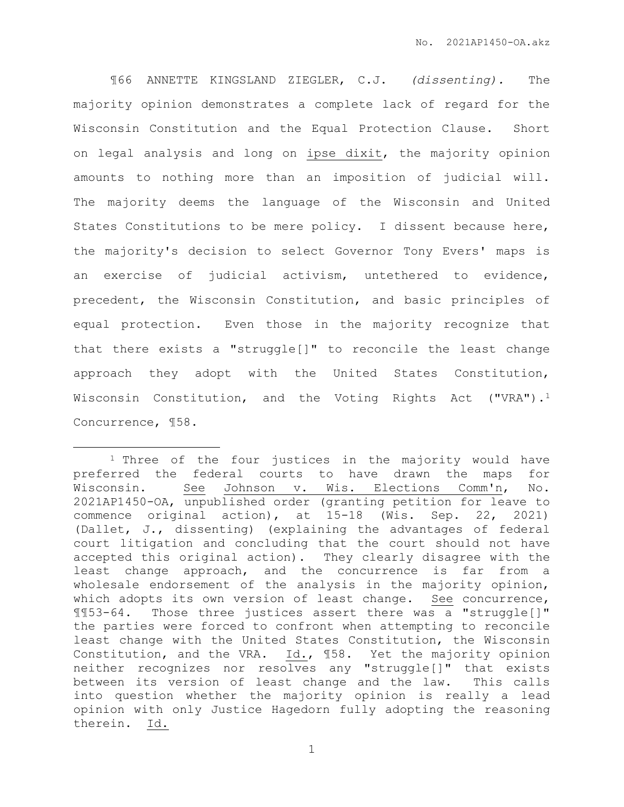¶66 ANNETTE KINGSLAND ZIEGLER, C.J. *(dissenting).* The majority opinion demonstrates a complete lack of regard for the Wisconsin Constitution and the Equal Protection Clause. Short on legal analysis and long on ipse dixit, the majority opinion amounts to nothing more than an imposition of judicial will. The majority deems the language of the Wisconsin and United States Constitutions to be mere policy. I dissent because here, the majority's decision to select Governor Tony Evers' maps is an exercise of judicial activism, untethered to evidence, precedent, the Wisconsin Constitution, and basic principles of equal protection. Even those in the majority recognize that that there exists a "struggle[]" to reconcile the least change approach they adopt with the United States Constitution, Wisconsin Constitution, and the Voting Rights Act ("VRA").<sup>1</sup> Concurrence, ¶58.

<sup>&</sup>lt;sup>1</sup> Three of the four justices in the majority would have preferred the federal courts to have drawn the maps for Wisconsin. See Johnson v. Wis. Elections Comm'n, No. 2021AP1450-OA, unpublished order (granting petition for leave to commence original action), at 15-18 (Wis. Sep. 22, 2021) (Dallet, J., dissenting) (explaining the advantages of federal court litigation and concluding that the court should not have accepted this original action). They clearly disagree with the least change approach, and the concurrence is far from a wholesale endorsement of the analysis in the majority opinion, which adopts its own version of least change. See concurrence, ¶¶53-64. Those three justices assert there was a "struggle[]" the parties were forced to confront when attempting to reconcile least change with the United States Constitution, the Wisconsin Constitution, and the VRA. Id., 158. Yet the majority opinion neither recognizes nor resolves any "struggle[]" that exists between its version of least change and the law. This calls into question whether the majority opinion is really a lead opinion with only Justice Hagedorn fully adopting the reasoning therein. Id.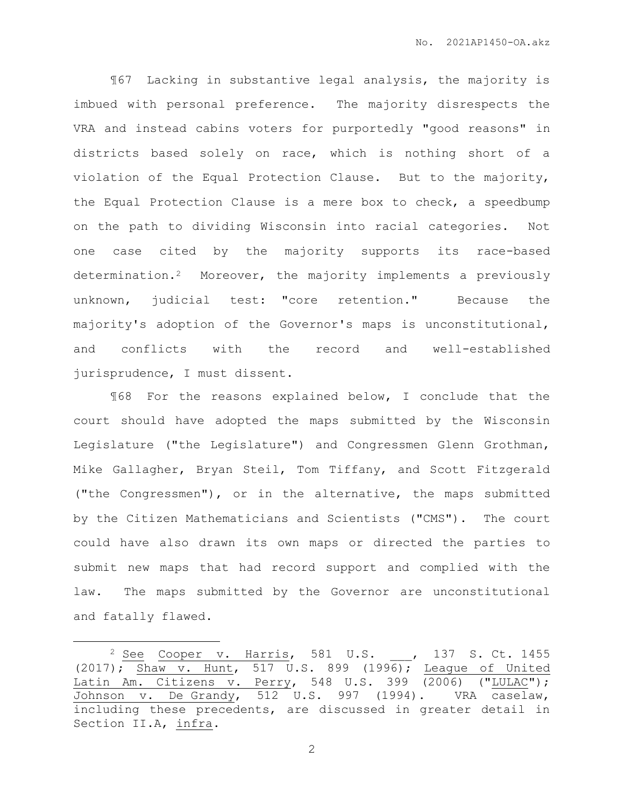¶67 Lacking in substantive legal analysis, the majority is imbued with personal preference. The majority disrespects the VRA and instead cabins voters for purportedly "good reasons" in districts based solely on race, which is nothing short of a violation of the Equal Protection Clause. But to the majority, the Equal Protection Clause is a mere box to check, a speedbump on the path to dividing Wisconsin into racial categories. Not one case cited by the majority supports its race-based determination.2 Moreover, the majority implements a previously unknown, judicial test: "core retention." Because the majority's adoption of the Governor's maps is unconstitutional, and conflicts with the record and well-established jurisprudence, I must dissent.

¶68 For the reasons explained below, I conclude that the court should have adopted the maps submitted by the Wisconsin Legislature ("the Legislature") and Congressmen Glenn Grothman, Mike Gallagher, Bryan Steil, Tom Tiffany, and Scott Fitzgerald ("the Congressmen"), or in the alternative, the maps submitted by the Citizen Mathematicians and Scientists ("CMS"). The court could have also drawn its own maps or directed the parties to submit new maps that had record support and complied with the law. The maps submitted by the Governor are unconstitutional and fatally flawed.

 $\overline{a}$ 

<sup>&</sup>lt;sup>2</sup> See Cooper v. Harris, 581 U.S. \_\_\_, 137 S. Ct. 1455 (2017); Shaw v. Hunt, 517 U.S. 899 (1996); League of United Latin Am. Citizens v. Perry, 548 U.S. 399 (2006) ("LULAC"); Johnson v. De Grandy, 512 U.S. 997 (1994). VRA caselaw, including these precedents, are discussed in greater detail in Section II.A, infra.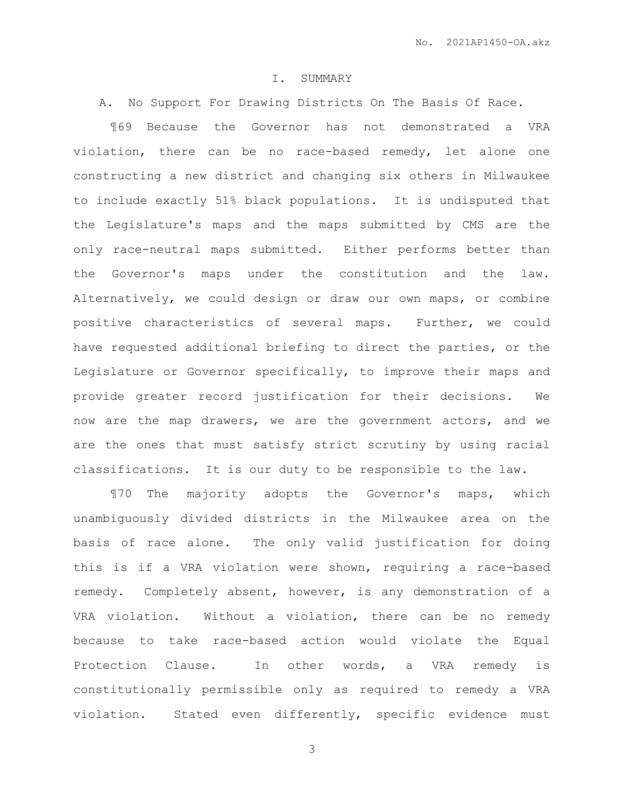### I. SUMMARY

A. No Support For Drawing Districts On The Basis Of Race.

¶69 Because the Governor has not demonstrated a VRA violation, there can be no race-based remedy, let alone one constructing a new district and changing six others in Milwaukee to include exactly 51% black populations. It is undisputed that the Legislature's maps and the maps submitted by CMS are the only race-neutral maps submitted. Either performs better than the Governor's maps under the constitution and the law. Alternatively, we could design or draw our own maps, or combine positive characteristics of several maps. Further, we could have requested additional briefing to direct the parties, or the Legislature or Governor specifically, to improve their maps and provide greater record justification for their decisions. We now are the map drawers, we are the government actors, and we are the ones that must satisfy strict scrutiny by using racial classifications. It is our duty to be responsible to the law.

¶70 The majority adopts the Governor's maps, which unambiguously divided districts in the Milwaukee area on the basis of race alone. The only valid justification for doing this is if a VRA violation were shown, requiring a race-based remedy. Completely absent, however, is any demonstration of a VRA violation. Without a violation, there can be no remedy because to take race-based action would violate the Equal Protection Clause. In other words, a VRA remedy is constitutionally permissible only as required to remedy a VRA violation. Stated even differently, specific evidence must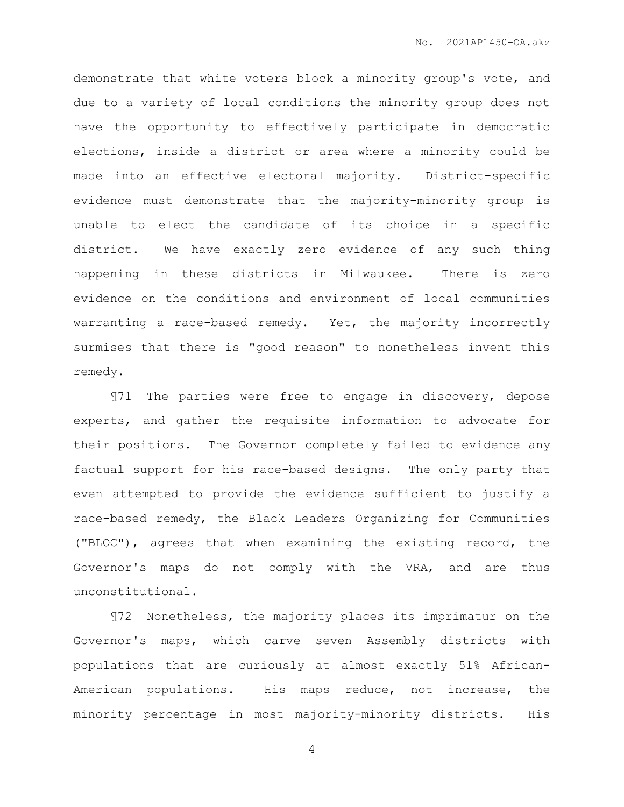demonstrate that white voters block a minority group's vote, and due to a variety of local conditions the minority group does not have the opportunity to effectively participate in democratic elections, inside a district or area where a minority could be made into an effective electoral majority. District-specific evidence must demonstrate that the majority-minority group is unable to elect the candidate of its choice in a specific district. We have exactly zero evidence of any such thing happening in these districts in Milwaukee. There is zero evidence on the conditions and environment of local communities warranting a race-based remedy. Yet, the majority incorrectly surmises that there is "good reason" to nonetheless invent this remedy.

¶71 The parties were free to engage in discovery, depose experts, and gather the requisite information to advocate for their positions. The Governor completely failed to evidence any factual support for his race-based designs. The only party that even attempted to provide the evidence sufficient to justify a race-based remedy, the Black Leaders Organizing for Communities ("BLOC"), agrees that when examining the existing record, the Governor's maps do not comply with the VRA, and are thus unconstitutional.

¶72 Nonetheless, the majority places its imprimatur on the Governor's maps, which carve seven Assembly districts with populations that are curiously at almost exactly 51% African-American populations. His maps reduce, not increase, the minority percentage in most majority-minority districts. His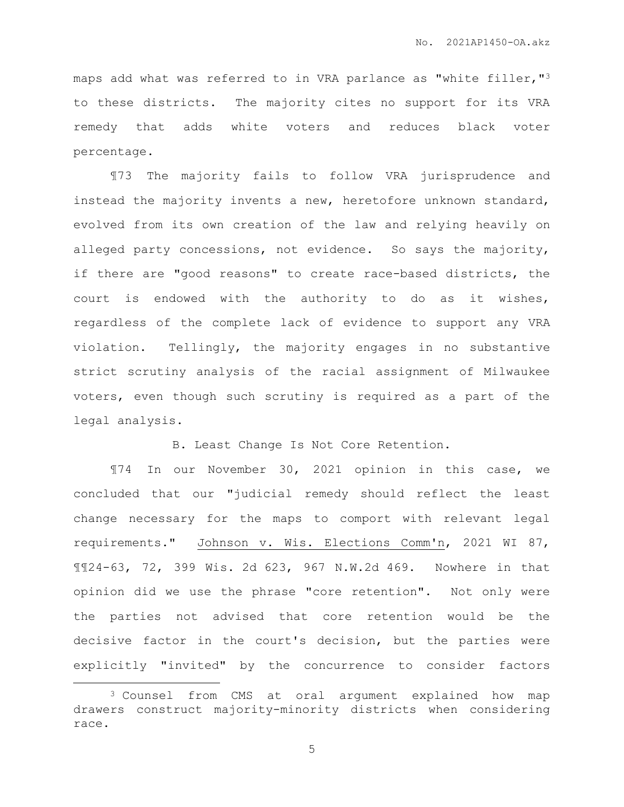maps add what was referred to in VRA parlance as "white filler,"3 to these districts. The majority cites no support for its VRA remedy that adds white voters and reduces black voter percentage.

¶73 The majority fails to follow VRA jurisprudence and instead the majority invents a new, heretofore unknown standard, evolved from its own creation of the law and relying heavily on alleged party concessions, not evidence. So says the majority, if there are "good reasons" to create race-based districts, the court is endowed with the authority to do as it wishes, regardless of the complete lack of evidence to support any VRA violation. Tellingly, the majority engages in no substantive strict scrutiny analysis of the racial assignment of Milwaukee voters, even though such scrutiny is required as a part of the legal analysis.

B. Least Change Is Not Core Retention.

¶74 In our November 30, 2021 opinion in this case, we concluded that our "judicial remedy should reflect the least change necessary for the maps to comport with relevant legal requirements." Johnson v. Wis. Elections Comm'n, 2021 WI 87, ¶¶24-63, 72, 399 Wis. 2d 623, 967 N.W.2d 469. Nowhere in that opinion did we use the phrase "core retention". Not only were the parties not advised that core retention would be the decisive factor in the court's decision, but the parties were explicitly "invited" by the concurrence to consider factors

 $\overline{a}$ 

<sup>3</sup> Counsel from CMS at oral argument explained how map drawers construct majority-minority districts when considering race.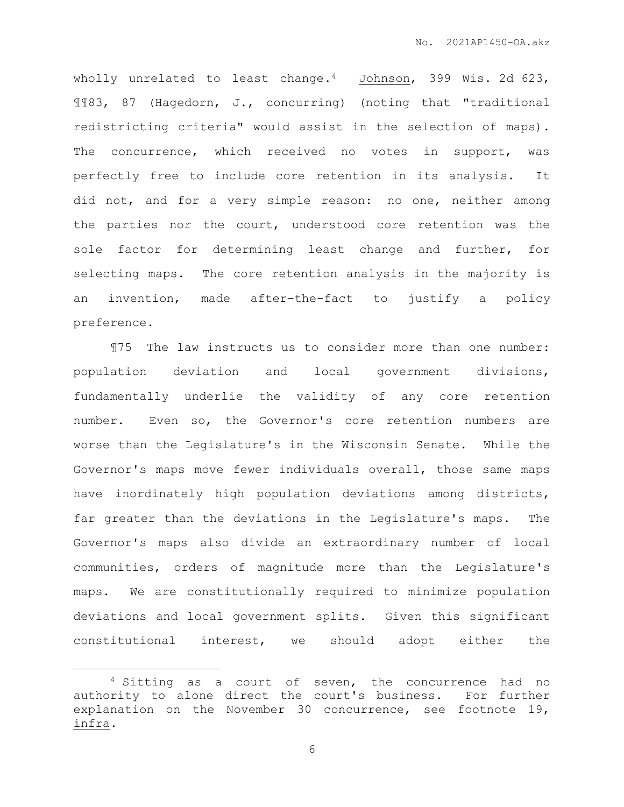wholly unrelated to least change.4 Johnson, 399 Wis. 2d 623, ¶¶83, 87 (Hagedorn, J., concurring) (noting that "traditional redistricting criteria" would assist in the selection of maps). The concurrence, which received no votes in support, was perfectly free to include core retention in its analysis. It did not, and for a very simple reason: no one, neither among the parties nor the court, understood core retention was the sole factor for determining least change and further, for selecting maps. The core retention analysis in the majority is an invention, made after-the-fact to justify a policy preference.

¶75 The law instructs us to consider more than one number: population deviation and local government divisions, fundamentally underlie the validity of any core retention number. Even so, the Governor's core retention numbers are worse than the Legislature's in the Wisconsin Senate. While the Governor's maps move fewer individuals overall, those same maps have inordinately high population deviations among districts, far greater than the deviations in the Legislature's maps. The Governor's maps also divide an extraordinary number of local communities, orders of magnitude more than the Legislature's maps. We are constitutionally required to minimize population deviations and local government splits. Given this significant constitutional interest, we should adopt either the

 $\overline{a}$ 

<sup>4</sup> Sitting as a court of seven, the concurrence had no authority to alone direct the court's business. For further explanation on the November 30 concurrence, see footnote 19, infra.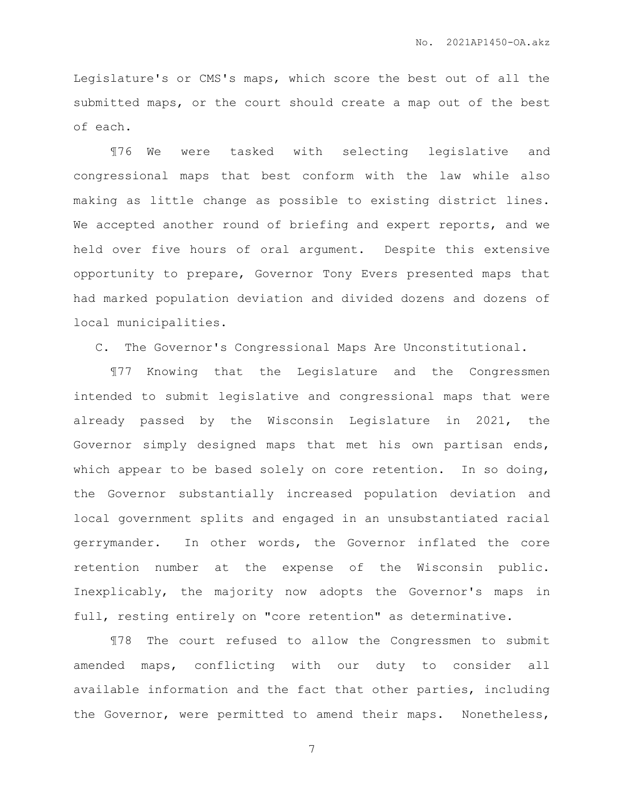Legislature's or CMS's maps, which score the best out of all the submitted maps, or the court should create a map out of the best of each.

¶76 We were tasked with selecting legislative and congressional maps that best conform with the law while also making as little change as possible to existing district lines. We accepted another round of briefing and expert reports, and we held over five hours of oral argument. Despite this extensive opportunity to prepare, Governor Tony Evers presented maps that had marked population deviation and divided dozens and dozens of local municipalities.

C. The Governor's Congressional Maps Are Unconstitutional.

¶77 Knowing that the Legislature and the Congressmen intended to submit legislative and congressional maps that were already passed by the Wisconsin Legislature in 2021, the Governor simply designed maps that met his own partisan ends, which appear to be based solely on core retention. In so doing, the Governor substantially increased population deviation and local government splits and engaged in an unsubstantiated racial gerrymander. In other words, the Governor inflated the core retention number at the expense of the Wisconsin public. Inexplicably, the majority now adopts the Governor's maps in full, resting entirely on "core retention" as determinative.

¶78 The court refused to allow the Congressmen to submit amended maps, conflicting with our duty to consider all available information and the fact that other parties, including the Governor, were permitted to amend their maps. Nonetheless,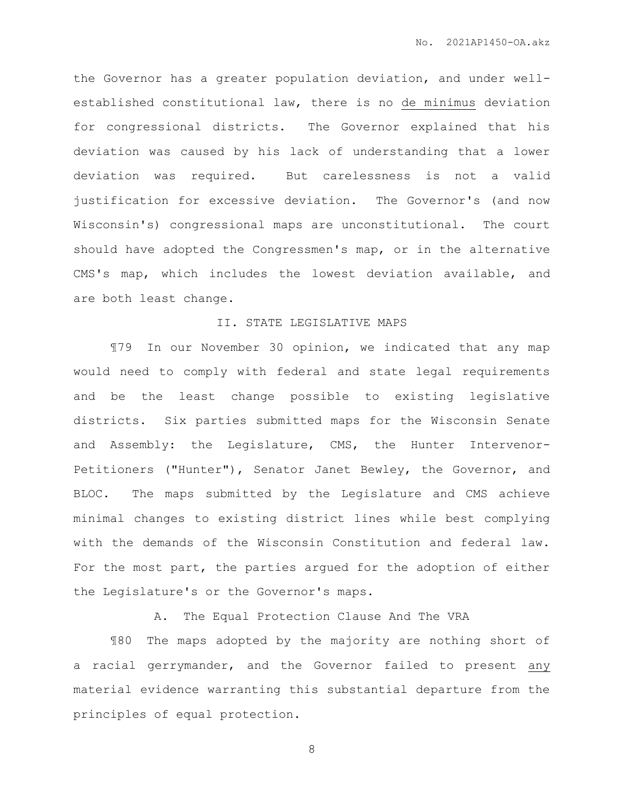the Governor has a greater population deviation, and under wellestablished constitutional law, there is no de minimus deviation for congressional districts. The Governor explained that his deviation was caused by his lack of understanding that a lower deviation was required. But carelessness is not a valid justification for excessive deviation. The Governor's (and now Wisconsin's) congressional maps are unconstitutional. The court should have adopted the Congressmen's map, or in the alternative CMS's map, which includes the lowest deviation available, and are both least change.

### II. STATE LEGISLATIVE MAPS

¶79 In our November 30 opinion, we indicated that any map would need to comply with federal and state legal requirements and be the least change possible to existing legislative districts. Six parties submitted maps for the Wisconsin Senate and Assembly: the Legislature, CMS, the Hunter Intervenor-Petitioners ("Hunter"), Senator Janet Bewley, the Governor, and BLOC. The maps submitted by the Legislature and CMS achieve minimal changes to existing district lines while best complying with the demands of the Wisconsin Constitution and federal law. For the most part, the parties argued for the adoption of either the Legislature's or the Governor's maps.

A. The Equal Protection Clause And The VRA

¶80 The maps adopted by the majority are nothing short of a racial gerrymander, and the Governor failed to present any material evidence warranting this substantial departure from the principles of equal protection.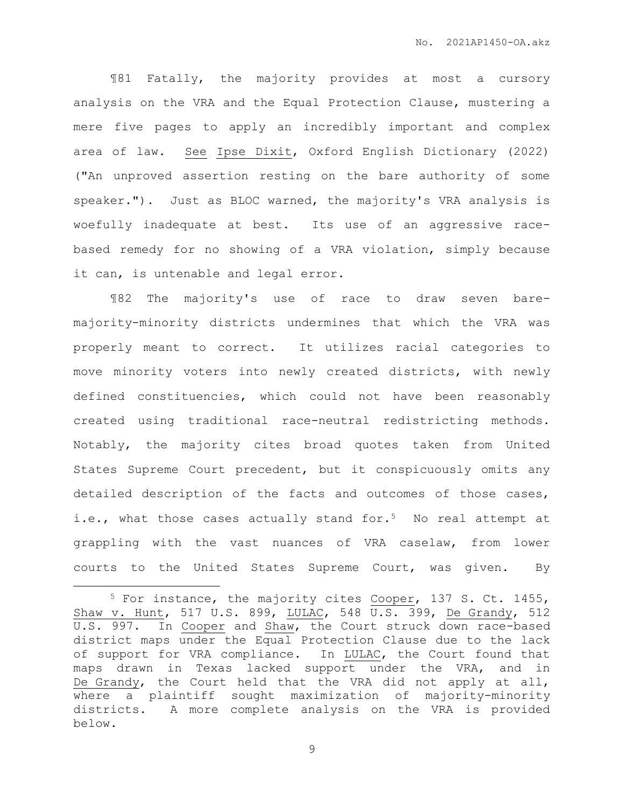¶81 Fatally, the majority provides at most a cursory analysis on the VRA and the Equal Protection Clause, mustering a mere five pages to apply an incredibly important and complex area of law. See Ipse Dixit, Oxford English Dictionary (2022) ("An unproved assertion resting on the bare authority of some speaker."). Just as BLOC warned, the majority's VRA analysis is woefully inadequate at best. Its use of an aggressive racebased remedy for no showing of a VRA violation, simply because it can, is untenable and legal error.

¶82 The majority's use of race to draw seven baremajority-minority districts undermines that which the VRA was properly meant to correct. It utilizes racial categories to move minority voters into newly created districts, with newly defined constituencies, which could not have been reasonably created using traditional race-neutral redistricting methods. Notably, the majority cites broad quotes taken from United States Supreme Court precedent, but it conspicuously omits any detailed description of the facts and outcomes of those cases, i.e., what those cases actually stand for.<sup>5</sup> No real attempt at grappling with the vast nuances of VRA caselaw, from lower courts to the United States Supreme Court, was given. By

 $\overline{a}$ 

<sup>5</sup> For instance, the majority cites Cooper, 137 S. Ct. 1455, Shaw v. Hunt, 517 U.S. 899, LULAC, 548 U.S. 399, De Grandy, 512 U.S. 997. In Cooper and Shaw, the Court struck down race-based district maps under the Equal Protection Clause due to the lack of support for VRA compliance. In LULAC, the Court found that maps drawn in Texas lacked support under the VRA, and in De Grandy, the Court held that the VRA did not apply at all, where a plaintiff sought maximization of majority-minority districts. A more complete analysis on the VRA is provided below.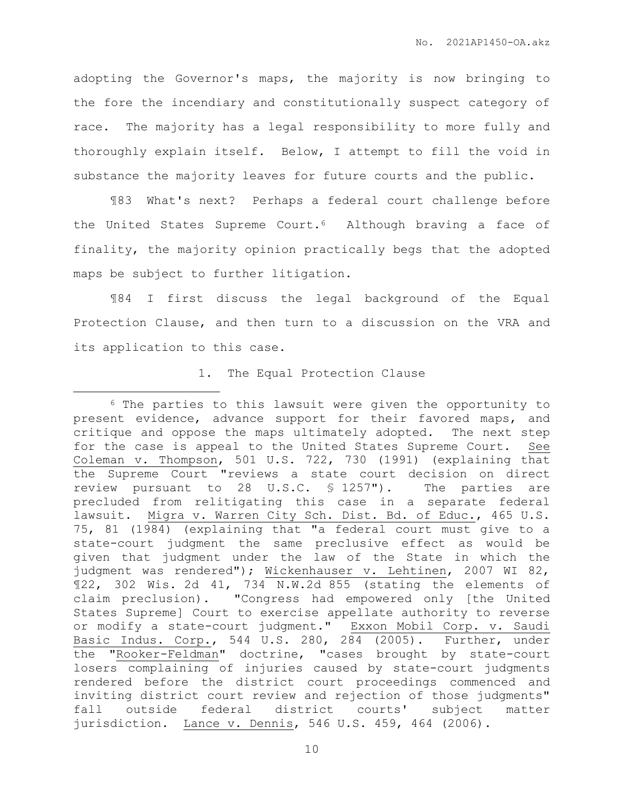adopting the Governor's maps, the majority is now bringing to the fore the incendiary and constitutionally suspect category of race. The majority has a legal responsibility to more fully and thoroughly explain itself. Below, I attempt to fill the void in substance the majority leaves for future courts and the public.

¶83 What's next? Perhaps a federal court challenge before the United States Supreme Court.<sup>6</sup> Although braving a face of finality, the majority opinion practically begs that the adopted maps be subject to further litigation.

¶84 I first discuss the legal background of the Equal Protection Clause, and then turn to a discussion on the VRA and its application to this case.

1. The Equal Protection Clause

<sup>6</sup> The parties to this lawsuit were given the opportunity to present evidence, advance support for their favored maps, and critique and oppose the maps ultimately adopted. The next step for the case is appeal to the United States Supreme Court. See Coleman v. Thompson, 501 U.S. 722, 730 (1991) (explaining that the Supreme Court "reviews a state court decision on direct review pursuant to 28 U.S.C. § 1257"). The parties are precluded from relitigating this case in a separate federal lawsuit. Migra v. Warren City Sch. Dist. Bd. of Educ., 465 U.S. 75, 81 (1984) (explaining that "a federal court must give to a state-court judgment the same preclusive effect as would be given that judgment under the law of the State in which the judgment was rendered"); Wickenhauser v. Lehtinen, 2007 WI 82, ¶22, 302 Wis. 2d 41, 734 N.W.2d 855 (stating the elements of claim preclusion). "Congress had empowered only [the United States Supreme] Court to exercise appellate authority to reverse or modify a state-court judgment." Exxon Mobil Corp. v. Saudi Basic Indus. Corp., 544 U.S. 280, 284 (2005). Further, under the "Rooker-Feldman" doctrine, "cases brought by state-court losers complaining of injuries caused by state-court judgments rendered before the district court proceedings commenced and inviting district court review and rejection of those judgments" fall outside federal district courts' subject matter jurisdiction. Lance v. Dennis, 546 U.S. 459, 464 (2006).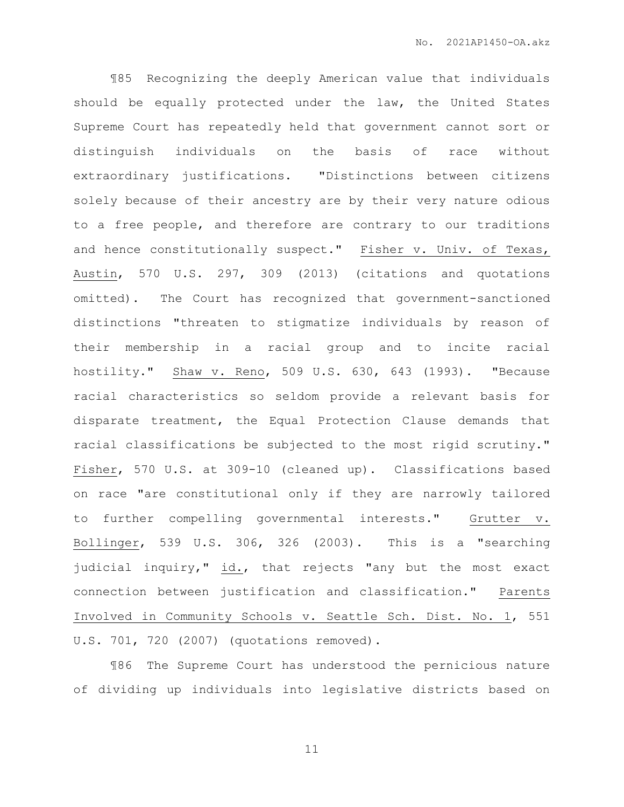¶85 Recognizing the deeply American value that individuals should be equally protected under the law, the United States Supreme Court has repeatedly held that government cannot sort or distinguish individuals on the basis of race without extraordinary justifications. "Distinctions between citizens solely because of their ancestry are by their very nature odious to a free people, and therefore are contrary to our traditions and hence constitutionally suspect." Fisher v. Univ. of Texas, Austin, 570 U.S. 297, 309 (2013) (citations and quotations omitted). The Court has recognized that government-sanctioned distinctions "threaten to stigmatize individuals by reason of their membership in a racial group and to incite racial hostility." Shaw v. Reno, 509 U.S. 630, 643 (1993). "Because racial characteristics so seldom provide a relevant basis for disparate treatment, the Equal Protection Clause demands that racial classifications be subjected to the most rigid scrutiny." Fisher, 570 U.S. at 309-10 (cleaned up). Classifications based on race "are constitutional only if they are narrowly tailored to further compelling governmental interests." Grutter v. Bollinger, 539 U.S. 306, 326 (2003). This is a "searching judicial inquiry," id., that rejects "any but the most exact connection between justification and classification." Parents Involved in Community Schools v. Seattle Sch. Dist. No. 1, 551 U.S. 701, 720 (2007) (quotations removed).

¶86 The Supreme Court has understood the pernicious nature of dividing up individuals into legislative districts based on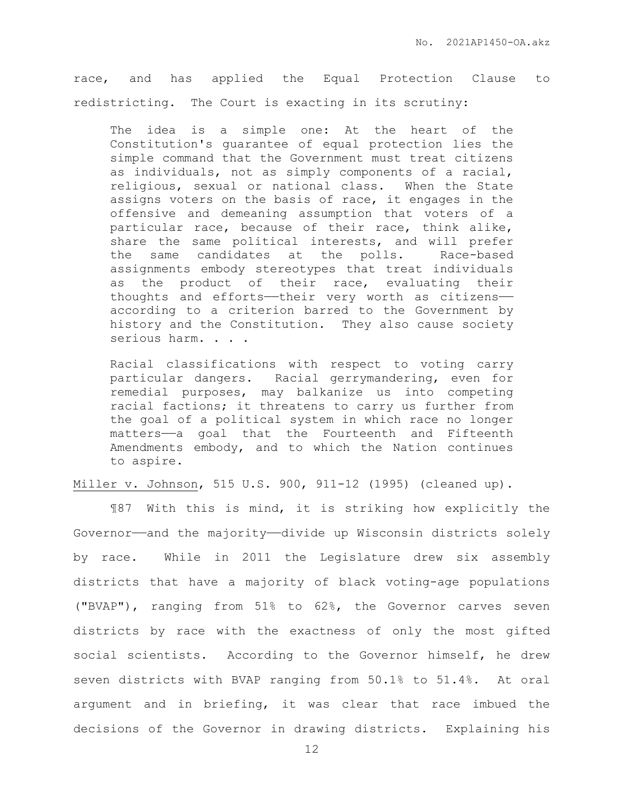race, and has applied the Equal Protection Clause to redistricting. The Court is exacting in its scrutiny:

The idea is a simple one: At the heart of the Constitution's guarantee of equal protection lies the simple command that the Government must treat citizens as individuals, not as simply components of a racial, religious, sexual or national class. When the State assigns voters on the basis of race, it engages in the offensive and demeaning assumption that voters of a particular race, because of their race, think alike, share the same political interests, and will prefer the same candidates at the polls. Race-based assignments embody stereotypes that treat individuals as the product of their race, evaluating their thoughts and efforts—their very worth as citizens according to a criterion barred to the Government by history and the Constitution. They also cause society serious harm. . . .

Racial classifications with respect to voting carry particular dangers. Racial gerrymandering, even for remedial purposes, may balkanize us into competing racial factions; it threatens to carry us further from the goal of a political system in which race no longer matters——a goal that the Fourteenth and Fifteenth Amendments embody, and to which the Nation continues to aspire.

Miller v. Johnson, 515 U.S. 900, 911-12 (1995) (cleaned up).

¶87 With this is mind, it is striking how explicitly the Governor—and the majority—divide up Wisconsin districts solely by race. While in 2011 the Legislature drew six assembly districts that have a majority of black voting-age populations ("BVAP"), ranging from 51% to 62%, the Governor carves seven districts by race with the exactness of only the most gifted social scientists. According to the Governor himself, he drew seven districts with BVAP ranging from 50.1% to 51.4%. At oral argument and in briefing, it was clear that race imbued the decisions of the Governor in drawing districts. Explaining his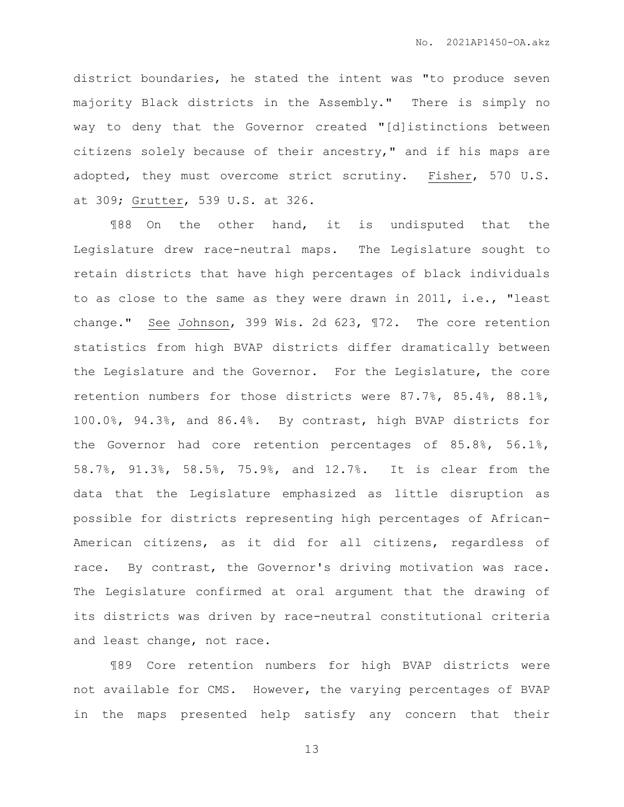district boundaries, he stated the intent was "to produce seven majority Black districts in the Assembly." There is simply no way to deny that the Governor created "[d]istinctions between citizens solely because of their ancestry," and if his maps are adopted, they must overcome strict scrutiny. Fisher, 570 U.S. at 309; Grutter, 539 U.S. at 326.

¶88 On the other hand, it is undisputed that the Legislature drew race-neutral maps. The Legislature sought to retain districts that have high percentages of black individuals to as close to the same as they were drawn in 2011, i.e., "least change." See Johnson, 399 Wis. 2d 623, ¶72. The core retention statistics from high BVAP districts differ dramatically between the Legislature and the Governor. For the Legislature, the core retention numbers for those districts were  $87.7\%$ ,  $85.4\%$ ,  $88.1\%$ , 100.0%, 94.3%, and 86.4%. By contrast, high BVAP districts for the Governor had core retention percentages of 85.8%, 56.1%, 58.7%, 91.3%, 58.5%, 75.9%, and 12.7%. It is clear from the data that the Legislature emphasized as little disruption as possible for districts representing high percentages of African-American citizens, as it did for all citizens, regardless of race. By contrast, the Governor's driving motivation was race. The Legislature confirmed at oral argument that the drawing of its districts was driven by race-neutral constitutional criteria and least change, not race.

¶89 Core retention numbers for high BVAP districts were not available for CMS. However, the varying percentages of BVAP in the maps presented help satisfy any concern that their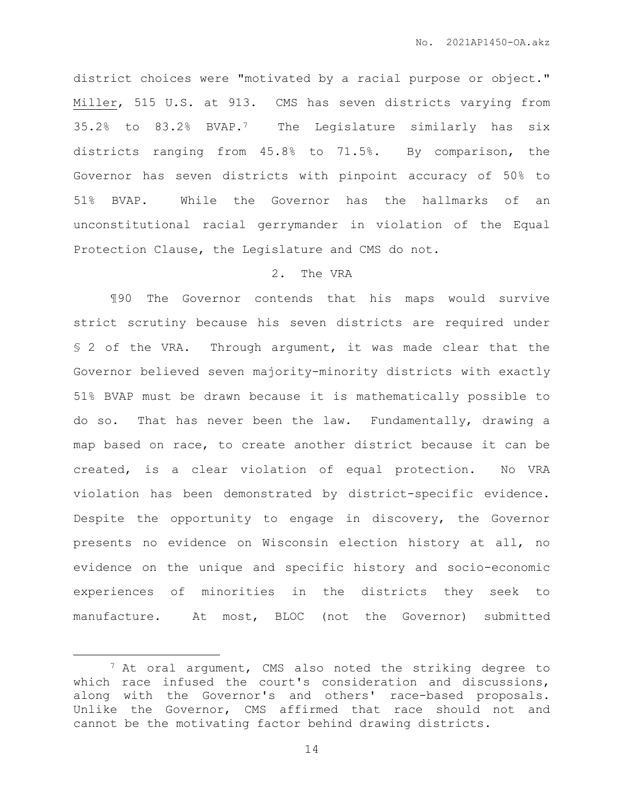district choices were "motivated by a racial purpose or object." Miller, 515 U.S. at 913. CMS has seven districts varying from 35.2% to 83.2% BVAP.7 The Legislature similarly has six districts ranging from 45.8% to 71.5%. By comparison, the Governor has seven districts with pinpoint accuracy of 50% to 51% BVAP. While the Governor has the hallmarks of an unconstitutional racial gerrymander in violation of the Equal Protection Clause, the Legislature and CMS do not.

## 2. The VRA

¶90 The Governor contends that his maps would survive strict scrutiny because his seven districts are required under § 2 of the VRA. Through argument, it was made clear that the Governor believed seven majority-minority districts with exactly 51% BVAP must be drawn because it is mathematically possible to do so. That has never been the law. Fundamentally, drawing a map based on race, to create another district because it can be created, is a clear violation of equal protection. No VRA violation has been demonstrated by district-specific evidence. Despite the opportunity to engage in discovery, the Governor presents no evidence on Wisconsin election history at all, no evidence on the unique and specific history and socio-economic experiences of minorities in the districts they seek to manufacture. At most, BLOC (not the Governor) submitted

<sup>&</sup>lt;sup>7</sup> At oral argument, CMS also noted the striking degree to which race infused the court's consideration and discussions, along with the Governor's and others' race-based proposals. Unlike the Governor, CMS affirmed that race should not and cannot be the motivating factor behind drawing districts.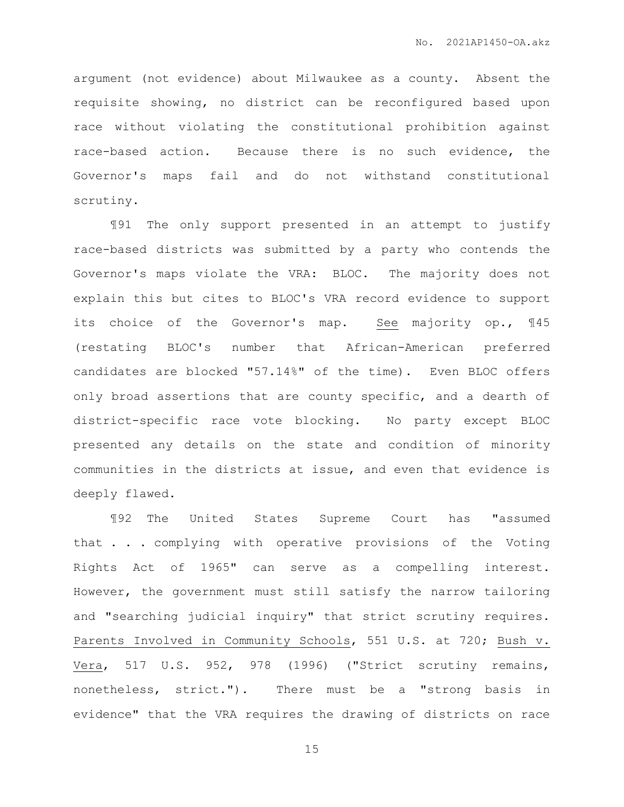argument (not evidence) about Milwaukee as a county. Absent the requisite showing, no district can be reconfigured based upon race without violating the constitutional prohibition against race-based action. Because there is no such evidence, the Governor's maps fail and do not withstand constitutional scrutiny.

¶91 The only support presented in an attempt to justify race-based districts was submitted by a party who contends the Governor's maps violate the VRA: BLOC. The majority does not explain this but cites to BLOC's VRA record evidence to support its choice of the Governor's map. See majority op., ¶45 (restating BLOC's number that African-American preferred candidates are blocked "57.14%" of the time). Even BLOC offers only broad assertions that are county specific, and a dearth of district-specific race vote blocking. No party except BLOC presented any details on the state and condition of minority communities in the districts at issue, and even that evidence is deeply flawed.

¶92 The United States Supreme Court has "assumed that . . . complying with operative provisions of the Voting Rights Act of 1965" can serve as a compelling interest. However, the government must still satisfy the narrow tailoring and "searching judicial inquiry" that strict scrutiny requires. Parents Involved in Community Schools, 551 U.S. at 720; Bush v. Vera, 517 U.S. 952, 978 (1996) ("Strict scrutiny remains, nonetheless, strict."). There must be a "strong basis in evidence" that the VRA requires the drawing of districts on race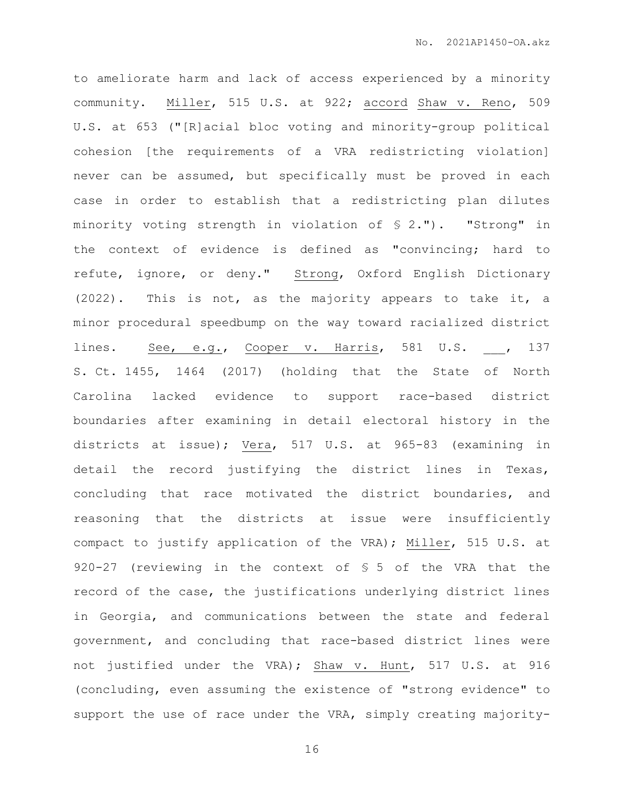to ameliorate harm and lack of access experienced by a minority community. Miller, 515 U.S. at 922; accord Shaw v. Reno, 509 U.S. at 653 ("[R]acial bloc voting and minority-group political cohesion [the requirements of a VRA redistricting violation] never can be assumed, but specifically must be proved in each case in order to establish that a redistricting plan dilutes minority voting strength in violation of § 2."). "Strong" in the context of evidence is defined as "convincing; hard to refute, ignore, or deny." Strong, Oxford English Dictionary (2022). This is not, as the majority appears to take it, a minor procedural speedbump on the way toward racialized district lines. See, e.g., Cooper v. Harris, 581 U.S. , 137 S. Ct. 1455, 1464 (2017) (holding that the State of North Carolina lacked evidence to support race-based district boundaries after examining in detail electoral history in the districts at issue); Vera, 517 U.S. at 965-83 (examining in detail the record justifying the district lines in Texas, concluding that race motivated the district boundaries, and reasoning that the districts at issue were insufficiently compact to justify application of the VRA); Miller, 515 U.S. at 920-27 (reviewing in the context of § 5 of the VRA that the record of the case, the justifications underlying district lines in Georgia, and communications between the state and federal government, and concluding that race-based district lines were not justified under the VRA); Shaw v. Hunt, 517 U.S. at 916 (concluding, even assuming the existence of "strong evidence" to support the use of race under the VRA, simply creating majority-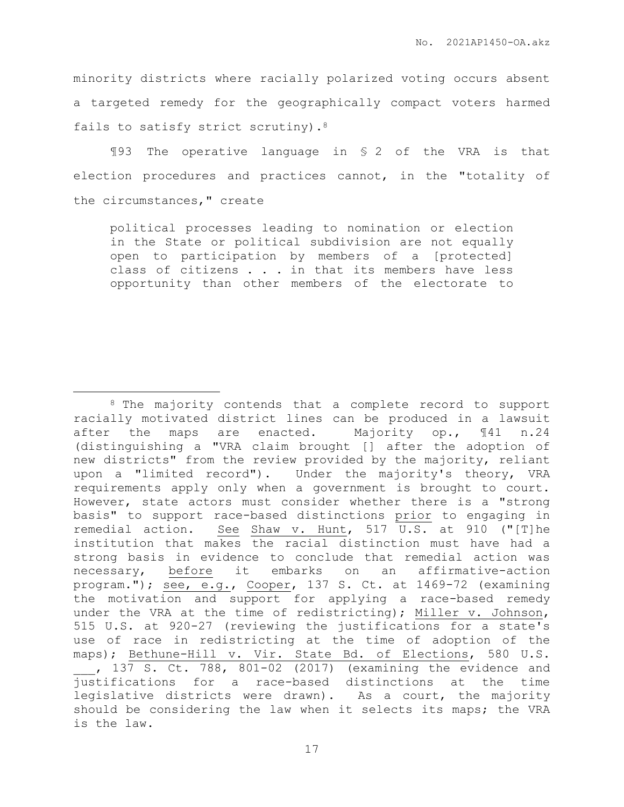minority districts where racially polarized voting occurs absent a targeted remedy for the geographically compact voters harmed fails to satisfy strict scrutiny).<sup>8</sup>

¶93 The operative language in § 2 of the VRA is that election procedures and practices cannot, in the "totality of the circumstances," create

political processes leading to nomination or election in the State or political subdivision are not equally open to participation by members of a [protected] class of citizens . . . in that its members have less opportunity than other members of the electorate to

<sup>8</sup> The majority contends that a complete record to support racially motivated district lines can be produced in a lawsuit after the maps are enacted. Majority op., ¶41 n.24 (distinguishing a "VRA claim brought [] after the adoption of new districts" from the review provided by the majority, reliant upon a "limited record"). Under the majority's theory, VRA requirements apply only when a government is brought to court. However, state actors must consider whether there is a "strong basis" to support race-based distinctions prior to engaging in remedial action. See Shaw v. Hunt, 517 U.S. at 910 ("[T]he institution that makes the racial distinction must have had a strong basis in evidence to conclude that remedial action was necessary, before it embarks on an affirmative-action program."); see, e.g., Cooper, 137 S. Ct. at 1469-72 (examining the motivation and support for applying a race-based remedy under the VRA at the time of redistricting); Miller v. Johnson, 515 U.S. at 920-27 (reviewing the justifications for a state's use of race in redistricting at the time of adoption of the maps); Bethune-Hill v. Vir. State Bd. of Elections, 580 U.S. \_\_\_, 137 S. Ct. 788, 801-02 (2017) (examining the evidence and justifications for a race-based distinctions at the time legislative districts were drawn). As a court, the majority should be considering the law when it selects its maps; the VRA is the law.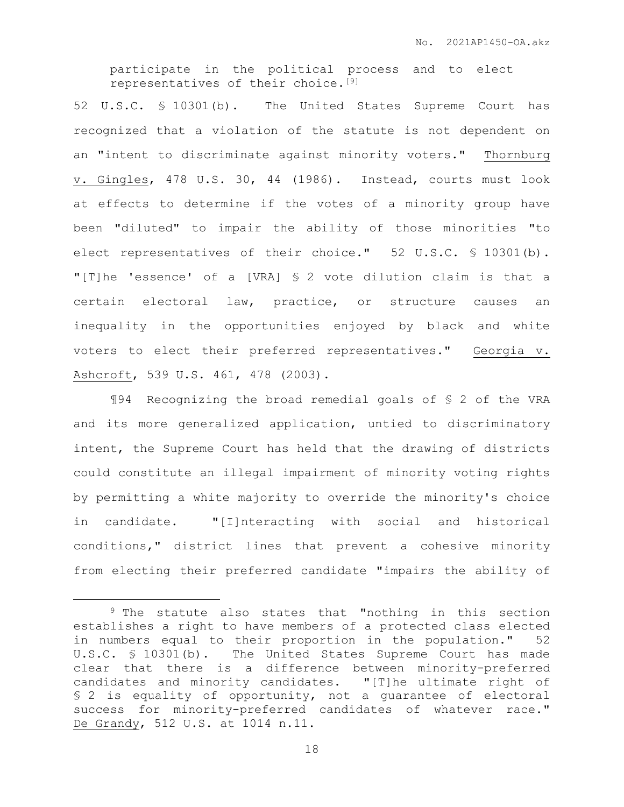participate in the political process and to elect representatives of their choice.[9]

52 U.S.C. § 10301(b). The United States Supreme Court has recognized that a violation of the statute is not dependent on an "intent to discriminate against minority voters." Thornburg v. Gingles, 478 U.S. 30, 44 (1986). Instead, courts must look at effects to determine if the votes of a minority group have been "diluted" to impair the ability of those minorities "to elect representatives of their choice." 52 U.S.C. § 10301(b). "[T]he 'essence' of a [VRA] § 2 vote dilution claim is that a certain electoral law, practice, or structure causes an inequality in the opportunities enjoyed by black and white voters to elect their preferred representatives." Georgia v. Ashcroft, 539 U.S. 461, 478 (2003).

¶94 Recognizing the broad remedial goals of § 2 of the VRA and its more generalized application, untied to discriminatory intent, the Supreme Court has held that the drawing of districts could constitute an illegal impairment of minority voting rights by permitting a white majority to override the minority's choice in candidate. "[I]nteracting with social and historical conditions," district lines that prevent a cohesive minority from electing their preferred candidate "impairs the ability of

<sup>&</sup>lt;sup>9</sup> The statute also states that "nothing in this section establishes a right to have members of a protected class elected in numbers equal to their proportion in the population." 52 U.S.C. § 10301(b). The United States Supreme Court has made clear that there is a difference between minority-preferred candidates and minority candidates. "[T]he ultimate right of § 2 is equality of opportunity, not a guarantee of electoral success for minority-preferred candidates of whatever race." De Grandy, 512 U.S. at 1014 n.11.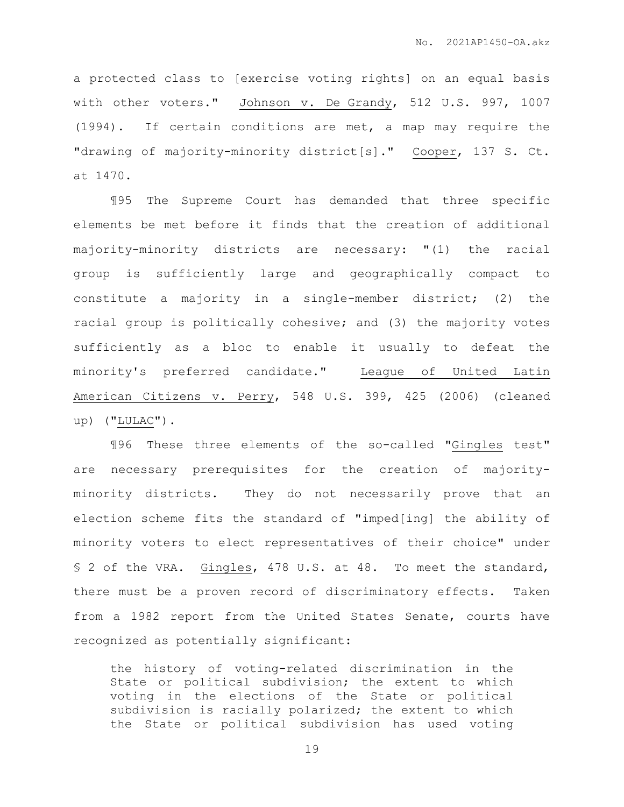a protected class to [exercise voting rights] on an equal basis with other voters." Johnson v. De Grandy, 512 U.S. 997, 1007 (1994). If certain conditions are met, a map may require the "drawing of majority-minority district[s]." Cooper, 137 S. Ct. at 1470.

¶95 The Supreme Court has demanded that three specific elements be met before it finds that the creation of additional majority-minority districts are necessary: "(1) the racial group is sufficiently large and geographically compact to constitute a majority in a single-member district; (2) the racial group is politically cohesive; and (3) the majority votes sufficiently as a bloc to enable it usually to defeat the minority's preferred candidate." League of United Latin American Citizens v. Perry, 548 U.S. 399, 425 (2006) (cleaned up) ("LULAC").

¶96 These three elements of the so-called "Gingles test" are necessary prerequisites for the creation of majorityminority districts. They do not necessarily prove that an election scheme fits the standard of "imped[ing] the ability of minority voters to elect representatives of their choice" under § 2 of the VRA. Gingles, 478 U.S. at 48. To meet the standard, there must be a proven record of discriminatory effects. Taken from a 1982 report from the United States Senate, courts have recognized as potentially significant:

the history of voting-related discrimination in the State or political subdivision; the extent to which voting in the elections of the State or political subdivision is racially polarized; the extent to which the State or political subdivision has used voting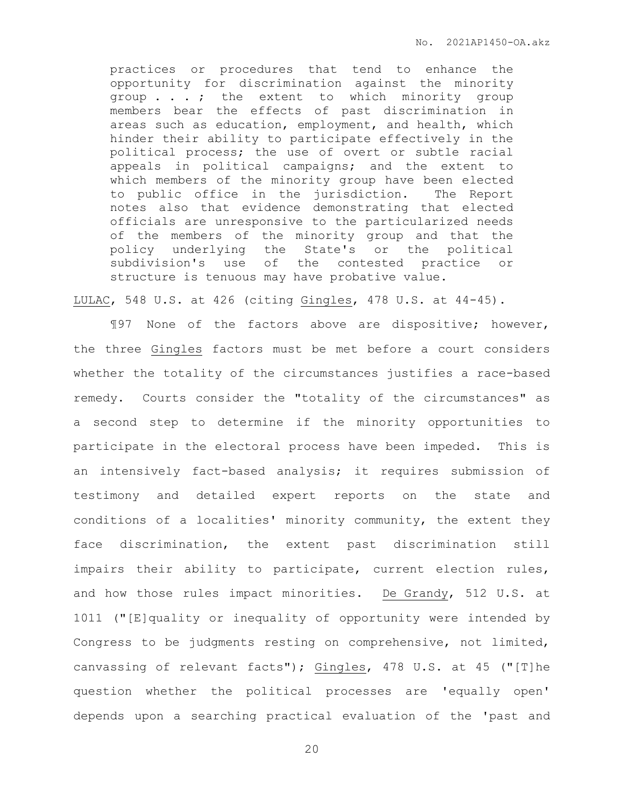practices or procedures that tend to enhance the opportunity for discrimination against the minority group . . . ; the extent to which minority group members bear the effects of past discrimination in areas such as education, employment, and health, which hinder their ability to participate effectively in the political process; the use of overt or subtle racial appeals in political campaigns; and the extent to which members of the minority group have been elected to public office in the jurisdiction. The Report notes also that evidence demonstrating that elected officials are unresponsive to the particularized needs of the members of the minority group and that the policy underlying the State's or the political subdivision's use of the contested practice or structure is tenuous may have probative value.

LULAC, 548 U.S. at 426 (citing Gingles, 478 U.S. at 44-45).

¶97 None of the factors above are dispositive; however, the three Gingles factors must be met before a court considers whether the totality of the circumstances justifies a race-based remedy. Courts consider the "totality of the circumstances" as a second step to determine if the minority opportunities to participate in the electoral process have been impeded. This is an intensively fact-based analysis; it requires submission of testimony and detailed expert reports on the state and conditions of a localities' minority community, the extent they face discrimination, the extent past discrimination still impairs their ability to participate, current election rules, and how those rules impact minorities. De Grandy, 512 U.S. at 1011 ("[E]quality or inequality of opportunity were intended by Congress to be judgments resting on comprehensive, not limited, canvassing of relevant facts"); Gingles, 478 U.S. at 45 ("[T]he question whether the political processes are 'equally open' depends upon a searching practical evaluation of the 'past and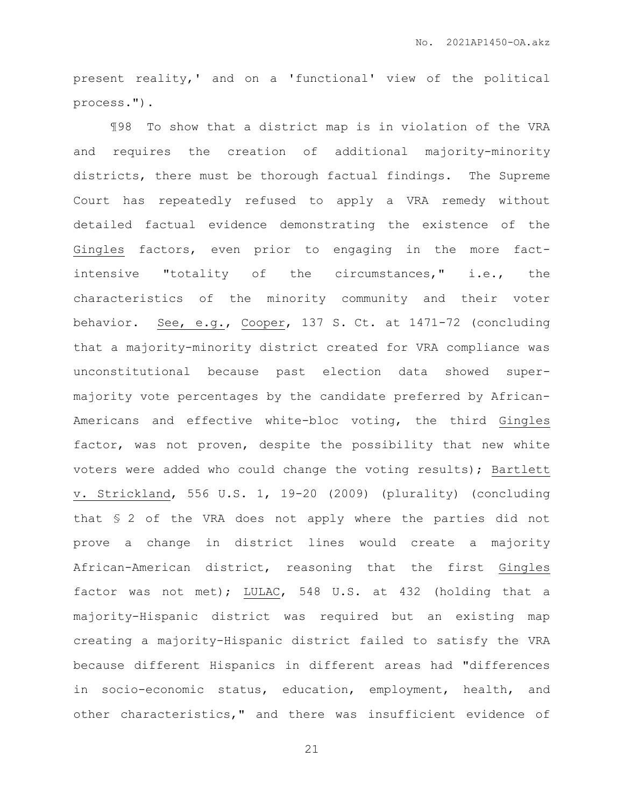present reality,' and on a 'functional' view of the political process.").

¶98 To show that a district map is in violation of the VRA and requires the creation of additional majority-minority districts, there must be thorough factual findings. The Supreme Court has repeatedly refused to apply a VRA remedy without detailed factual evidence demonstrating the existence of the Gingles factors, even prior to engaging in the more factintensive "totality of the circumstances," i.e., the characteristics of the minority community and their voter behavior. See, e.g., Cooper, 137 S. Ct. at 1471-72 (concluding that a majority-minority district created for VRA compliance was unconstitutional because past election data showed supermajority vote percentages by the candidate preferred by African-Americans and effective white-bloc voting, the third Gingles factor, was not proven, despite the possibility that new white voters were added who could change the voting results); Bartlett v. Strickland, 556 U.S. 1, 19-20 (2009) (plurality) (concluding that § 2 of the VRA does not apply where the parties did not prove a change in district lines would create a majority African-American district, reasoning that the first Gingles factor was not met); LULAC, 548 U.S. at 432 (holding that a majority-Hispanic district was required but an existing map creating a majority-Hispanic district failed to satisfy the VRA because different Hispanics in different areas had "differences in socio-economic status, education, employment, health, and other characteristics," and there was insufficient evidence of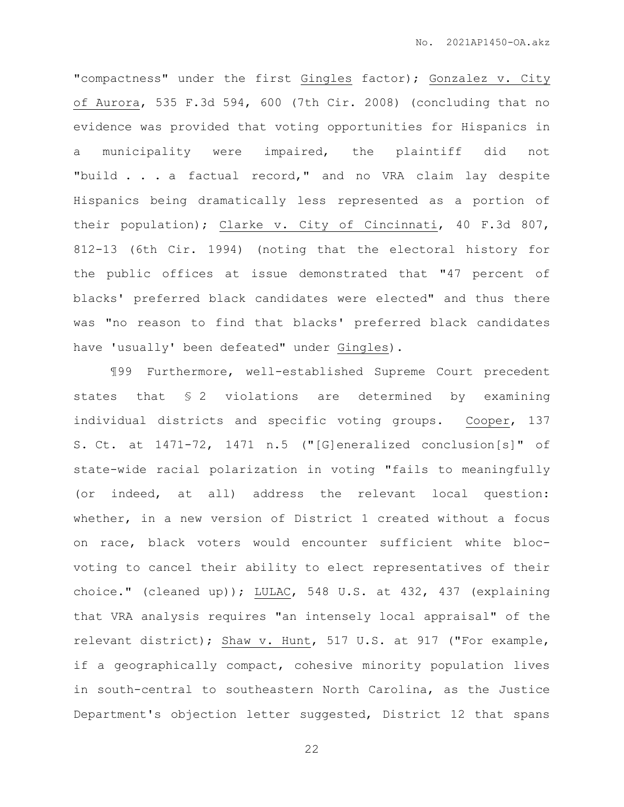"compactness" under the first Gingles factor); Gonzalez v. City of Aurora, 535 F.3d 594, 600 (7th Cir. 2008) (concluding that no evidence was provided that voting opportunities for Hispanics in a municipality were impaired, the plaintiff did not "build . . . a factual record," and no VRA claim lay despite Hispanics being dramatically less represented as a portion of their population); Clarke v. City of Cincinnati, 40 F.3d 807, 812-13 (6th Cir. 1994) (noting that the electoral history for the public offices at issue demonstrated that "47 percent of blacks' preferred black candidates were elected" and thus there was "no reason to find that blacks' preferred black candidates have 'usually' been defeated" under Gingles).

¶99 Furthermore, well-established Supreme Court precedent states that § 2 violations are determined by examining individual districts and specific voting groups. Cooper, 137 S. Ct. at 1471-72, 1471 n.5 ("[G]eneralized conclusion[s]" of state-wide racial polarization in voting "fails to meaningfully (or indeed, at all) address the relevant local question: whether, in a new version of District 1 created without a focus on race, black voters would encounter sufficient white blocvoting to cancel their ability to elect representatives of their choice." (cleaned up)); LULAC, 548 U.S. at 432, 437 (explaining that VRA analysis requires "an intensely local appraisal" of the relevant district); Shaw v. Hunt, 517 U.S. at 917 ("For example, if a geographically compact, cohesive minority population lives in south-central to southeastern North Carolina, as the Justice Department's objection letter suggested, District 12 that spans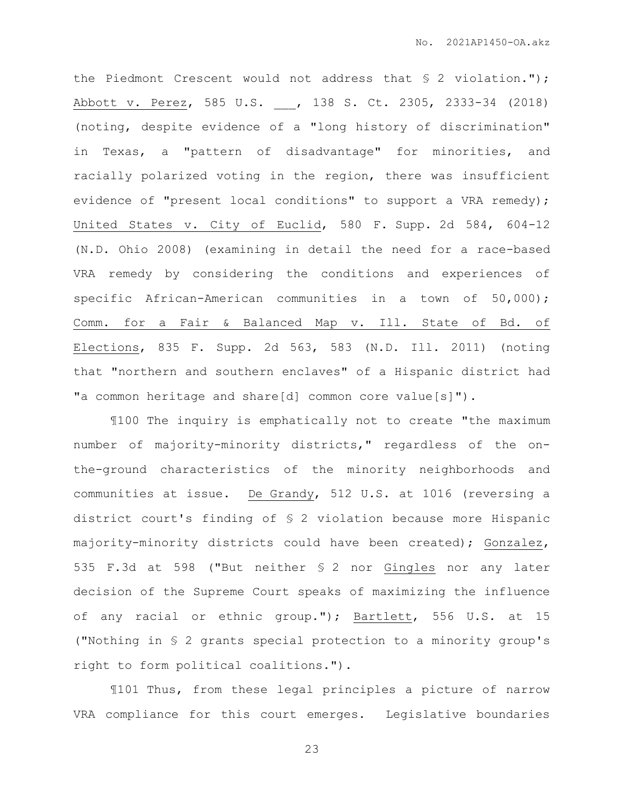the Piedmont Crescent would not address that § 2 violation."); Abbott v. Perez, 585 U.S. \_\_\_, 138 S. Ct. 2305, 2333-34 (2018) (noting, despite evidence of a "long history of discrimination" in Texas, a "pattern of disadvantage" for minorities, and racially polarized voting in the region, there was insufficient evidence of "present local conditions" to support a VRA remedy); United States v. City of Euclid, 580 F. Supp. 2d 584, 604-12 (N.D. Ohio 2008) (examining in detail the need for a race-based VRA remedy by considering the conditions and experiences of specific African-American communities in a town of 50,000); Comm. for a Fair & Balanced Map v. Ill. State of Bd. of Elections, 835 F. Supp. 2d 563, 583 (N.D. Ill. 2011) (noting that "northern and southern enclaves" of a Hispanic district had "a common heritage and share[d] common core value[s]").

¶100 The inquiry is emphatically not to create "the maximum number of majority-minority districts," regardless of the onthe-ground characteristics of the minority neighborhoods and communities at issue. De Grandy, 512 U.S. at 1016 (reversing a district court's finding of § 2 violation because more Hispanic majority-minority districts could have been created); Gonzalez, 535 F.3d at 598 ("But neither § 2 nor Gingles nor any later decision of the Supreme Court speaks of maximizing the influence of any racial or ethnic group."); Bartlett, 556 U.S. at 15 ("Nothing in § 2 grants special protection to a minority group's right to form political coalitions.").

¶101 Thus, from these legal principles a picture of narrow VRA compliance for this court emerges. Legislative boundaries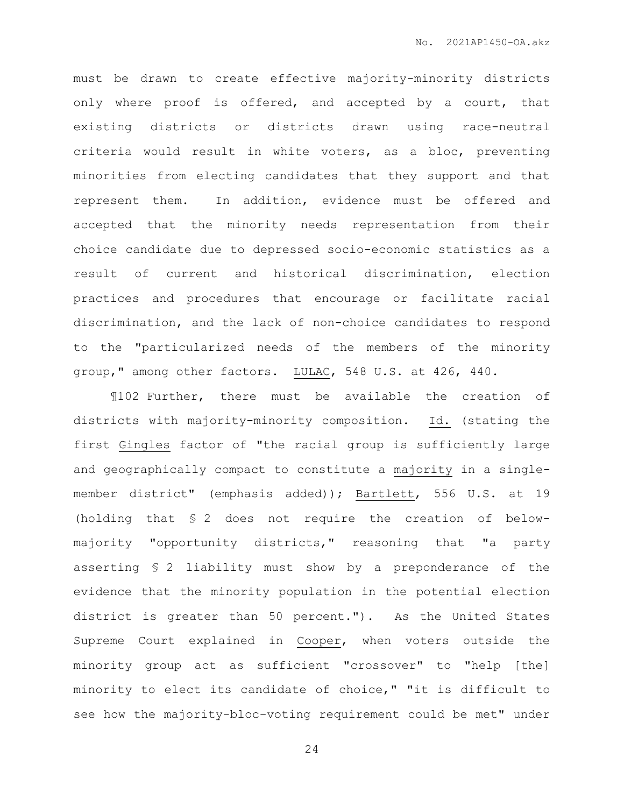must be drawn to create effective majority-minority districts only where proof is offered, and accepted by a court, that existing districts or districts drawn using race-neutral criteria would result in white voters, as a bloc, preventing minorities from electing candidates that they support and that represent them. In addition, evidence must be offered and accepted that the minority needs representation from their choice candidate due to depressed socio-economic statistics as a result of current and historical discrimination, election practices and procedures that encourage or facilitate racial discrimination, and the lack of non-choice candidates to respond to the "particularized needs of the members of the minority group," among other factors. LULAC, 548 U.S. at 426, 440.

¶102 Further, there must be available the creation of districts with majority-minority composition. Id. (stating the first Gingles factor of "the racial group is sufficiently large and geographically compact to constitute a majority in a singlemember district" (emphasis added)); Bartlett, 556 U.S. at 19 (holding that § 2 does not require the creation of belowmajority "opportunity districts," reasoning that "a party asserting § 2 liability must show by a preponderance of the evidence that the minority population in the potential election district is greater than 50 percent."). As the United States Supreme Court explained in Cooper, when voters outside the minority group act as sufficient "crossover" to "help [the] minority to elect its candidate of choice," "it is difficult to see how the majority-bloc-voting requirement could be met" under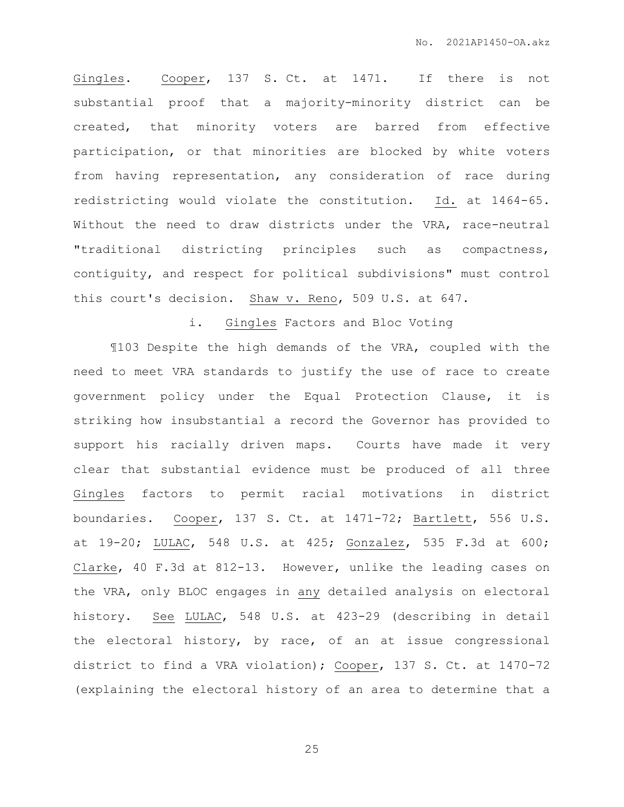Gingles. Cooper, 137 S. Ct. at 1471. If there is not substantial proof that a majority-minority district can be created, that minority voters are barred from effective participation, or that minorities are blocked by white voters from having representation, any consideration of race during redistricting would violate the constitution. Id. at 1464-65. Without the need to draw districts under the VRA, race-neutral "traditional districting principles such as compactness, contiguity, and respect for political subdivisions" must control this court's decision. Shaw v. Reno, 509 U.S. at 647.

# i. Gingles Factors and Bloc Voting

¶103 Despite the high demands of the VRA, coupled with the need to meet VRA standards to justify the use of race to create government policy under the Equal Protection Clause, it is striking how insubstantial a record the Governor has provided to support his racially driven maps. Courts have made it very clear that substantial evidence must be produced of all three Gingles factors to permit racial motivations in district boundaries. Cooper, 137 S. Ct. at 1471-72; Bartlett, 556 U.S. at 19-20; LULAC, 548 U.S. at 425; Gonzalez, 535 F.3d at 600; Clarke, 40 F.3d at 812-13. However, unlike the leading cases on the VRA, only BLOC engages in any detailed analysis on electoral history. See LULAC, 548 U.S. at 423-29 (describing in detail the electoral history, by race, of an at issue congressional district to find a VRA violation); Cooper, 137 S. Ct. at 1470-72 (explaining the electoral history of an area to determine that a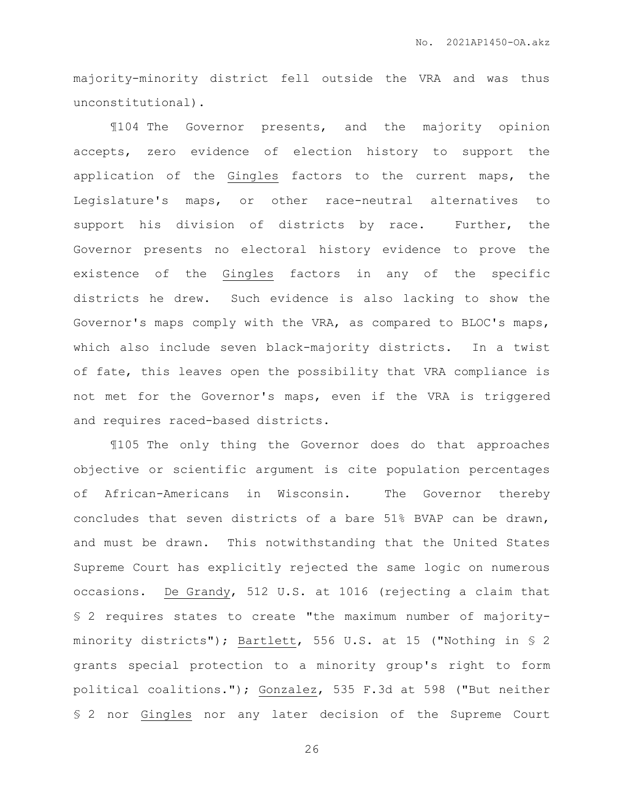majority-minority district fell outside the VRA and was thus unconstitutional).

¶104 The Governor presents, and the majority opinion accepts, zero evidence of election history to support the application of the Gingles factors to the current maps, the Legislature's maps, or other race-neutral alternatives to support his division of districts by race. Further, the Governor presents no electoral history evidence to prove the existence of the Gingles factors in any of the specific districts he drew. Such evidence is also lacking to show the Governor's maps comply with the VRA, as compared to BLOC's maps, which also include seven black-majority districts. In a twist of fate, this leaves open the possibility that VRA compliance is not met for the Governor's maps, even if the VRA is triggered and requires raced-based districts.

¶105 The only thing the Governor does do that approaches objective or scientific argument is cite population percentages of African-Americans in Wisconsin. The Governor thereby concludes that seven districts of a bare 51% BVAP can be drawn, and must be drawn. This notwithstanding that the United States Supreme Court has explicitly rejected the same logic on numerous occasions. De Grandy, 512 U.S. at 1016 (rejecting a claim that § 2 requires states to create "the maximum number of majorityminority districts"); Bartlett, 556 U.S. at 15 ("Nothing in § 2 grants special protection to a minority group's right to form political coalitions."); Gonzalez, 535 F.3d at 598 ("But neither § 2 nor Gingles nor any later decision of the Supreme Court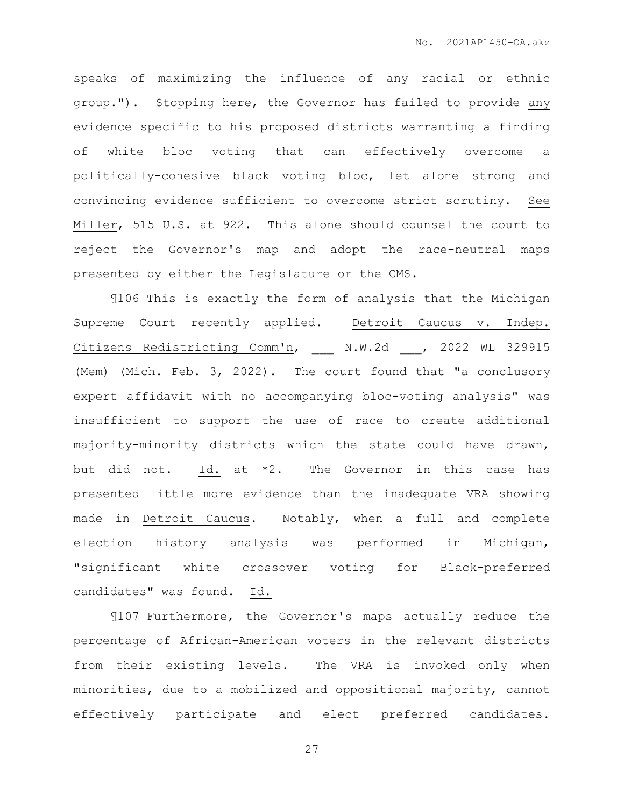speaks of maximizing the influence of any racial or ethnic group."). Stopping here, the Governor has failed to provide any evidence specific to his proposed districts warranting a finding of white bloc voting that can effectively overcome a politically-cohesive black voting bloc, let alone strong and convincing evidence sufficient to overcome strict scrutiny. See Miller, 515 U.S. at 922. This alone should counsel the court to reject the Governor's map and adopt the race-neutral maps presented by either the Legislature or the CMS.

¶106 This is exactly the form of analysis that the Michigan Supreme Court recently applied. Detroit Caucus v. Indep. Citizens Redistricting Comm'n, M.W.2d , 2022 WL 329915 (Mem) (Mich. Feb. 3, 2022). The court found that "a conclusory expert affidavit with no accompanying bloc-voting analysis" was insufficient to support the use of race to create additional majority-minority districts which the state could have drawn, but did not. Id. at \*2. The Governor in this case has presented little more evidence than the inadequate VRA showing made in Detroit Caucus. Notably, when a full and complete election history analysis was performed in Michigan, "significant white crossover voting for Black-preferred candidates" was found. Id.

¶107 Furthermore, the Governor's maps actually reduce the percentage of African-American voters in the relevant districts from their existing levels. The VRA is invoked only when minorities, due to a mobilized and oppositional majority, cannot effectively participate and elect preferred candidates.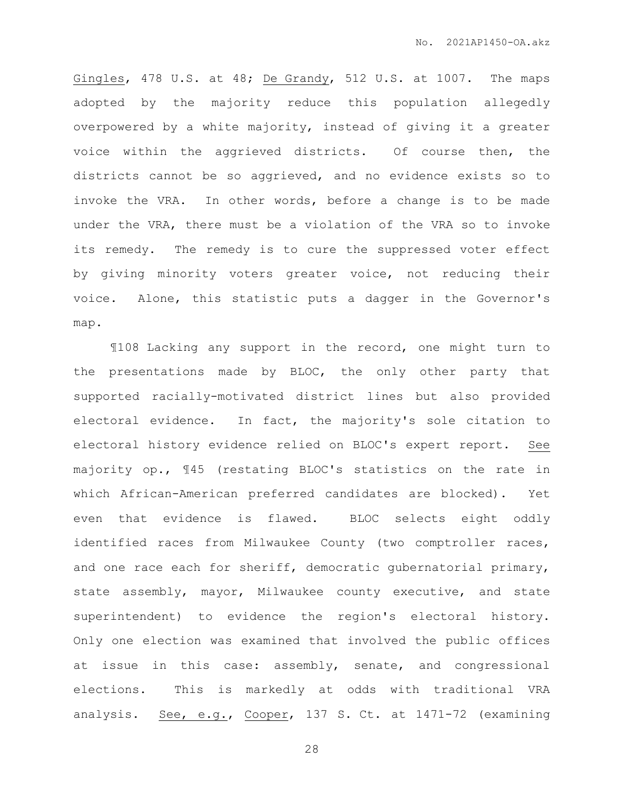Gingles, 478 U.S. at 48; De Grandy, 512 U.S. at 1007. The maps adopted by the majority reduce this population allegedly overpowered by a white majority, instead of giving it a greater voice within the aggrieved districts. Of course then, the districts cannot be so aggrieved, and no evidence exists so to invoke the VRA. In other words, before a change is to be made under the VRA, there must be a violation of the VRA so to invoke its remedy. The remedy is to cure the suppressed voter effect by giving minority voters greater voice, not reducing their voice. Alone, this statistic puts a dagger in the Governor's map.

¶108 Lacking any support in the record, one might turn to the presentations made by BLOC, the only other party that supported racially-motivated district lines but also provided electoral evidence. In fact, the majority's sole citation to electoral history evidence relied on BLOC's expert report. See majority op., ¶45 (restating BLOC's statistics on the rate in which African-American preferred candidates are blocked). Yet even that evidence is flawed. BLOC selects eight oddly identified races from Milwaukee County (two comptroller races, and one race each for sheriff, democratic gubernatorial primary, state assembly, mayor, Milwaukee county executive, and state superintendent) to evidence the region's electoral history. Only one election was examined that involved the public offices at issue in this case: assembly, senate, and congressional elections. This is markedly at odds with traditional VRA analysis. See, e.g., Cooper, 137 S. Ct. at 1471-72 (examining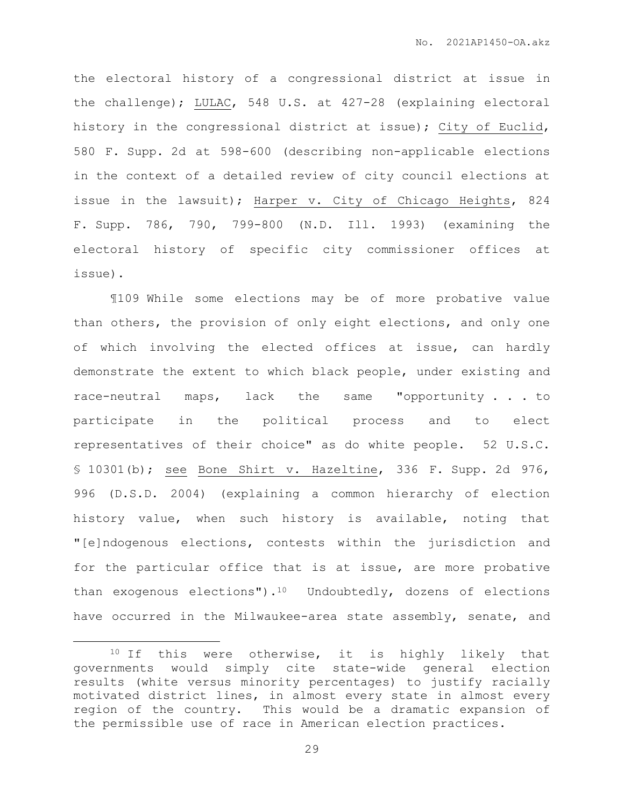the electoral history of a congressional district at issue in the challenge); LULAC, 548 U.S. at 427-28 (explaining electoral history in the congressional district at issue); City of Euclid, 580 F. Supp. 2d at 598-600 (describing non-applicable elections in the context of a detailed review of city council elections at issue in the lawsuit); Harper v. City of Chicago Heights, 824 F. Supp. 786, 790, 799-800 (N.D. Ill. 1993) (examining the electoral history of specific city commissioner offices at issue).

¶109 While some elections may be of more probative value than others, the provision of only eight elections, and only one of which involving the elected offices at issue, can hardly demonstrate the extent to which black people, under existing and race-neutral maps, lack the same "opportunity . . . to participate in the political process and to elect representatives of their choice" as do white people. 52 U.S.C. § 10301(b); see Bone Shirt v. Hazeltine, 336 F. Supp. 2d 976, 996 (D.S.D. 2004) (explaining a common hierarchy of election history value, when such history is available, noting that "[e]ndogenous elections, contests within the jurisdiction and for the particular office that is at issue, are more probative than exogenous elections").<sup>10</sup> Undoubtedly, dozens of elections have occurred in the Milwaukee-area state assembly, senate, and

 $\overline{a}$ 

<sup>&</sup>lt;sup>10</sup> If this were otherwise, it is highly likely that governments would simply cite state-wide general election results (white versus minority percentages) to justify racially motivated district lines, in almost every state in almost every region of the country. This would be a dramatic expansion of the permissible use of race in American election practices.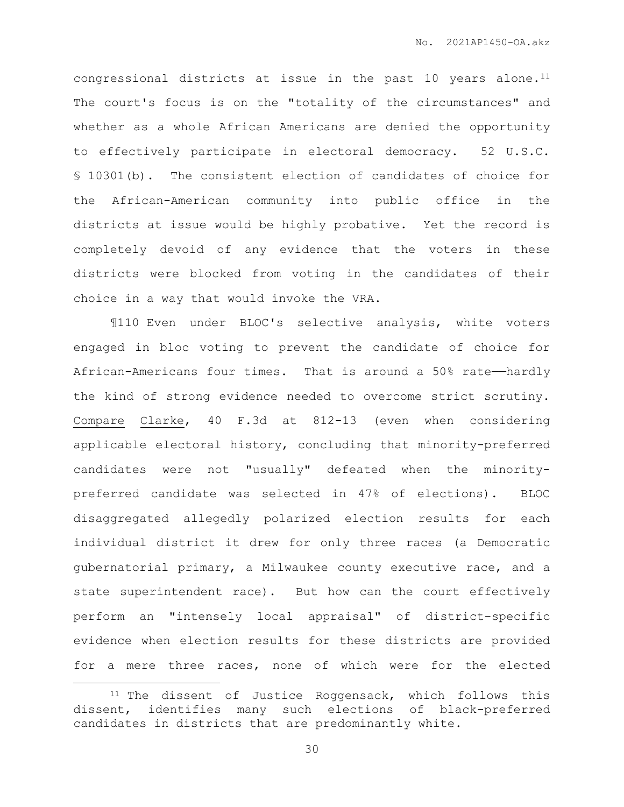congressional districts at issue in the past 10 years alone.<sup>11</sup> The court's focus is on the "totality of the circumstances" and whether as a whole African Americans are denied the opportunity to effectively participate in electoral democracy. 52 U.S.C. § 10301(b). The consistent election of candidates of choice for the African-American community into public office in the districts at issue would be highly probative. Yet the record is completely devoid of any evidence that the voters in these districts were blocked from voting in the candidates of their choice in a way that would invoke the VRA.

¶110 Even under BLOC's selective analysis, white voters engaged in bloc voting to prevent the candidate of choice for African-Americans four times. That is around a 50% rate——hardly the kind of strong evidence needed to overcome strict scrutiny. Compare Clarke, 40 F.3d at 812-13 (even when considering applicable electoral history, concluding that minority-preferred candidates were not "usually" defeated when the minoritypreferred candidate was selected in 47% of elections). BLOC disaggregated allegedly polarized election results for each individual district it drew for only three races (a Democratic gubernatorial primary, a Milwaukee county executive race, and a state superintendent race). But how can the court effectively perform an "intensely local appraisal" of district-specific evidence when election results for these districts are provided for a mere three races, none of which were for the elected

<sup>11</sup> The dissent of Justice Roggensack, which follows this dissent, identifies many such elections of black-preferred candidates in districts that are predominantly white.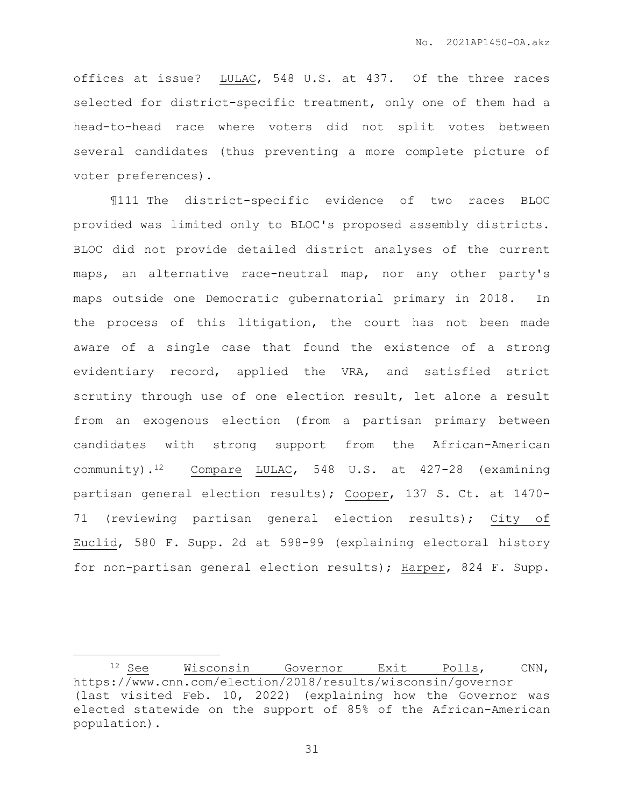offices at issue? LULAC, 548 U.S. at 437. Of the three races selected for district-specific treatment, only one of them had a head-to-head race where voters did not split votes between several candidates (thus preventing a more complete picture of voter preferences).

¶111 The district-specific evidence of two races BLOC provided was limited only to BLOC's proposed assembly districts. BLOC did not provide detailed district analyses of the current maps, an alternative race-neutral map, nor any other party's maps outside one Democratic gubernatorial primary in 2018. In the process of this litigation, the court has not been made aware of a single case that found the existence of a strong evidentiary record, applied the VRA, and satisfied strict scrutiny through use of one election result, let alone a result from an exogenous election (from a partisan primary between candidates with strong support from the African-American community).<sup>12</sup> Compare LULAC, 548 U.S. at  $427-28$  (examining partisan general election results); Cooper, 137 S. Ct. at 1470- 71 (reviewing partisan general election results); City of Euclid, 580 F. Supp. 2d at 598-99 (explaining electoral history for non-partisan general election results); Harper, 824 F. Supp.

 $\overline{a}$ 

<sup>12</sup> See Wisconsin Governor Exit Polls, CNN, https://www.cnn.com/election/2018/results/wisconsin/governor (last visited Feb. 10, 2022) (explaining how the Governor was elected statewide on the support of 85% of the African-American population).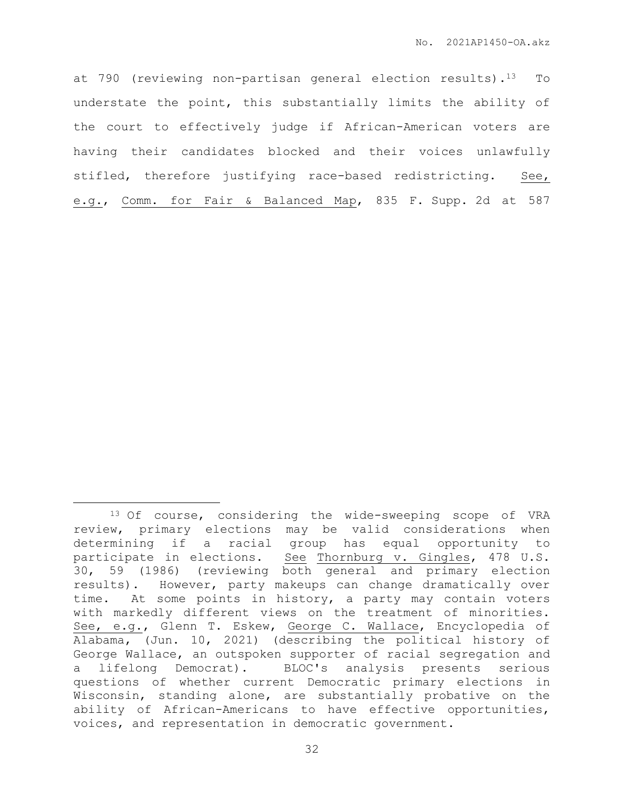at 790 (reviewing non-partisan general election results).<sup>13</sup> To understate the point, this substantially limits the ability of the court to effectively judge if African-American voters are having their candidates blocked and their voices unlawfully stifled, therefore justifying race-based redistricting. See, e.g., Comm. for Fair & Balanced Map, 835 F. Supp. 2d at 587

<sup>13</sup> Of course, considering the wide-sweeping scope of VRA review, primary elections may be valid considerations when determining if a racial group has equal opportunity to participate in elections. See Thornburg v. Gingles, 478 U.S. 30, 59 (1986) (reviewing both general and primary election results). However, party makeups can change dramatically over time. At some points in history, a party may contain voters with markedly different views on the treatment of minorities. See, e.g., Glenn T. Eskew, George C. Wallace, Encyclopedia of Alabama, (Jun. 10, 2021) (describing the political history of George Wallace, an outspoken supporter of racial segregation and a lifelong Democrat). BLOC's analysis presents serious questions of whether current Democratic primary elections in Wisconsin, standing alone, are substantially probative on the ability of African-Americans to have effective opportunities, voices, and representation in democratic government.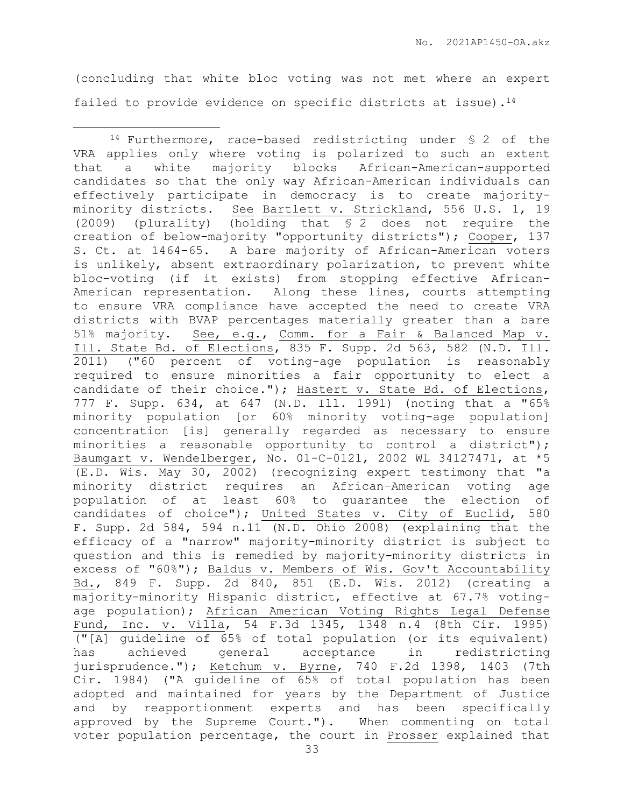(concluding that white bloc voting was not met where an expert failed to provide evidence on specific districts at issue).<sup>14</sup>

<sup>14</sup> Furthermore, race-based redistricting under § 2 of the VRA applies only where voting is polarized to such an extent that a white majority blocks African-American-supported candidates so that the only way African-American individuals can effectively participate in democracy is to create majorityminority districts. See Bartlett v. Strickland, 556 U.S. 1, 19 (2009) (plurality) (holding that § 2 does not require the creation of below-majority "opportunity districts"); Cooper, 137 S. Ct. at 1464-65. A bare majority of African-American voters is unlikely, absent extraordinary polarization, to prevent white bloc-voting (if it exists) from stopping effective African-American representation. Along these lines, courts attempting to ensure VRA compliance have accepted the need to create VRA districts with BVAP percentages materially greater than a bare 51% majority. See, e.g., Comm. for a Fair & Balanced Map v. Ill. State Bd. of Elections, 835 F. Supp. 2d 563, 582 (N.D. Ill. 2011) ("60 percent of voting-age population is reasonably required to ensure minorities a fair opportunity to elect a candidate of their choice."); Hastert v. State Bd. of Elections, 777 F. Supp. 634, at 647 (N.D. Ill. 1991) (noting that a "65% minority population [or 60% minority voting-age population] concentration [is] generally regarded as necessary to ensure minorities a reasonable opportunity to control a district"); Baumgart v. Wendelberger, No. 01-C-0121, 2002 WL 34127471, at \*5 (E.D. Wis. May 30, 2002) (recognizing expert testimony that "a minority district requires an African–American voting age population of at least 60% to guarantee the election of candidates of choice"); United States v. City of Euclid, 580 F. Supp. 2d 584, 594 n.11 (N.D. Ohio 2008) (explaining that the efficacy of a "narrow" majority-minority district is subject to question and this is remedied by majority-minority districts in excess of "60%"); Baldus v. Members of Wis. Gov't Accountability Bd., 849 F. Supp. 2d 840, 851 (E.D. Wis. 2012) (creating a majority-minority Hispanic district, effective at 67.7% votingage population); African American Voting Rights Legal Defense Fund, Inc. v. Villa, 54 F.3d 1345, 1348 n.4 (8th Cir. 1995) ("[A] guideline of 65% of total population (or its equivalent) has achieved general acceptance in redistricting jurisprudence."); Ketchum v. Byrne, 740 F.2d 1398, 1403 (7th Cir. 1984) ("A guideline of 65% of total population has been adopted and maintained for years by the Department of Justice and by reapportionment experts and has been specifically approved by the Supreme Court."). When commenting on total voter population percentage, the court in Prosser explained that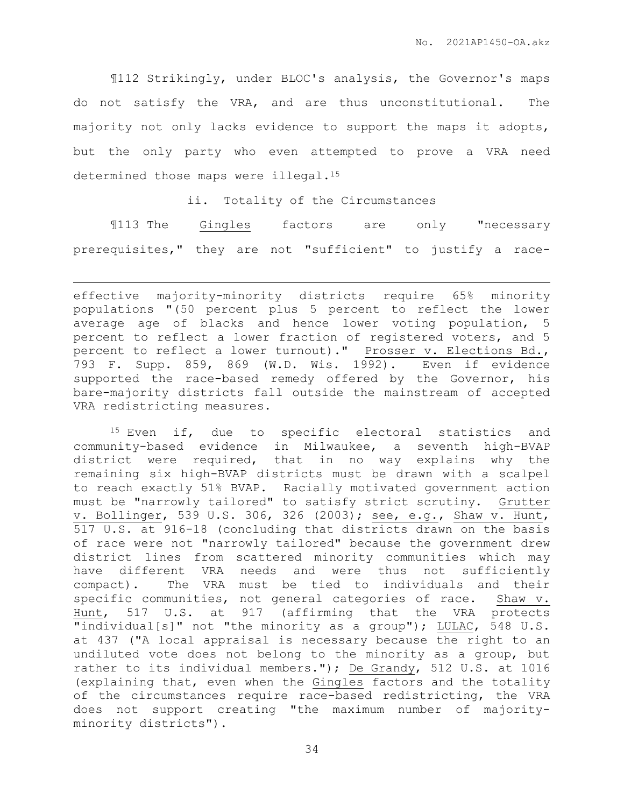¶112 Strikingly, under BLOC's analysis, the Governor's maps do not satisfy the VRA, and are thus unconstitutional. The majority not only lacks evidence to support the maps it adopts, but the only party who even attempted to prove a VRA need determined those maps were illegal.<sup>15</sup>

## ii. Totality of the Circumstances

¶113 The Gingles factors are only "necessary prerequisites," they are not "sufficient" to justify a race-

 $\overline{a}$ 

effective majority-minority districts require 65% minority populations "(50 percent plus 5 percent to reflect the lower average age of blacks and hence lower voting population, 5 percent to reflect a lower fraction of registered voters, and 5 percent to reflect a lower turnout)." Prosser v. Elections Bd., 793 F. Supp. 859, 869 (W.D. Wis. 1992). Even if evidence supported the race-based remedy offered by the Governor, his bare-majority districts fall outside the mainstream of accepted VRA redistricting measures.

<sup>15</sup> Even if, due to specific electoral statistics and community-based evidence in Milwaukee, a seventh high-BVAP district were required, that in no way explains why the remaining six high-BVAP districts must be drawn with a scalpel to reach exactly 51% BVAP. Racially motivated government action must be "narrowly tailored" to satisfy strict scrutiny. Grutter v. Bollinger, 539 U.S. 306, 326 (2003); see, e.g., Shaw v. Hunt, 517 U.S. at 916-18 (concluding that districts drawn on the basis of race were not "narrowly tailored" because the government drew district lines from scattered minority communities which may have different VRA needs and were thus not sufficiently compact). The VRA must be tied to individuals and their specific communities, not general categories of race. Shaw v. Hunt, 517 U.S. at 917 (affirming that the VRA protects "individual[s]" not "the minority as a group"); LULAC, 548 U.S. at 437 ("A local appraisal is necessary because the right to an undiluted vote does not belong to the minority as a group, but rather to its individual members."); De Grandy, 512 U.S. at 1016 (explaining that, even when the Gingles factors and the totality of the circumstances require race-based redistricting, the VRA does not support creating "the maximum number of majorityminority districts").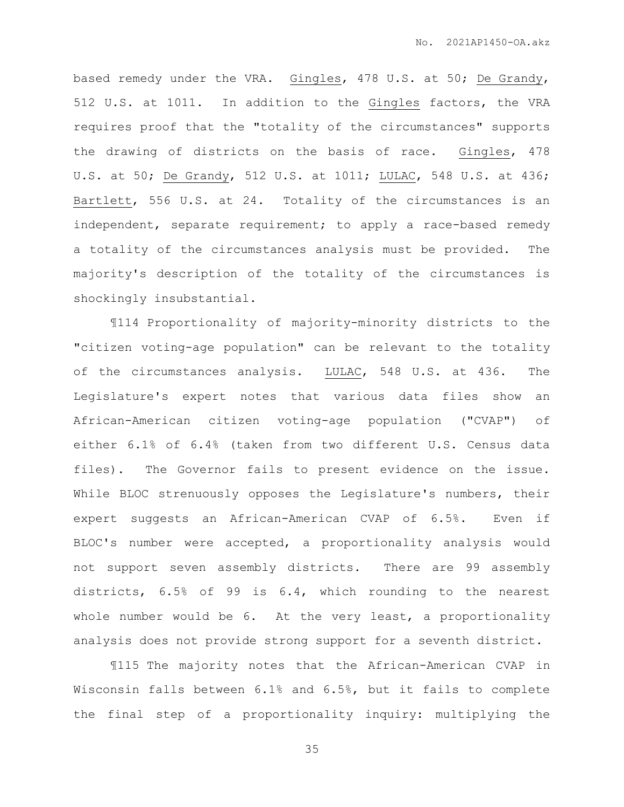based remedy under the VRA. Gingles, 478 U.S. at 50; De Grandy, 512 U.S. at 1011. In addition to the Gingles factors, the VRA requires proof that the "totality of the circumstances" supports the drawing of districts on the basis of race. Gingles, 478 U.S. at 50; De Grandy, 512 U.S. at 1011; LULAC, 548 U.S. at 436; Bartlett, 556 U.S. at 24. Totality of the circumstances is an independent, separate requirement; to apply a race-based remedy a totality of the circumstances analysis must be provided. The majority's description of the totality of the circumstances is shockingly insubstantial.

¶114 Proportionality of majority-minority districts to the "citizen voting-age population" can be relevant to the totality of the circumstances analysis. LULAC, 548 U.S. at 436. The Legislature's expert notes that various data files show an African-American citizen voting-age population ("CVAP") of either 6.1% of 6.4% (taken from two different U.S. Census data files). The Governor fails to present evidence on the issue. While BLOC strenuously opposes the Legislature's numbers, their expert suggests an African-American CVAP of 6.5%. Even if BLOC's number were accepted, a proportionality analysis would not support seven assembly districts. There are 99 assembly districts, 6.5% of 99 is 6.4, which rounding to the nearest whole number would be 6. At the very least, a proportionality analysis does not provide strong support for a seventh district.

¶115 The majority notes that the African-American CVAP in Wisconsin falls between 6.1% and 6.5%, but it fails to complete the final step of a proportionality inquiry: multiplying the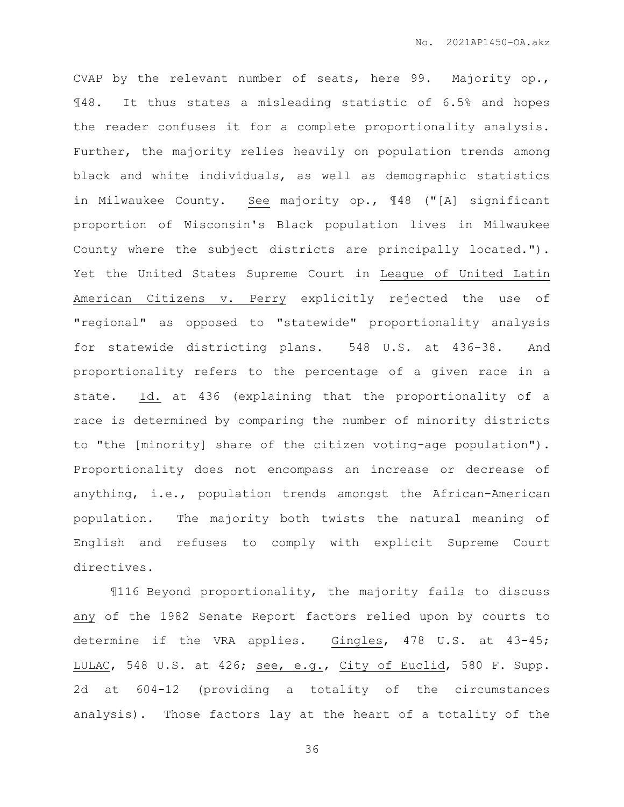CVAP by the relevant number of seats, here 99. Majority op., ¶48. It thus states a misleading statistic of 6.5% and hopes the reader confuses it for a complete proportionality analysis. Further, the majority relies heavily on population trends among black and white individuals, as well as demographic statistics in Milwaukee County. See majority op., ¶48 ("[A] significant proportion of Wisconsin's Black population lives in Milwaukee County where the subject districts are principally located."). Yet the United States Supreme Court in League of United Latin American Citizens v. Perry explicitly rejected the use of "regional" as opposed to "statewide" proportionality analysis for statewide districting plans. 548 U.S. at 436-38. And proportionality refers to the percentage of a given race in a state. Id. at 436 (explaining that the proportionality of a race is determined by comparing the number of minority districts to "the [minority] share of the citizen voting-age population"). Proportionality does not encompass an increase or decrease of anything, i.e., population trends amongst the African-American population. The majority both twists the natural meaning of English and refuses to comply with explicit Supreme Court directives.

¶116 Beyond proportionality, the majority fails to discuss any of the 1982 Senate Report factors relied upon by courts to determine if the VRA applies. Gingles, 478 U.S. at 43-45; LULAC, 548 U.S. at 426; see, e.g., City of Euclid, 580 F. Supp. 2d at 604-12 (providing a totality of the circumstances analysis). Those factors lay at the heart of a totality of the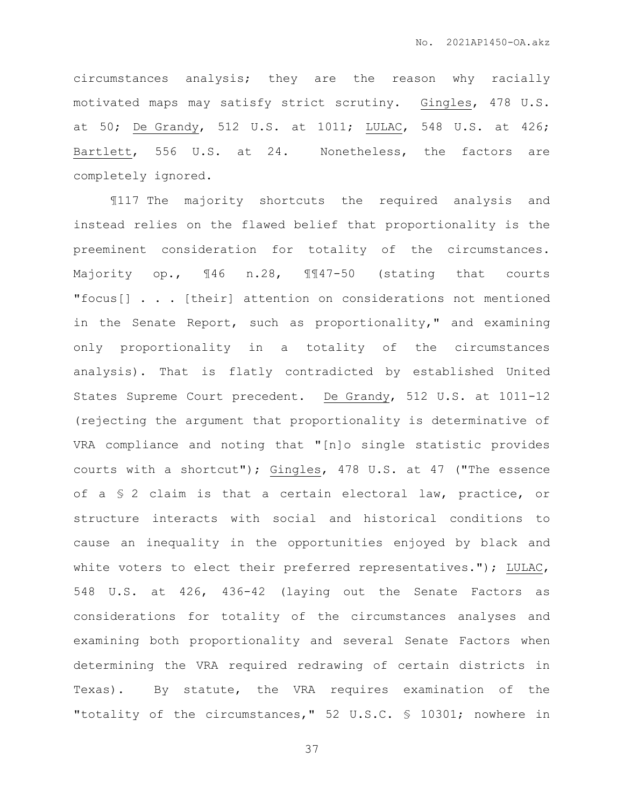circumstances analysis; they are the reason why racially motivated maps may satisfy strict scrutiny. Gingles, 478 U.S. at 50; De Grandy, 512 U.S. at 1011; LULAC, 548 U.S. at 426; Bartlett, 556 U.S. at 24. Nonetheless, the factors are completely ignored.

¶117 The majority shortcuts the required analysis and instead relies on the flawed belief that proportionality is the preeminent consideration for totality of the circumstances. Majority op., ¶46 n.28, ¶¶47-50 (stating that courts "focus[] . . . [their] attention on considerations not mentioned in the Senate Report, such as proportionality," and examining only proportionality in a totality of the circumstances analysis). That is flatly contradicted by established United States Supreme Court precedent. De Grandy, 512 U.S. at 1011-12 (rejecting the argument that proportionality is determinative of VRA compliance and noting that "[n]o single statistic provides courts with a shortcut"); Gingles, 478 U.S. at 47 ("The essence of a § 2 claim is that a certain electoral law, practice, or structure interacts with social and historical conditions to cause an inequality in the opportunities enjoyed by black and white voters to elect their preferred representatives."); LULAC, 548 U.S. at 426, 436-42 (laying out the Senate Factors as considerations for totality of the circumstances analyses and examining both proportionality and several Senate Factors when determining the VRA required redrawing of certain districts in Texas). By statute, the VRA requires examination of the "totality of the circumstances," 52 U.S.C. § 10301; nowhere in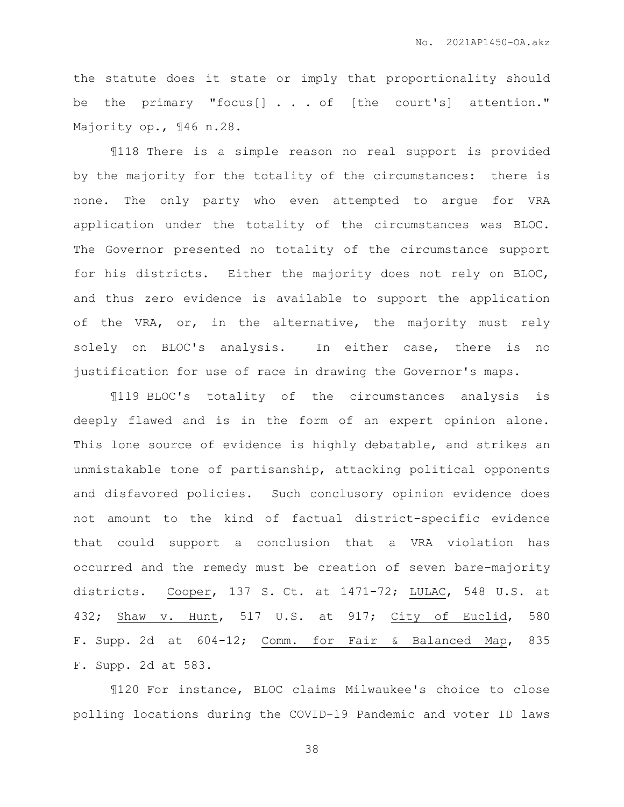the statute does it state or imply that proportionality should be the primary "focus[] . . . of [the court's] attention." Majority op., ¶46 n.28.

¶118 There is a simple reason no real support is provided by the majority for the totality of the circumstances: there is none. The only party who even attempted to argue for VRA application under the totality of the circumstances was BLOC. The Governor presented no totality of the circumstance support for his districts. Either the majority does not rely on BLOC, and thus zero evidence is available to support the application of the VRA, or, in the alternative, the majority must rely solely on BLOC's analysis. In either case, there is no justification for use of race in drawing the Governor's maps.

¶119 BLOC's totality of the circumstances analysis is deeply flawed and is in the form of an expert opinion alone. This lone source of evidence is highly debatable, and strikes an unmistakable tone of partisanship, attacking political opponents and disfavored policies. Such conclusory opinion evidence does not amount to the kind of factual district-specific evidence that could support a conclusion that a VRA violation has occurred and the remedy must be creation of seven bare-majority districts. Cooper, 137 S. Ct. at 1471-72; LULAC, 548 U.S. at 432; Shaw v. Hunt, 517 U.S. at 917; City of Euclid, 580 F. Supp. 2d at 604-12; Comm. for Fair & Balanced Map, 835 F. Supp. 2d at 583.

¶120 For instance, BLOC claims Milwaukee's choice to close polling locations during the COVID-19 Pandemic and voter ID laws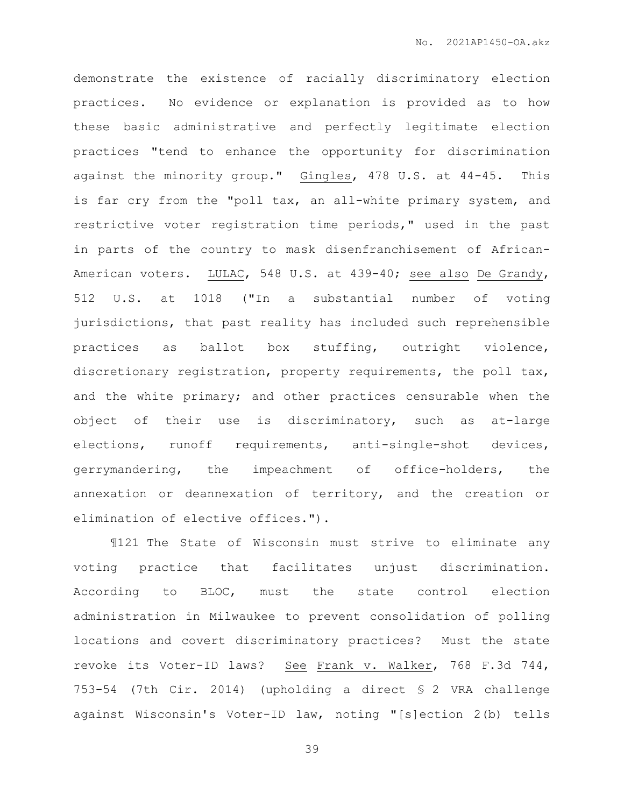demonstrate the existence of racially discriminatory election practices. No evidence or explanation is provided as to how these basic administrative and perfectly legitimate election practices "tend to enhance the opportunity for discrimination against the minority group." Gingles, 478 U.S. at 44-45. This is far cry from the "poll tax, an all-white primary system, and restrictive voter registration time periods," used in the past in parts of the country to mask disenfranchisement of African-American voters. LULAC, 548 U.S. at 439-40; see also De Grandy, 512 U.S. at 1018 ("In a substantial number of voting jurisdictions, that past reality has included such reprehensible practices as ballot box stuffing, outright violence, discretionary registration, property requirements, the poll tax, and the white primary; and other practices censurable when the object of their use is discriminatory, such as at-large elections, runoff requirements, anti-single-shot devices, gerrymandering, the impeachment of office-holders, the annexation or deannexation of territory, and the creation or elimination of elective offices.").

¶121 The State of Wisconsin must strive to eliminate any voting practice that facilitates unjust discrimination. According to BLOC, must the state control election administration in Milwaukee to prevent consolidation of polling locations and covert discriminatory practices? Must the state revoke its Voter-ID laws? See Frank v. Walker, 768 F.3d 744, 753-54 (7th Cir. 2014) (upholding a direct § 2 VRA challenge against Wisconsin's Voter-ID law, noting "[s]ection 2(b) tells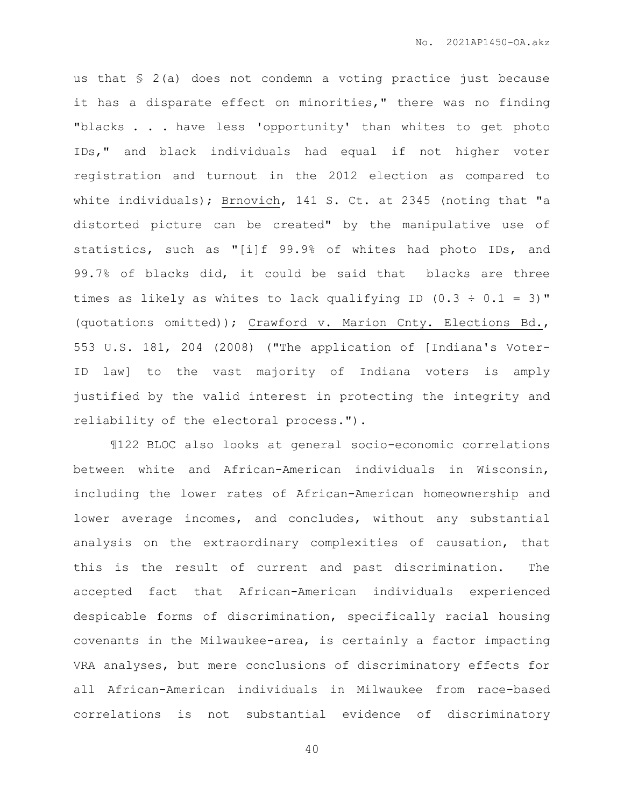us that § 2(a) does not condemn a voting practice just because it has a disparate effect on minorities," there was no finding "blacks . . . have less 'opportunity' than whites to get photo IDs," and black individuals had equal if not higher voter registration and turnout in the 2012 election as compared to white individuals); Brnovich, 141 S. Ct. at 2345 (noting that "a distorted picture can be created" by the manipulative use of statistics, such as "[i]f 99.9% of whites had photo IDs, and 99.7% of blacks did, it could be said that blacks are three times as likely as whites to lack qualifying ID  $(0.3 \div 0.1 = 3)$ " (quotations omitted)); Crawford v. Marion Cnty. Elections Bd., 553 U.S. 181, 204 (2008) ("The application of [Indiana's Voter-ID law] to the vast majority of Indiana voters is amply justified by the valid interest in protecting the integrity and reliability of the electoral process.").

¶122 BLOC also looks at general socio-economic correlations between white and African-American individuals in Wisconsin, including the lower rates of African-American homeownership and lower average incomes, and concludes, without any substantial analysis on the extraordinary complexities of causation, that this is the result of current and past discrimination. The accepted fact that African-American individuals experienced despicable forms of discrimination, specifically racial housing covenants in the Milwaukee-area, is certainly a factor impacting VRA analyses, but mere conclusions of discriminatory effects for all African-American individuals in Milwaukee from race-based correlations is not substantial evidence of discriminatory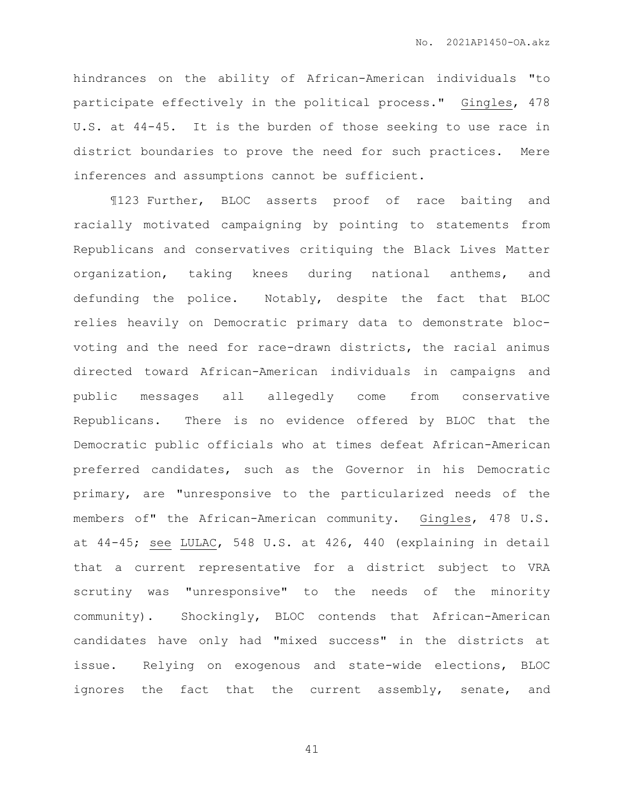hindrances on the ability of African-American individuals "to participate effectively in the political process." Gingles, 478 U.S. at 44-45. It is the burden of those seeking to use race in district boundaries to prove the need for such practices. Mere inferences and assumptions cannot be sufficient.

¶123 Further, BLOC asserts proof of race baiting and racially motivated campaigning by pointing to statements from Republicans and conservatives critiquing the Black Lives Matter organization, taking knees during national anthems, and defunding the police. Notably, despite the fact that BLOC relies heavily on Democratic primary data to demonstrate blocvoting and the need for race-drawn districts, the racial animus directed toward African-American individuals in campaigns and public messages all allegedly come from conservative Republicans. There is no evidence offered by BLOC that the Democratic public officials who at times defeat African-American preferred candidates, such as the Governor in his Democratic primary, are "unresponsive to the particularized needs of the members of" the African-American community. Gingles, 478 U.S. at 44-45; see LULAC, 548 U.S. at 426, 440 (explaining in detail that a current representative for a district subject to VRA scrutiny was "unresponsive" to the needs of the minority community). Shockingly, BLOC contends that African-American candidates have only had "mixed success" in the districts at issue. Relying on exogenous and state-wide elections, BLOC ignores the fact that the current assembly, senate, and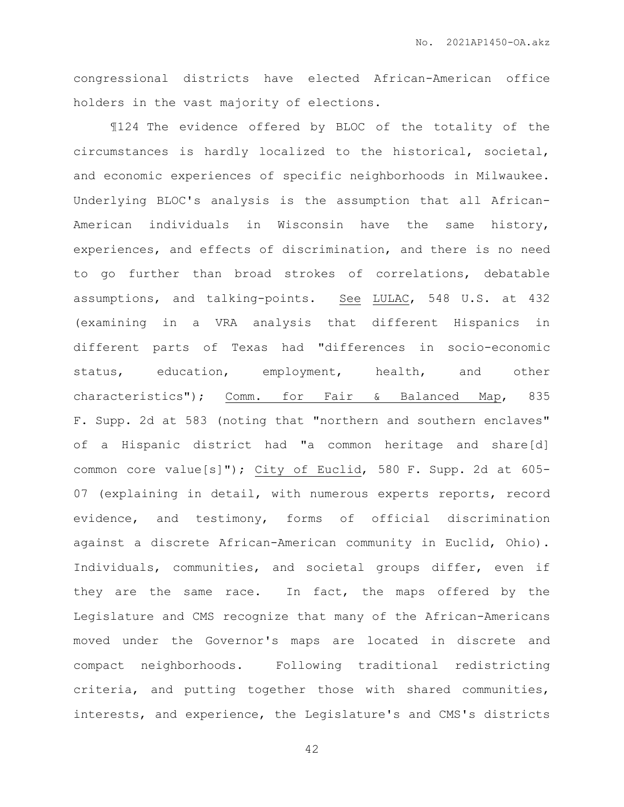congressional districts have elected African-American office holders in the vast majority of elections.

¶124 The evidence offered by BLOC of the totality of the circumstances is hardly localized to the historical, societal, and economic experiences of specific neighborhoods in Milwaukee. Underlying BLOC's analysis is the assumption that all African-American individuals in Wisconsin have the same history, experiences, and effects of discrimination, and there is no need to go further than broad strokes of correlations, debatable assumptions, and talking-points. See LULAC, 548 U.S. at 432 (examining in a VRA analysis that different Hispanics in different parts of Texas had "differences in socio-economic status, education, employment, health, and other characteristics"); Comm. for Fair & Balanced Map, 835 F. Supp. 2d at 583 (noting that "northern and southern enclaves" of a Hispanic district had "a common heritage and share[d] common core value[s]"); City of Euclid, 580 F. Supp. 2d at 605- 07 (explaining in detail, with numerous experts reports, record evidence, and testimony, forms of official discrimination against a discrete African-American community in Euclid, Ohio). Individuals, communities, and societal groups differ, even if they are the same race. In fact, the maps offered by the Legislature and CMS recognize that many of the African-Americans moved under the Governor's maps are located in discrete and compact neighborhoods. Following traditional redistricting criteria, and putting together those with shared communities, interests, and experience, the Legislature's and CMS's districts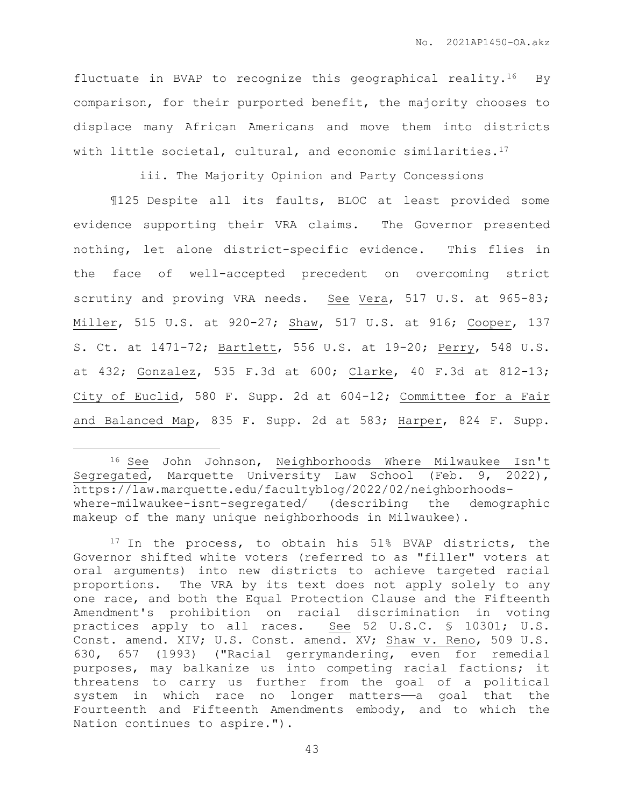fluctuate in BVAP to recognize this geographical reality.<sup>16</sup> By comparison, for their purported benefit, the majority chooses to displace many African Americans and move them into districts with little societal, cultural, and economic similarities.<sup>17</sup>

iii. The Majority Opinion and Party Concessions

¶125 Despite all its faults, BLOC at least provided some evidence supporting their VRA claims. The Governor presented nothing, let alone district-specific evidence. This flies in the face of well-accepted precedent on overcoming strict scrutiny and proving VRA needs. See Vera, 517 U.S. at 965-83; Miller, 515 U.S. at 920-27; Shaw, 517 U.S. at 916; Cooper, 137 S. Ct. at 1471-72; Bartlett, 556 U.S. at 19-20; Perry, 548 U.S. at 432; Gonzalez, 535 F.3d at 600; Clarke, 40 F.3d at 812-13; City of Euclid, 580 F. Supp. 2d at 604-12; Committee for a Fair and Balanced Map, 835 F. Supp. 2d at 583; Harper, 824 F. Supp.

<sup>16</sup> See John Johnson, Neighborhoods Where Milwaukee Isn't Segregated, Marquette University Law School (Feb. 9, 2022), https://law.marquette.edu/facultyblog/2022/02/neighborhoodswhere-milwaukee-isnt-segregated/ (describing the demographic makeup of the many unique neighborhoods in Milwaukee).

 $\overline{a}$ 

<sup>17</sup> In the process, to obtain his 51% BVAP districts, the Governor shifted white voters (referred to as "filler" voters at oral arguments) into new districts to achieve targeted racial proportions. The VRA by its text does not apply solely to any one race, and both the Equal Protection Clause and the Fifteenth Amendment's prohibition on racial discrimination in voting practices apply to all races. See 52 U.S.C. § 10301; U.S. Const. amend. XIV; U.S. Const. amend. XV; Shaw v. Reno, 509 U.S. 630, 657 (1993) ("Racial gerrymandering, even for remedial purposes, may balkanize us into competing racial factions; it threatens to carry us further from the goal of a political system in which race no longer matters—a goal that the Fourteenth and Fifteenth Amendments embody, and to which the Nation continues to aspire.").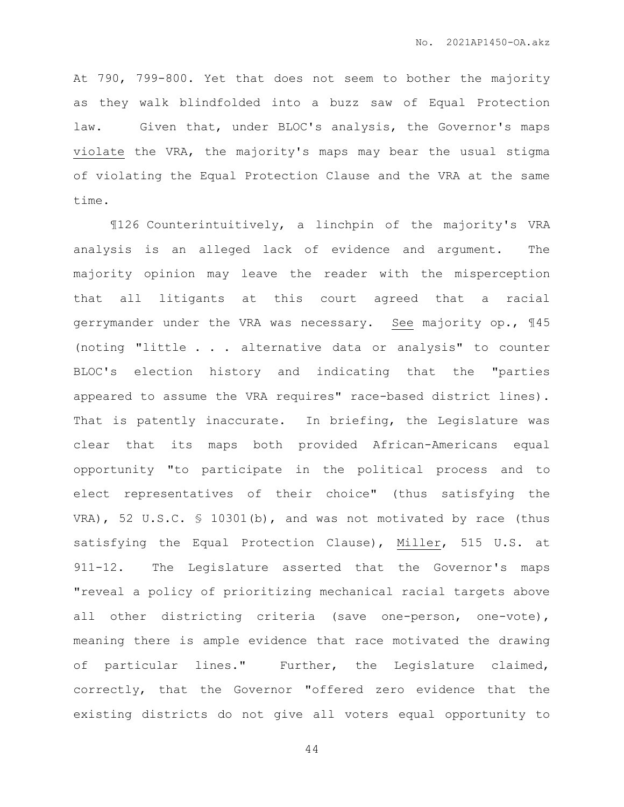At 790, 799-800. Yet that does not seem to bother the majority as they walk blindfolded into a buzz saw of Equal Protection law. Given that, under BLOC's analysis, the Governor's maps violate the VRA, the majority's maps may bear the usual stigma of violating the Equal Protection Clause and the VRA at the same time.

¶126 Counterintuitively, a linchpin of the majority's VRA analysis is an alleged lack of evidence and argument. The majority opinion may leave the reader with the misperception that all litigants at this court agreed that a racial gerrymander under the VRA was necessary. See majority op., ¶45 (noting "little . . . alternative data or analysis" to counter BLOC's election history and indicating that the "parties appeared to assume the VRA requires" race-based district lines). That is patently inaccurate. In briefing, the Legislature was clear that its maps both provided African-Americans equal opportunity "to participate in the political process and to elect representatives of their choice" (thus satisfying the VRA), 52 U.S.C. § 10301(b), and was not motivated by race (thus satisfying the Equal Protection Clause), Miller, 515 U.S. at 911-12. The Legislature asserted that the Governor's maps "reveal a policy of prioritizing mechanical racial targets above all other districting criteria (save one-person, one-vote), meaning there is ample evidence that race motivated the drawing of particular lines." Further, the Legislature claimed, correctly, that the Governor "offered zero evidence that the existing districts do not give all voters equal opportunity to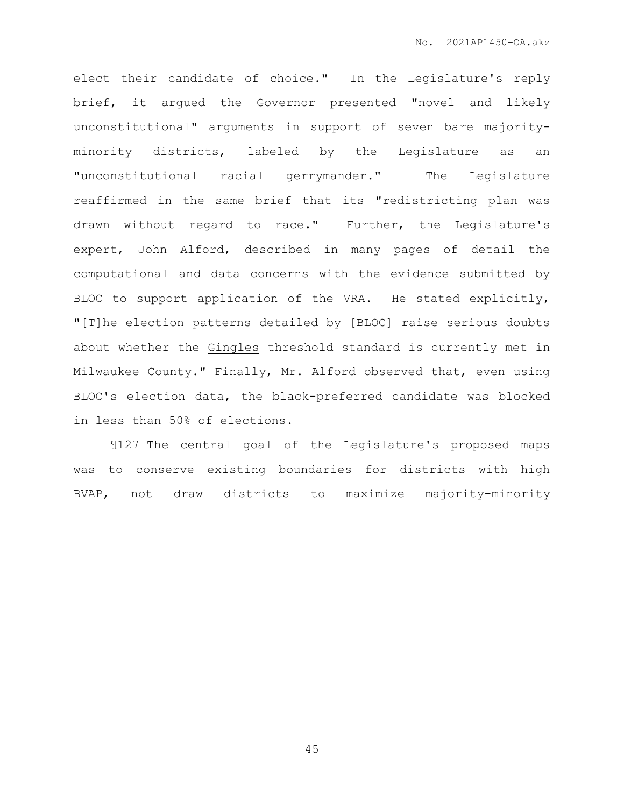elect their candidate of choice." In the Legislature's reply brief, it argued the Governor presented "novel and likely unconstitutional" arguments in support of seven bare majorityminority districts, labeled by the Legislature as an "unconstitutional racial gerrymander." The Legislature reaffirmed in the same brief that its "redistricting plan was drawn without regard to race." Further, the Legislature's expert, John Alford, described in many pages of detail the computational and data concerns with the evidence submitted by BLOC to support application of the VRA. He stated explicitly, "[T]he election patterns detailed by [BLOC] raise serious doubts about whether the Gingles threshold standard is currently met in Milwaukee County." Finally, Mr. Alford observed that, even using BLOC's election data, the black-preferred candidate was blocked in less than 50% of elections.

¶127 The central goal of the Legislature's proposed maps was to conserve existing boundaries for districts with high BVAP, not draw districts to maximize majority-minority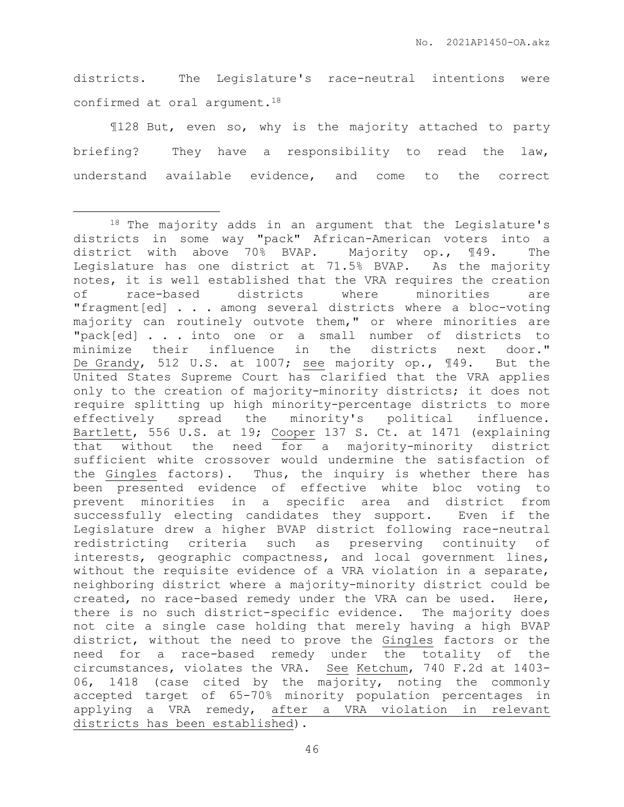districts. The Legislature's race-neutral intentions were confirmed at oral argument.<sup>18</sup>

¶128 But, even so, why is the majority attached to party briefing? They have a responsibility to read the law, understand available evidence, and come to the correct

 $\overline{a}$ 

<sup>18</sup> The majority adds in an argument that the Legislature's districts in some way "pack" African-American voters into a district with above 70% BVAP. Majority op., ¶49. The Legislature has one district at 71.5% BVAP. As the majority notes, it is well established that the VRA requires the creation of race-based districts where minorities are "fragment[ed] . . . among several districts where a bloc-voting majority can routinely outvote them," or where minorities are "pack[ed] . . . into one or a small number of districts to minimize their influence in the districts next door." De Grandy, 512 U.S. at 1007; see majority op., 149. But the United States Supreme Court has clarified that the VRA applies only to the creation of majority-minority districts; it does not require splitting up high minority-percentage districts to more effectively spread the minority's political influence. Bartlett, 556 U.S. at 19; Cooper 137 S. Ct. at 1471 (explaining that without the need for a majority-minority district sufficient white crossover would undermine the satisfaction of the Gingles factors). Thus, the inquiry is whether there has been presented evidence of effective white bloc voting to prevent minorities in a specific area and district from successfully electing candidates they support. Even if the Legislature drew a higher BVAP district following race-neutral redistricting criteria such as preserving continuity of interests, geographic compactness, and local government lines, without the requisite evidence of a VRA violation in a separate, neighboring district where a majority-minority district could be created, no race-based remedy under the VRA can be used. Here, there is no such district-specific evidence. The majority does not cite a single case holding that merely having a high BVAP district, without the need to prove the Gingles factors or the need for a race-based remedy under the totality of the circumstances, violates the VRA. See Ketchum, 740 F.2d at 1403- 06, 1418 (case cited by the majority, noting the commonly accepted target of 65-70% minority population percentages in applying a VRA remedy, after a VRA violation in relevant districts has been established).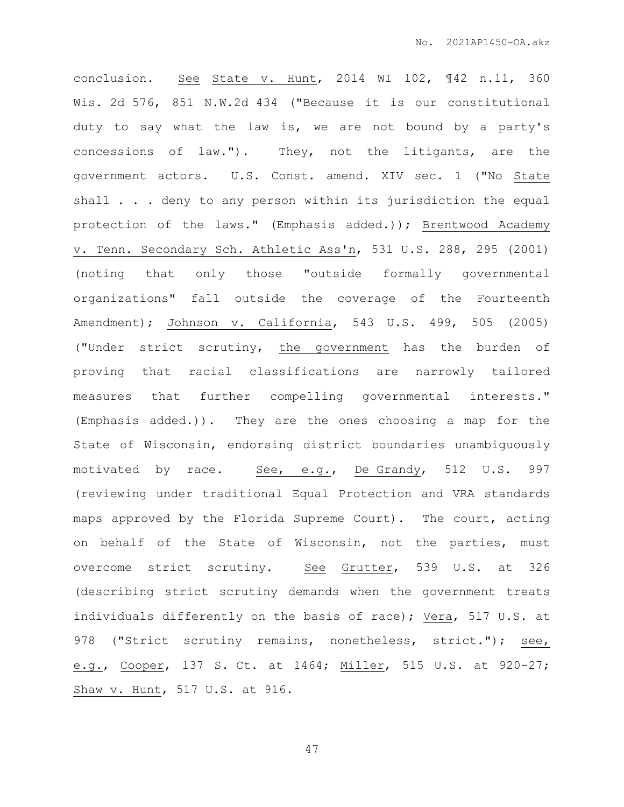conclusion. See State v. Hunt, 2014 WI 102, ¶42 n.11, 360 Wis. 2d 576, 851 N.W.2d 434 ("Because it is our constitutional duty to say what the law is, we are not bound by a party's concessions of law."). They, not the litigants, are the government actors. U.S. Const. amend. XIV sec. 1 ("No State shall . . . deny to any person within its jurisdiction the equal protection of the laws." (Emphasis added.)); Brentwood Academy v. Tenn. Secondary Sch. Athletic Ass'n, 531 U.S. 288, 295 (2001) (noting that only those "outside formally governmental organizations" fall outside the coverage of the Fourteenth Amendment); Johnson v. California, 543 U.S. 499, 505 (2005) ("Under strict scrutiny, the government has the burden of proving that racial classifications are narrowly tailored measures that further compelling governmental interests." (Emphasis added.)). They are the ones choosing a map for the State of Wisconsin, endorsing district boundaries unambiguously motivated by race. See, e.g., De Grandy, 512 U.S. 997 (reviewing under traditional Equal Protection and VRA standards maps approved by the Florida Supreme Court). The court, acting on behalf of the State of Wisconsin, not the parties, must overcome strict scrutiny. See Grutter, 539 U.S. at 326 (describing strict scrutiny demands when the government treats individuals differently on the basis of race); Vera, 517 U.S. at 978 ("Strict scrutiny remains, nonetheless, strict."); see, e.g., Cooper, 137 S. Ct. at 1464; Miller, 515 U.S. at 920-27; Shaw v. Hunt, 517 U.S. at 916.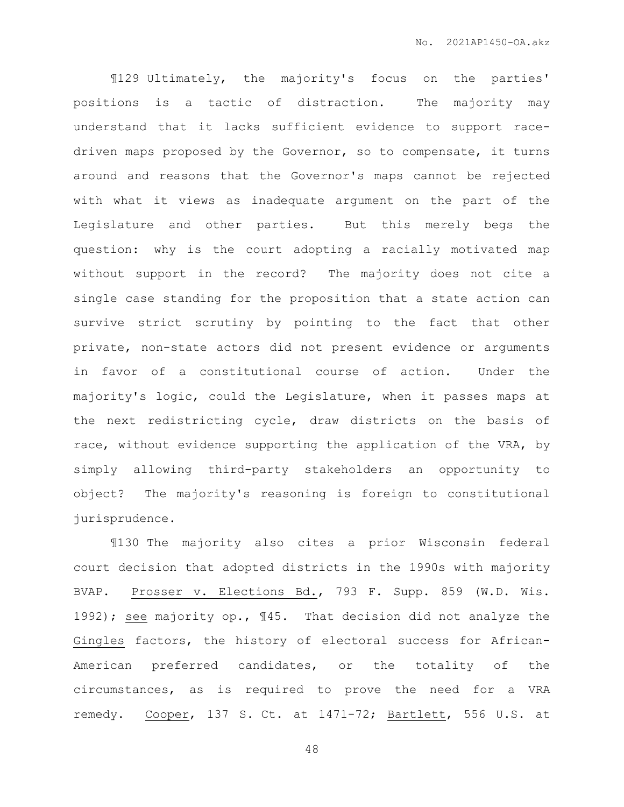¶129 Ultimately, the majority's focus on the parties' positions is a tactic of distraction. The majority may understand that it lacks sufficient evidence to support racedriven maps proposed by the Governor, so to compensate, it turns around and reasons that the Governor's maps cannot be rejected with what it views as inadequate argument on the part of the Legislature and other parties. But this merely begs the question: why is the court adopting a racially motivated map without support in the record? The majority does not cite a single case standing for the proposition that a state action can survive strict scrutiny by pointing to the fact that other private, non-state actors did not present evidence or arguments in favor of a constitutional course of action. Under the majority's logic, could the Legislature, when it passes maps at the next redistricting cycle, draw districts on the basis of race, without evidence supporting the application of the VRA, by simply allowing third-party stakeholders an opportunity to object? The majority's reasoning is foreign to constitutional jurisprudence.

¶130 The majority also cites a prior Wisconsin federal court decision that adopted districts in the 1990s with majority BVAP. Prosser v. Elections Bd., 793 F. Supp. 859 (W.D. Wis. 1992); see majority op., ¶45. That decision did not analyze the Gingles factors, the history of electoral success for African-American preferred candidates, or the totality of the circumstances, as is required to prove the need for a VRA remedy. Cooper, 137 S. Ct. at 1471-72; Bartlett, 556 U.S. at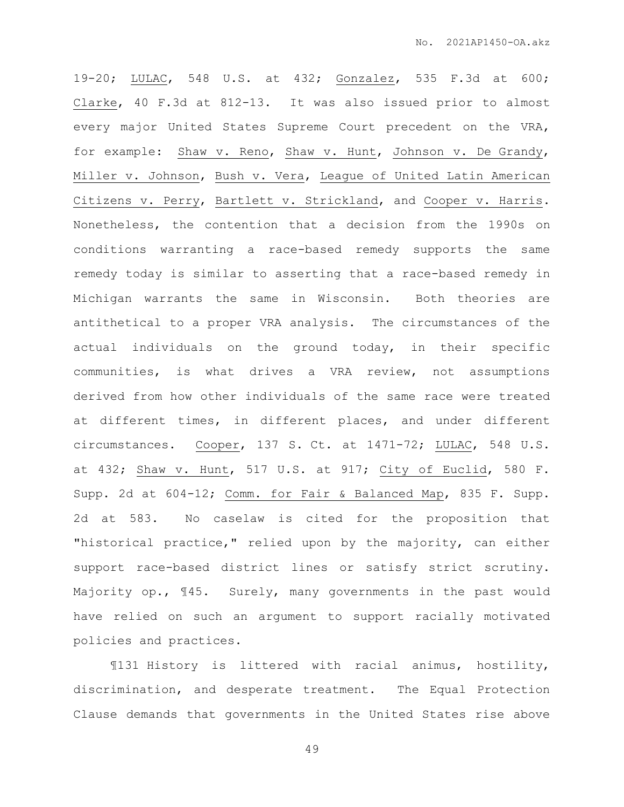19-20; LULAC, 548 U.S. at 432; Gonzalez, 535 F.3d at 600; Clarke, 40 F.3d at 812-13. It was also issued prior to almost every major United States Supreme Court precedent on the VRA, for example: Shaw v. Reno, Shaw v. Hunt, Johnson v. De Grandy, Miller v. Johnson, Bush v. Vera, League of United Latin American Citizens v. Perry, Bartlett v. Strickland, and Cooper v. Harris. Nonetheless, the contention that a decision from the 1990s on conditions warranting a race-based remedy supports the same remedy today is similar to asserting that a race-based remedy in Michigan warrants the same in Wisconsin. Both theories are antithetical to a proper VRA analysis. The circumstances of the actual individuals on the ground today, in their specific communities, is what drives a VRA review, not assumptions derived from how other individuals of the same race were treated at different times, in different places, and under different circumstances. Cooper, 137 S. Ct. at 1471-72; LULAC, 548 U.S. at 432; Shaw v. Hunt, 517 U.S. at 917; City of Euclid, 580 F. Supp. 2d at 604-12; Comm. for Fair & Balanced Map, 835 F. Supp. 2d at 583. No caselaw is cited for the proposition that "historical practice," relied upon by the majority, can either support race-based district lines or satisfy strict scrutiny. Majority op., ¶45. Surely, many governments in the past would have relied on such an argument to support racially motivated policies and practices.

¶131 History is littered with racial animus, hostility, discrimination, and desperate treatment. The Equal Protection Clause demands that governments in the United States rise above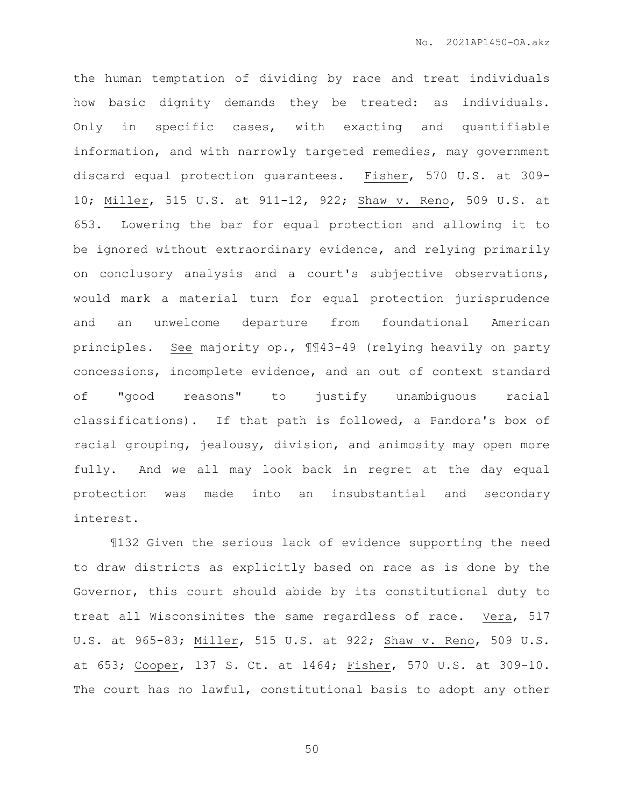the human temptation of dividing by race and treat individuals how basic dignity demands they be treated: as individuals. Only in specific cases, with exacting and quantifiable information, and with narrowly targeted remedies, may government discard equal protection guarantees. Fisher, 570 U.S. at 309- 10; Miller, 515 U.S. at 911-12, 922; Shaw v. Reno, 509 U.S. at 653. Lowering the bar for equal protection and allowing it to be ignored without extraordinary evidence, and relying primarily on conclusory analysis and a court's subjective observations, would mark a material turn for equal protection jurisprudence and an unwelcome departure from foundational American principles. See majority op., ¶¶43-49 (relying heavily on party concessions, incomplete evidence, and an out of context standard of "good reasons" to justify unambiguous racial classifications). If that path is followed, a Pandora's box of racial grouping, jealousy, division, and animosity may open more fully. And we all may look back in regret at the day equal protection was made into an insubstantial and secondary interest.

¶132 Given the serious lack of evidence supporting the need to draw districts as explicitly based on race as is done by the Governor, this court should abide by its constitutional duty to treat all Wisconsinites the same regardless of race. Vera, 517 U.S. at 965-83; Miller, 515 U.S. at 922; Shaw v. Reno, 509 U.S. at 653; Cooper, 137 S. Ct. at 1464; Fisher, 570 U.S. at 309-10. The court has no lawful, constitutional basis to adopt any other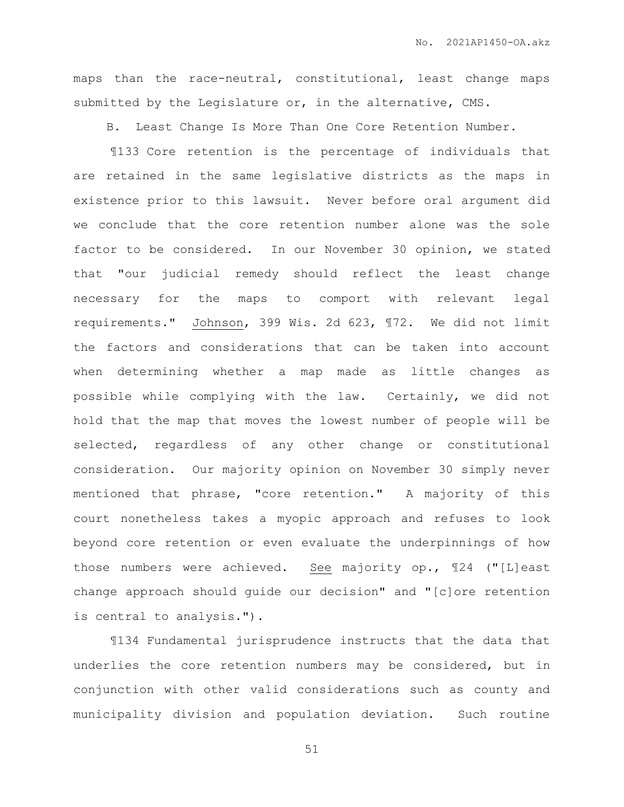maps than the race-neutral, constitutional, least change maps submitted by the Legislature or, in the alternative, CMS.

B. Least Change Is More Than One Core Retention Number.

¶133 Core retention is the percentage of individuals that are retained in the same legislative districts as the maps in existence prior to this lawsuit. Never before oral argument did we conclude that the core retention number alone was the sole factor to be considered. In our November 30 opinion, we stated that "our judicial remedy should reflect the least change necessary for the maps to comport with relevant legal requirements." Johnson, 399 Wis. 2d 623, ¶72. We did not limit the factors and considerations that can be taken into account when determining whether a map made as little changes as possible while complying with the law. Certainly, we did not hold that the map that moves the lowest number of people will be selected, regardless of any other change or constitutional consideration. Our majority opinion on November 30 simply never mentioned that phrase, "core retention." A majority of this court nonetheless takes a myopic approach and refuses to look beyond core retention or even evaluate the underpinnings of how those numbers were achieved. See majority op., ¶24 ("[L]east change approach should guide our decision" and "[c]ore retention is central to analysis.").

¶134 Fundamental jurisprudence instructs that the data that underlies the core retention numbers may be considered, but in conjunction with other valid considerations such as county and municipality division and population deviation. Such routine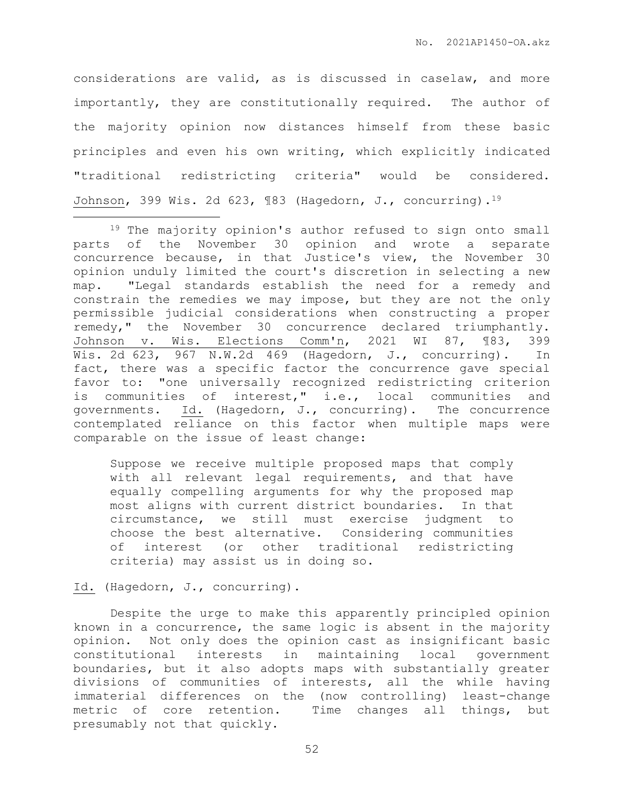considerations are valid, as is discussed in caselaw, and more importantly, they are constitutionally required. The author of the majority opinion now distances himself from these basic principles and even his own writing, which explicitly indicated "traditional redistricting criteria" would be considered. Johnson, 399 Wis. 2d 623, ¶83 (Hagedorn, J., concurring).<sup>19</sup>

Suppose we receive multiple proposed maps that comply with all relevant legal requirements, and that have equally compelling arguments for why the proposed map most aligns with current district boundaries. In that circumstance, we still must exercise judgment to choose the best alternative. Considering communities of interest (or other traditional redistricting criteria) may assist us in doing so.

## Id. (Hagedorn, J., concurring).

 $\overline{a}$ 

Despite the urge to make this apparently principled opinion known in a concurrence, the same logic is absent in the majority opinion. Not only does the opinion cast as insignificant basic constitutional interests in maintaining local government boundaries, but it also adopts maps with substantially greater divisions of communities of interests, all the while having immaterial differences on the (now controlling) least-change metric of core retention. Time changes all things, but presumably not that quickly.

<sup>19</sup> The majority opinion's author refused to sign onto small parts of the November 30 opinion and wrote a separate concurrence because, in that Justice's view, the November 30 opinion unduly limited the court's discretion in selecting a new map. "Legal standards establish the need for a remedy and constrain the remedies we may impose, but they are not the only permissible judicial considerations when constructing a proper remedy," the November 30 concurrence declared triumphantly. Johnson v. Wis. Elections Comm'n, 2021 WI 87, ¶83, 399  $\overline{W}$ is. 2d 623, 967 N.W.2d 469 (Hagedorn, J., concurring). In fact, there was a specific factor the concurrence gave special favor to: "one universally recognized redistricting criterion is communities of interest," i.e., local communities and governments. Id. (Hagedorn, J., concurring). The concurrence contemplated reliance on this factor when multiple maps were comparable on the issue of least change: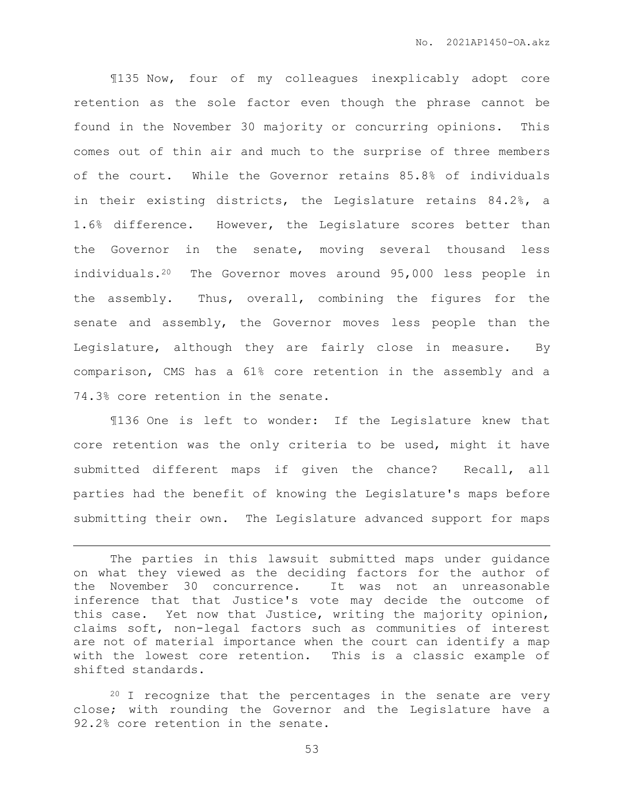¶135 Now, four of my colleagues inexplicably adopt core retention as the sole factor even though the phrase cannot be found in the November 30 majority or concurring opinions. This comes out of thin air and much to the surprise of three members of the court. While the Governor retains 85.8% of individuals in their existing districts, the Legislature retains 84.2%, a 1.6% difference. However, the Legislature scores better than the Governor in the senate, moving several thousand less individuals.<sup>20</sup> The Governor moves around 95,000 less people in the assembly. Thus, overall, combining the figures for the senate and assembly, the Governor moves less people than the Legislature, although they are fairly close in measure. By comparison, CMS has a 61% core retention in the assembly and a 74.3% core retention in the senate.

¶136 One is left to wonder: If the Legislature knew that core retention was the only criteria to be used, might it have submitted different maps if given the chance? Recall, all parties had the benefit of knowing the Legislature's maps before submitting their own. The Legislature advanced support for maps

 $\overline{a}$ 

 $20$  I recognize that the percentages in the senate are very close; with rounding the Governor and the Legislature have a 92.2% core retention in the senate.

The parties in this lawsuit submitted maps under guidance on what they viewed as the deciding factors for the author of the November 30 concurrence. It was not an unreasonable inference that that Justice's vote may decide the outcome of this case. Yet now that Justice, writing the majority opinion, claims soft, non-legal factors such as communities of interest are not of material importance when the court can identify a map with the lowest core retention. This is a classic example of shifted standards.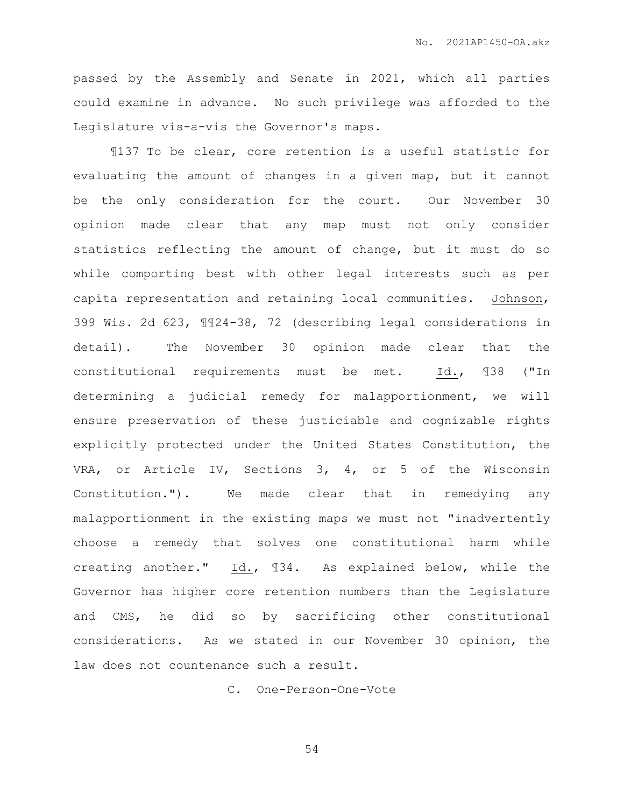passed by the Assembly and Senate in 2021, which all parties could examine in advance. No such privilege was afforded to the Legislature vis-a-vis the Governor's maps.

¶137 To be clear, core retention is a useful statistic for evaluating the amount of changes in a given map, but it cannot be the only consideration for the court. Our November 30 opinion made clear that any map must not only consider statistics reflecting the amount of change, but it must do so while comporting best with other legal interests such as per capita representation and retaining local communities. Johnson, 399 Wis. 2d 623, ¶¶24-38, 72 (describing legal considerations in detail). The November 30 opinion made clear that the constitutional requirements must be met. Id., ¶38 ("In determining a judicial remedy for malapportionment, we will ensure preservation of these justiciable and cognizable rights explicitly protected under the United States Constitution, the VRA, or Article IV, Sections 3, 4, or 5 of the Wisconsin Constitution."). We made clear that in remedying any malapportionment in the existing maps we must not "inadvertently choose a remedy that solves one constitutional harm while creating another." Id., ¶34. As explained below, while the Governor has higher core retention numbers than the Legislature and CMS, he did so by sacrificing other constitutional considerations. As we stated in our November 30 opinion, the law does not countenance such a result.

C. One-Person-One-Vote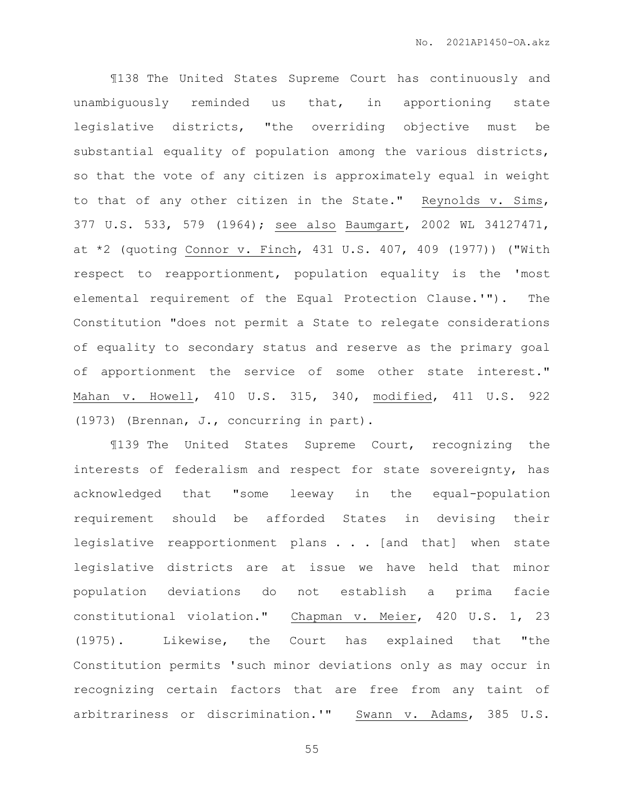¶138 The United States Supreme Court has continuously and unambiguously reminded us that, in apportioning state legislative districts, "the overriding objective must be substantial equality of population among the various districts, so that the vote of any citizen is approximately equal in weight to that of any other citizen in the State." Reynolds v. Sims, 377 U.S. 533, 579 (1964); see also Baumgart, 2002 WL 34127471, at \*2 (quoting Connor v. Finch, 431 U.S. 407, 409 (1977)) ("With respect to reapportionment, population equality is the 'most elemental requirement of the Equal Protection Clause.'"). The Constitution "does not permit a State to relegate considerations of equality to secondary status and reserve as the primary goal of apportionment the service of some other state interest." Mahan v. Howell, 410 U.S. 315, 340, modified, 411 U.S. 922 (1973) (Brennan, J., concurring in part).

¶139 The United States Supreme Court, recognizing the interests of federalism and respect for state sovereignty, has acknowledged that "some leeway in the equal-population requirement should be afforded States in devising their legislative reapportionment plans . . . [and that] when state legislative districts are at issue we have held that minor population deviations do not establish a prima facie constitutional violation." Chapman v. Meier, 420 U.S. 1, 23 (1975). Likewise, the Court has explained that "the Constitution permits 'such minor deviations only as may occur in recognizing certain factors that are free from any taint of arbitrariness or discrimination.'" Swann v. Adams, 385 U.S.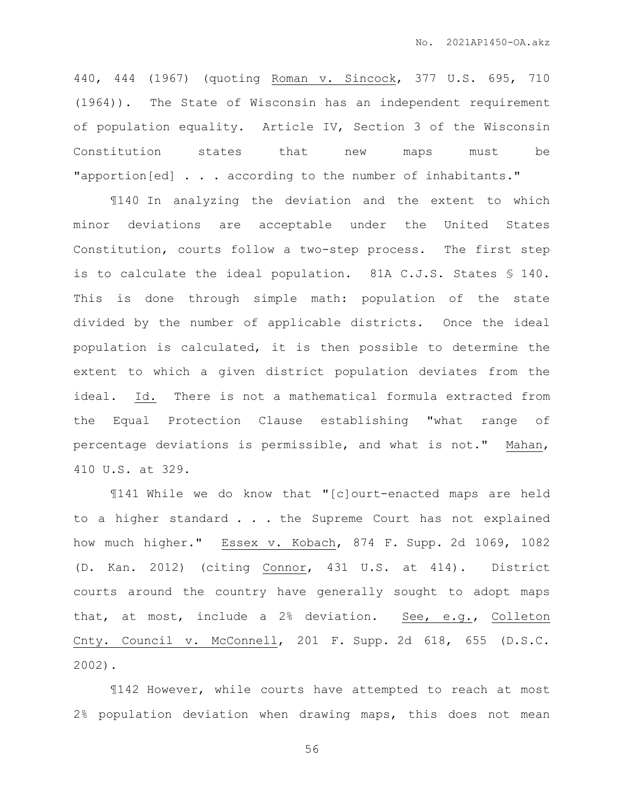440, 444 (1967) (quoting Roman v. Sincock, 377 U.S. 695, 710 (1964)). The State of Wisconsin has an independent requirement of population equality. Article IV, Section 3 of the Wisconsin Constitution states that new maps must be "apportion[ed] . . . according to the number of inhabitants."

¶140 In analyzing the deviation and the extent to which minor deviations are acceptable under the United States Constitution, courts follow a two-step process. The first step is to calculate the ideal population. 81A C.J.S. States § 140. This is done through simple math: population of the state divided by the number of applicable districts. Once the ideal population is calculated, it is then possible to determine the extent to which a given district population deviates from the ideal. Id. There is not a mathematical formula extracted from the Equal Protection Clause establishing "what range of percentage deviations is permissible, and what is not." Mahan, 410 U.S. at 329.

¶141 While we do know that "[c]ourt-enacted maps are held to a higher standard . . . the Supreme Court has not explained how much higher." Essex v. Kobach, 874 F. Supp. 2d 1069, 1082 (D. Kan. 2012) (citing Connor, 431 U.S. at 414). District courts around the country have generally sought to adopt maps that, at most, include a 2% deviation. See, e.g., Colleton Cnty. Council v. McConnell, 201 F. Supp. 2d 618, 655 (D.S.C. 2002).

¶142 However, while courts have attempted to reach at most 2% population deviation when drawing maps, this does not mean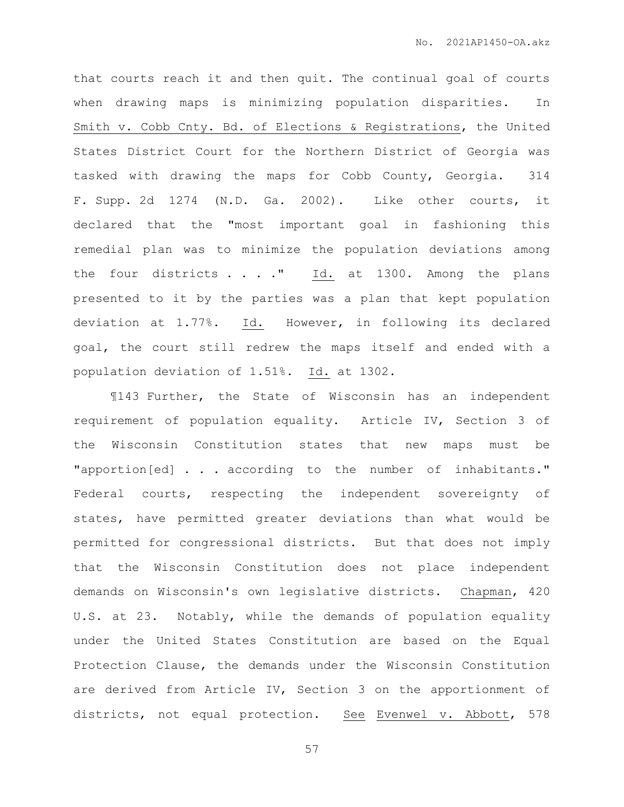that courts reach it and then quit. The continual goal of courts when drawing maps is minimizing population disparities. In Smith v. Cobb Cnty. Bd. of Elections & Registrations, the United States District Court for the Northern District of Georgia was tasked with drawing the maps for Cobb County, Georgia. 314 F. Supp. 2d 1274 (N.D. Ga. 2002). Like other courts, it declared that the "most important goal in fashioning this remedial plan was to minimize the population deviations among the four districts . . . . " Id. at 1300. Among the plans presented to it by the parties was a plan that kept population deviation at 1.77%. Id. However, in following its declared goal, the court still redrew the maps itself and ended with a population deviation of 1.51%. Id. at 1302.

¶143 Further, the State of Wisconsin has an independent requirement of population equality. Article IV, Section 3 of the Wisconsin Constitution states that new maps must be "apportion[ed] . . . according to the number of inhabitants." Federal courts, respecting the independent sovereignty of states, have permitted greater deviations than what would be permitted for congressional districts. But that does not imply that the Wisconsin Constitution does not place independent demands on Wisconsin's own legislative districts. Chapman, 420 U.S. at 23. Notably, while the demands of population equality under the United States Constitution are based on the Equal Protection Clause, the demands under the Wisconsin Constitution are derived from Article IV, Section 3 on the apportionment of districts, not equal protection. See Evenwel v. Abbott, 578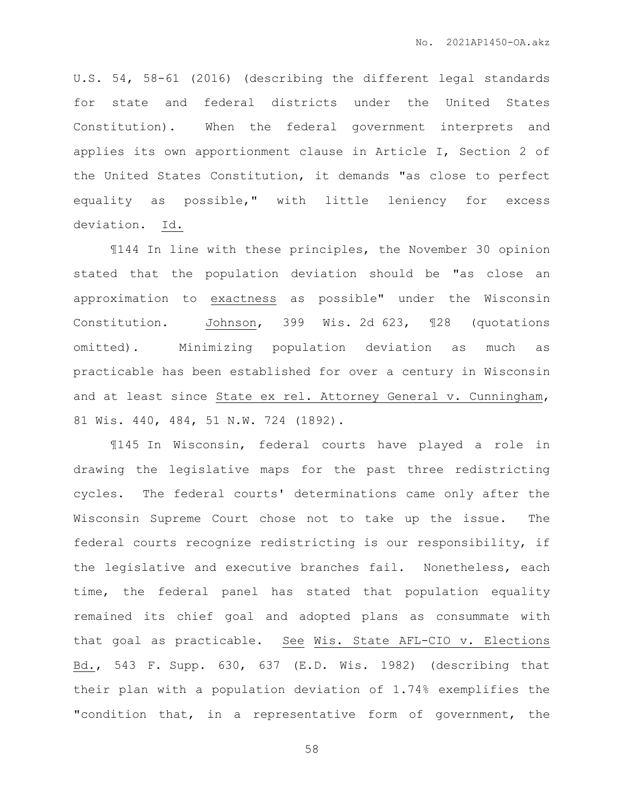U.S. 54, 58-61 (2016) (describing the different legal standards for state and federal districts under the United States Constitution). When the federal government interprets and applies its own apportionment clause in Article I, Section 2 of the United States Constitution, it demands "as close to perfect equality as possible," with little leniency for excess deviation. Id.

¶144 In line with these principles, the November 30 opinion stated that the population deviation should be "as close an approximation to exactness as possible" under the Wisconsin Constitution. Johnson, 399 Wis. 2d 623, ¶28 (quotations omitted). Minimizing population deviation as much as practicable has been established for over a century in Wisconsin and at least since State ex rel. Attorney General v. Cunningham, 81 Wis. 440, 484, 51 N.W. 724 (1892).

¶145 In Wisconsin, federal courts have played a role in drawing the legislative maps for the past three redistricting cycles. The federal courts' determinations came only after the Wisconsin Supreme Court chose not to take up the issue. The federal courts recognize redistricting is our responsibility, if the legislative and executive branches fail. Nonetheless, each time, the federal panel has stated that population equality remained its chief goal and adopted plans as consummate with that goal as practicable. See Wis. State AFL-CIO v. Elections Bd., 543 F. Supp. 630, 637 (E.D. Wis. 1982) (describing that their plan with a population deviation of 1.74% exemplifies the "condition that, in a representative form of government, the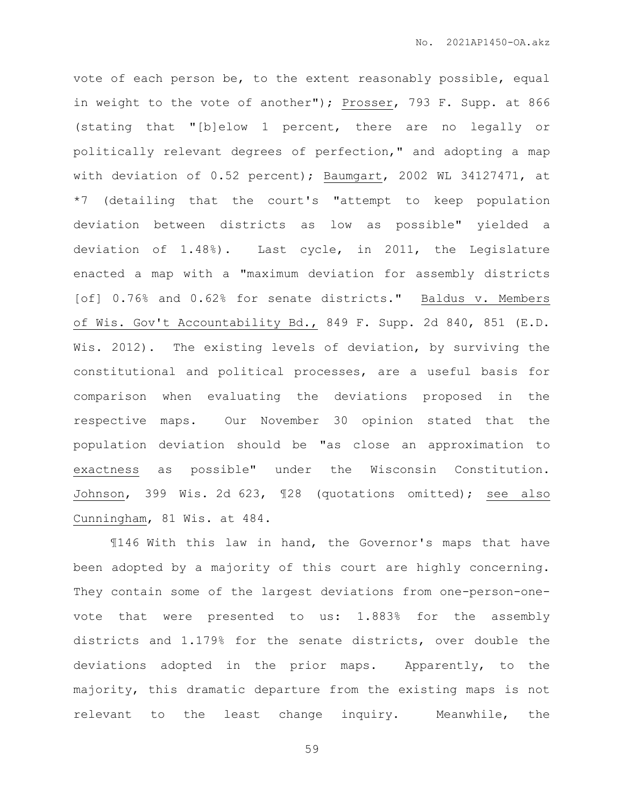vote of each person be, to the extent reasonably possible, equal in weight to the vote of another"); Prosser, 793 F. Supp. at 866 (stating that "[b]elow 1 percent, there are no legally or politically relevant degrees of perfection," and adopting a map with deviation of 0.52 percent); Baumgart, 2002 WL 34127471, at \*7 (detailing that the court's "attempt to keep population deviation between districts as low as possible" yielded a deviation of 1.48%). Last cycle, in 2011, the Legislature enacted a map with a "maximum deviation for assembly districts [of] 0.76% and 0.62% for senate districts." Baldus v. Members of Wis. Gov't Accountability Bd., 849 F. Supp. 2d 840, 851 (E.D. Wis. 2012). The existing levels of deviation, by surviving the constitutional and political processes, are a useful basis for comparison when evaluating the deviations proposed in the respective maps. Our November 30 opinion stated that the population deviation should be "as close an approximation to exactness as possible" under the Wisconsin Constitution. Johnson, 399 Wis. 2d 623, ¶28 (quotations omitted); see also Cunningham, 81 Wis. at 484.

¶146 With this law in hand, the Governor's maps that have been adopted by a majority of this court are highly concerning. They contain some of the largest deviations from one-person-onevote that were presented to us: 1.883% for the assembly districts and 1.179% for the senate districts, over double the deviations adopted in the prior maps. Apparently, to the majority, this dramatic departure from the existing maps is not relevant to the least change inquiry. Meanwhile, the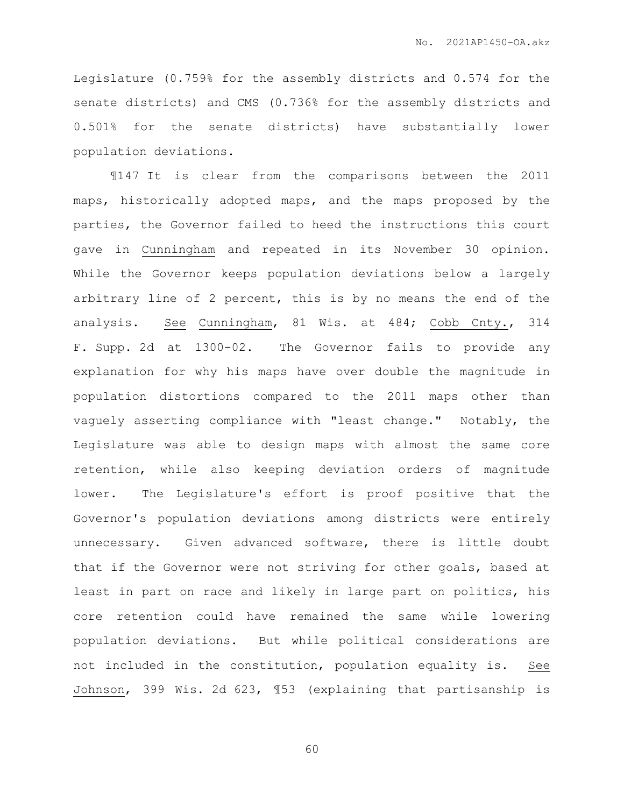Legislature (0.759% for the assembly districts and 0.574 for the senate districts) and CMS (0.736% for the assembly districts and 0.501% for the senate districts) have substantially lower population deviations.

¶147 It is clear from the comparisons between the 2011 maps, historically adopted maps, and the maps proposed by the parties, the Governor failed to heed the instructions this court gave in Cunningham and repeated in its November 30 opinion. While the Governor keeps population deviations below a largely arbitrary line of 2 percent, this is by no means the end of the analysis. See Cunningham, 81 Wis. at 484; Cobb Cnty., 314 F. Supp. 2d at 1300-02. The Governor fails to provide any explanation for why his maps have over double the magnitude in population distortions compared to the 2011 maps other than vaguely asserting compliance with "least change." Notably, the Legislature was able to design maps with almost the same core retention, while also keeping deviation orders of magnitude lower. The Legislature's effort is proof positive that the Governor's population deviations among districts were entirely unnecessary. Given advanced software, there is little doubt that if the Governor were not striving for other goals, based at least in part on race and likely in large part on politics, his core retention could have remained the same while lowering population deviations. But while political considerations are not included in the constitution, population equality is. See Johnson, 399 Wis. 2d 623, ¶53 (explaining that partisanship is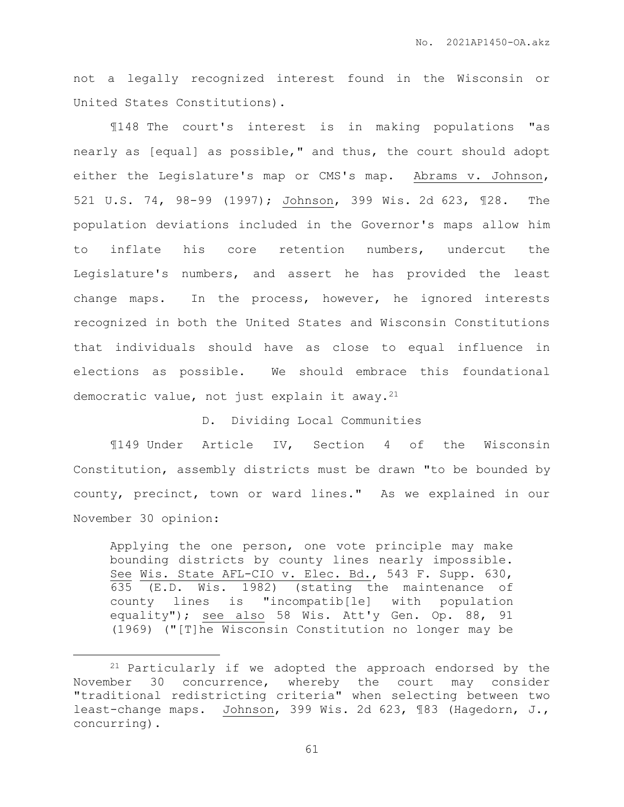not a legally recognized interest found in the Wisconsin or United States Constitutions).

¶148 The court's interest is in making populations "as nearly as [equal] as possible," and thus, the court should adopt either the Legislature's map or CMS's map. Abrams v. Johnson, 521 U.S. 74, 98-99 (1997); Johnson, 399 Wis. 2d 623, ¶28. The population deviations included in the Governor's maps allow him to inflate his core retention numbers, undercut the Legislature's numbers, and assert he has provided the least change maps. In the process, however, he ignored interests recognized in both the United States and Wisconsin Constitutions that individuals should have as close to equal influence in elections as possible. We should embrace this foundational democratic value, not just explain it away.<sup>21</sup>

# D. Dividing Local Communities

¶149 Under Article IV, Section 4 of the Wisconsin Constitution, assembly districts must be drawn "to be bounded by county, precinct, town or ward lines." As we explained in our November 30 opinion:

Applying the one person, one vote principle may make bounding districts by county lines nearly impossible. See Wis. State AFL-CIO v. Elec. Bd., 543 F. Supp. 630, 635 (E.D. Wis. 1982) (stating the maintenance of county lines is "incompatib[le] with population equality"); see also 58 Wis. Att'y Gen. Op. 88, 91 (1969) ("[T]he Wisconsin Constitution no longer may be

 $\overline{a}$ 

<sup>21</sup> Particularly if we adopted the approach endorsed by the November 30 concurrence, whereby the court may consider "traditional redistricting criteria" when selecting between two least-change maps. Johnson, 399 Wis. 2d 623, ¶83 (Hagedorn, J., concurring).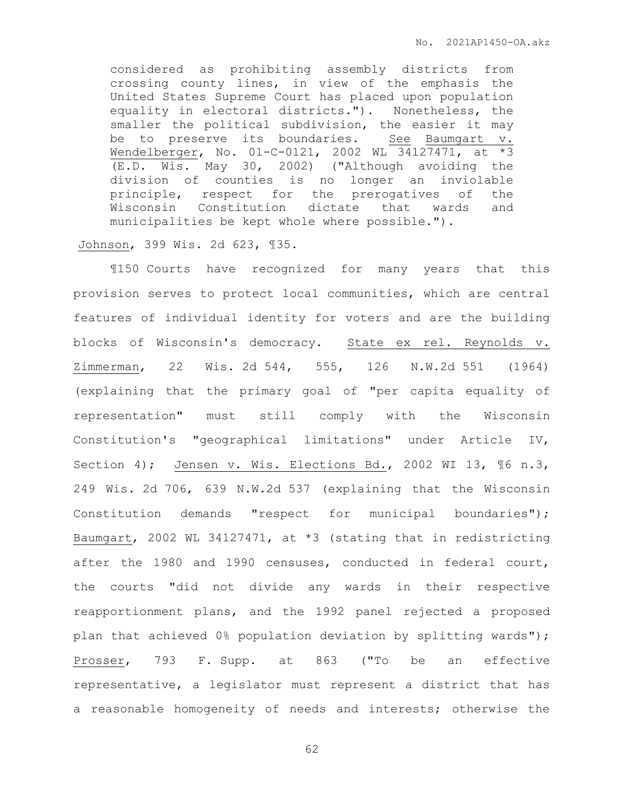considered as prohibiting assembly districts from crossing county lines, in view of the emphasis the United States Supreme Court has placed upon population equality in electoral districts."). Nonetheless, the smaller the political subdivision, the easier it may be to preserve its boundaries. See Baumgart v. Wendelberger, No. 01-C-0121, 2002 WL 34127471, at \*3 (E.D. Wis. May 30, 2002) ("Although avoiding the division of counties is no longer an inviolable principle, respect for the prerogatives of the Wisconsin Constitution dictate that wards and municipalities be kept whole where possible.").

Johnson, 399 Wis. 2d 623, ¶35.

¶150 Courts have recognized for many years that this provision serves to protect local communities, which are central features of individual identity for voters and are the building blocks of Wisconsin's democracy. State ex rel. Reynolds v. Zimmerman, 22 Wis. 2d 544, 555, 126 N.W.2d 551 (1964) (explaining that the primary goal of "per capita equality of representation" must still comply with the Wisconsin Constitution's "geographical limitations" under Article IV, Section 4); Jensen v. Wis. Elections Bd., 2002 WI 13, ¶6 n.3, 249 Wis. 2d 706, 639 N.W.2d 537 (explaining that the Wisconsin Constitution demands "respect for municipal boundaries"); Baumgart, 2002 WL 34127471, at \*3 (stating that in redistricting after the 1980 and 1990 censuses, conducted in federal court, the courts "did not divide any wards in their respective reapportionment plans, and the 1992 panel rejected a proposed plan that achieved 0% population deviation by splitting wards"); Prosser, 793 F. Supp. at 863 ("To be an effective representative, a legislator must represent a district that has a reasonable homogeneity of needs and interests; otherwise the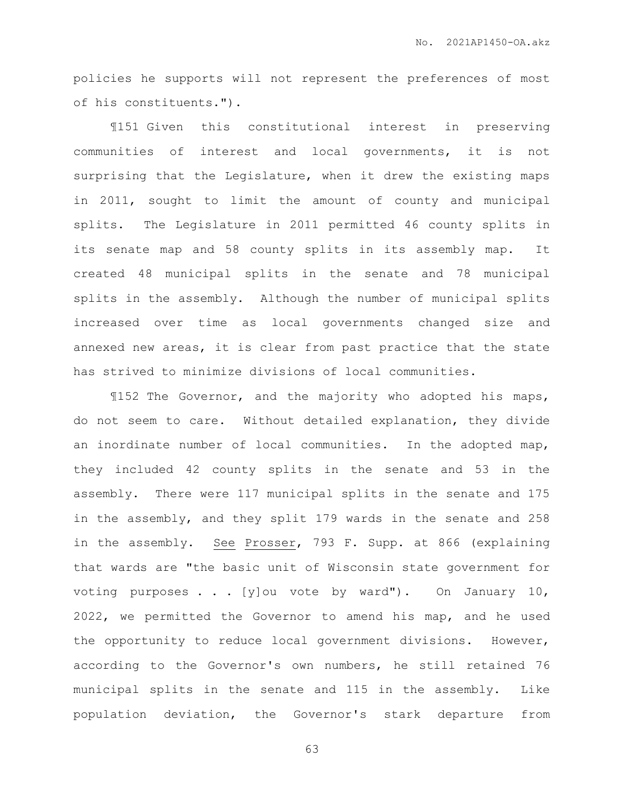policies he supports will not represent the preferences of most of his constituents.").

¶151 Given this constitutional interest in preserving communities of interest and local governments, it is not surprising that the Legislature, when it drew the existing maps in 2011, sought to limit the amount of county and municipal splits. The Legislature in 2011 permitted 46 county splits in its senate map and 58 county splits in its assembly map. It created 48 municipal splits in the senate and 78 municipal splits in the assembly. Although the number of municipal splits increased over time as local governments changed size and annexed new areas, it is clear from past practice that the state has strived to minimize divisions of local communities.

¶152 The Governor, and the majority who adopted his maps, do not seem to care. Without detailed explanation, they divide an inordinate number of local communities. In the adopted map, they included 42 county splits in the senate and 53 in the assembly. There were 117 municipal splits in the senate and 175 in the assembly, and they split 179 wards in the senate and 258 in the assembly. See Prosser, 793 F. Supp. at 866 (explaining that wards are "the basic unit of Wisconsin state government for voting purposes . . . [y]ou vote by ward"). On January 10, 2022, we permitted the Governor to amend his map, and he used the opportunity to reduce local government divisions. However, according to the Governor's own numbers, he still retained 76 municipal splits in the senate and 115 in the assembly. Like population deviation, the Governor's stark departure from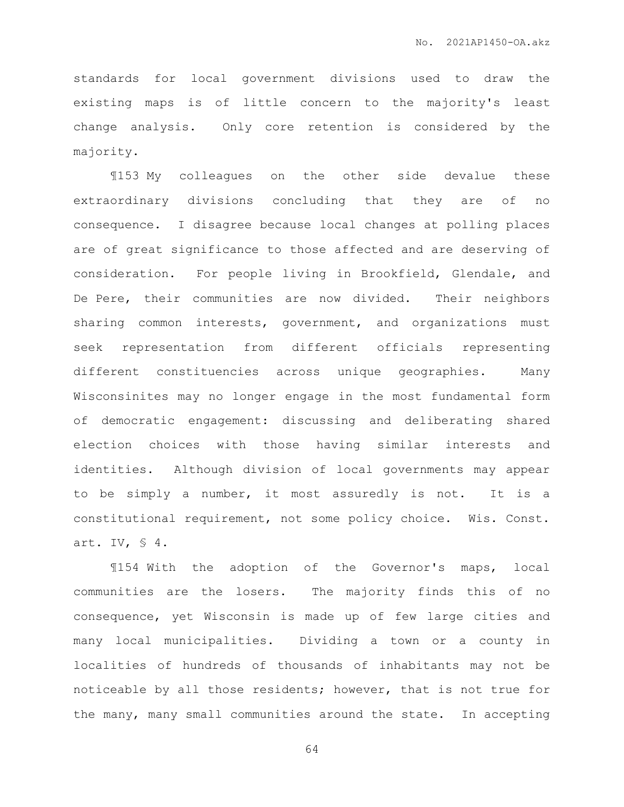standards for local government divisions used to draw the existing maps is of little concern to the majority's least change analysis. Only core retention is considered by the majority.

¶153 My colleagues on the other side devalue these extraordinary divisions concluding that they are of no consequence. I disagree because local changes at polling places are of great significance to those affected and are deserving of consideration. For people living in Brookfield, Glendale, and De Pere, their communities are now divided. Their neighbors sharing common interests, government, and organizations must seek representation from different officials representing different constituencies across unique geographies. Many Wisconsinites may no longer engage in the most fundamental form of democratic engagement: discussing and deliberating shared election choices with those having similar interests and identities. Although division of local governments may appear to be simply a number, it most assuredly is not. It is a constitutional requirement, not some policy choice. Wis. Const. art. IV,  $\$\,4$ .

¶154 With the adoption of the Governor's maps, local communities are the losers. The majority finds this of no consequence, yet Wisconsin is made up of few large cities and many local municipalities. Dividing a town or a county in localities of hundreds of thousands of inhabitants may not be noticeable by all those residents; however, that is not true for the many, many small communities around the state. In accepting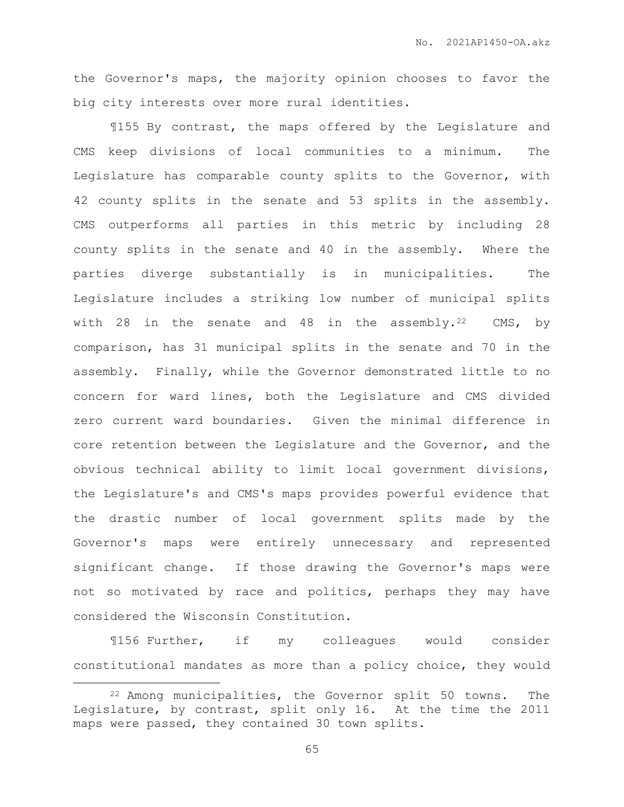the Governor's maps, the majority opinion chooses to favor the big city interests over more rural identities.

¶155 By contrast, the maps offered by the Legislature and CMS keep divisions of local communities to a minimum. The Legislature has comparable county splits to the Governor, with 42 county splits in the senate and 53 splits in the assembly. CMS outperforms all parties in this metric by including 28 county splits in the senate and 40 in the assembly. Where the parties diverge substantially is in municipalities. The Legislature includes a striking low number of municipal splits with 28 in the senate and 48 in the assembly.<sup>22</sup> CMS, by comparison, has 31 municipal splits in the senate and 70 in the assembly. Finally, while the Governor demonstrated little to no concern for ward lines, both the Legislature and CMS divided zero current ward boundaries. Given the minimal difference in core retention between the Legislature and the Governor, and the obvious technical ability to limit local government divisions, the Legislature's and CMS's maps provides powerful evidence that the drastic number of local government splits made by the Governor's maps were entirely unnecessary and represented significant change. If those drawing the Governor's maps were not so motivated by race and politics, perhaps they may have considered the Wisconsin Constitution.

¶156 Further, if my colleagues would consider constitutional mandates as more than a policy choice, they would

 $\overline{a}$ 

<sup>22</sup> Among municipalities, the Governor split 50 towns. The Legislature, by contrast, split only 16. At the time the 2011 maps were passed, they contained 30 town splits.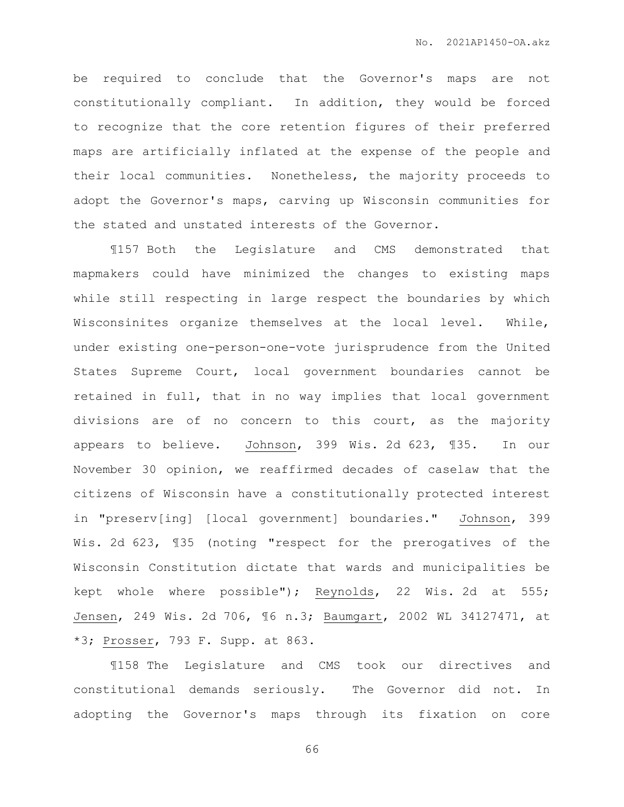be required to conclude that the Governor's maps are not constitutionally compliant. In addition, they would be forced to recognize that the core retention figures of their preferred maps are artificially inflated at the expense of the people and their local communities. Nonetheless, the majority proceeds to adopt the Governor's maps, carving up Wisconsin communities for the stated and unstated interests of the Governor.

¶157 Both the Legislature and CMS demonstrated that mapmakers could have minimized the changes to existing maps while still respecting in large respect the boundaries by which Wisconsinites organize themselves at the local level. While, under existing one-person-one-vote jurisprudence from the United States Supreme Court, local government boundaries cannot be retained in full, that in no way implies that local government divisions are of no concern to this court, as the majority appears to believe. Johnson, 399 Wis. 2d 623, ¶35. In our November 30 opinion, we reaffirmed decades of caselaw that the citizens of Wisconsin have a constitutionally protected interest in "preserv[ing] [local government] boundaries." Johnson, 399 Wis. 2d 623, ¶35 (noting "respect for the prerogatives of the Wisconsin Constitution dictate that wards and municipalities be kept whole where possible"); Reynolds, 22 Wis. 2d at 555; Jensen, 249 Wis. 2d 706, ¶6 n.3; Baumgart, 2002 WL 34127471, at \*3; Prosser, 793 F. Supp. at 863.

¶158 The Legislature and CMS took our directives and constitutional demands seriously. The Governor did not. In adopting the Governor's maps through its fixation on core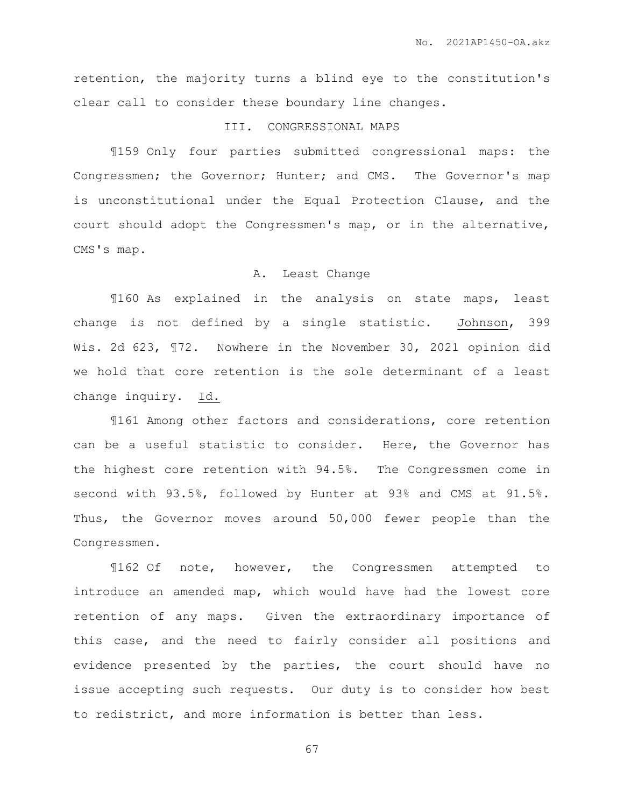retention, the majority turns a blind eye to the constitution's clear call to consider these boundary line changes.

#### III. CONGRESSIONAL MAPS

¶159 Only four parties submitted congressional maps: the Congressmen; the Governor; Hunter; and CMS. The Governor's map is unconstitutional under the Equal Protection Clause, and the court should adopt the Congressmen's map, or in the alternative, CMS's map.

#### A. Least Change

¶160 As explained in the analysis on state maps, least change is not defined by a single statistic. Johnson, 399 Wis. 2d 623, ¶72. Nowhere in the November 30, 2021 opinion did we hold that core retention is the sole determinant of a least change inquiry. Id.

¶161 Among other factors and considerations, core retention can be a useful statistic to consider. Here, the Governor has the highest core retention with 94.5%. The Congressmen come in second with 93.5%, followed by Hunter at 93% and CMS at 91.5%. Thus, the Governor moves around 50,000 fewer people than the Congressmen.

¶162 Of note, however, the Congressmen attempted to introduce an amended map, which would have had the lowest core retention of any maps. Given the extraordinary importance of this case, and the need to fairly consider all positions and evidence presented by the parties, the court should have no issue accepting such requests. Our duty is to consider how best to redistrict, and more information is better than less.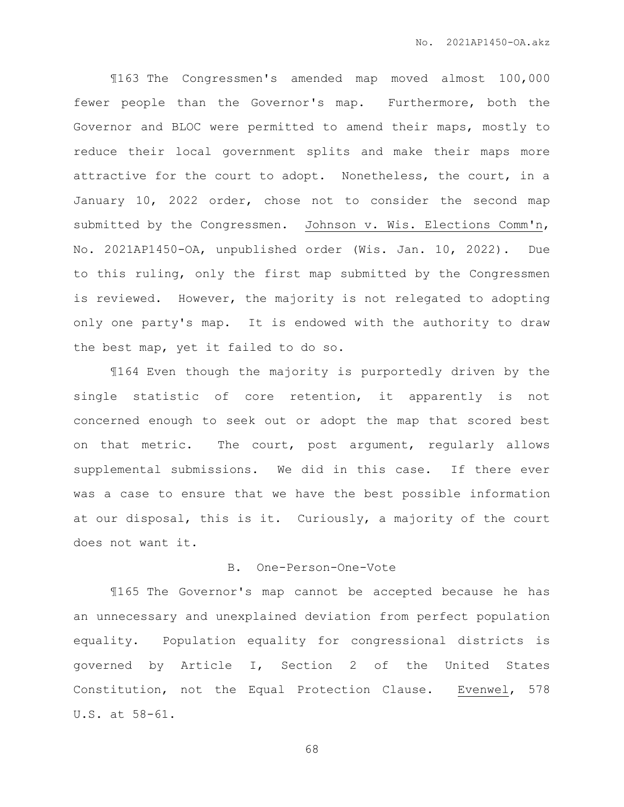¶163 The Congressmen's amended map moved almost 100,000 fewer people than the Governor's map. Furthermore, both the Governor and BLOC were permitted to amend their maps, mostly to reduce their local government splits and make their maps more attractive for the court to adopt. Nonetheless, the court, in a January 10, 2022 order, chose not to consider the second map submitted by the Congressmen. Johnson v. Wis. Elections Comm'n, No. 2021AP1450-OA, unpublished order (Wis. Jan. 10, 2022). Due to this ruling, only the first map submitted by the Congressmen is reviewed. However, the majority is not relegated to adopting only one party's map. It is endowed with the authority to draw the best map, yet it failed to do so.

¶164 Even though the majority is purportedly driven by the single statistic of core retention, it apparently is not concerned enough to seek out or adopt the map that scored best on that metric. The court, post argument, regularly allows supplemental submissions. We did in this case. If there ever was a case to ensure that we have the best possible information at our disposal, this is it. Curiously, a majority of the court does not want it.

### B. One-Person-One-Vote

¶165 The Governor's map cannot be accepted because he has an unnecessary and unexplained deviation from perfect population equality. Population equality for congressional districts is governed by Article I, Section 2 of the United States Constitution, not the Equal Protection Clause. Evenwel, 578 U.S. at 58-61.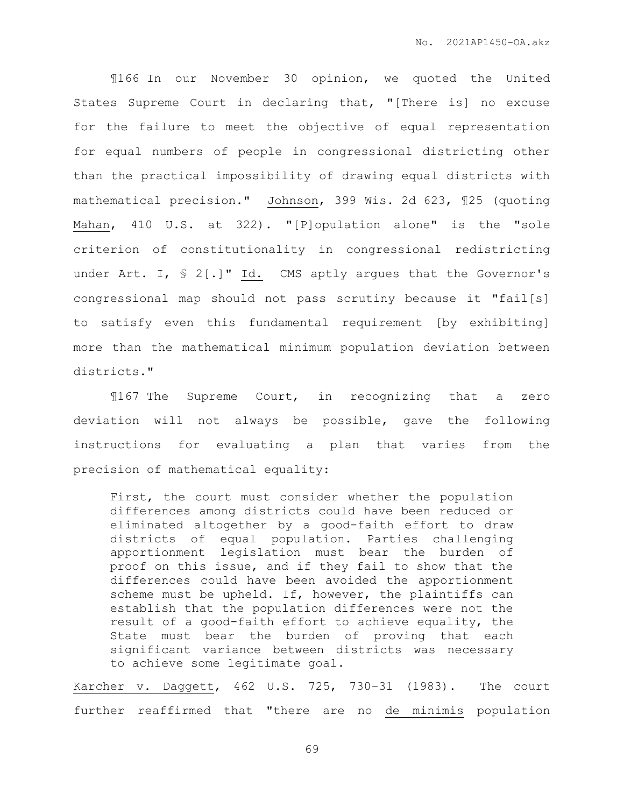¶166 In our November 30 opinion, we quoted the United States Supreme Court in declaring that, "[There is] no excuse for the failure to meet the objective of equal representation for equal numbers of people in congressional districting other than the practical impossibility of drawing equal districts with mathematical precision." Johnson, 399 Wis. 2d 623, ¶25 (quoting Mahan, 410 U.S. at 322). "[P]opulation alone" is the "sole criterion of constitutionality in congressional redistricting under Art. I, § 2[.]" Id. CMS aptly arques that the Governor's congressional map should not pass scrutiny because it "fail[s] to satisfy even this fundamental requirement [by exhibiting] more than the mathematical minimum population deviation between districts."

¶167 The Supreme Court, in recognizing that a zero deviation will not always be possible, gave the following instructions for evaluating a plan that varies from the precision of mathematical equality:

First, the court must consider whether the population differences among districts could have been reduced or eliminated altogether by a good-faith effort to draw districts of equal population. Parties challenging apportionment legislation must bear the burden of proof on this issue, and if they fail to show that the differences could have been avoided the apportionment scheme must be upheld. If, however, the plaintiffs can establish that the population differences were not the result of a good-faith effort to achieve equality, the State must bear the burden of proving that each significant variance between districts was necessary to achieve some legitimate goal.

Karcher v. Daggett, 462 U.S. 725, 730–31 (1983). The court further reaffirmed that "there are no de minimis population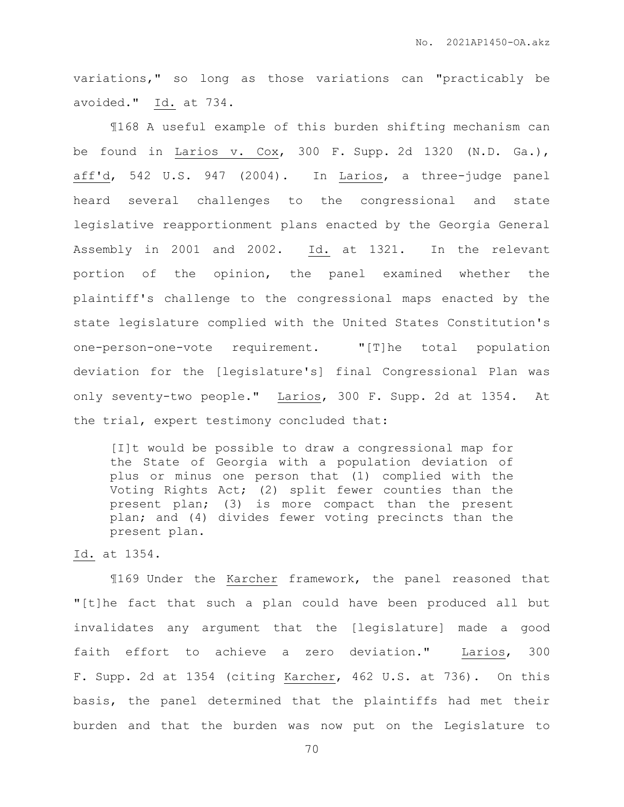variations," so long as those variations can "practicably be avoided." Id. at 734.

¶168 A useful example of this burden shifting mechanism can be found in Larios v. Cox, 300 F. Supp. 2d 1320 (N.D. Ga.), aff'd, 542 U.S. 947 (2004). In Larios, a three-judge panel heard several challenges to the congressional and state legislative reapportionment plans enacted by the Georgia General Assembly in 2001 and 2002. Id. at 1321. In the relevant portion of the opinion, the panel examined whether the plaintiff's challenge to the congressional maps enacted by the state legislature complied with the United States Constitution's one-person-one-vote requirement. "[T]he total population deviation for the [legislature's] final Congressional Plan was only seventy-two people." Larios, 300 F. Supp. 2d at 1354. At the trial, expert testimony concluded that:

[I]t would be possible to draw a congressional map for the State of Georgia with a population deviation of plus or minus one person that (1) complied with the Voting Rights Act; (2) split fewer counties than the present plan; (3) is more compact than the present plan; and (4) divides fewer voting precincts than the present plan.

## Id. at 1354.

¶169 Under the Karcher framework, the panel reasoned that "[t]he fact that such a plan could have been produced all but invalidates any argument that the [legislature] made a good faith effort to achieve a zero deviation." Larios, 300 F. Supp. 2d at 1354 (citing Karcher, 462 U.S. at 736). On this basis, the panel determined that the plaintiffs had met their burden and that the burden was now put on the Legislature to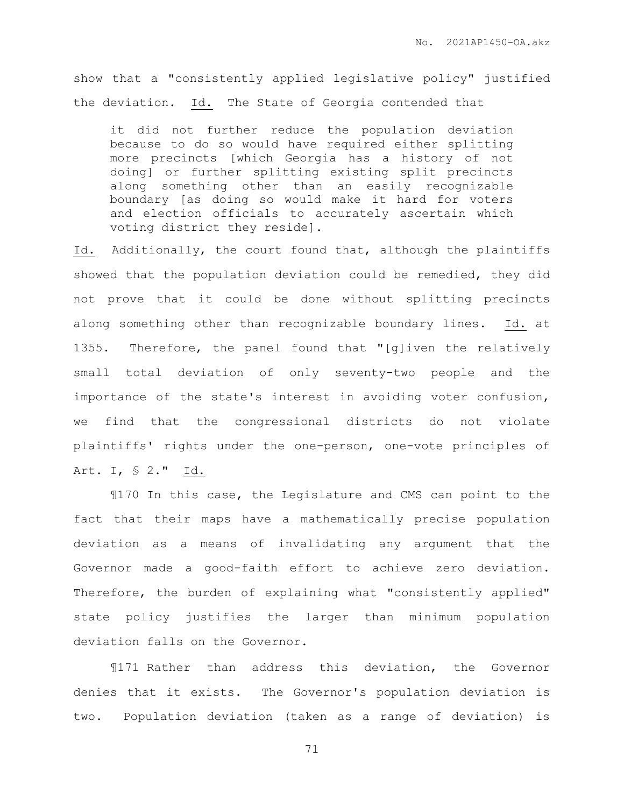show that a "consistently applied legislative policy" justified the deviation. Id. The State of Georgia contended that

it did not further reduce the population deviation because to do so would have required either splitting more precincts [which Georgia has a history of not doing] or further splitting existing split precincts along something other than an easily recognizable boundary [as doing so would make it hard for voters and election officials to accurately ascertain which voting district they reside].

Id. Additionally, the court found that, although the plaintiffs showed that the population deviation could be remedied, they did not prove that it could be done without splitting precincts along something other than recognizable boundary lines. Id. at 1355. Therefore, the panel found that "[g]iven the relatively small total deviation of only seventy-two people and the importance of the state's interest in avoiding voter confusion, we find that the congressional districts do not violate plaintiffs' rights under the one-person, one-vote principles of Art. I, § 2." Id.

¶170 In this case, the Legislature and CMS can point to the fact that their maps have a mathematically precise population deviation as a means of invalidating any argument that the Governor made a good-faith effort to achieve zero deviation. Therefore, the burden of explaining what "consistently applied" state policy justifies the larger than minimum population deviation falls on the Governor.

¶171 Rather than address this deviation, the Governor denies that it exists. The Governor's population deviation is two. Population deviation (taken as a range of deviation) is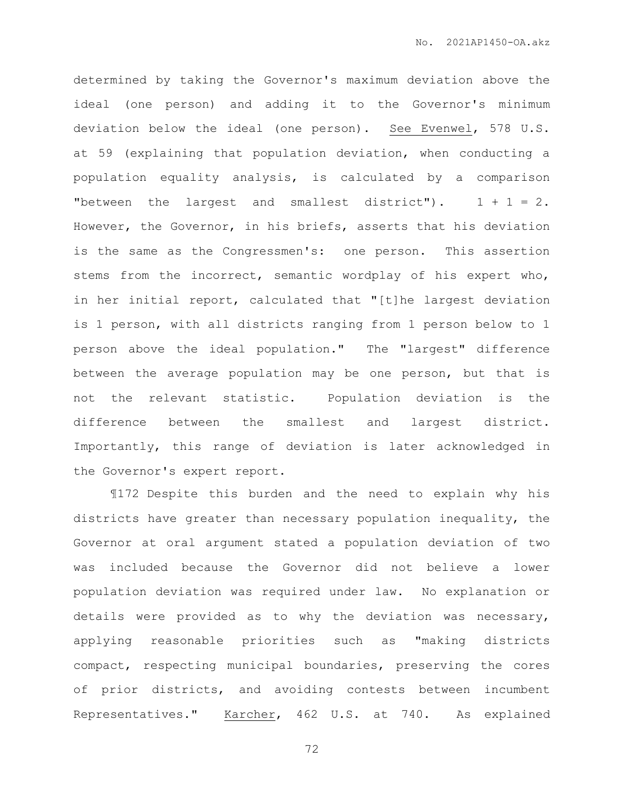determined by taking the Governor's maximum deviation above the ideal (one person) and adding it to the Governor's minimum deviation below the ideal (one person). See Evenwel, 578 U.S. at 59 (explaining that population deviation, when conducting a population equality analysis, is calculated by a comparison "between the largest and smallest district").  $1 + 1 = 2$ . However, the Governor, in his briefs, asserts that his deviation is the same as the Congressmen's: one person. This assertion stems from the incorrect, semantic wordplay of his expert who, in her initial report, calculated that "[t]he largest deviation is 1 person, with all districts ranging from 1 person below to 1 person above the ideal population." The "largest" difference between the average population may be one person, but that is not the relevant statistic. Population deviation is the difference between the smallest and largest district. Importantly, this range of deviation is later acknowledged in the Governor's expert report.

¶172 Despite this burden and the need to explain why his districts have greater than necessary population inequality, the Governor at oral argument stated a population deviation of two was included because the Governor did not believe a lower population deviation was required under law. No explanation or details were provided as to why the deviation was necessary, applying reasonable priorities such as "making districts compact, respecting municipal boundaries, preserving the cores of prior districts, and avoiding contests between incumbent Representatives." Karcher, 462 U.S. at 740. As explained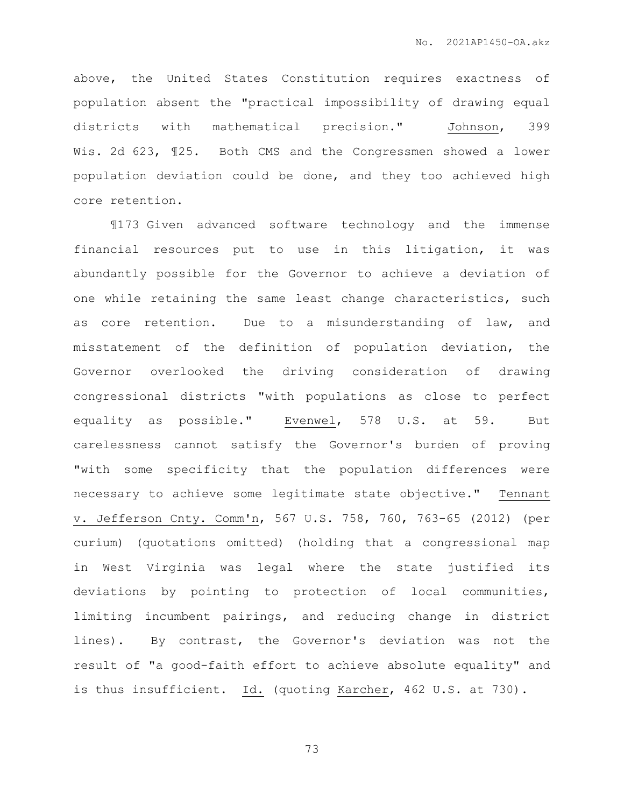above, the United States Constitution requires exactness of population absent the "practical impossibility of drawing equal districts with mathematical precision." Johnson, 399 Wis. 2d 623, 125. Both CMS and the Congressmen showed a lower population deviation could be done, and they too achieved high core retention.

¶173 Given advanced software technology and the immense financial resources put to use in this litigation, it was abundantly possible for the Governor to achieve a deviation of one while retaining the same least change characteristics, such as core retention. Due to a misunderstanding of law, and misstatement of the definition of population deviation, the Governor overlooked the driving consideration of drawing congressional districts "with populations as close to perfect equality as possible." Evenwel, 578 U.S. at 59. But carelessness cannot satisfy the Governor's burden of proving "with some specificity that the population differences were necessary to achieve some legitimate state objective." Tennant v. Jefferson Cnty. Comm'n, 567 U.S. 758, 760, 763-65 (2012) (per curium) (quotations omitted) (holding that a congressional map in West Virginia was legal where the state justified its deviations by pointing to protection of local communities, limiting incumbent pairings, and reducing change in district lines). By contrast, the Governor's deviation was not the result of "a good-faith effort to achieve absolute equality" and is thus insufficient. Id. (quoting Karcher, 462 U.S. at 730).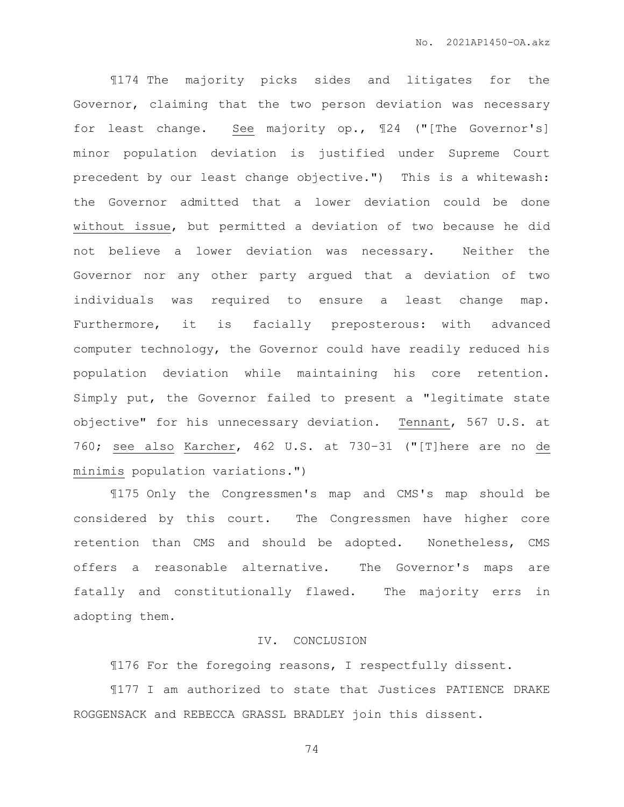¶174 The majority picks sides and litigates for the Governor, claiming that the two person deviation was necessary for least change. See majority op., ¶24 ("[The Governor's] minor population deviation is justified under Supreme Court precedent by our least change objective.") This is a whitewash: the Governor admitted that a lower deviation could be done without issue, but permitted a deviation of two because he did not believe a lower deviation was necessary. Neither the Governor nor any other party argued that a deviation of two individuals was required to ensure a least change map. Furthermore, it is facially preposterous: with advanced computer technology, the Governor could have readily reduced his population deviation while maintaining his core retention. Simply put, the Governor failed to present a "legitimate state objective" for his unnecessary deviation. Tennant, 567 U.S. at 760; see also Karcher, 462 U.S. at 730–31 ("[T]here are no de minimis population variations.")

¶175 Only the Congressmen's map and CMS's map should be considered by this court. The Congressmen have higher core retention than CMS and should be adopted. Nonetheless, CMS offers a reasonable alternative. The Governor's maps are fatally and constitutionally flawed. The majority errs in adopting them.

## IV. CONCLUSION

¶176 For the foregoing reasons, I respectfully dissent.

¶177 I am authorized to state that Justices PATIENCE DRAKE ROGGENSACK and REBECCA GRASSL BRADLEY join this dissent.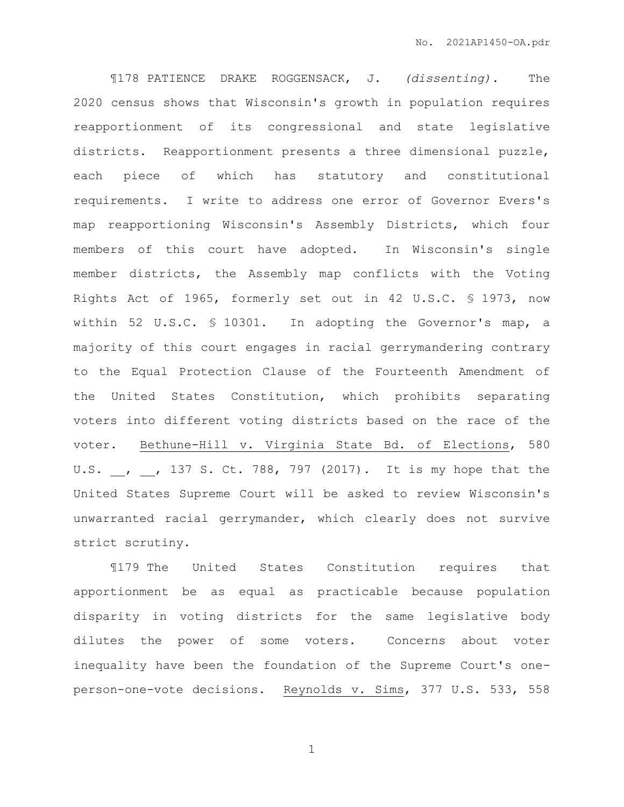¶178 PATIENCE DRAKE ROGGENSACK, J. *(dissenting).* The 2020 census shows that Wisconsin's growth in population requires reapportionment of its congressional and state legislative districts. Reapportionment presents a three dimensional puzzle, each piece of which has statutory and constitutional requirements. I write to address one error of Governor Evers's map reapportioning Wisconsin's Assembly Districts, which four members of this court have adopted. In Wisconsin's single member districts, the Assembly map conflicts with the Voting Rights Act of 1965, formerly set out in 42 U.S.C. § 1973, now within 52 U.S.C. § 10301. In adopting the Governor's map, a majority of this court engages in racial gerrymandering contrary to the Equal Protection Clause of the Fourteenth Amendment of the United States Constitution, which prohibits separating voters into different voting districts based on the race of the voter. Bethune-Hill v. Virginia State Bd. of Elections, 580 U.S. , , 137 S. Ct. 788, 797 (2017). It is my hope that the United States Supreme Court will be asked to review Wisconsin's unwarranted racial gerrymander, which clearly does not survive strict scrutiny.

¶179 The United States Constitution requires that apportionment be as equal as practicable because population disparity in voting districts for the same legislative body dilutes the power of some voters. Concerns about voter inequality have been the foundation of the Supreme Court's oneperson-one-vote decisions. Reynolds v. Sims, 377 U.S. 533, 558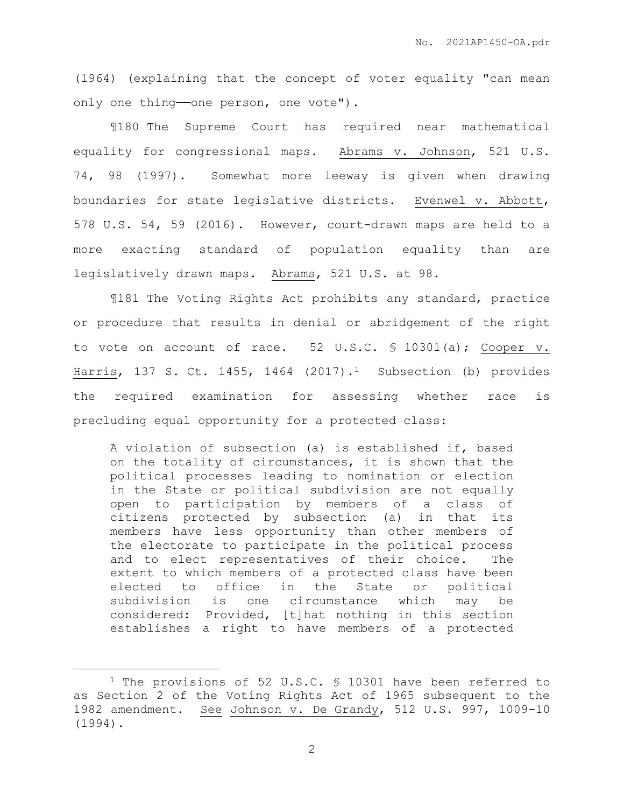(1964) (explaining that the concept of voter equality "can mean only one thing—one person, one vote").

¶180 The Supreme Court has required near mathematical equality for congressional maps. Abrams v. Johnson, 521 U.S. 74, 98 (1997). Somewhat more leeway is given when drawing boundaries for state legislative districts. Evenwel v. Abbott, 578 U.S. 54, 59 (2016). However, court-drawn maps are held to a more exacting standard of population equality than are legislatively drawn maps. Abrams, 521 U.S. at 98.

¶181 The Voting Rights Act prohibits any standard, practice or procedure that results in denial or abridgement of the right to vote on account of race. 52 U.S.C. § 10301(a); Cooper v. Harris, 137 S. Ct. 1455, 1464 (2017).<sup>1</sup> Subsection (b) provides the required examination for assessing whether race is precluding equal opportunity for a protected class:

A violation of subsection (a) is established if, based on the totality of circumstances, it is shown that the political processes leading to nomination or election in the State or political subdivision are not equally open to participation by members of a class of citizens protected by subsection (a) in that its members have less opportunity than other members of the electorate to participate in the political process and to elect representatives of their choice. The extent to which members of a protected class have been elected to office in the State or political subdivision is one circumstance which may be considered: Provided, [t]hat nothing in this section establishes a right to have members of a protected

 $\overline{a}$ 

<sup>&</sup>lt;sup>1</sup> The provisions of 52 U.S.C. § 10301 have been referred to as Section 2 of the Voting Rights Act of 1965 subsequent to the 1982 amendment. See Johnson v. De Grandy, 512 U.S. 997, 1009-10 (1994).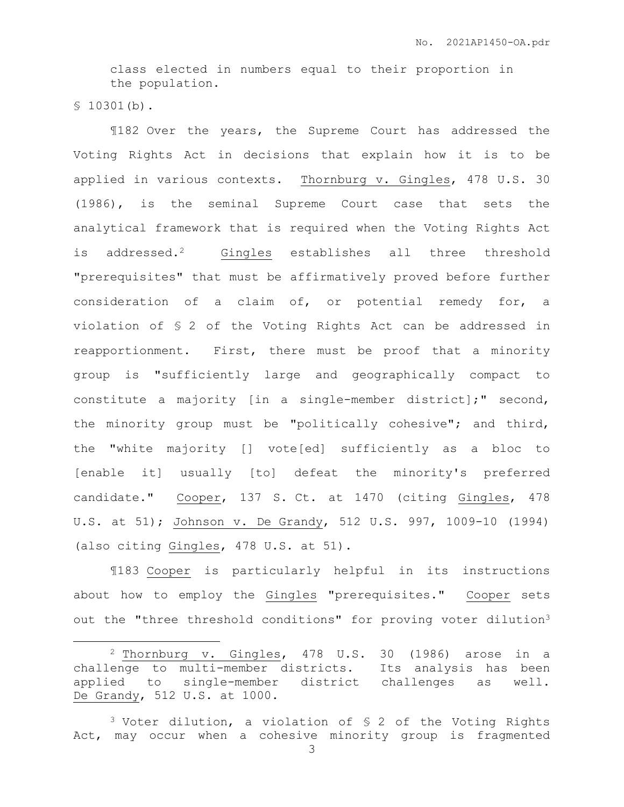class elected in numbers equal to their proportion in the population.

§ 10301(b).

 $\overline{a}$ 

¶182 Over the years, the Supreme Court has addressed the Voting Rights Act in decisions that explain how it is to be applied in various contexts. Thornburg v. Gingles, 478 U.S. 30 (1986), is the seminal Supreme Court case that sets the analytical framework that is required when the Voting Rights Act is addressed.2 Gingles establishes all three threshold "prerequisites" that must be affirmatively proved before further consideration of a claim of, or potential remedy for, a violation of § 2 of the Voting Rights Act can be addressed in reapportionment. First, there must be proof that a minority group is "sufficiently large and geographically compact to constitute a majority [in a single-member district];" second, the minority group must be "politically cohesive"; and third, the "white majority [] vote[ed] sufficiently as a bloc to [enable it] usually [to] defeat the minority's preferred candidate." Cooper, 137 S. Ct. at 1470 (citing Gingles, 478 U.S. at 51); Johnson v. De Grandy, 512 U.S. 997, 1009-10 (1994) (also citing Gingles, 478 U.S. at 51).

¶183 Cooper is particularly helpful in its instructions about how to employ the Gingles "prerequisites." Cooper sets out the "three threshold conditions" for proving voter dilution<sup>3</sup>

<sup>2</sup> Thornburg v. Gingles, 478 U.S. 30 (1986) arose in a challenge to multi-member districts. Its analysis has been applied to single-member district challenges as well. De Grandy, 512 U.S. at 1000.

<sup>3</sup> Voter dilution, a violation of § 2 of the Voting Rights Act, may occur when a cohesive minority group is fragmented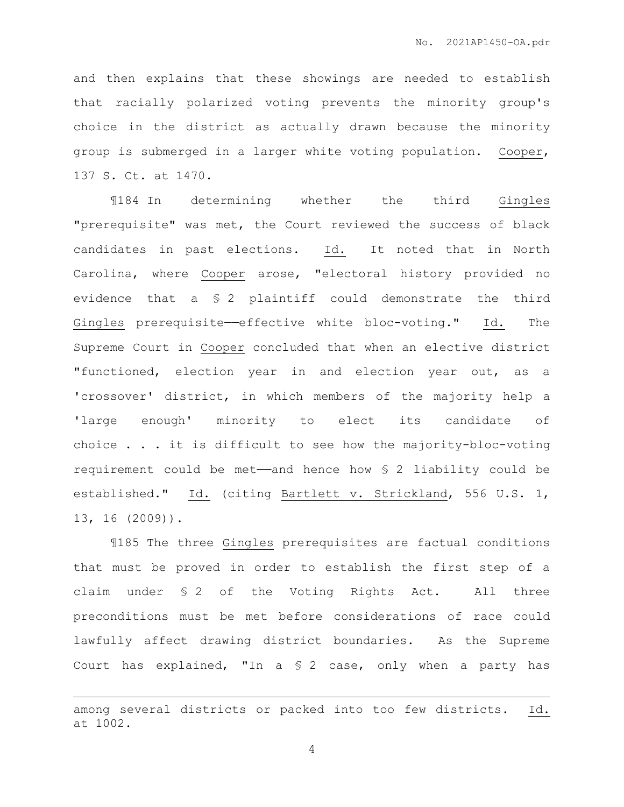and then explains that these showings are needed to establish that racially polarized voting prevents the minority group's choice in the district as actually drawn because the minority group is submerged in a larger white voting population. Cooper, 137 S. Ct. at 1470.

¶184 In determining whether the third Gingles "prerequisite" was met, the Court reviewed the success of black candidates in past elections. Id. It noted that in North Carolina, where Cooper arose, "electoral history provided no evidence that a § 2 plaintiff could demonstrate the third Gingles prerequisite—effective white bloc-voting." Id. The Supreme Court in Cooper concluded that when an elective district "functioned, election year in and election year out, as a 'crossover' district, in which members of the majority help a 'large enough' minority to elect its candidate of choice . . . it is difficult to see how the majority-bloc-voting requirement could be met——and hence how § 2 liability could be established." Id. (citing Bartlett v. Strickland, 556 U.S. 1, 13, 16 (2009)).

¶185 The three Gingles prerequisites are factual conditions that must be proved in order to establish the first step of a claim under § 2 of the Voting Rights Act. All three preconditions must be met before considerations of race could lawfully affect drawing district boundaries. As the Supreme Court has explained, "In a § 2 case, only when a party has

 $\overline{a}$ 

among several districts or packed into too few districts. Id. at 1002.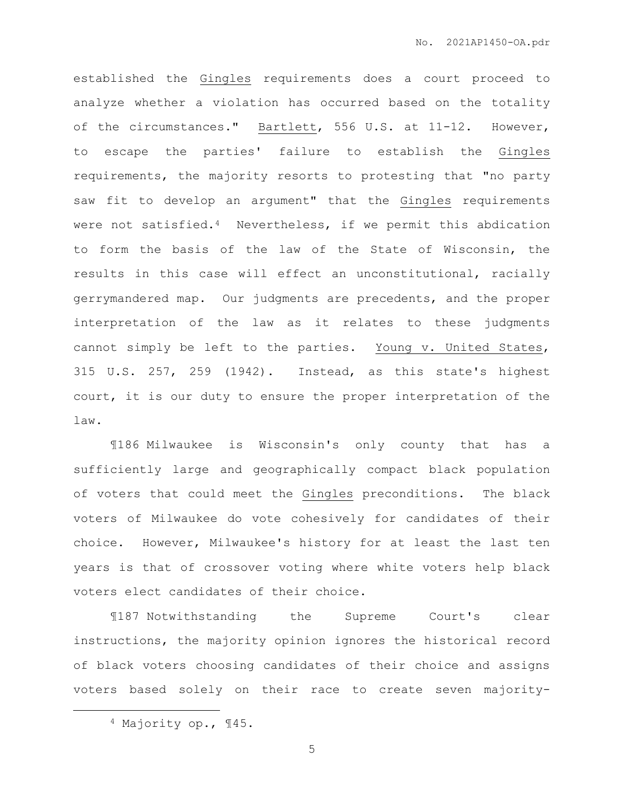established the Gingles requirements does a court proceed to analyze whether a violation has occurred based on the totality of the circumstances." Bartlett, 556 U.S. at 11-12. However, to escape the parties' failure to establish the Gingles requirements, the majority resorts to protesting that "no party saw fit to develop an argument" that the Gingles requirements were not satisfied.<sup>4</sup> Nevertheless, if we permit this abdication to form the basis of the law of the State of Wisconsin, the results in this case will effect an unconstitutional, racially gerrymandered map. Our judgments are precedents, and the proper interpretation of the law as it relates to these judgments cannot simply be left to the parties. Young v. United States, 315 U.S. 257, 259 (1942). Instead, as this state's highest court, it is our duty to ensure the proper interpretation of the law.

¶186 Milwaukee is Wisconsin's only county that has a sufficiently large and geographically compact black population of voters that could meet the Gingles preconditions. The black voters of Milwaukee do vote cohesively for candidates of their choice. However, Milwaukee's history for at least the last ten years is that of crossover voting where white voters help black voters elect candidates of their choice.

¶187 Notwithstanding the Supreme Court's clear instructions, the majority opinion ignores the historical record of black voters choosing candidates of their choice and assigns voters based solely on their race to create seven majority-

 $\overline{a}$ 

<sup>4</sup> Majority op., ¶45.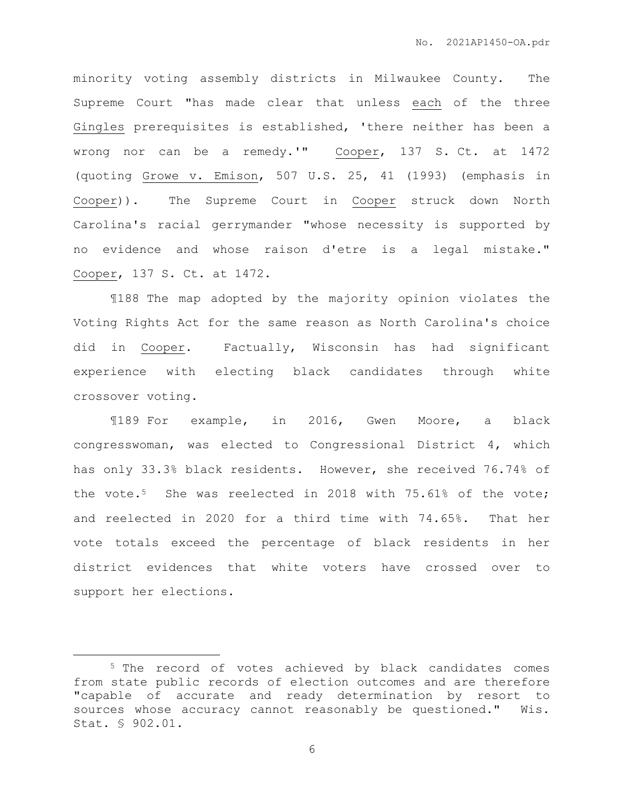minority voting assembly districts in Milwaukee County. The Supreme Court "has made clear that unless each of the three Gingles prerequisites is established, 'there neither has been a wrong nor can be a remedy.'" Cooper, 137 S. Ct. at 1472 (quoting Growe v. Emison, 507 U.S. 25, 41 (1993) (emphasis in Cooper)). The Supreme Court in Cooper struck down North Carolina's racial gerrymander "whose necessity is supported by no evidence and whose raison d'etre is a legal mistake." Cooper, 137 S. Ct. at 1472.

¶188 The map adopted by the majority opinion violates the Voting Rights Act for the same reason as North Carolina's choice did in Cooper. Factually, Wisconsin has had significant experience with electing black candidates through white crossover voting.

¶189 For example, in 2016, Gwen Moore, a black congresswoman, was elected to Congressional District 4, which has only 33.3% black residents. However, she received 76.74% of the vote.<sup>5</sup> She was reelected in 2018 with 75.61% of the vote; and reelected in 2020 for a third time with 74.65%. That her vote totals exceed the percentage of black residents in her district evidences that white voters have crossed over to support her elections.

 $\overline{a}$ 

<sup>5</sup> The record of votes achieved by black candidates comes from state public records of election outcomes and are therefore "capable of accurate and ready determination by resort to sources whose accuracy cannot reasonably be questioned." Wis. Stat. § 902.01.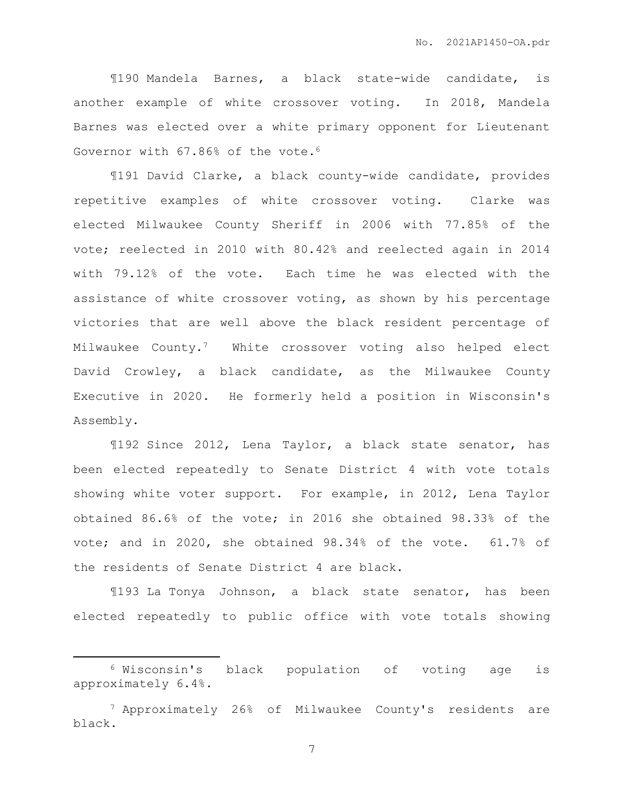¶190 Mandela Barnes, a black state-wide candidate, is another example of white crossover voting. In 2018, Mandela Barnes was elected over a white primary opponent for Lieutenant Governor with 67.86% of the vote.<sup>6</sup>

¶191 David Clarke, a black county-wide candidate, provides repetitive examples of white crossover voting. Clarke was elected Milwaukee County Sheriff in 2006 with 77.85% of the vote; reelected in 2010 with 80.42% and reelected again in 2014 with 79.12% of the vote. Each time he was elected with the assistance of white crossover voting, as shown by his percentage victories that are well above the black resident percentage of Milwaukee County.<sup>7</sup> White crossover voting also helped elect David Crowley, a black candidate, as the Milwaukee County Executive in 2020. He formerly held a position in Wisconsin's Assembly.

¶192 Since 2012, Lena Taylor, a black state senator, has been elected repeatedly to Senate District 4 with vote totals showing white voter support. For example, in 2012, Lena Taylor obtained 86.6% of the vote; in 2016 she obtained 98.33% of the vote; and in 2020, she obtained 98.34% of the vote. 61.7% of the residents of Senate District 4 are black.

¶193 La Tonya Johnson, a black state senator, has been elected repeatedly to public office with vote totals showing

 $\overline{a}$ 

<sup>6</sup> Wisconsin's black population of voting age is approximately 6.4%.

<sup>7</sup> Approximately 26% of Milwaukee County's residents are black.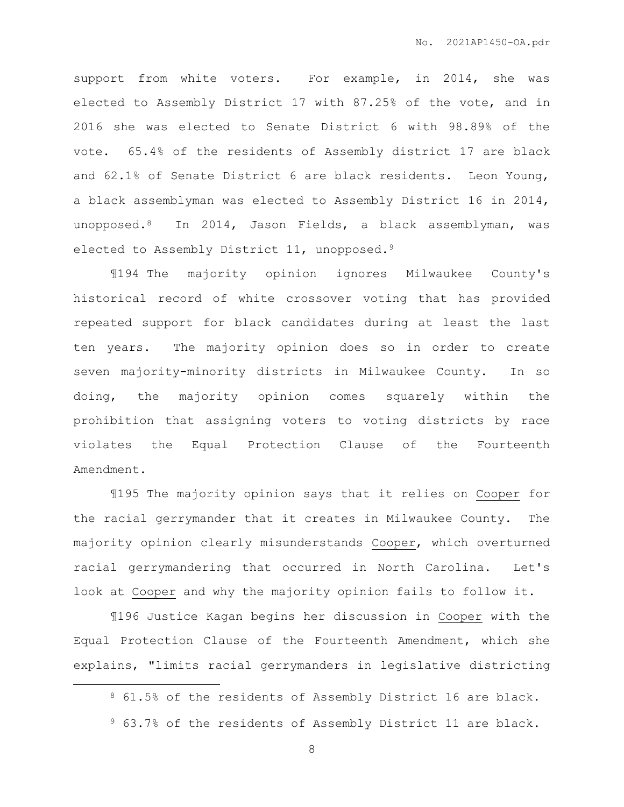support from white voters. For example, in 2014, she was elected to Assembly District 17 with 87.25% of the vote, and in 2016 she was elected to Senate District 6 with 98.89% of the vote. 65.4% of the residents of Assembly district 17 are black and 62.1% of Senate District 6 are black residents. Leon Young, a black assemblyman was elected to Assembly District 16 in 2014, unopposed.8 In 2014, Jason Fields, a black assemblyman, was elected to Assembly District 11, unopposed.<sup>9</sup>

¶194 The majority opinion ignores Milwaukee County's historical record of white crossover voting that has provided repeated support for black candidates during at least the last ten years. The majority opinion does so in order to create seven majority-minority districts in Milwaukee County. In so doing, the majority opinion comes squarely within the prohibition that assigning voters to voting districts by race violates the Equal Protection Clause of the Fourteenth Amendment.

¶195 The majority opinion says that it relies on Cooper for the racial gerrymander that it creates in Milwaukee County. The majority opinion clearly misunderstands Cooper, which overturned racial gerrymandering that occurred in North Carolina. Let's look at Cooper and why the majority opinion fails to follow it.

¶196 Justice Kagan begins her discussion in Cooper with the Equal Protection Clause of the Fourteenth Amendment, which she explains, "limits racial gerrymanders in legislative districting

 $\overline{a}$ 

<sup>8</sup> 61.5% of the residents of Assembly District 16 are black.

<sup>9</sup> 63.7% of the residents of Assembly District 11 are black.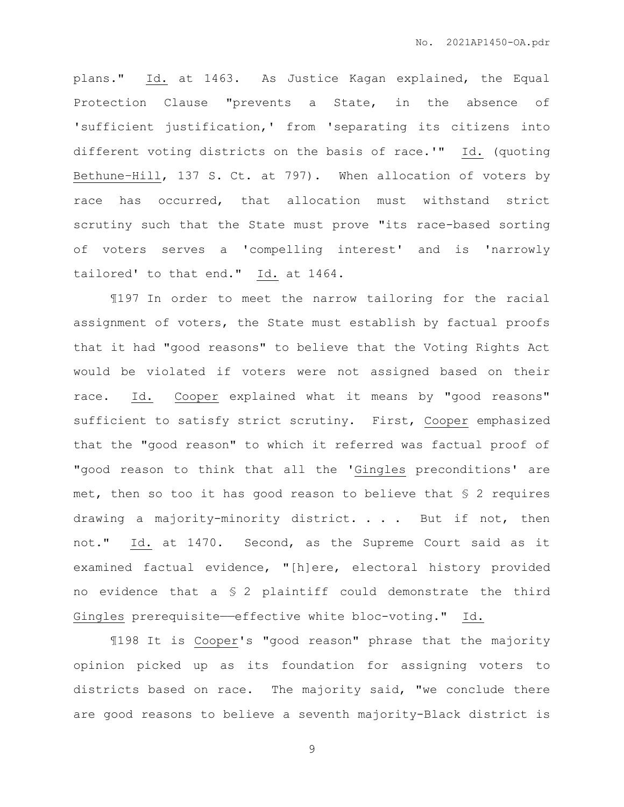plans." Id. at 1463. As Justice Kagan explained, the Equal Protection Clause "prevents a State, in the absence of 'sufficient justification,' from 'separating its citizens into different voting districts on the basis of race.'" Id. (quoting Bethune–Hill, 137 S. Ct. at 797). When allocation of voters by race has occurred, that allocation must withstand strict scrutiny such that the State must prove "its race-based sorting of voters serves a 'compelling interest' and is 'narrowly tailored' to that end." Id. at 1464.

¶197 In order to meet the narrow tailoring for the racial assignment of voters, the State must establish by factual proofs that it had "good reasons" to believe that the Voting Rights Act would be violated if voters were not assigned based on their race. Id. Cooper explained what it means by "good reasons" sufficient to satisfy strict scrutiny. First, Cooper emphasized that the "good reason" to which it referred was factual proof of "good reason to think that all the 'Gingles preconditions' are met, then so too it has good reason to believe that § 2 requires drawing a majority-minority district. . . . But if not, then not." Id. at 1470. Second, as the Supreme Court said as it examined factual evidence, "[h]ere, electoral history provided no evidence that a § 2 plaintiff could demonstrate the third Gingles prerequisite—effective white bloc-voting." Id.

¶198 It is Cooper's "good reason" phrase that the majority opinion picked up as its foundation for assigning voters to districts based on race. The majority said, "we conclude there are good reasons to believe a seventh majority-Black district is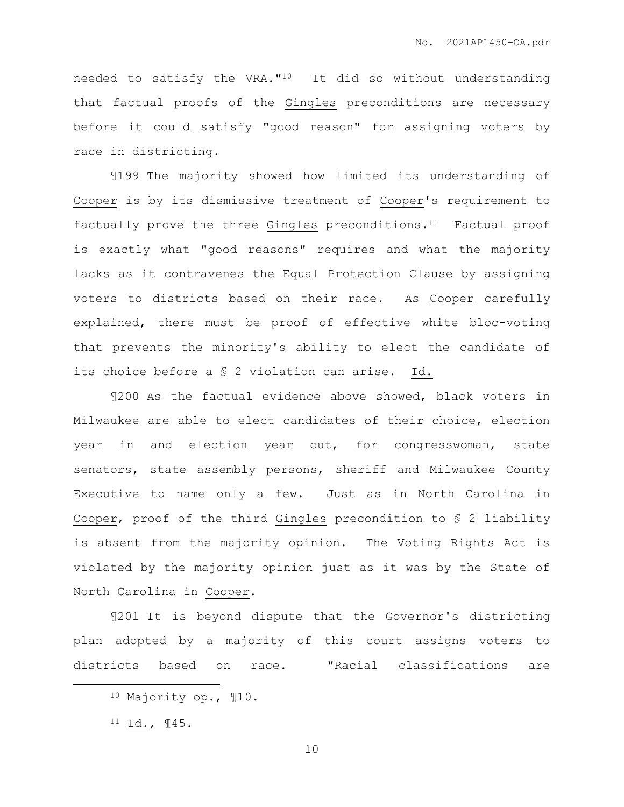needed to satisfy the VRA."<sup>10</sup> It did so without understanding that factual proofs of the Gingles preconditions are necessary before it could satisfy "good reason" for assigning voters by race in districting.

¶199 The majority showed how limited its understanding of Cooper is by its dismissive treatment of Cooper's requirement to factually prove the three Gingles preconditions.11 Factual proof is exactly what "good reasons" requires and what the majority lacks as it contravenes the Equal Protection Clause by assigning voters to districts based on their race. As Cooper carefully explained, there must be proof of effective white bloc-voting that prevents the minority's ability to elect the candidate of its choice before a § 2 violation can arise. Id.

¶200 As the factual evidence above showed, black voters in Milwaukee are able to elect candidates of their choice, election year in and election year out, for congresswoman, state senators, state assembly persons, sheriff and Milwaukee County Executive to name only a few. Just as in North Carolina in Cooper, proof of the third Gingles precondition to § 2 liability is absent from the majority opinion. The Voting Rights Act is violated by the majority opinion just as it was by the State of North Carolina in Cooper.

¶201 It is beyond dispute that the Governor's districting plan adopted by a majority of this court assigns voters to districts based on race. "Racial classifications are

 $\overline{a}$ 

<sup>10</sup> Majority op., ¶10.

<sup>11</sup> Id., ¶45.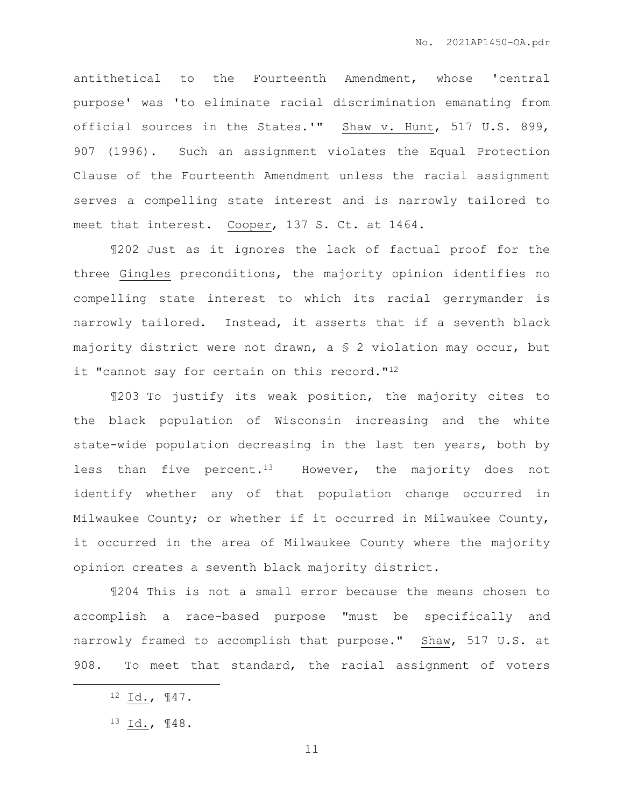antithetical to the Fourteenth Amendment, whose 'central purpose' was 'to eliminate racial discrimination emanating from official sources in the States.'" Shaw v. Hunt, 517 U.S. 899, 907 (1996). Such an assignment violates the Equal Protection Clause of the Fourteenth Amendment unless the racial assignment serves a compelling state interest and is narrowly tailored to meet that interest. Cooper, 137 S. Ct. at 1464.

¶202 Just as it ignores the lack of factual proof for the three Gingles preconditions, the majority opinion identifies no compelling state interest to which its racial gerrymander is narrowly tailored. Instead, it asserts that if a seventh black majority district were not drawn, a § 2 violation may occur, but it "cannot say for certain on this record."<sup>12</sup>

¶203 To justify its weak position, the majority cites to the black population of Wisconsin increasing and the white state-wide population decreasing in the last ten years, both by less than five percent.<sup>13</sup> However, the majority does not identify whether any of that population change occurred in Milwaukee County; or whether if it occurred in Milwaukee County, it occurred in the area of Milwaukee County where the majority opinion creates a seventh black majority district.

¶204 This is not a small error because the means chosen to accomplish a race-based purpose "must be specifically and narrowly framed to accomplish that purpose." Shaw, 517 U.S. at 908. To meet that standard, the racial assignment of voters

 $\overline{a}$ 

 $12$  Id.,  $\P$ 47.

<sup>13</sup> Id., ¶48.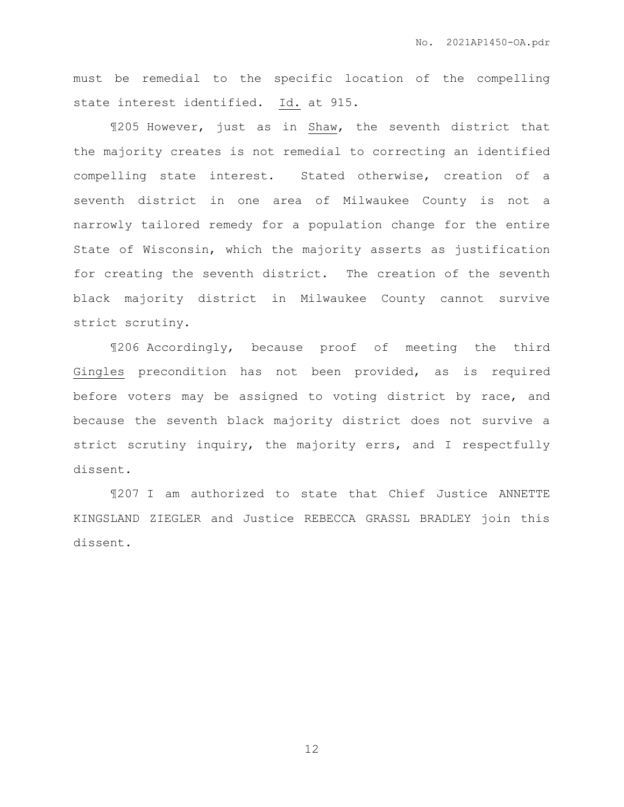must be remedial to the specific location of the compelling state interest identified. Id. at 915.

¶205 However, just as in Shaw, the seventh district that the majority creates is not remedial to correcting an identified compelling state interest. Stated otherwise, creation of a seventh district in one area of Milwaukee County is not a narrowly tailored remedy for a population change for the entire State of Wisconsin, which the majority asserts as justification for creating the seventh district. The creation of the seventh black majority district in Milwaukee County cannot survive strict scrutiny.

¶206 Accordingly, because proof of meeting the third Gingles precondition has not been provided, as is required before voters may be assigned to voting district by race, and because the seventh black majority district does not survive a strict scrutiny inquiry, the majority errs, and I respectfully dissent.

¶207 I am authorized to state that Chief Justice ANNETTE KINGSLAND ZIEGLER and Justice REBECCA GRASSL BRADLEY join this dissent.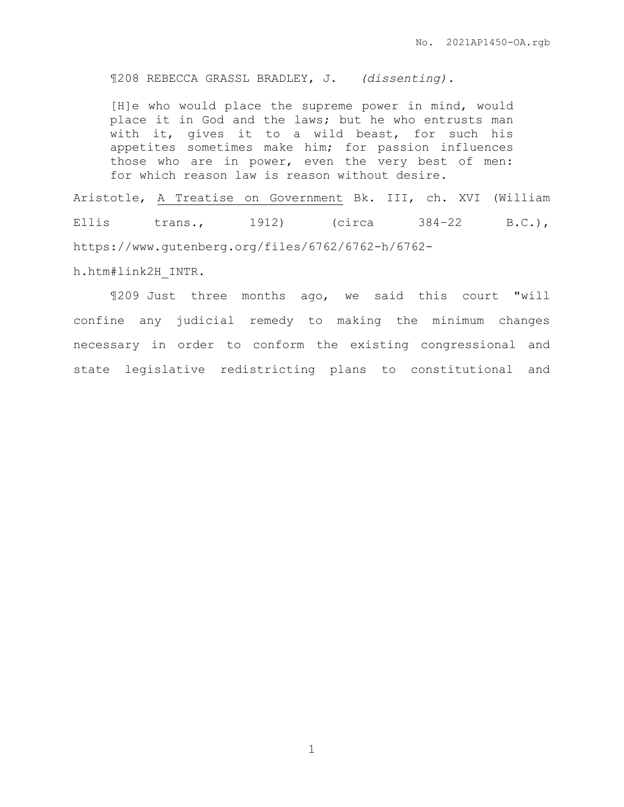¶208 REBECCA GRASSL BRADLEY, J. *(dissenting).*

[H]e who would place the supreme power in mind, would place it in God and the laws; but he who entrusts man with it, gives it to a wild beast, for such his appetites sometimes make him; for passion influences those who are in power, even the very best of men: for which reason law is reason without desire.

Aristotle, A Treatise on Government Bk. III, ch. XVI (William Ellis trans., 1912) (circa 384–22 B.C.), https://www.gutenberg.org/files/6762/6762-h/6762-

h.htm#link2H\_INTR.

¶209 Just three months ago, we said this court "will confine any judicial remedy to making the minimum changes necessary in order to conform the existing congressional and state legislative redistricting plans to constitutional and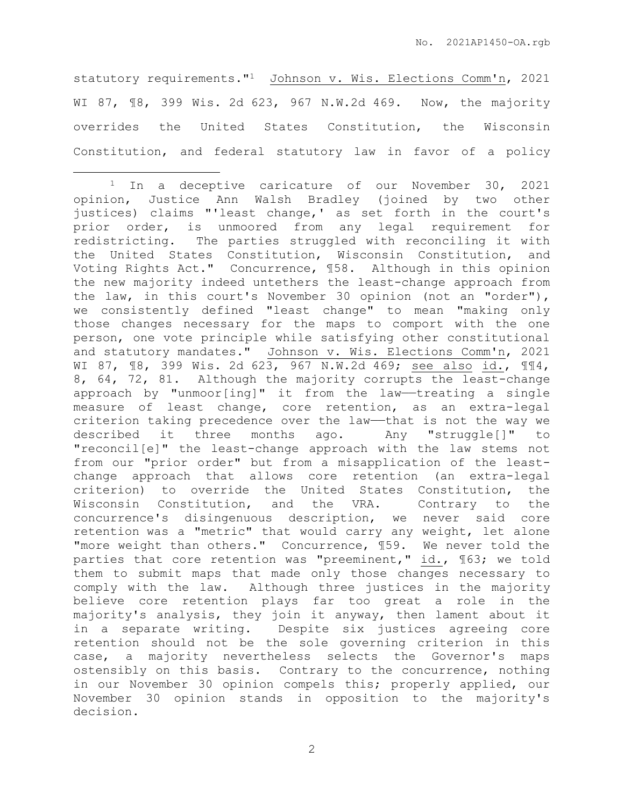statutory requirements."<sup>1</sup> Johnson v. Wis. Elections Comm'n, 2021 WI 87, ¶8, 399 Wis. 2d 623, 967 N.W.2d 469. Now, the majority overrides the United States Constitution, the Wisconsin Constitution, and federal statutory law in favor of a policy

 $\overline{a}$ <sup>1</sup> In a deceptive caricature of our November 30, 2021 opinion, Justice Ann Walsh Bradley (joined by two other justices) claims "'least change,' as set forth in the court's prior order, is unmoored from any legal requirement for redistricting. The parties struggled with reconciling it with the United States Constitution, Wisconsin Constitution, and Voting Rights Act." Concurrence, ¶58. Although in this opinion the new majority indeed untethers the least-change approach from the law, in this court's November 30 opinion (not an "order"), we consistently defined "least change" to mean "making only those changes necessary for the maps to comport with the one person, one vote principle while satisfying other constitutional and statutory mandates." Johnson v. Wis. Elections Comm'n, 2021 WI 87, ¶8, 399 Wis. 2d 623, 967 N.W.2d 469; see also id., ¶¶4, 8, 64, 72, 81. Although the majority corrupts the least-change approach by "unmoor[ing]" it from the law—treating a single measure of least change, core retention, as an extra-legal criterion taking precedence over the law—that is not the way we described it three months ago. Any "struggle[]" to "reconcil[e]" the least-change approach with the law stems not from our "prior order" but from a misapplication of the leastchange approach that allows core retention (an extra-legal criterion) to override the United States Constitution, the Wisconsin Constitution, and the VRA. Contrary to the concurrence's disingenuous description, we never said core retention was a "metric" that would carry any weight, let alone "more weight than others." Concurrence, ¶59. We never told the parties that core retention was "preeminent," id., ¶63; we told them to submit maps that made only those changes necessary to comply with the law. Although three justices in the majority believe core retention plays far too great a role in the majority's analysis, they join it anyway, then lament about it in a separate writing. Despite six justices agreeing core retention should not be the sole governing criterion in this case, a majority nevertheless selects the Governor's maps ostensibly on this basis. Contrary to the concurrence, nothing in our November 30 opinion compels this; properly applied, our November 30 opinion stands in opposition to the majority's decision.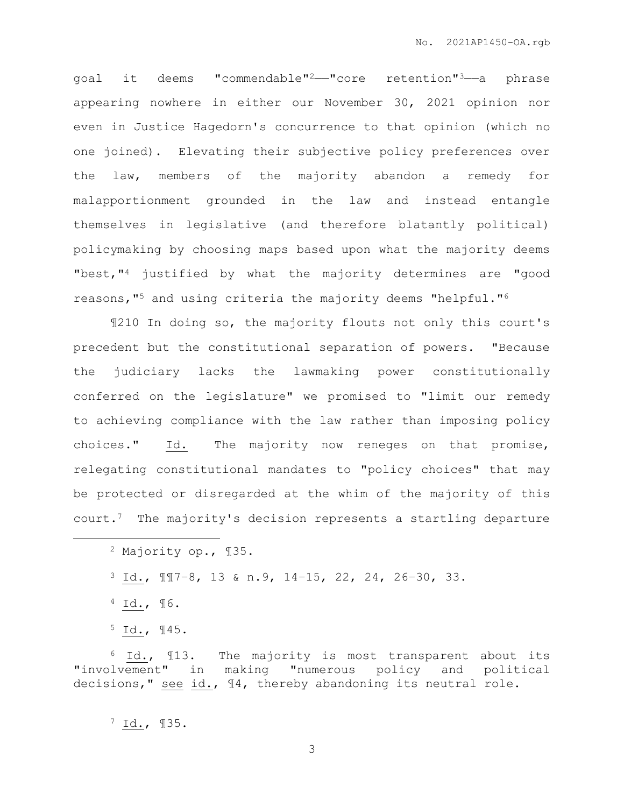goal it deems "commendable"2——"core retention"3——a phrase appearing nowhere in either our November 30, 2021 opinion nor even in Justice Hagedorn's concurrence to that opinion (which no one joined). Elevating their subjective policy preferences over the law, members of the majority abandon a remedy for malapportionment grounded in the law and instead entangle themselves in legislative (and therefore blatantly political) policymaking by choosing maps based upon what the majority deems "best,"<sup>4</sup> justified by what the majority determines are "good reasons,"<sup>5</sup> and using criteria the majority deems "helpful."<sup>6</sup>

¶210 In doing so, the majority flouts not only this court's precedent but the constitutional separation of powers. "Because the judiciary lacks the lawmaking power constitutionally conferred on the legislature" we promised to "limit our remedy to achieving compliance with the law rather than imposing policy choices." Id. The majority now reneges on that promise, relegating constitutional mandates to "policy choices" that may be protected or disregarded at the whim of the majority of this court.7 The majority's decision represents a startling departure

 $\overline{a}$ 

<sup>6</sup> Id., ¶13. The majority is most transparent about its "involvement" in making "numerous policy and political decisions," see id., ¶4, thereby abandoning its neutral role.

<sup>7</sup> Id., ¶35.

<sup>2</sup> Majority op., ¶35.

<sup>3</sup> Id., ¶¶7–8, 13 & n.9, 14–15, 22, 24, 26–30, 33.

<sup>4</sup> Id., ¶6.

<sup>5</sup> Id., ¶45.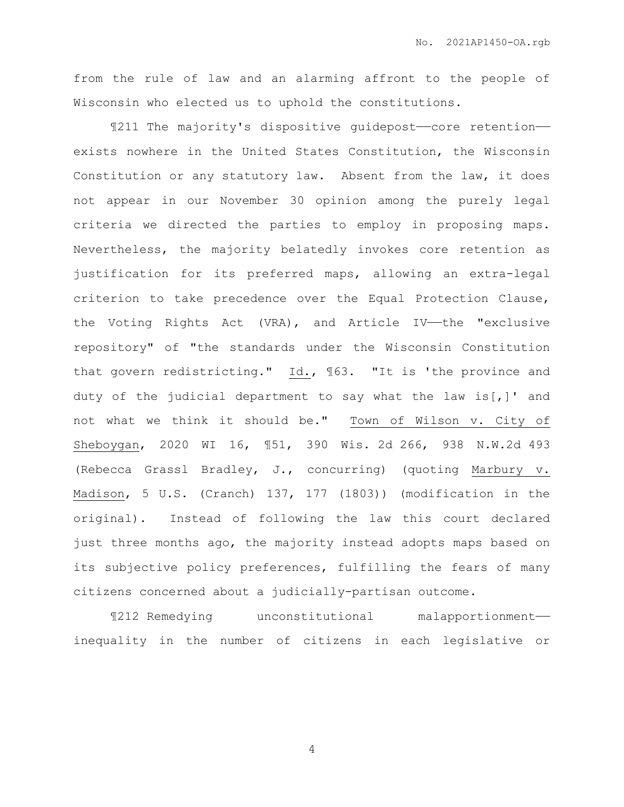from the rule of law and an alarming affront to the people of Wisconsin who elected us to uphold the constitutions.

¶211 The majority's dispositive guidepost——core retention— exists nowhere in the United States Constitution, the Wisconsin Constitution or any statutory law. Absent from the law, it does not appear in our November 30 opinion among the purely legal criteria we directed the parties to employ in proposing maps. Nevertheless, the majority belatedly invokes core retention as justification for its preferred maps, allowing an extra-legal criterion to take precedence over the Equal Protection Clause, the Voting Rights Act (VRA), and Article IV-the "exclusive repository" of "the standards under the Wisconsin Constitution that govern redistricting." Id., ¶63. "It is 'the province and duty of the judicial department to say what the law is[,]' and not what we think it should be." Town of Wilson v. City of Sheboygan, 2020 WI 16, ¶51, 390 Wis. 2d 266, 938 N.W.2d 493 (Rebecca Grassl Bradley, J., concurring) (quoting Marbury v. Madison, 5 U.S. (Cranch) 137, 177 (1803)) (modification in the original). Instead of following the law this court declared just three months ago, the majority instead adopts maps based on its subjective policy preferences, fulfilling the fears of many citizens concerned about a judicially-partisan outcome.

¶212 Remedying unconstitutional malapportionment— inequality in the number of citizens in each legislative or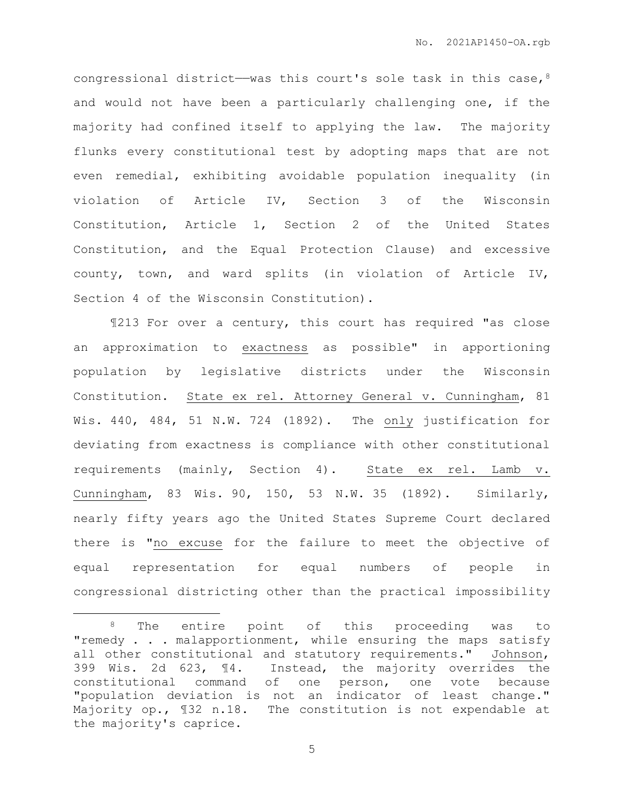congressional district—was this court's sole task in this case,  $8$ and would not have been a particularly challenging one, if the majority had confined itself to applying the law. The majority flunks every constitutional test by adopting maps that are not even remedial, exhibiting avoidable population inequality (in violation of Article IV, Section 3 of the Wisconsin Constitution, Article 1, Section 2 of the United States Constitution, and the Equal Protection Clause) and excessive county, town, and ward splits (in violation of Article IV, Section 4 of the Wisconsin Constitution).

¶213 For over a century, this court has required "as close an approximation to exactness as possible" in apportioning population by legislative districts under the Wisconsin Constitution. State ex rel. Attorney General v. Cunningham, 81 Wis. 440, 484, 51 N.W. 724 (1892). The only justification for deviating from exactness is compliance with other constitutional requirements (mainly, Section 4). State ex rel. Lamb v. Cunningham, 83 Wis. 90, 150, 53 N.W. 35 (1892). Similarly, nearly fifty years ago the United States Supreme Court declared there is "no excuse for the failure to meet the objective of equal representation for equal numbers of people in congressional districting other than the practical impossibility

 $\overline{a}$ 

<sup>&</sup>lt;sup>8</sup> The entire point of this proceeding was to "remedy . . . malapportionment, while ensuring the maps satisfy all other constitutional and statutory requirements." Johnson, 399 Wis. 2d 623, ¶4. Instead, the majority overrides the constitutional command of one person, one vote because "population deviation is not an indicator of least change." Majority op., ¶32 n.18. The constitution is not expendable at the majority's caprice.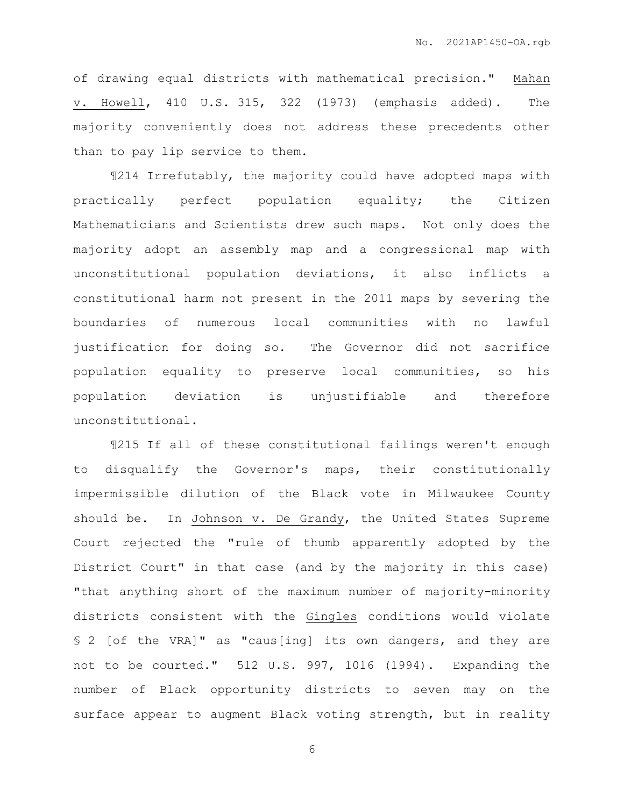of drawing equal districts with mathematical precision." Mahan v. Howell, 410 U.S. 315, 322 (1973) (emphasis added). The majority conveniently does not address these precedents other than to pay lip service to them.

¶214 Irrefutably, the majority could have adopted maps with practically perfect population equality; the Citizen Mathematicians and Scientists drew such maps. Not only does the majority adopt an assembly map and a congressional map with unconstitutional population deviations, it also inflicts a constitutional harm not present in the 2011 maps by severing the boundaries of numerous local communities with no lawful justification for doing so. The Governor did not sacrifice population equality to preserve local communities, so his population deviation is unjustifiable and therefore unconstitutional.

¶215 If all of these constitutional failings weren't enough to disqualify the Governor's maps, their constitutionally impermissible dilution of the Black vote in Milwaukee County should be. In Johnson v. De Grandy, the United States Supreme Court rejected the "rule of thumb apparently adopted by the District Court" in that case (and by the majority in this case) "that anything short of the maximum number of majority-minority districts consistent with the Gingles conditions would violate § 2 [of the VRA]" as "caus[ing] its own dangers, and they are not to be courted." 512 U.S. 997, 1016 (1994). Expanding the number of Black opportunity districts to seven may on the surface appear to augment Black voting strength, but in reality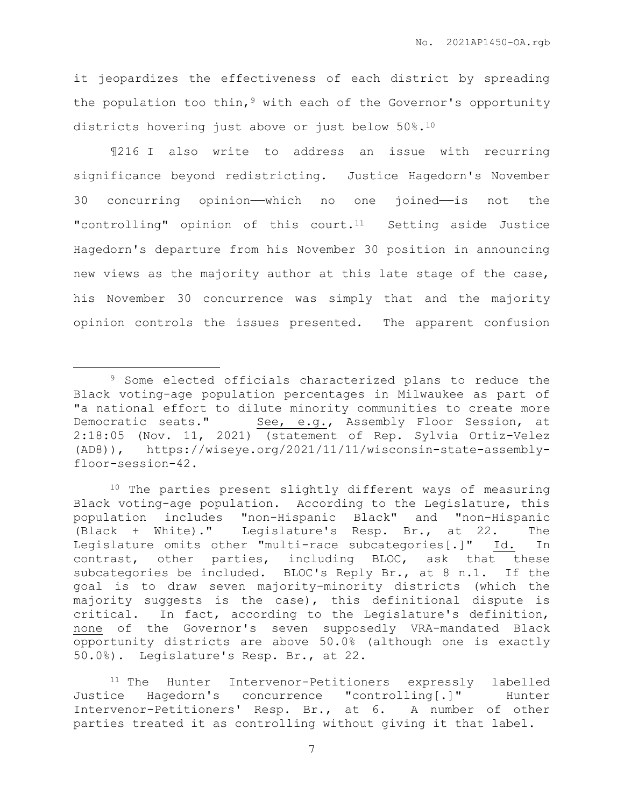it jeopardizes the effectiveness of each district by spreading the population too thin,<sup>9</sup> with each of the Governor's opportunity districts hovering just above or just below 50%.<sup>10</sup>

¶216 I also write to address an issue with recurring significance beyond redistricting. Justice Hagedorn's November 30 concurring opinion——which no one joined——is not the "controlling" opinion of this court. $11$  Setting aside Justice Hagedorn's departure from his November 30 position in announcing new views as the majority author at this late stage of the case, his November 30 concurrence was simply that and the majority opinion controls the issues presented. The apparent confusion

 $\overline{a}$ 

<sup>9</sup> Some elected officials characterized plans to reduce the Black voting-age population percentages in Milwaukee as part of "a national effort to dilute minority communities to create more Democratic seats." See, e.g., Assembly Floor Session, at 2:18:05 (Nov. 11, 2021) (statement of Rep. Sylvia Ortiz-Velez (AD8)), https://wiseye.org/2021/11/11/wisconsin-state-assemblyfloor-session-42.

 $10$  The parties present slightly different ways of measuring Black voting-age population. According to the Legislature, this population includes "non-Hispanic Black" and "non-Hispanic (Black + White)." Legislature's Resp. Br., at 22. The Legislature omits other "multi-race subcategories[.]" Id. In contrast, other parties, including BLOC, ask that these subcategories be included. BLOC's Reply Br., at 8 n.1. If the goal is to draw seven majority-minority districts (which the majority suggests is the case), this definitional dispute is critical. In fact, according to the Legislature's definition, none of the Governor's seven supposedly VRA-mandated Black opportunity districts are above 50.0% (although one is exactly 50.0%). Legislature's Resp. Br., at 22.

<sup>11</sup> The Hunter Intervenor-Petitioners expressly labelled Justice Hagedorn's concurrence "controlling[.]" Hunter Intervenor-Petitioners' Resp. Br., at 6. A number of other parties treated it as controlling without giving it that label.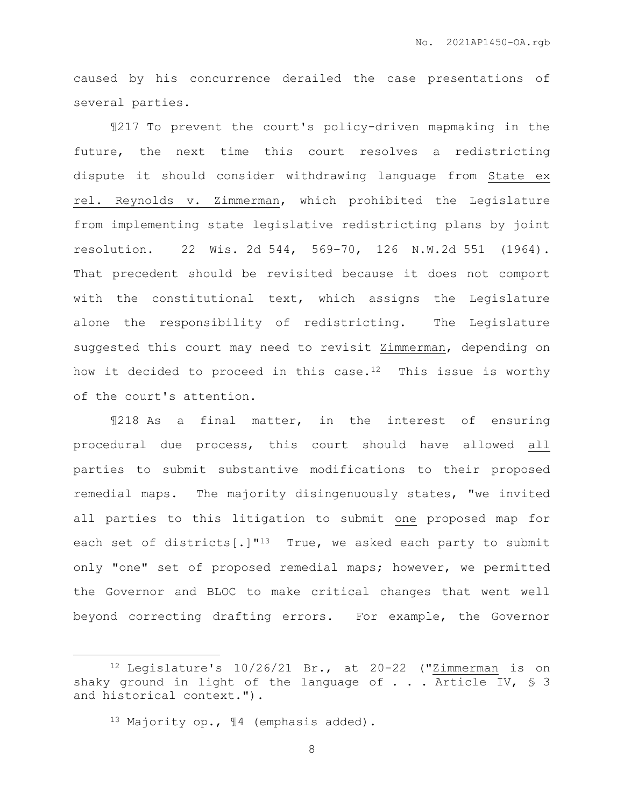caused by his concurrence derailed the case presentations of several parties.

¶217 To prevent the court's policy-driven mapmaking in the future, the next time this court resolves a redistricting dispute it should consider withdrawing language from State ex rel. Reynolds v. Zimmerman, which prohibited the Legislature from implementing state legislative redistricting plans by joint resolution. 22 Wis. 2d 544, 569–70, 126 N.W.2d 551 (1964). That precedent should be revisited because it does not comport with the constitutional text, which assigns the Legislature alone the responsibility of redistricting. The Legislature suggested this court may need to revisit Zimmerman, depending on how it decided to proceed in this case.<sup>12</sup> This issue is worthy of the court's attention.

¶218 As a final matter, in the interest of ensuring procedural due process, this court should have allowed all parties to submit substantive modifications to their proposed remedial maps. The majority disingenuously states, "we invited all parties to this litigation to submit one proposed map for each set of districts[.]"<sup>13</sup> True, we asked each party to submit only "one" set of proposed remedial maps; however, we permitted the Governor and BLOC to make critical changes that went well beyond correcting drafting errors. For example, the Governor

 $\overline{a}$ 

<sup>12</sup> Legislature's 10/26/21 Br., at 20-22 ("Zimmerman is on shaky ground in light of the language of . . . Article IV, § 3 and historical context.").

<sup>13</sup> Majority op., ¶4 (emphasis added).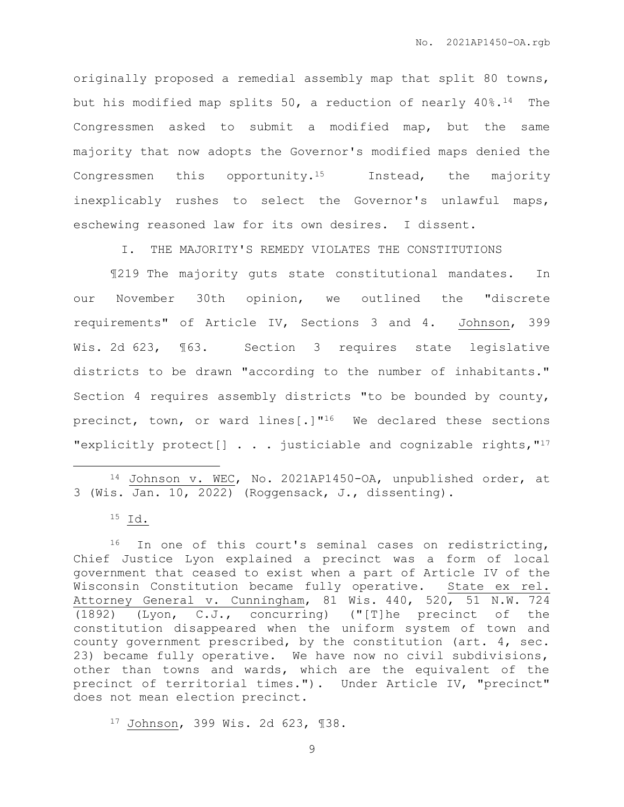originally proposed a remedial assembly map that split 80 towns, but his modified map splits 50, a reduction of nearly 40%.14 The Congressmen asked to submit a modified map, but the same majority that now adopts the Governor's modified maps denied the Congressmen this opportunity.<sup>15</sup> Instead, the majority inexplicably rushes to select the Governor's unlawful maps, eschewing reasoned law for its own desires. I dissent.

I. THE MAJORITY'S REMEDY VIOLATES THE CONSTITUTIONS

¶219 The majority guts state constitutional mandates. In our November 30th opinion, we outlined the "discrete requirements" of Article IV, Sections 3 and 4. Johnson, 399 Wis. 2d 623, 163. Section 3 requires state legislative districts to be drawn "according to the number of inhabitants." Section 4 requires assembly districts "to be bounded by county, precinct, town, or ward lines[.]"<sup>16</sup> We declared these sections "explicitly protect[] . . . justiciable and cognizable rights,"<sup>17</sup>

 $\overline{a}$ 

 $16$  In one of this court's seminal cases on redistricting, Chief Justice Lyon explained a precinct was a form of local government that ceased to exist when a part of Article IV of the Wisconsin Constitution became fully operative. State ex rel. Attorney General v. Cunningham, 81 Wis. 440, 520, 51 N.W. 724 (1892) (Lyon, C.J., concurring) ("[T]he precinct of the constitution disappeared when the uniform system of town and county government prescribed, by the constitution (art. 4, sec. 23) became fully operative. We have now no civil subdivisions, other than towns and wards, which are the equivalent of the precinct of territorial times."). Under Article IV, "precinct" does not mean election precinct.

<sup>17</sup> Johnson, 399 Wis. 2d 623, ¶38.

<sup>14</sup> Johnson v. WEC, No. 2021AP1450-OA, unpublished order, at 3 (Wis. Jan. 10, 2022) (Roggensack, J., dissenting).

<sup>15</sup> Id.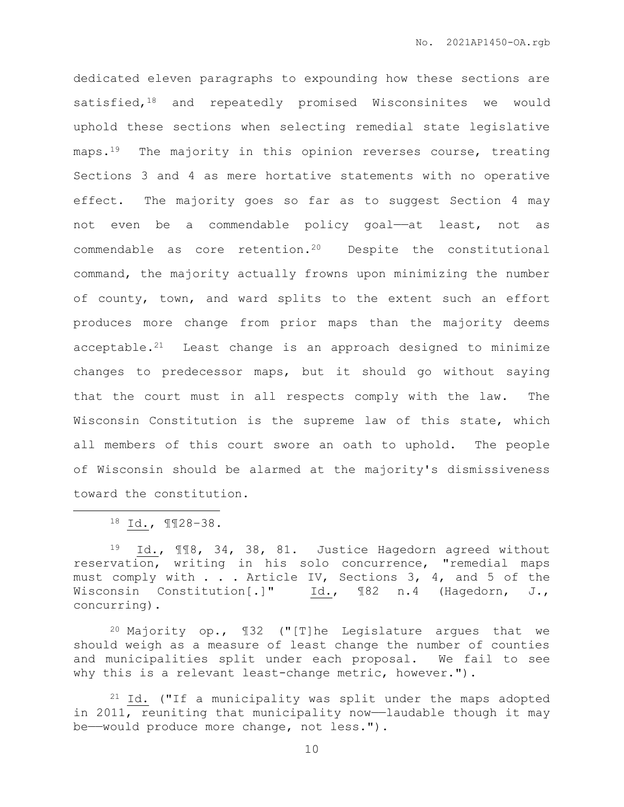dedicated eleven paragraphs to expounding how these sections are satisfied,<sup>18</sup> and repeatedly promised Wisconsinites we would uphold these sections when selecting remedial state legislative maps.<sup>19</sup> The majority in this opinion reverses course, treating Sections 3 and 4 as mere hortative statements with no operative effect. The majority goes so far as to suggest Section 4 may not even be a commendable policy goal——at least, not as commendable as core retention.20 Despite the constitutional command, the majority actually frowns upon minimizing the number of county, town, and ward splits to the extent such an effort produces more change from prior maps than the majority deems acceptable.<sup>21</sup> Least change is an approach designed to minimize changes to predecessor maps, but it should go without saying that the court must in all respects comply with the law. The Wisconsin Constitution is the supreme law of this state, which all members of this court swore an oath to uphold. The people of Wisconsin should be alarmed at the majority's dismissiveness toward the constitution.

 $\overline{a}$ 

<sup>20</sup> Majority op., ¶32 ("[T]he Legislature argues that we should weigh as a measure of least change the number of counties and municipalities split under each proposal. We fail to see why this is a relevant least-change metric, however.").

<sup>21</sup> Id. ("If a municipality was split under the maps adopted in 2011, reuniting that municipality now—laudable though it may be——would produce more change, not less.").

<sup>18</sup> Id., ¶¶28–38.

<sup>19</sup> Id., ¶¶8, 34, 38, 81. Justice Hagedorn agreed without reservation, writing in his solo concurrence, "remedial maps must comply with . . . Article IV, Sections 3, 4, and 5 of the Wisconsin Constitution[.]" Id., ¶82 n.4 (Hagedorn, J., concurring).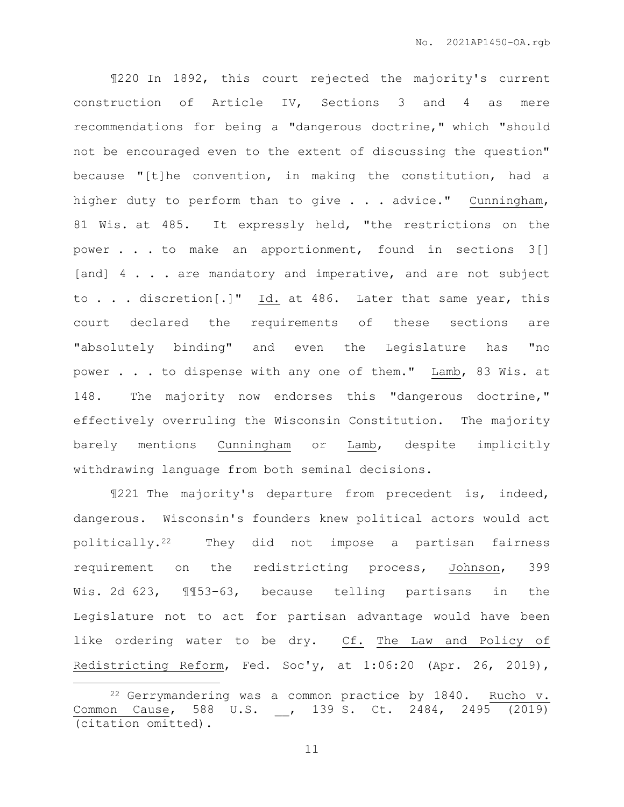¶220 In 1892, this court rejected the majority's current construction of Article IV, Sections 3 and 4 as mere recommendations for being a "dangerous doctrine," which "should not be encouraged even to the extent of discussing the question" because "[t]he convention, in making the constitution, had a higher duty to perform than to give . . . advice." Cunningham, 81 Wis. at 485. It expressly held, "the restrictions on the power . . . to make an apportionment, found in sections 3[] [and] 4 . . . are mandatory and imperative, and are not subject to . . . discretion[.]" Id. at 486. Later that same year, this court declared the requirements of these sections are "absolutely binding" and even the Legislature has "no power . . . to dispense with any one of them." Lamb, 83 Wis. at 148. The majority now endorses this "dangerous doctrine," effectively overruling the Wisconsin Constitution. The majority barely mentions Cunningham or Lamb, despite implicitly withdrawing language from both seminal decisions.

¶221 The majority's departure from precedent is, indeed, dangerous. Wisconsin's founders knew political actors would act politically.22 They did not impose a partisan fairness requirement on the redistricting process, Johnson, 399 Wis. 2d 623, ¶¶53–63, because telling partisans in the Legislature not to act for partisan advantage would have been like ordering water to be dry. Cf. The Law and Policy of Redistricting Reform, Fed. Soc'y, at 1:06:20 (Apr. 26, 2019),

 $\overline{a}$ 

<sup>&</sup>lt;sup>22</sup> Gerrymandering was a common practice by  $1840$ . Rucho v. Common Cause, 588 U.S. \_\_, 139 S. Ct. 2484, 2495 (2019) (citation omitted).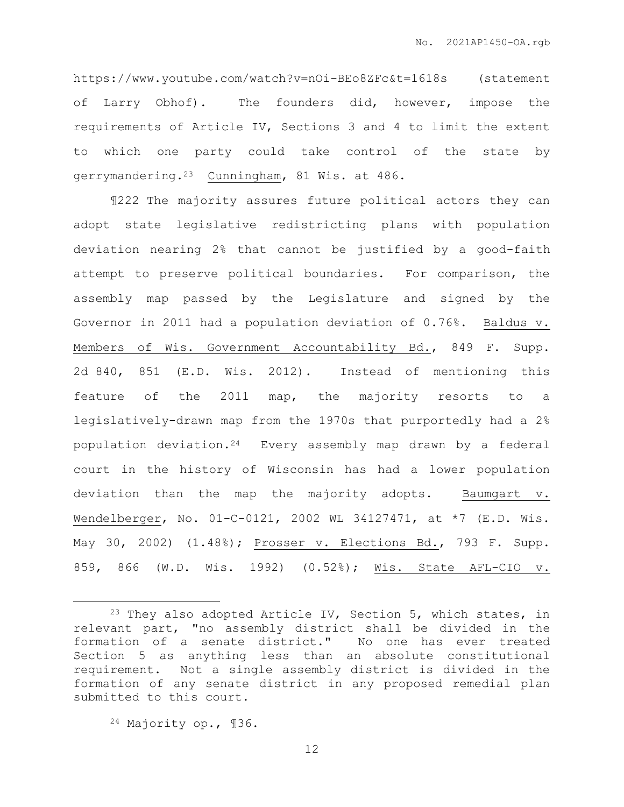https://www.youtube.com/watch?v=nOi-BEo8ZFc&t=1618s (statement of Larry Obhof). The founders did, however, impose the requirements of Article IV, Sections 3 and 4 to limit the extent to which one party could take control of the state by gerrymandering.23 Cunningham, 81 Wis. at 486.

¶222 The majority assures future political actors they can adopt state legislative redistricting plans with population deviation nearing 2% that cannot be justified by a good-faith attempt to preserve political boundaries. For comparison, the assembly map passed by the Legislature and signed by the Governor in 2011 had a population deviation of 0.76%. Baldus v. Members of Wis. Government Accountability Bd., 849 F. Supp. 2d 840, 851 (E.D. Wis. 2012). Instead of mentioning this feature of the 2011 map, the majority resorts to a legislatively-drawn map from the 1970s that purportedly had a 2% population deviation.24 Every assembly map drawn by a federal court in the history of Wisconsin has had a lower population deviation than the map the majority adopts. Baumgart v. Wendelberger, No. 01-C-0121, 2002 WL 34127471, at \*7 (E.D. Wis. May 30, 2002) (1.48%); Prosser v. Elections Bd., 793 F. Supp. 859, 866 (W.D. Wis. 1992) (0.52%); Wis. State AFL-CIO v.

<sup>24</sup> Majority op., ¶36.

 $\overline{a}$ 

<sup>&</sup>lt;sup>23</sup> They also adopted Article IV, Section 5, which states, in relevant part, "no assembly district shall be divided in the formation of a senate district." No one has ever treated Section 5 as anything less than an absolute constitutional requirement. Not a single assembly district is divided in the formation of any senate district in any proposed remedial plan submitted to this court.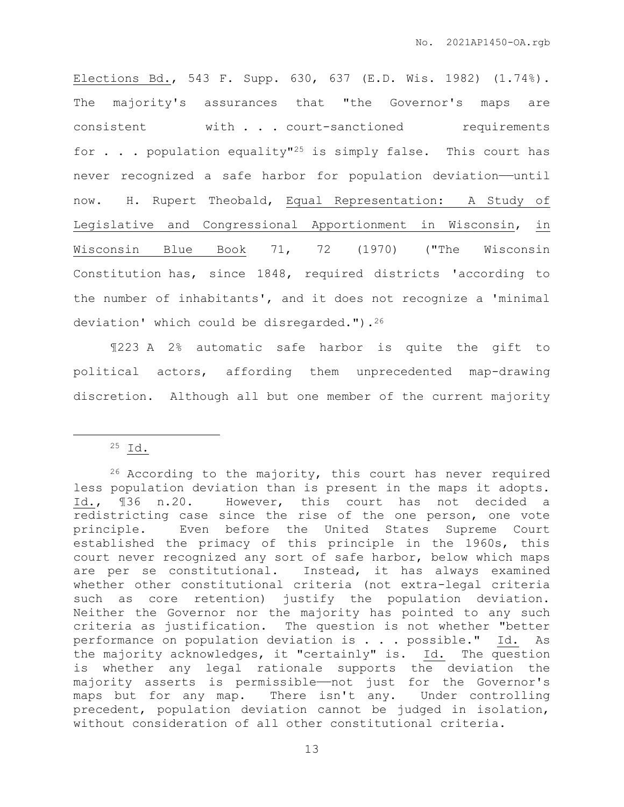Elections Bd., 543 F. Supp. 630, 637 (E.D. Wis. 1982) (1.74%). The majority's assurances that "the Governor's maps are consistent with . . . court-sanctioned requirements for  $\ldots$  population equality"<sup>25</sup> is simply false. This court has never recognized a safe harbor for population deviation——until now. H. Rupert Theobald, Equal Representation: A Study of Legislative and Congressional Apportionment in Wisconsin, in Wisconsin Blue Book 71, 72 (1970) ("The Wisconsin Constitution has, since 1848, required districts 'according to the number of inhabitants', and it does not recognize a 'minimal deviation' which could be disregarded.").<sup>26</sup>

¶223 A 2% automatic safe harbor is quite the gift to political actors, affording them unprecedented map-drawing discretion. Although all but one member of the current majority

<sup>25</sup> Id.

 $\overline{a}$ 

<sup>&</sup>lt;sup>26</sup> According to the majority, this court has never required less population deviation than is present in the maps it adopts. Id., ¶36 n.20. However, this court has not decided a redistricting case since the rise of the one person, one vote principle. Even before the United States Supreme Court established the primacy of this principle in the 1960s, this court never recognized any sort of safe harbor, below which maps are per se constitutional. Instead, it has always examined whether other constitutional criteria (not extra-legal criteria such as core retention) justify the population deviation. Neither the Governor nor the majority has pointed to any such criteria as justification. The question is not whether "better performance on population deviation is . . . possible." Id. As the majority acknowledges, it "certainly" is. Id. The question is whether any legal rationale supports the deviation the majority asserts is permissible——not just for the Governor's maps but for any map. There isn't any. Under controlling precedent, population deviation cannot be judged in isolation, without consideration of all other constitutional criteria.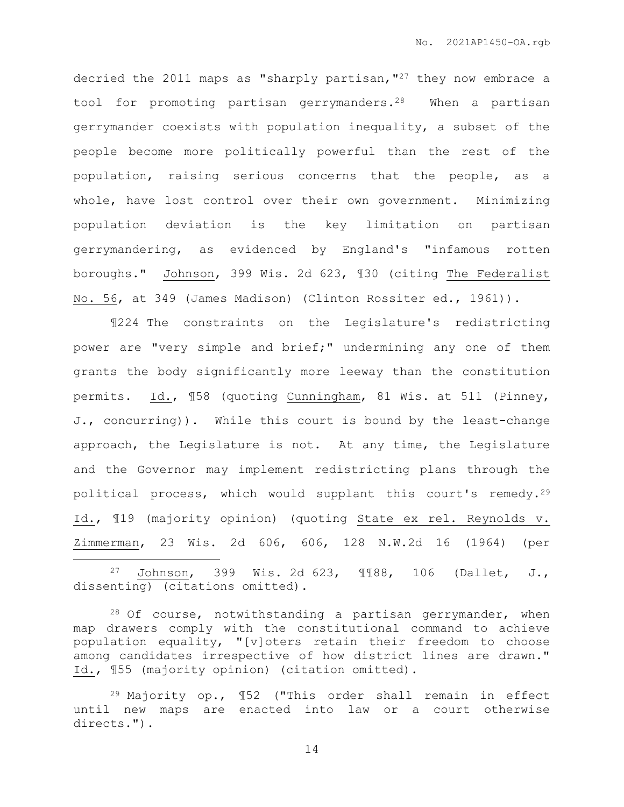decried the 2011 maps as "sharply partisan,"<sup>27</sup> they now embrace a tool for promoting partisan gerrymanders.<sup>28</sup> When a partisan gerrymander coexists with population inequality, a subset of the people become more politically powerful than the rest of the population, raising serious concerns that the people, as a whole, have lost control over their own government. Minimizing population deviation is the key limitation on partisan gerrymandering, as evidenced by England's "infamous rotten boroughs." Johnson, 399 Wis. 2d 623, ¶30 (citing The Federalist No. 56, at 349 (James Madison) (Clinton Rossiter ed., 1961)).

¶224 The constraints on the Legislature's redistricting power are "very simple and brief;" undermining any one of them grants the body significantly more leeway than the constitution permits. Id., ¶58 (quoting Cunningham, 81 Wis. at 511 (Pinney, J., concurring)). While this court is bound by the least-change approach, the Legislature is not. At any time, the Legislature and the Governor may implement redistricting plans through the political process, which would supplant this court's remedy.<sup>29</sup> Id., ¶19 (majority opinion) (quoting State ex rel. Reynolds v. Zimmerman, 23 Wis. 2d 606, 606, 128 N.W.2d 16 (1964) (per

<sup>27</sup> Johnson, 399 Wis. 2d 623, ¶¶88, 106 (Dallet, J., dissenting) (citations omitted).

 $\overline{a}$ 

 $28$  Of course, notwithstanding a partisan gerrymander, when map drawers comply with the constitutional command to achieve population equality, "[v]oters retain their freedom to choose among candidates irrespective of how district lines are drawn." Id., ¶55 (majority opinion) (citation omitted).

<sup>29</sup> Majority op., ¶52 ("This order shall remain in effect until new maps are enacted into law or a court otherwise directs.").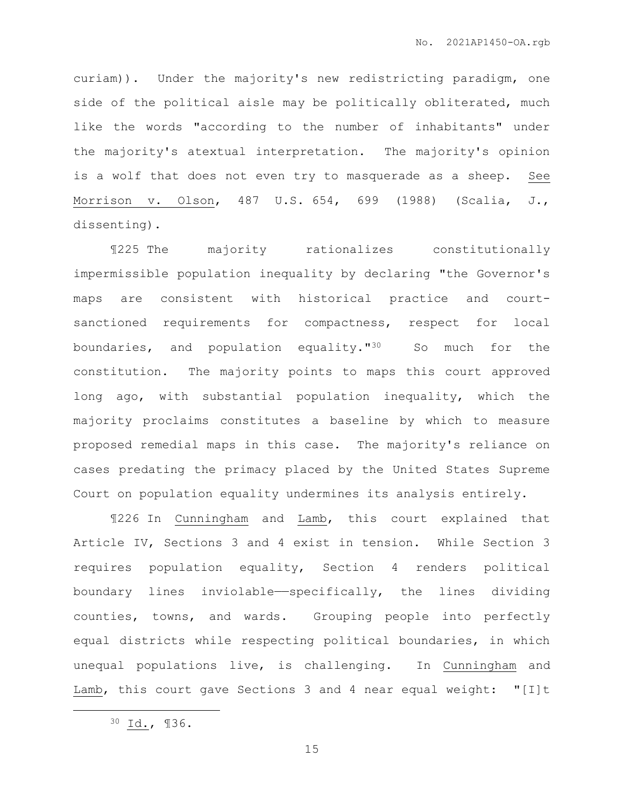curiam)). Under the majority's new redistricting paradigm, one side of the political aisle may be politically obliterated, much like the words "according to the number of inhabitants" under the majority's atextual interpretation. The majority's opinion is a wolf that does not even try to masquerade as a sheep. See Morrison v. Olson, 487 U.S. 654, 699 (1988) (Scalia, J., dissenting).

¶225 The majority rationalizes constitutionally impermissible population inequality by declaring "the Governor's maps are consistent with historical practice and courtsanctioned requirements for compactness, respect for local boundaries, and population equality."<sup>30</sup> So much for the constitution. The majority points to maps this court approved long ago, with substantial population inequality, which the majority proclaims constitutes a baseline by which to measure proposed remedial maps in this case. The majority's reliance on cases predating the primacy placed by the United States Supreme Court on population equality undermines its analysis entirely.

¶226 In Cunningham and Lamb, this court explained that Article IV, Sections 3 and 4 exist in tension. While Section 3 requires population equality, Section 4 renders political boundary lines inviolable——specifically, the lines dividing counties, towns, and wards. Grouping people into perfectly equal districts while respecting political boundaries, in which unequal populations live, is challenging. In Cunningham and Lamb, this court gave Sections 3 and 4 near equal weight: "[I]t

 $\overline{a}$ 

<sup>30</sup> Id., ¶36.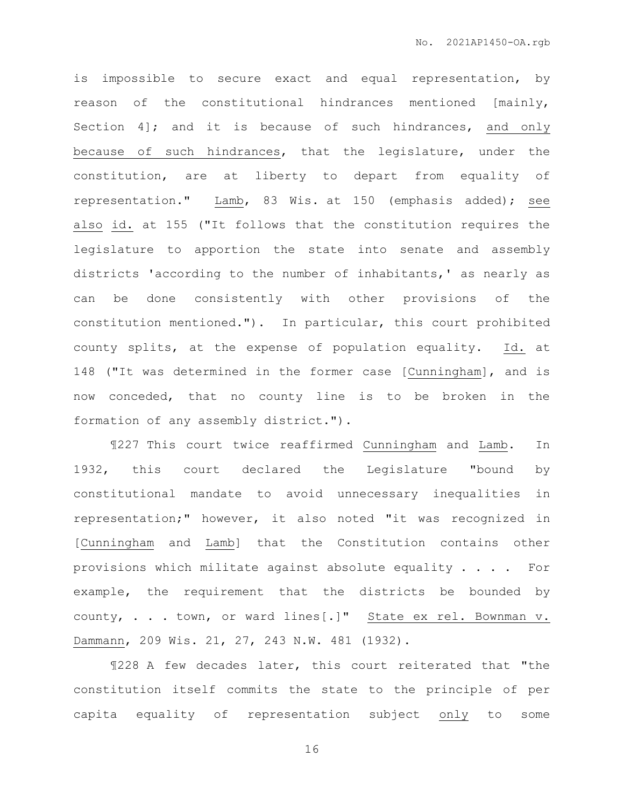is impossible to secure exact and equal representation, by reason of the constitutional hindrances mentioned [mainly, Section 4]; and it is because of such hindrances, and only because of such hindrances, that the legislature, under the constitution, are at liberty to depart from equality of representation." Lamb, 83 Wis. at 150 (emphasis added); see also id. at 155 ("It follows that the constitution requires the legislature to apportion the state into senate and assembly districts 'according to the number of inhabitants,' as nearly as can be done consistently with other provisions of the constitution mentioned."). In particular, this court prohibited county splits, at the expense of population equality. Id. at 148 ("It was determined in the former case [Cunningham], and is now conceded, that no county line is to be broken in the formation of any assembly district.").

¶227 This court twice reaffirmed Cunningham and Lamb. In 1932, this court declared the Legislature "bound by constitutional mandate to avoid unnecessary inequalities in representation;" however, it also noted "it was recognized in [Cunningham and Lamb] that the Constitution contains other provisions which militate against absolute equality . . . . For example, the requirement that the districts be bounded by county, . . . town, or ward lines[.]" State ex rel. Bownman v. Dammann, 209 Wis. 21, 27, 243 N.W. 481 (1932).

¶228 A few decades later, this court reiterated that "the constitution itself commits the state to the principle of per capita equality of representation subject only to some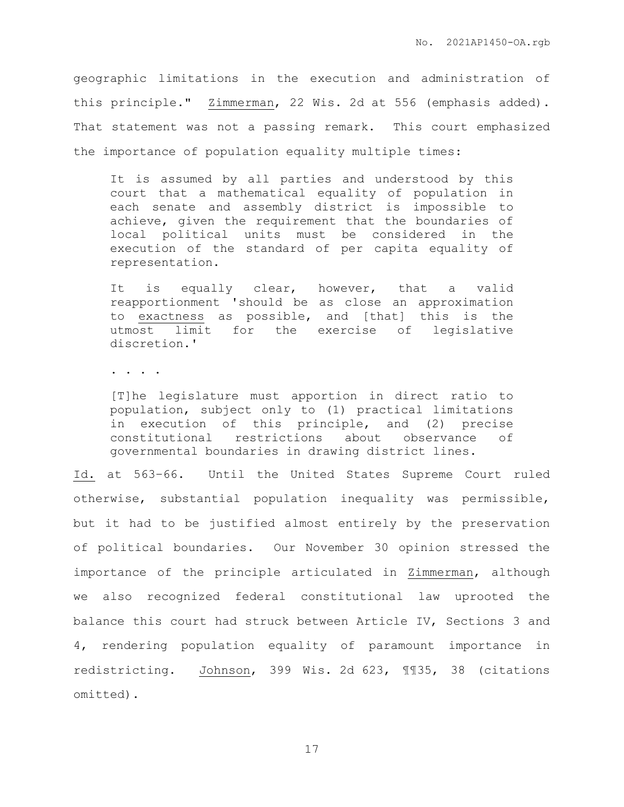geographic limitations in the execution and administration of this principle." Zimmerman, 22 Wis. 2d at 556 (emphasis added). That statement was not a passing remark. This court emphasized the importance of population equality multiple times:

It is assumed by all parties and understood by this court that a mathematical equality of population in each senate and assembly district is impossible to achieve, given the requirement that the boundaries of local political units must be considered in the execution of the standard of per capita equality of representation.

It is equally clear, however, that a valid reapportionment 'should be as close an approximation to exactness as possible, and [that] this is the utmost limit for the exercise of legislative discretion.'

. . . .

[T]he legislature must apportion in direct ratio to population, subject only to (1) practical limitations in execution of this principle, and (2) precise constitutional restrictions about observance of governmental boundaries in drawing district lines.

Id. at 563–66. Until the United States Supreme Court ruled otherwise, substantial population inequality was permissible, but it had to be justified almost entirely by the preservation of political boundaries. Our November 30 opinion stressed the importance of the principle articulated in Zimmerman, although we also recognized federal constitutional law uprooted the balance this court had struck between Article IV, Sections 3 and 4, rendering population equality of paramount importance in redistricting. Johnson, 399 Wis. 2d 623, ¶¶35, 38 (citations omitted).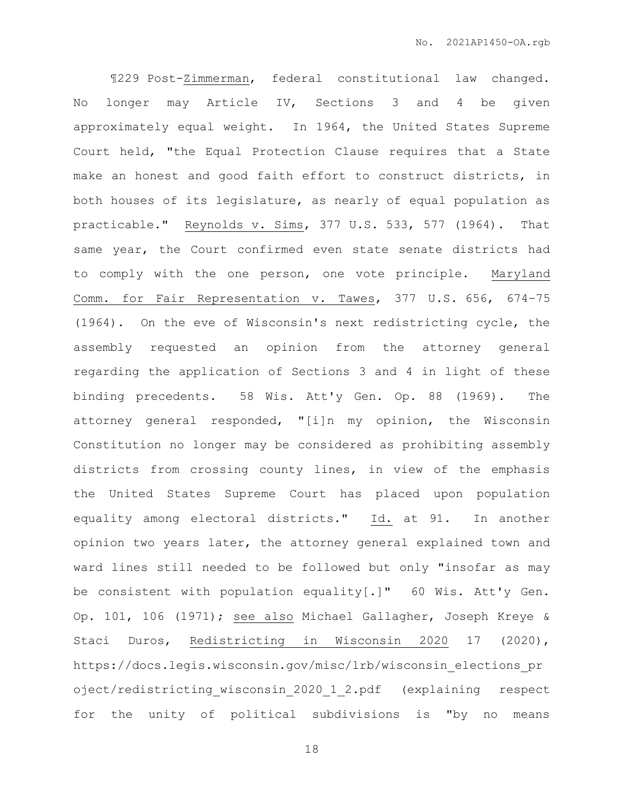¶229 Post-Zimmerman, federal constitutional law changed. No longer may Article IV, Sections 3 and 4 be given approximately equal weight. In 1964, the United States Supreme Court held, "the Equal Protection Clause requires that a State make an honest and good faith effort to construct districts, in both houses of its legislature, as nearly of equal population as practicable." Reynolds v. Sims, 377 U.S. 533, 577 (1964). That same year, the Court confirmed even state senate districts had to comply with the one person, one vote principle. Maryland Comm. for Fair Representation v. Tawes, 377 U.S. 656, 674–75 (1964). On the eve of Wisconsin's next redistricting cycle, the assembly requested an opinion from the attorney general regarding the application of Sections 3 and 4 in light of these binding precedents. 58 Wis. Att'y Gen. Op. 88 (1969). The attorney general responded, "[i]n my opinion, the Wisconsin Constitution no longer may be considered as prohibiting assembly districts from crossing county lines, in view of the emphasis the United States Supreme Court has placed upon population equality among electoral districts." Id. at 91. In another opinion two years later, the attorney general explained town and ward lines still needed to be followed but only "insofar as may be consistent with population equality[.]" 60 Wis. Att'y Gen. Op. 101, 106 (1971); see also Michael Gallagher, Joseph Kreye & Staci Duros, Redistricting in Wisconsin 2020 17 (2020), https://docs.legis.wisconsin.gov/misc/lrb/wisconsin\_elections\_pr oject/redistricting\_wisconsin\_2020\_1\_2.pdf (explaining respect for the unity of political subdivisions is "by no means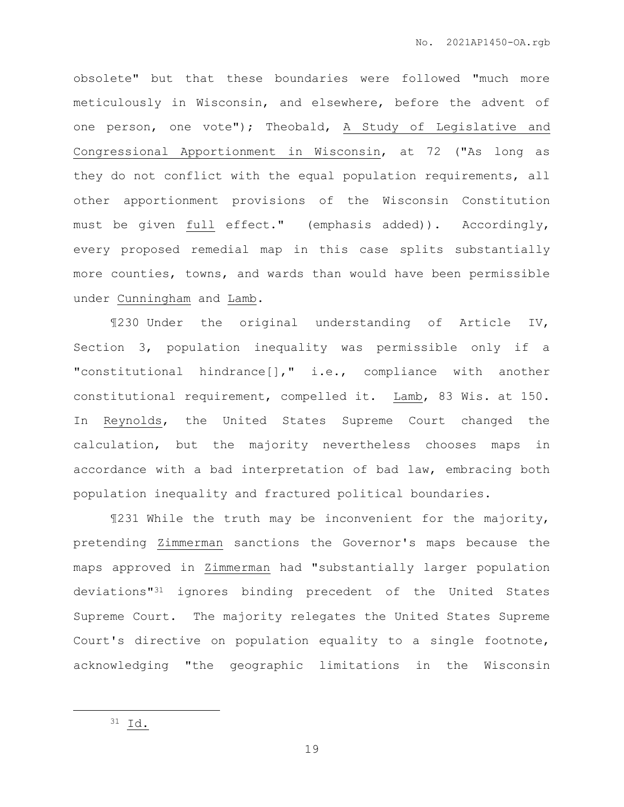obsolete" but that these boundaries were followed "much more meticulously in Wisconsin, and elsewhere, before the advent of one person, one vote"); Theobald, A Study of Legislative and Congressional Apportionment in Wisconsin, at 72 ("As long as they do not conflict with the equal population requirements, all other apportionment provisions of the Wisconsin Constitution must be given full effect." (emphasis added)). Accordingly, every proposed remedial map in this case splits substantially more counties, towns, and wards than would have been permissible under Cunningham and Lamb.

¶230 Under the original understanding of Article IV, Section 3, population inequality was permissible only if a "constitutional hindrance[]," i.e., compliance with another constitutional requirement, compelled it. Lamb, 83 Wis. at 150. In Reynolds, the United States Supreme Court changed the calculation, but the majority nevertheless chooses maps in accordance with a bad interpretation of bad law, embracing both population inequality and fractured political boundaries.

¶231 While the truth may be inconvenient for the majority, pretending Zimmerman sanctions the Governor's maps because the maps approved in Zimmerman had "substantially larger population deviations"<sup>31</sup> ignores binding precedent of the United States Supreme Court. The majority relegates the United States Supreme Court's directive on population equality to a single footnote, acknowledging "the geographic limitations in the Wisconsin

 $\overline{a}$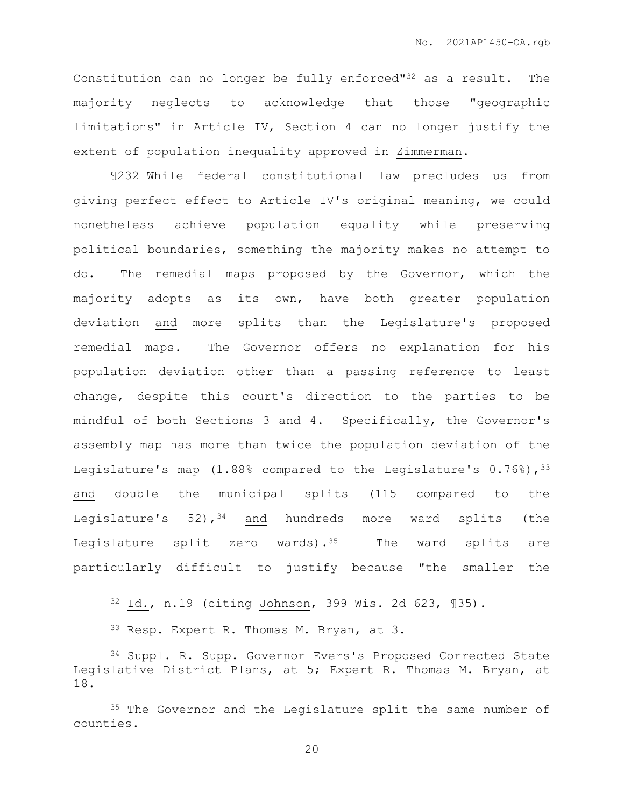Constitution can no longer be fully enforced"<sup>32</sup> as a result. The majority neglects to acknowledge that those "geographic limitations" in Article IV, Section 4 can no longer justify the extent of population inequality approved in Zimmerman.

¶232 While federal constitutional law precludes us from giving perfect effect to Article IV's original meaning, we could nonetheless achieve population equality while preserving political boundaries, something the majority makes no attempt to do. The remedial maps proposed by the Governor, which the majority adopts as its own, have both greater population deviation and more splits than the Legislature's proposed remedial maps. The Governor offers no explanation for his population deviation other than a passing reference to least change, despite this court's direction to the parties to be mindful of both Sections 3 and 4. Specifically, the Governor's assembly map has more than twice the population deviation of the Legislature's map  $(1.88\frac{1}{8}$  compared to the Legislature's  $0.76\frac{1}{8}$ ,  $33$ and double the municipal splits (115 compared to the Legislature's  $52)$ ,  $34$  and hundreds more ward splits (the Legislature split zero wards).<sup>35</sup> The ward splits are particularly difficult to justify because "the smaller the

 $\overline{a}$ 

<sup>32</sup> Id., n.19 (citing Johnson, 399 Wis. 2d 623, ¶35).

<sup>33</sup> Resp. Expert R. Thomas M. Bryan, at 3.

<sup>34</sup> Suppl. R. Supp. Governor Evers's Proposed Corrected State Legislative District Plans, at 5; Expert R. Thomas M. Bryan, at 18.

<sup>&</sup>lt;sup>35</sup> The Governor and the Legislature split the same number of counties.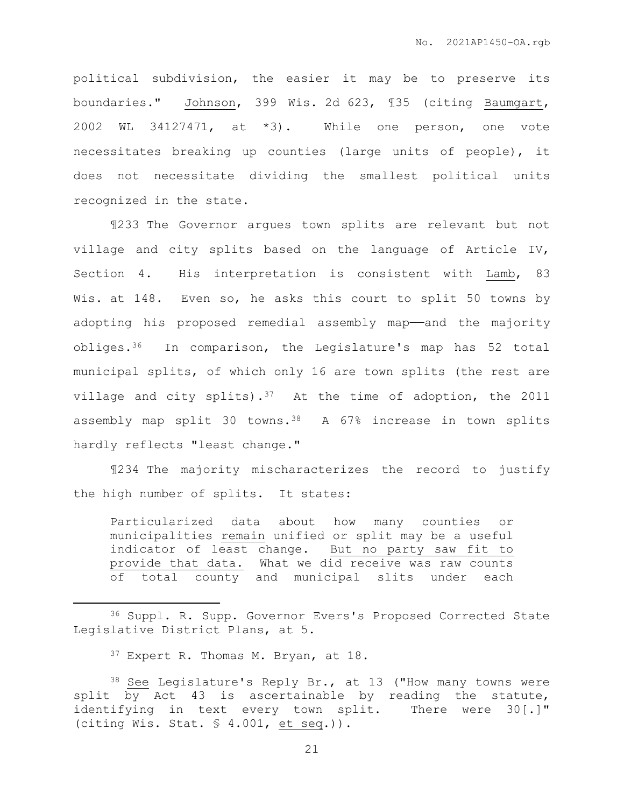political subdivision, the easier it may be to preserve its boundaries." Johnson, 399 Wis. 2d 623, ¶35 (citing Baumgart, 2002 WL 34127471, at \*3). While one person, one vote necessitates breaking up counties (large units of people), it does not necessitate dividing the smallest political units recognized in the state.

¶233 The Governor argues town splits are relevant but not village and city splits based on the language of Article IV, Section 4. His interpretation is consistent with Lamb, 83 Wis. at 148. Even so, he asks this court to split 50 towns by adopting his proposed remedial assembly map——and the majority obliges.36 In comparison, the Legislature's map has 52 total municipal splits, of which only 16 are town splits (the rest are village and city splits).<sup>37</sup> At the time of adoption, the 2011 assembly map split 30 towns.<sup>38</sup> A 67% increase in town splits hardly reflects "least change."

¶234 The majority mischaracterizes the record to justify the high number of splits. It states:

Particularized data about how many counties or municipalities remain unified or split may be a useful indicator of least change. But no party saw fit to provide that data. What we did receive was raw counts of total county and municipal slits under each

<sup>36</sup> Suppl. R. Supp. Governor Evers's Proposed Corrected State Legislative District Plans, at 5.

<sup>37</sup> Expert R. Thomas M. Bryan, at 18.

<sup>38</sup> See Legislature's Reply Br., at 13 ("How many towns were split by Act 43 is ascertainable by reading the statute, identifying in text every town split. There were 30[.]" (citing Wis. Stat. § 4.001, et seq.)).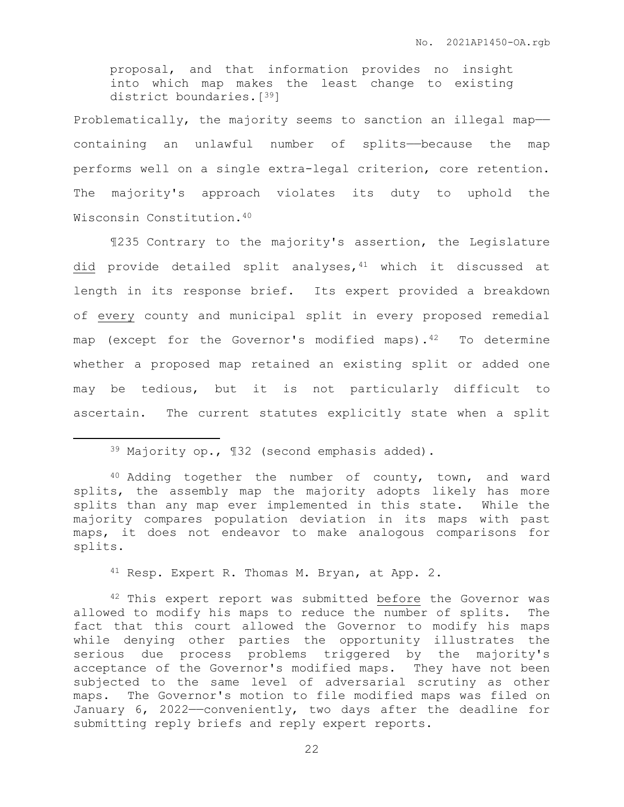proposal, and that information provides no insight into which map makes the least change to existing district boundaries.[39]

Problematically, the majority seems to sanction an illegal mapcontaining an unlawful number of splits——because the map performs well on a single extra-legal criterion, core retention. The majority's approach violates its duty to uphold the Wisconsin Constitution.<sup>40</sup>

¶235 Contrary to the majority's assertion, the Legislature did provide detailed split analyses, 41 which it discussed at length in its response brief. Its expert provided a breakdown of every county and municipal split in every proposed remedial map (except for the Governor's modified maps).<sup>42</sup> To determine whether a proposed map retained an existing split or added one may be tedious, but it is not particularly difficult to ascertain. The current statutes explicitly state when a split

 $\overline{a}$ 

<sup>41</sup> Resp. Expert R. Thomas M. Bryan, at App. 2.

<sup>42</sup> This expert report was submitted before the Governor was allowed to modify his maps to reduce the number of splits. The fact that this court allowed the Governor to modify his maps while denying other parties the opportunity illustrates the serious due process problems triggered by the majority's acceptance of the Governor's modified maps. They have not been subjected to the same level of adversarial scrutiny as other maps. The Governor's motion to file modified maps was filed on January 6, 2022——conveniently, two days after the deadline for submitting reply briefs and reply expert reports.

<sup>39</sup> Majority op., ¶32 (second emphasis added).

<sup>40</sup> Adding together the number of county, town, and ward splits, the assembly map the majority adopts likely has more splits than any map ever implemented in this state. While the majority compares population deviation in its maps with past maps, it does not endeavor to make analogous comparisons for splits.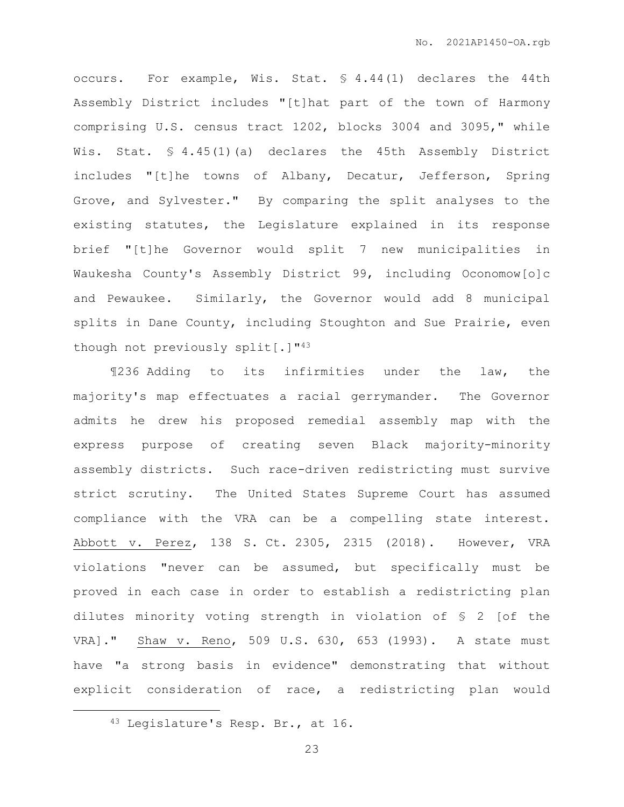occurs. For example, Wis. Stat. § 4.44(1) declares the 44th Assembly District includes "[t]hat part of the town of Harmony comprising U.S. census tract 1202, blocks 3004 and 3095," while Wis. Stat. § 4.45(1)(a) declares the 45th Assembly District includes "[t]he towns of Albany, Decatur, Jefferson, Spring Grove, and Sylvester." By comparing the split analyses to the existing statutes, the Legislature explained in its response brief "[t]he Governor would split 7 new municipalities in Waukesha County's Assembly District 99, including Oconomow[o]c and Pewaukee. Similarly, the Governor would add 8 municipal splits in Dane County, including Stoughton and Sue Prairie, even though not previously split[.]"<sup>43</sup>

¶236 Adding to its infirmities under the law, the majority's map effectuates a racial gerrymander. The Governor admits he drew his proposed remedial assembly map with the express purpose of creating seven Black majority-minority assembly districts. Such race-driven redistricting must survive strict scrutiny. The United States Supreme Court has assumed compliance with the VRA can be a compelling state interest. Abbott v. Perez, 138 S. Ct. 2305, 2315 (2018). However, VRA violations "never can be assumed, but specifically must be proved in each case in order to establish a redistricting plan dilutes minority voting strength in violation of § 2 [of the VRA]." Shaw v. Reno, 509 U.S. 630, 653 (1993). A state must have "a strong basis in evidence" demonstrating that without explicit consideration of race, a redistricting plan would

```
23
```
<sup>43</sup> Legislature's Resp. Br., at 16.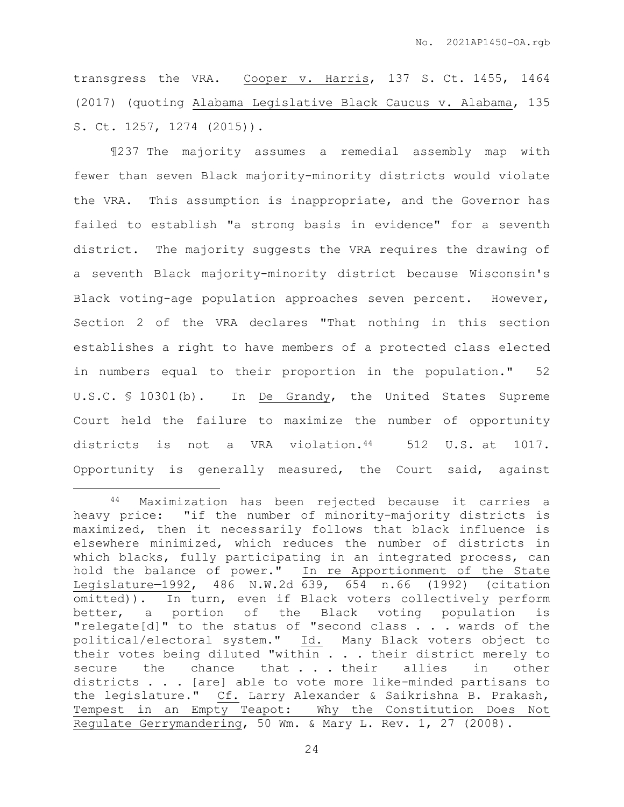transgress the VRA. Cooper v. Harris, 137 S. Ct. 1455, 1464 (2017) (quoting Alabama Legislative Black Caucus v. Alabama, 135 S. Ct. 1257, 1274 (2015)).

¶237 The majority assumes a remedial assembly map with fewer than seven Black majority-minority districts would violate the VRA. This assumption is inappropriate, and the Governor has failed to establish "a strong basis in evidence" for a seventh district. The majority suggests the VRA requires the drawing of a seventh Black majority-minority district because Wisconsin's Black voting-age population approaches seven percent. However, Section 2 of the VRA declares "That nothing in this section establishes a right to have members of a protected class elected in numbers equal to their proportion in the population." 52 U.S.C. § 10301(b). In De Grandy, the United States Supreme Court held the failure to maximize the number of opportunity districts is not a VRA violation.44 512 U.S. at 1017. Opportunity is generally measured, the Court said, against

<sup>44</sup> Maximization has been rejected because it carries a heavy price: "if the number of minority-majority districts is maximized, then it necessarily follows that black influence is elsewhere minimized, which reduces the number of districts in which blacks, fully participating in an integrated process, can hold the balance of power." In re Apportionment of the State Legislature—1992, 486 N.W.2d 639, 654 n.66 (1992) (citation omitted)). In turn, even if Black voters collectively perform better, a portion of the Black voting population is "relegate[d]" to the status of "second class . . . wards of the political/electoral system." Id. Many Black voters object to their votes being diluted "within . . . their district merely to secure the chance that . . . their allies in other districts . . . [are] able to vote more like-minded partisans to the legislature." Cf. Larry Alexander & Saikrishna B. Prakash, Tempest in an Empty Teapot: Why the Constitution Does Not Regulate Gerrymandering, 50 Wm. & Mary L. Rev. 1, 27 (2008).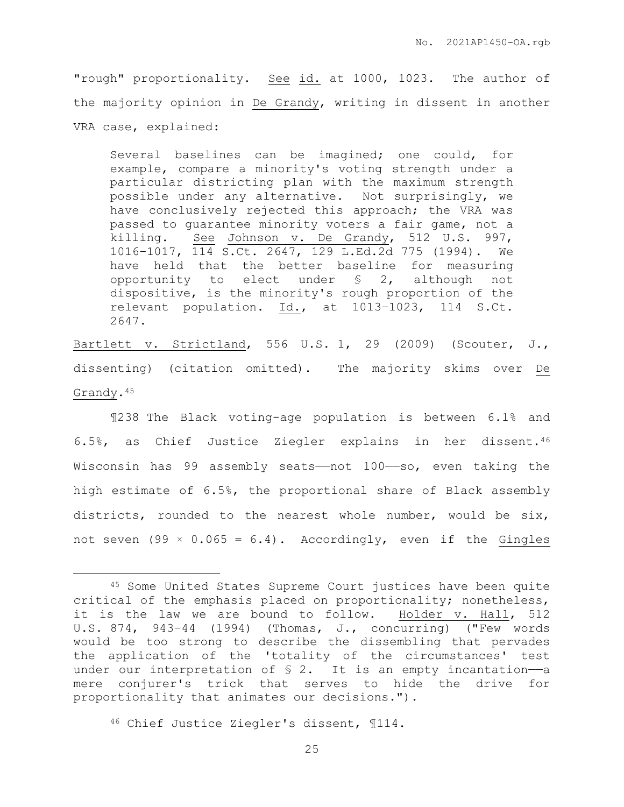"rough" proportionality. See id. at 1000, 1023. The author of the majority opinion in De Grandy, writing in dissent in another VRA case, explained:

Several baselines can be imagined; one could, for example, compare a minority's voting strength under a particular districting plan with the maximum strength possible under any alternative. Not surprisingly, we have conclusively rejected this approach; the VRA was passed to guarantee minority voters a fair game, not a killing. See Johnson v. De Grandy, 512 U.S. 997, 1016–1017, 114 S.Ct. 2647, 129 L.Ed.2d 775 (1994). We have held that the better baseline for measuring opportunity to elect under § 2, although not dispositive, is the minority's rough proportion of the relevant population. Id., at 1013–1023, 114 S.Ct. 2647.

Bartlett v. Strictland, 556 U.S. 1, 29 (2009) (Scouter, J., dissenting) (citation omitted). The majority skims over De Grandy.<sup>45</sup>

¶238 The Black voting-age population is between 6.1% and 6.5%, as Chief Justice Ziegler explains in her dissent.<sup>46</sup> Wisconsin has 99 assembly seats—not 100—so, even taking the high estimate of 6.5%, the proportional share of Black assembly districts, rounded to the nearest whole number, would be six, not seven  $(99 \times 0.065 = 6.4)$ . Accordingly, even if the Gingles

<sup>46</sup> Chief Justice Ziegler's dissent, ¶114.

<sup>45</sup> Some United States Supreme Court justices have been quite critical of the emphasis placed on proportionality; nonetheless, it is the law we are bound to follow. Holder v. Hall, 512 U.S. 874, 943–44 (1994) (Thomas, J., concurring) ("Few words would be too strong to describe the dissembling that pervades the application of the 'totality of the circumstances' test under our interpretation of  $\S$  2. It is an empty incantation-a mere conjurer's trick that serves to hide the drive for proportionality that animates our decisions.").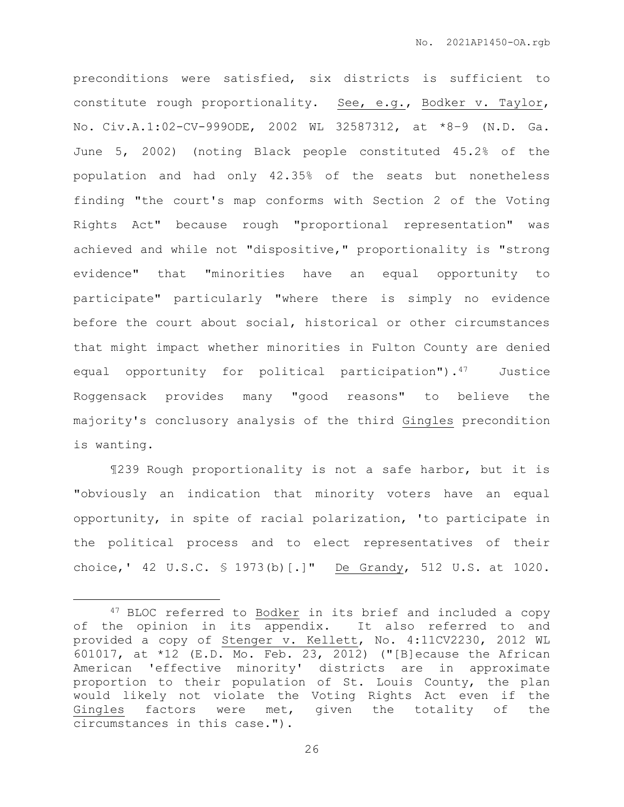preconditions were satisfied, six districts is sufficient to constitute rough proportionality. See, e.g., Bodker v. Taylor, No. Civ.A.1:02-CV-999ODE, 2002 WL 32587312, at \*8–9 (N.D. Ga. June 5, 2002) (noting Black people constituted 45.2% of the population and had only 42.35% of the seats but nonetheless finding "the court's map conforms with Section 2 of the Voting Rights Act" because rough "proportional representation" was achieved and while not "dispositive," proportionality is "strong evidence" that "minorities have an equal opportunity to participate" particularly "where there is simply no evidence before the court about social, historical or other circumstances that might impact whether minorities in Fulton County are denied equal opportunity for political participation").<sup>47</sup> Justice Roggensack provides many "good reasons" to believe the majority's conclusory analysis of the third Gingles precondition is wanting.

¶239 Rough proportionality is not a safe harbor, but it is "obviously an indication that minority voters have an equal opportunity, in spite of racial polarization, 'to participate in the political process and to elect representatives of their choice,' 42 U.S.C. § 1973(b)[.]" De Grandy, 512 U.S. at 1020.

<sup>47</sup> BLOC referred to Bodker in its brief and included a copy of the opinion in its appendix. It also referred to and provided a copy of Stenger v. Kellett, No. 4:11CV2230, 2012 WL 601017, at \*12 (E.D. Mo. Feb. 23, 2012) ("[B]ecause the African American 'effective minority' districts are in approximate proportion to their population of St. Louis County, the plan would likely not violate the Voting Rights Act even if the Gingles factors were met, given the totality of the circumstances in this case.").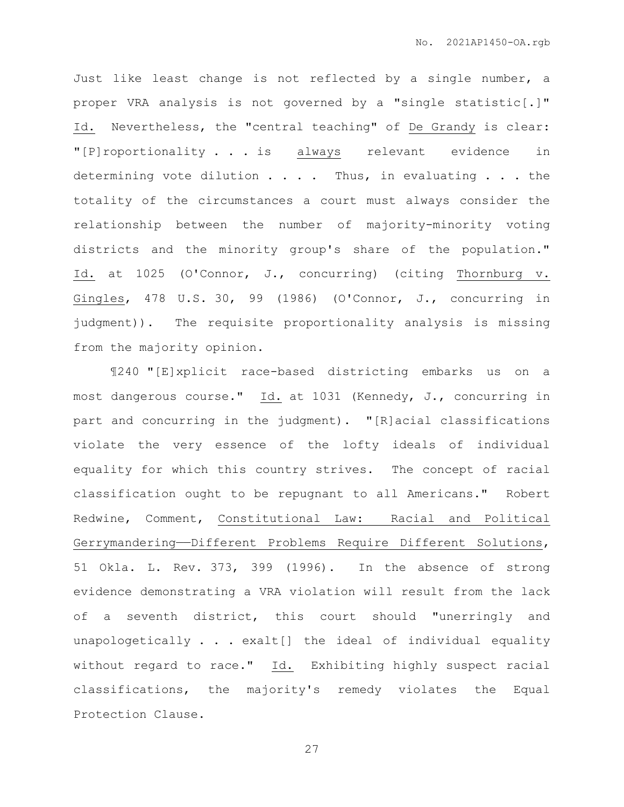Just like least change is not reflected by a single number, a proper VRA analysis is not governed by a "single statistic[.]" Id. Nevertheless, the "central teaching" of De Grandy is clear: "[P]roportionality . . . is always relevant evidence in determining vote dilution  $\ldots$  . Thus, in evaluating  $\ldots$  the totality of the circumstances a court must always consider the relationship between the number of majority-minority voting districts and the minority group's share of the population." Id. at 1025 (O'Connor, J., concurring) (citing Thornburg v. Gingles, 478 U.S. 30, 99 (1986) (O'Connor, J., concurring in judgment)). The requisite proportionality analysis is missing from the majority opinion.

¶240 "[E]xplicit race-based districting embarks us on a most dangerous course." Id. at 1031 (Kennedy, J., concurring in part and concurring in the judgment). "[R]acial classifications violate the very essence of the lofty ideals of individual equality for which this country strives. The concept of racial classification ought to be repugnant to all Americans." Robert Redwine, Comment, Constitutional Law: \_ Racial and Political Gerrymandering——Different Problems Require Different Solutions, 51 Okla. L. Rev. 373, 399 (1996). In the absence of strong evidence demonstrating a VRA violation will result from the lack of a seventh district, this court should "unerringly and unapologetically . . . exalt[] the ideal of individual equality without regard to race." Id. Exhibiting highly suspect racial classifications, the majority's remedy violates the Equal Protection Clause.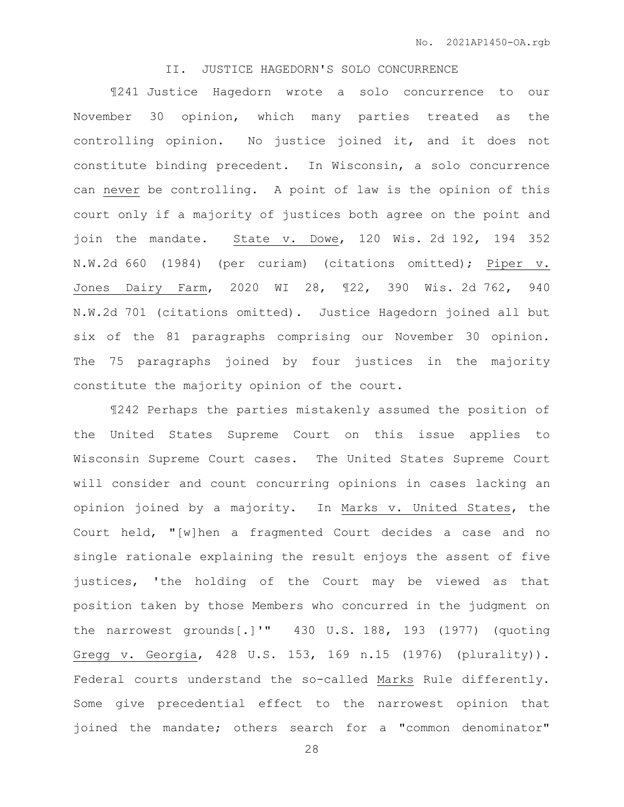## II. JUSTICE HAGEDORN'S SOLO CONCURRENCE

¶241 Justice Hagedorn wrote a solo concurrence to our November 30 opinion, which many parties treated as the controlling opinion. No justice joined it, and it does not constitute binding precedent. In Wisconsin, a solo concurrence can never be controlling. A point of law is the opinion of this court only if a majority of justices both agree on the point and join the mandate. State v. Dowe, 120 Wis. 2d 192, 194 352 N.W.2d 660 (1984) (per curiam) (citations omitted); Piper v. Jones Dairy Farm, 2020 WI 28, ¶22, 390 Wis. 2d 762, 940 N.W.2d 701 (citations omitted). Justice Hagedorn joined all but six of the 81 paragraphs comprising our November 30 opinion. The 75 paragraphs joined by four justices in the majority constitute the majority opinion of the court.

¶242 Perhaps the parties mistakenly assumed the position of the United States Supreme Court on this issue applies to Wisconsin Supreme Court cases. The United States Supreme Court will consider and count concurring opinions in cases lacking an opinion joined by a majority. In Marks v. United States, the Court held, "[w]hen a fragmented Court decides a case and no single rationale explaining the result enjoys the assent of five justices, 'the holding of the Court may be viewed as that position taken by those Members who concurred in the judgment on the narrowest grounds[.]'" 430 U.S. 188, 193 (1977) (quoting Gregg v. Georgia, 428 U.S. 153, 169 n.15 (1976) (plurality)). Federal courts understand the so-called Marks Rule differently. Some give precedential effect to the narrowest opinion that joined the mandate; others search for a "common denominator"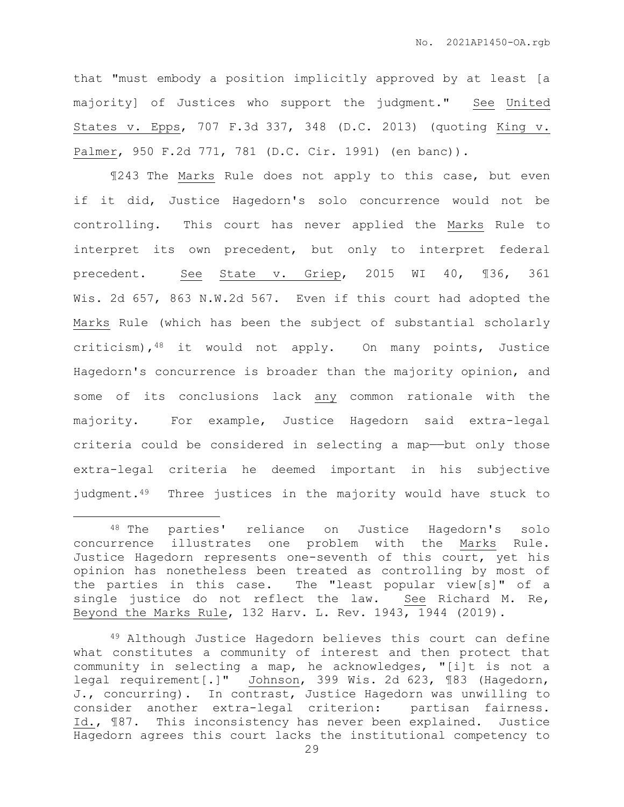that "must embody a position implicitly approved by at least [a majority] of Justices who support the judgment." See United States v. Epps, 707 F.3d 337, 348 (D.C. 2013) (quoting King v. Palmer, 950 F.2d 771, 781 (D.C. Cir. 1991) (en banc)).

¶243 The Marks Rule does not apply to this case, but even if it did, Justice Hagedorn's solo concurrence would not be controlling. This court has never applied the Marks Rule to interpret its own precedent, but only to interpret federal precedent. See State v. Griep, 2015 WI 40, ¶36, 361 Wis. 2d 657, 863 N.W.2d 567. Even if this court had adopted the Marks Rule (which has been the subject of substantial scholarly criticism),<sup>48</sup> it would not apply. On many points, Justice Hagedorn's concurrence is broader than the majority opinion, and some of its conclusions lack any common rationale with the majority. For example, Justice Hagedorn said extra-legal criteria could be considered in selecting a map——but only those extra-legal criteria he deemed important in his subjective judgment.<sup>49</sup> Three justices in the majority would have stuck to

<sup>48</sup> The parties' reliance on Justice Hagedorn's solo concurrence illustrates one problem with the Marks Rule. Justice Hagedorn represents one-seventh of this court, yet his opinion has nonetheless been treated as controlling by most of the parties in this case. The "least popular view[s]" of a single justice do not reflect the law. See Richard M. Re, Beyond the Marks Rule, 132 Harv. L. Rev. 1943, 1944 (2019).

<sup>49</sup> Although Justice Hagedorn believes this court can define what constitutes a community of interest and then protect that community in selecting a map, he acknowledges, "[i]t is not a legal requirement[.]" Johnson, 399 Wis. 2d 623, ¶83 (Hagedorn, J., concurring). In contrast, Justice Hagedorn was unwilling to consider another extra-legal criterion: partisan fairness. Id., ¶87. This inconsistency has never been explained. Justice Hagedorn agrees this court lacks the institutional competency to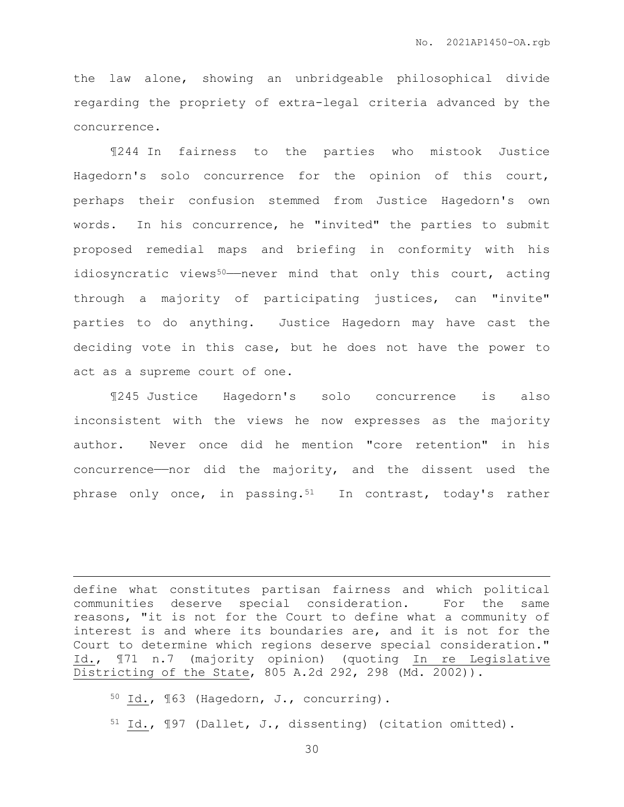the law alone, showing an unbridgeable philosophical divide regarding the propriety of extra-legal criteria advanced by the concurrence.

¶244 In fairness to the parties who mistook Justice Hagedorn's solo concurrence for the opinion of this court, perhaps their confusion stemmed from Justice Hagedorn's own words. In his concurrence, he "invited" the parties to submit proposed remedial maps and briefing in conformity with his idiosyncratic views<sup>50</sup>—never mind that only this court, acting through a majority of participating justices, can "invite" parties to do anything. Justice Hagedorn may have cast the deciding vote in this case, but he does not have the power to act as a supreme court of one.

¶245 Justice Hagedorn's solo concurrence is also inconsistent with the views he now expresses as the majority author. Never once did he mention "core retention" in his concurrence——nor did the majority, and the dissent used the phrase only once, in passing.<sup>51</sup> In contrast, today's rather

define what constitutes partisan fairness and which political communities deserve special consideration. For the same reasons, "it is not for the Court to define what a community of interest is and where its boundaries are, and it is not for the Court to determine which regions deserve special consideration." Id., ¶71 n.7 (majority opinion) (quoting In re Legislative Districting of the State, 805 A.2d 292, 298 (Md. 2002)).

<sup>50</sup> Id., ¶63 (Hagedorn, J., concurring).

 $\overline{a}$ 

<sup>51</sup> Id., ¶97 (Dallet, J., dissenting) (citation omitted).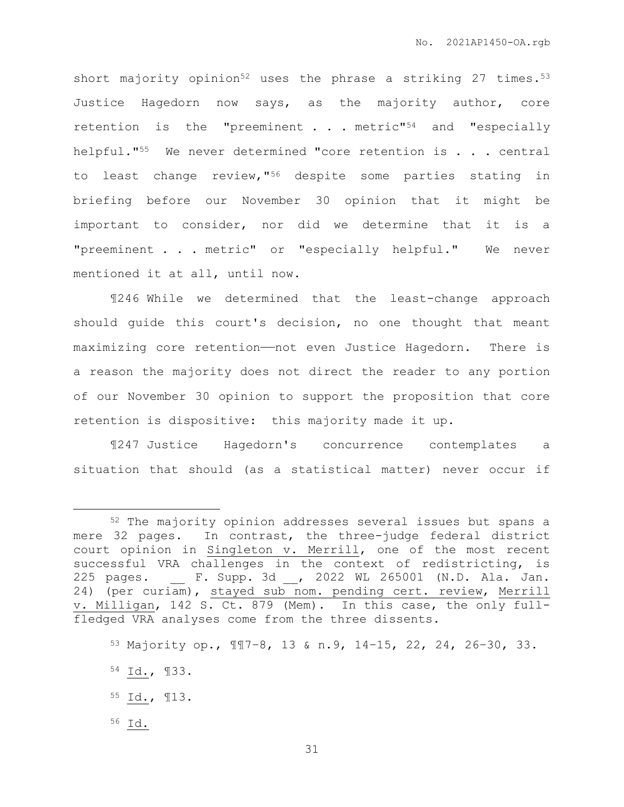short majority opinion<sup>52</sup> uses the phrase a striking 27 times.<sup>53</sup> Justice Hagedorn now says, as the majority author, core retention is the "preeminent . . . metric"<sup>54</sup> and "especially helpful."<sup>55</sup> We never determined "core retention is . . . central to least change review,"<sup>56</sup> despite some parties stating in briefing before our November 30 opinion that it might be important to consider, nor did we determine that it is a "preeminent . . . metric" or "especially helpful." We never mentioned it at all, until now.

¶246 While we determined that the least-change approach should guide this court's decision, no one thought that meant maximizing core retention—not even Justice Hagedorn. There is a reason the majority does not direct the reader to any portion of our November 30 opinion to support the proposition that core retention is dispositive: this majority made it up.

¶247 Justice Hagedorn's concurrence contemplates a situation that should (as a statistical matter) never occur if

<sup>52</sup> The majority opinion addresses several issues but spans a mere 32 pages. In contrast, the three-judge federal district court opinion in Singleton v. Merrill, one of the most recent successful VRA challenges in the context of redistricting, is 225 pages. F. Supp. 3d , 2022 WL 265001 (N.D. Ala. Jan. 24) (per curiam), stayed sub nom. pending cert. review, Merrill v. Milligan, 142 S. Ct. 879 (Mem). In this case, the only fullfledged VRA analyses come from the three dissents.

<sup>53</sup> Majority op., ¶¶7–8, 13 & n.9, 14–15, 22, 24, 26–30, 33.

<sup>54</sup> Id., ¶33.

<sup>55</sup> Id., ¶13.

<sup>56</sup> Id.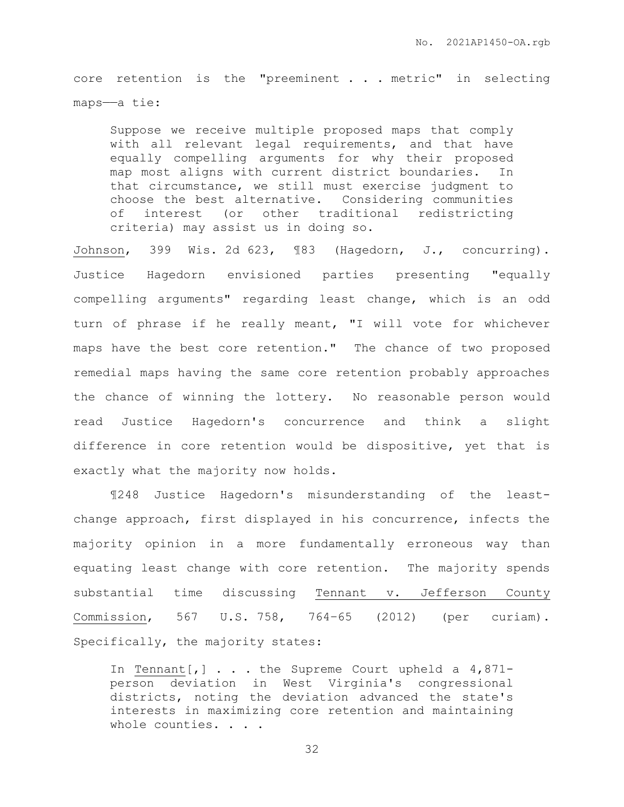core retention is the "preeminent . . . metric" in selecting maps——a tie:

Suppose we receive multiple proposed maps that comply with all relevant legal requirements, and that have equally compelling arguments for why their proposed map most aligns with current district boundaries. In that circumstance, we still must exercise judgment to choose the best alternative. Considering communities of interest (or other traditional redistricting criteria) may assist us in doing so.

Johnson, 399 Wis. 2d 623, 183 (Hagedorn, J., concurring). Justice Hagedorn envisioned parties presenting "equally compelling arguments" regarding least change, which is an odd turn of phrase if he really meant, "I will vote for whichever maps have the best core retention." The chance of two proposed remedial maps having the same core retention probably approaches the chance of winning the lottery. No reasonable person would read Justice Hagedorn's concurrence and think a slight difference in core retention would be dispositive, yet that is exactly what the majority now holds.

¶248 Justice Hagedorn's misunderstanding of the leastchange approach, first displayed in his concurrence, infects the majority opinion in a more fundamentally erroneous way than equating least change with core retention. The majority spends substantial time discussing Tennant v. Jefferson County Commission, 567 U.S. 758, 764–65 (2012) (per curiam). Specifically, the majority states:

In Tennant $\begin{bmatrix} , \end{bmatrix}$  . . . the Supreme Court upheld a 4,871person deviation in West Virginia's congressional districts, noting the deviation advanced the state's interests in maximizing core retention and maintaining whole counties. . . .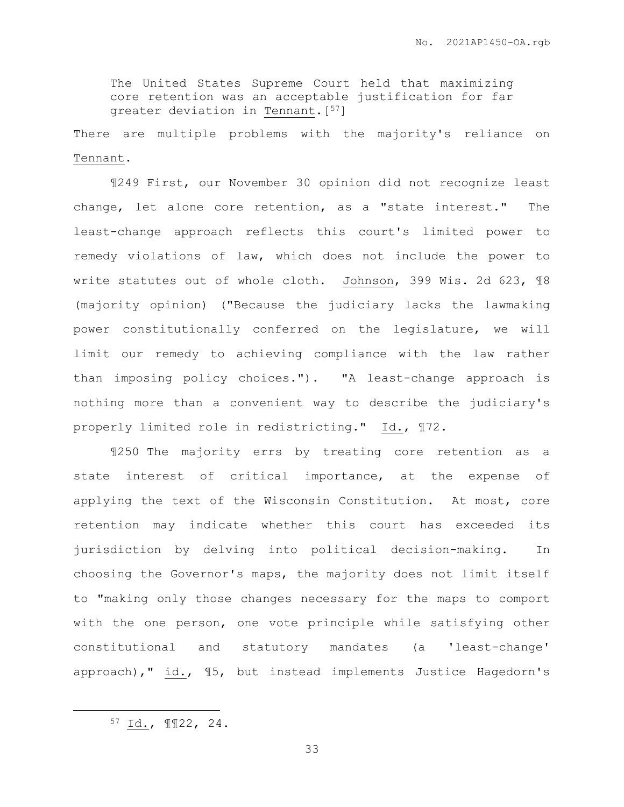The United States Supreme Court held that maximizing core retention was an acceptable justification for far greater deviation in Tennant.[57]

There are multiple problems with the majority's reliance on Tennant.

¶249 First, our November 30 opinion did not recognize least change, let alone core retention, as a "state interest." The least-change approach reflects this court's limited power to remedy violations of law, which does not include the power to write statutes out of whole cloth. Johnson, 399 Wis. 2d 623, ¶8 (majority opinion) ("Because the judiciary lacks the lawmaking power constitutionally conferred on the legislature, we will limit our remedy to achieving compliance with the law rather than imposing policy choices."). "A least-change approach is nothing more than a convenient way to describe the judiciary's properly limited role in redistricting." Id., ¶72.

¶250 The majority errs by treating core retention as a state interest of critical importance, at the expense of applying the text of the Wisconsin Constitution. At most, core retention may indicate whether this court has exceeded its jurisdiction by delving into political decision-making. In choosing the Governor's maps, the majority does not limit itself to "making only those changes necessary for the maps to comport with the one person, one vote principle while satisfying other constitutional and statutory mandates (a 'least-change' approach)," id., ¶5, but instead implements Justice Hagedorn's

 $\overline{a}$ 

<sup>57</sup> Id., ¶¶22, 24.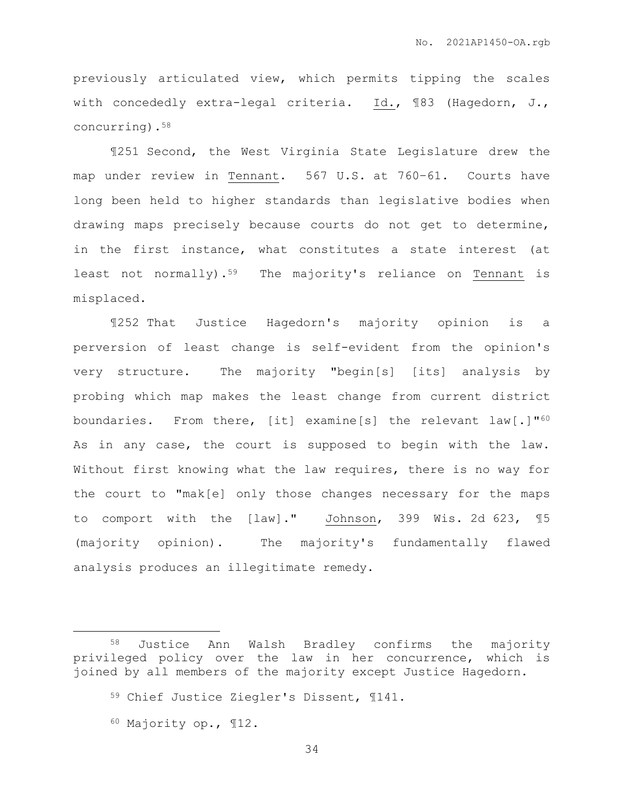previously articulated view, which permits tipping the scales with concededly extra-legal criteria. Id., ¶83 (Hagedorn, J., concurring).<sup>58</sup>

¶251 Second, the West Virginia State Legislature drew the map under review in Tennant. 567 U.S. at 760–61. Courts have long been held to higher standards than legislative bodies when drawing maps precisely because courts do not get to determine, in the first instance, what constitutes a state interest (at least not normally).<sup>59</sup> The majority's reliance on Tennant is misplaced.

¶252 That Justice Hagedorn's majority opinion is a perversion of least change is self-evident from the opinion's very structure. The majority "begin[s] [its] analysis by probing which map makes the least change from current district boundaries. From there, [it] examine[s] the relevant law[.]"<sup>60</sup> As in any case, the court is supposed to begin with the law. Without first knowing what the law requires, there is no way for the court to "mak[e] only those changes necessary for the maps to comport with the [law]." Johnson, 399 Wis. 2d 623, ¶5 (majority opinion). The majority's fundamentally flawed analysis produces an illegitimate remedy.

<sup>58</sup> Justice Ann Walsh Bradley confirms the majority privileged policy over the law in her concurrence, which is joined by all members of the majority except Justice Hagedorn.

<sup>59</sup> Chief Justice Ziegler's Dissent, ¶141.

<sup>60</sup> Majority op., ¶12.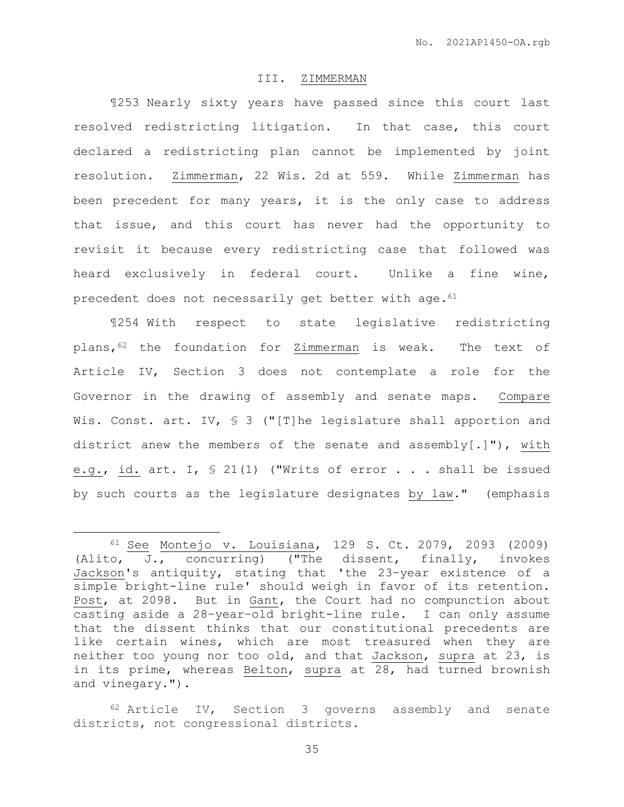## III. ZIMMERMAN

¶253 Nearly sixty years have passed since this court last resolved redistricting litigation. In that case, this court declared a redistricting plan cannot be implemented by joint resolution. Zimmerman, 22 Wis. 2d at 559. While Zimmerman has been precedent for many years, it is the only case to address that issue, and this court has never had the opportunity to revisit it because every redistricting case that followed was heard exclusively in federal court. Unlike a fine wine, precedent does not necessarily get better with age.  $61$ 

¶254 With respect to state legislative redistricting plans, 62 the foundation for Zimmerman is weak. The text of Article IV, Section 3 does not contemplate a role for the Governor in the drawing of assembly and senate maps. Compare Wis. Const. art. IV, § 3 ("[T]he legislature shall apportion and district anew the members of the senate and assembly $[.]$ "), with e.g., id. art. I, § 21(1) ("Writs of error . . . shall be issued by such courts as the legislature designates by law." (emphasis

 $\overline{a}$ 

<sup>62</sup> Article IV, Section 3 governs assembly and senate districts, not congressional districts.

<sup>61</sup> See Montejo v. Louisiana, 129 S. Ct. 2079, 2093 (2009) (Alito, J., concurring) ("The dissent, finally, invokes Jackson's antiquity, stating that 'the 23–year existence of a simple bright-line rule' should weigh in favor of its retention. Post, at 2098. But in Gant, the Court had no compunction about casting aside a 28–year–old bright-line rule. I can only assume that the dissent thinks that our constitutional precedents are like certain wines, which are most treasured when they are neither too young nor too old, and that Jackson, supra at 23, is in its prime, whereas Belton, supra at 28, had turned brownish and vinegary.").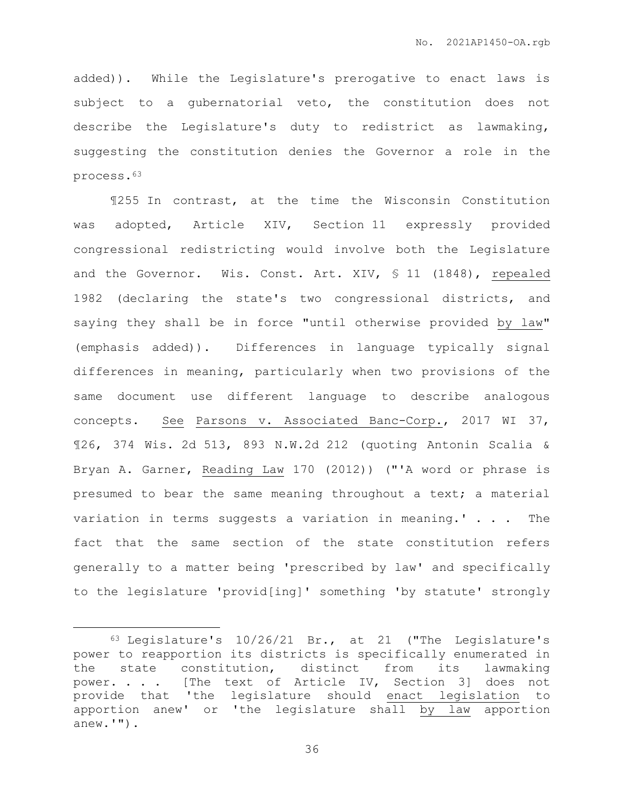added)). While the Legislature's prerogative to enact laws is subject to a gubernatorial veto, the constitution does not describe the Legislature's duty to redistrict as lawmaking, suggesting the constitution denies the Governor a role in the process.<sup>63</sup>

¶255 In contrast, at the time the Wisconsin Constitution was adopted, Article XIV, Section 11 expressly provided congressional redistricting would involve both the Legislature and the Governor. Wis. Const. Art. XIV, § 11 (1848), repealed 1982 (declaring the state's two congressional districts, and saying they shall be in force "until otherwise provided by law" (emphasis added)). Differences in language typically signal differences in meaning, particularly when two provisions of the same document use different language to describe analogous concepts. See Parsons v. Associated Banc-Corp., 2017 WI 37, ¶26, 374 Wis. 2d 513, 893 N.W.2d 212 (quoting Antonin Scalia & Bryan A. Garner, Reading Law 170 (2012)) ("'A word or phrase is presumed to bear the same meaning throughout a text; a material variation in terms suggests a variation in meaning.' . . . The fact that the same section of the state constitution refers generally to a matter being 'prescribed by law' and specifically to the legislature 'provid[ing]' something 'by statute' strongly

 $\overline{a}$ 

<sup>63</sup> Legislature's 10/26/21 Br., at 21 ("The Legislature's power to reapportion its districts is specifically enumerated in the state constitution, distinct from its lawmaking power. . . . [The text of Article IV, Section 3] does not provide that 'the legislature should enact legislation to apportion anew' or 'the legislature shall by law apportion anew.'").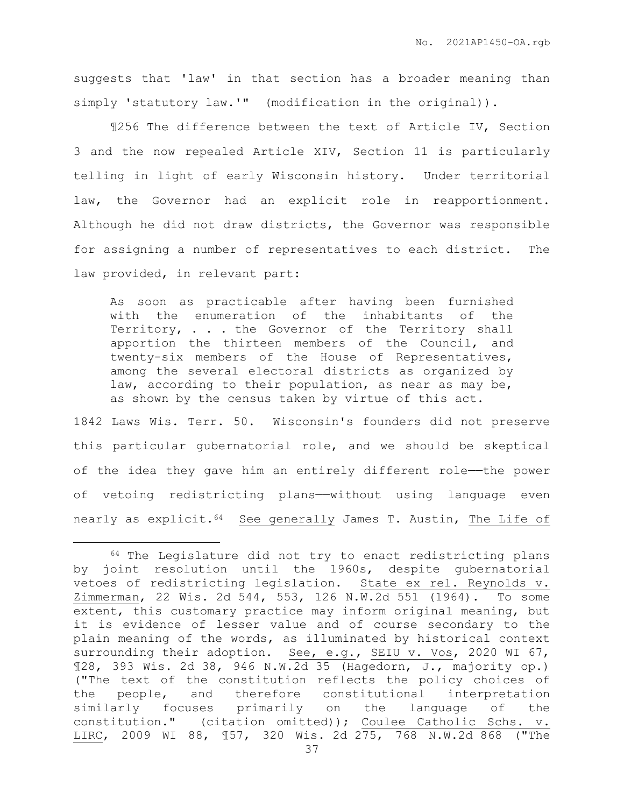suggests that 'law' in that section has a broader meaning than simply 'statutory law.'" (modification in the original)).

¶256 The difference between the text of Article IV, Section 3 and the now repealed Article XIV, Section 11 is particularly telling in light of early Wisconsin history. Under territorial law, the Governor had an explicit role in reapportionment. Although he did not draw districts, the Governor was responsible for assigning a number of representatives to each district. The law provided, in relevant part:

As soon as practicable after having been furnished with the enumeration of the inhabitants of the Territory, . . . the Governor of the Territory shall apportion the thirteen members of the Council, and twenty-six members of the House of Representatives, among the several electoral districts as organized by law, according to their population, as near as may be, as shown by the census taken by virtue of this act.

1842 Laws Wis. Terr. 50. Wisconsin's founders did not preserve this particular gubernatorial role, and we should be skeptical of the idea they gave him an entirely different role--the power of vetoing redistricting plans—without using language even nearly as explicit.<sup>64</sup> See generally James T. Austin, The Life of

<sup>64</sup> The Legislature did not try to enact redistricting plans by joint resolution until the 1960s, despite gubernatorial vetoes of redistricting legislation. State ex rel. Reynolds v. Zimmerman, 22 Wis. 2d 544, 553, 126 N.W.2d 551 (1964). To some extent, this customary practice may inform original meaning, but it is evidence of lesser value and of course secondary to the plain meaning of the words, as illuminated by historical context surrounding their adoption. See, e.g., SEIU v. Vos, 2020 WI 67, ¶28, 393 Wis. 2d 38, 946 N.W.2d 35 (Hagedorn, J., majority op.) ("The text of the constitution reflects the policy choices of the people, and therefore constitutional interpretation similarly focuses primarily on the language of the constitution." (citation omitted)); Coulee Catholic Schs. v. LIRC, 2009 WI 88, ¶57, 320 Wis. 2d 275, 768 N.W.2d 868 ("The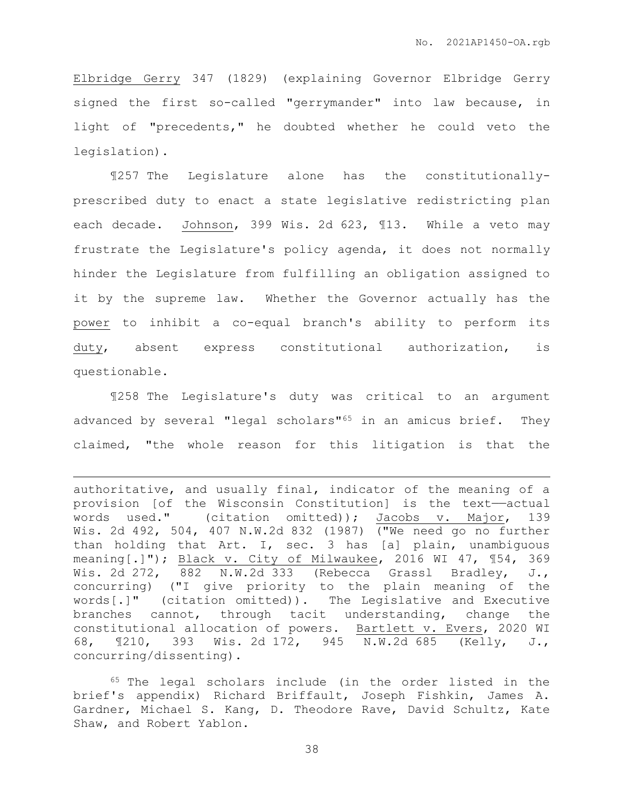Elbridge Gerry 347 (1829) (explaining Governor Elbridge Gerry signed the first so-called "gerrymander" into law because, in light of "precedents," he doubted whether he could veto the legislation).

¶257 The Legislature alone has the constitutionallyprescribed duty to enact a state legislative redistricting plan each decade. Johnson, 399 Wis. 2d 623, ¶13. While a veto may frustrate the Legislature's policy agenda, it does not normally hinder the Legislature from fulfilling an obligation assigned to it by the supreme law. Whether the Governor actually has the power to inhibit a co-equal branch's ability to perform its duty, absent express constitutional authorization, is questionable.

¶258 The Legislature's duty was critical to an argument advanced by several "legal scholars"<sup>65</sup> in an amicus brief. They claimed, "the whole reason for this litigation is that the

 $\overline{a}$ 

authoritative, and usually final, indicator of the meaning of a provision [of the Wisconsin Constitution] is the text-actual words used." (citation omitted)); Jacobs v. Major, 139 Wis. 2d 492, 504, 407 N.W.2d 832 (1987) ("We need go no further than holding that Art. I, sec. 3 has [a] plain, unambiguous meaning[.]"); Black v. City of Milwaukee, 2016 WI 47, 154, 369 Wis. 2d 272, 882 N.W.2d 333 (Rebecca Grassl Bradley, J., concurring) ("I give priority to the plain meaning of the words[.]" (citation omitted)). The Legislative and Executive branches cannot, through tacit understanding, change the constitutional allocation of powers. Bartlett v. Evers, 2020 WI 68, ¶210, 393 Wis. 2d 172, 945 N.W.2d 685 (Kelly, J., concurring/dissenting).

<sup>65</sup> The legal scholars include (in the order listed in the brief's appendix) Richard Briffault, Joseph Fishkin, James A. Gardner, Michael S. Kang, D. Theodore Rave, David Schultz, Kate Shaw, and Robert Yablon.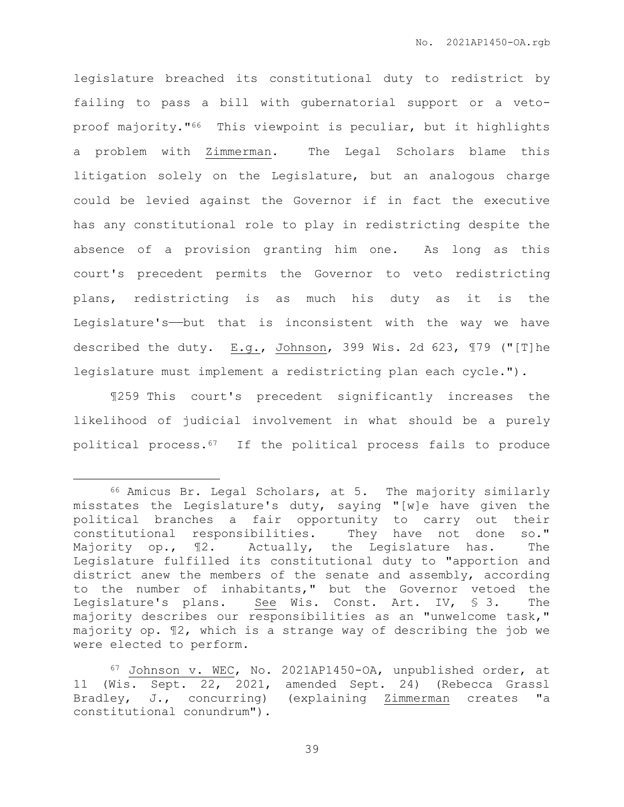legislature breached its constitutional duty to redistrict by failing to pass a bill with gubernatorial support or a vetoproof majority."66 This viewpoint is peculiar, but it highlights a problem with Zimmerman. The Legal Scholars blame this litigation solely on the Legislature, but an analogous charge could be levied against the Governor if in fact the executive has any constitutional role to play in redistricting despite the absence of a provision granting him one. As long as this court's precedent permits the Governor to veto redistricting plans, redistricting is as much his duty as it is the Legislature's——but that is inconsistent with the way we have described the duty. E.g., Johnson, 399 Wis. 2d 623, ¶79 ("[T]he legislature must implement a redistricting plan each cycle.").

¶259 This court's precedent significantly increases the likelihood of judicial involvement in what should be a purely political process.67 If the political process fails to produce

<sup>66</sup> Amicus Br. Legal Scholars, at 5. The majority similarly misstates the Legislature's duty, saying "[w]e have given the political branches a fair opportunity to carry out their constitutional responsibilities. They have not done so." Majority op., ¶2. Actually, the Legislature has. The Legislature fulfilled its constitutional duty to "apportion and district anew the members of the senate and assembly, according to the number of inhabitants," but the Governor vetoed the Legislature's plans. See Wis. Const. Art. IV, § 3. The majority describes our responsibilities as an "unwelcome task," majority op. ¶2, which is a strange way of describing the job we were elected to perform.

<sup>67</sup> Johnson v. WEC, No. 2021AP1450-OA, unpublished order, at 11 (Wis. Sept. 22, 2021, amended Sept. 24) (Rebecca Grassl Bradley, J., concurring) (explaining Zimmerman creates "a constitutional conundrum").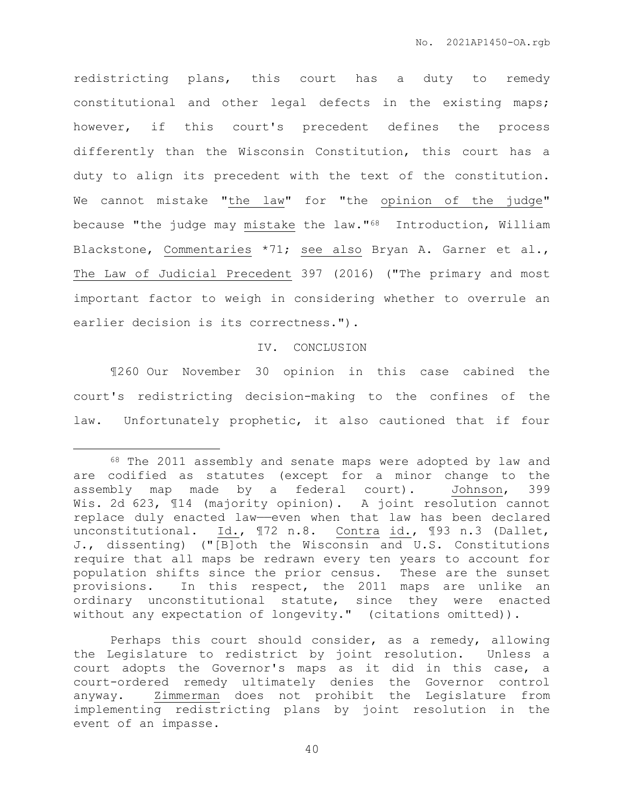redistricting plans, this court has a duty to remedy constitutional and other legal defects in the existing maps; however, if this court's precedent defines the process differently than the Wisconsin Constitution, this court has a duty to align its precedent with the text of the constitution. We cannot mistake "the law" for "the opinion of the judge" because "the judge may mistake the law."68 Introduction, William Blackstone, Commentaries \*71; see also Bryan A. Garner et al., The Law of Judicial Precedent 397 (2016) ("The primary and most important factor to weigh in considering whether to overrule an earlier decision is its correctness.").

## IV. CONCLUSION

¶260 Our November 30 opinion in this case cabined the court's redistricting decision-making to the confines of the law. Unfortunately prophetic, it also cautioned that if four

 $\overline{a}$ 

<sup>68</sup> The 2011 assembly and senate maps were adopted by law and are codified as statutes (except for a minor change to the assembly map made by a federal court). Johnson, 399 Wis. 2d 623, ¶14 (majority opinion). A joint resolution cannot replace duly enacted law—even when that law has been declared unconstitutional. Id., 172 n.8. Contra id., 193 n.3 (Dallet, J., dissenting) ("[B]oth the Wisconsin and U.S. Constitutions require that all maps be redrawn every ten years to account for population shifts since the prior census. These are the sunset provisions. In this respect, the 2011 maps are unlike an ordinary unconstitutional statute, since they were enacted without any expectation of longevity." (citations omitted)).

Perhaps this court should consider, as a remedy, allowing the Legislature to redistrict by joint resolution. Unless a court adopts the Governor's maps as it did in this case, a court-ordered remedy ultimately denies the Governor control anyway. Zimmerman does not prohibit the Legislature from implementing redistricting plans by joint resolution in the event of an impasse.